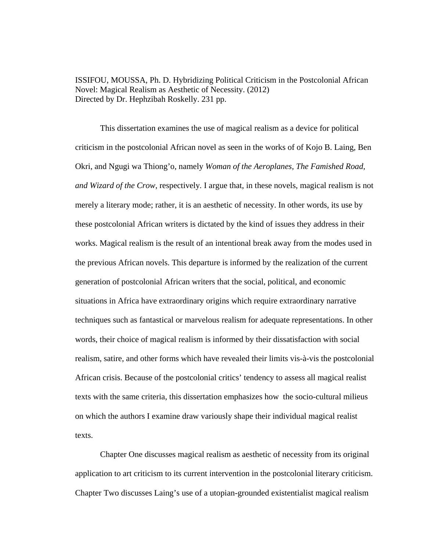ISSIFOU, MOUSSA, Ph. D. Hybridizing Political Criticism in the Postcolonial African Novel: Magical Realism as Aesthetic of Necessity. (2012) Directed by Dr. Hephzibah Roskelly. 231 pp.

This dissertation examines the use of magical realism as a device for political criticism in the postcolonial African novel as seen in the works of of Kojo B. Laing, Ben Okri, and Ngugi wa Thiong'o, namely *Woman of the Aeroplanes, The Famished Road, and Wizard of the Crow*, respectively*.* I argue that, in these novels, magical realism is not merely a literary mode; rather, it is an aesthetic of necessity. In other words, its use by these postcolonial African writers is dictated by the kind of issues they address in their works. Magical realism is the result of an intentional break away from the modes used in the previous African novels. This departure is informed by the realization of the current generation of postcolonial African writers that the social, political, and economic situations in Africa have extraordinary origins which require extraordinary narrative techniques such as fantastical or marvelous realism for adequate representations. In other words, their choice of magical realism is informed by their dissatisfaction with social realism, satire, and other forms which have revealed their limits vis-à-vis the postcolonial African crisis. Because of the postcolonial critics' tendency to assess all magical realist texts with the same criteria, this dissertation emphasizes how the socio-cultural milieus on which the authors I examine draw variously shape their individual magical realist texts.

Chapter One discusses magical realism as aesthetic of necessity from its original application to art criticism to its current intervention in the postcolonial literary criticism. Chapter Two discusses Laing's use of a utopian-grounded existentialist magical realism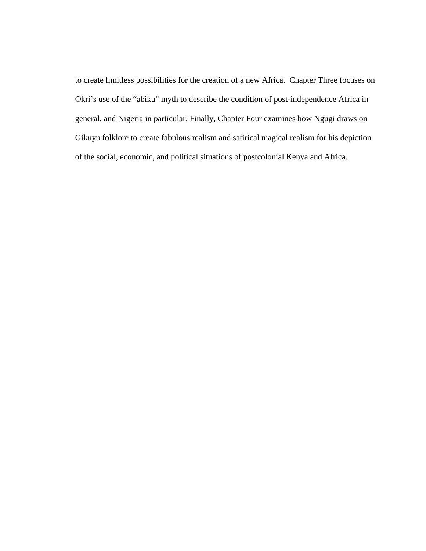to create limitless possibilities for the creation of a new Africa. Chapter Three focuses on Okri's use of the "abiku" myth to describe the condition of post-independence Africa in general, and Nigeria in particular. Finally, Chapter Four examines how Ngugi draws on Gikuyu folklore to create fabulous realism and satirical magical realism for his depiction of the social, economic, and political situations of postcolonial Kenya and Africa.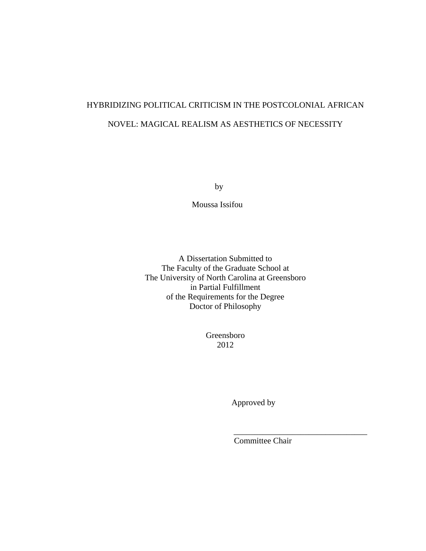# HYBRIDIZING POLITICAL CRITICISM IN THE POSTCOLONIAL AFRICAN NOVEL: MAGICAL REALISM AS AESTHETICS OF NECESSITY

by

Moussa Issifou

A Dissertation Submitted to The Faculty of the Graduate School at The University of North Carolina at Greensboro in Partial Fulfillment of the Requirements for the Degree Doctor of Philosophy

> Greensboro 2012

 $\overline{\phantom{a}}$  , and the contract of the contract of the contract of the contract of the contract of the contract of the contract of the contract of the contract of the contract of the contract of the contract of the contrac

Approved by

Committee Chair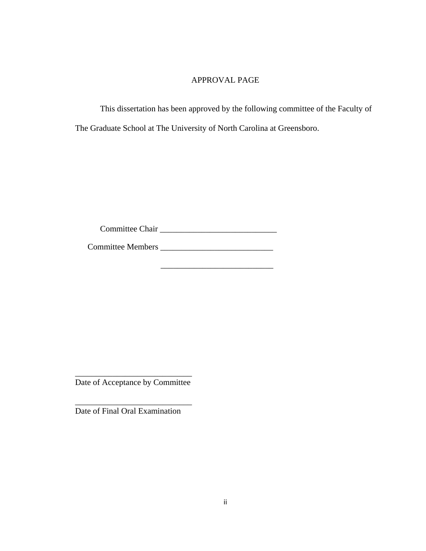## APPROVAL PAGE

This dissertation has been approved by the following committee of the Faculty of The Graduate School at The University of North Carolina at Greensboro.

Committee Chair \_\_\_\_\_\_\_\_\_\_\_\_\_\_\_\_\_\_\_\_\_\_\_\_\_\_\_\_

 $\frac{1}{2}$  ,  $\frac{1}{2}$  ,  $\frac{1}{2}$  ,  $\frac{1}{2}$  ,  $\frac{1}{2}$  ,  $\frac{1}{2}$  ,  $\frac{1}{2}$  ,  $\frac{1}{2}$  ,  $\frac{1}{2}$  ,  $\frac{1}{2}$  ,  $\frac{1}{2}$  ,  $\frac{1}{2}$  ,  $\frac{1}{2}$  ,  $\frac{1}{2}$  ,  $\frac{1}{2}$  ,  $\frac{1}{2}$  ,  $\frac{1}{2}$  ,  $\frac{1}{2}$  ,  $\frac{1$ 

Committee Members \_\_\_\_\_\_\_\_\_\_\_\_\_\_\_\_\_\_\_\_\_\_\_\_\_\_\_

\_\_\_\_\_\_\_\_\_\_\_\_\_\_\_\_\_\_\_\_\_\_\_\_\_\_\_\_ Date of Acceptance by Committee

\_\_\_\_\_\_\_\_\_\_\_\_\_\_\_\_\_\_\_\_\_\_\_\_\_\_\_\_ Date of Final Oral Examination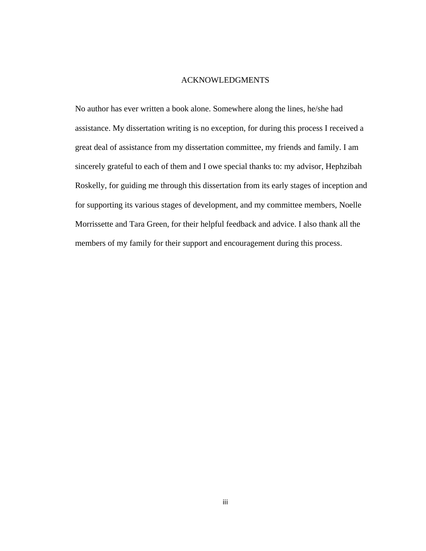### ACKNOWLEDGMENTS

No author has ever written a book alone. Somewhere along the lines, he/she had assistance. My dissertation writing is no exception, for during this process I received a great deal of assistance from my dissertation committee, my friends and family. I am sincerely grateful to each of them and I owe special thanks to: my advisor, Hephzibah Roskelly, for guiding me through this dissertation from its early stages of inception and for supporting its various stages of development, and my committee members, Noelle Morrissette and Tara Green, for their helpful feedback and advice. I also thank all the members of my family for their support and encouragement during this process.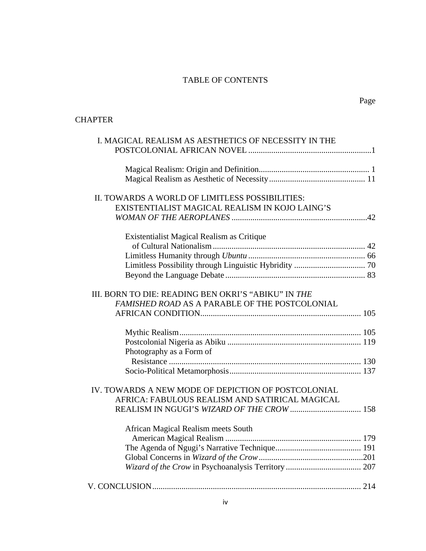# TABLE OF CONTENTS

# **CHAPTER**

| I. MAGICAL REALISM AS AESTHETICS OF NECESSITY IN THE |  |
|------------------------------------------------------|--|
|                                                      |  |
|                                                      |  |
|                                                      |  |
|                                                      |  |
| II. TOWARDS A WORLD OF LIMITLESS POSSIBILITIES:      |  |
| EXISTENTIALIST MAGICAL REALISM IN KOJO LAING'S       |  |
|                                                      |  |
| Existentialist Magical Realism as Critique           |  |
|                                                      |  |
|                                                      |  |
|                                                      |  |
|                                                      |  |
| III. BORN TO DIE: READING BEN OKRI'S "ABIKU" IN THE  |  |
| FAMISHED ROAD AS A PARABLE OF THE POSTCOLONIAL       |  |
|                                                      |  |
|                                                      |  |
|                                                      |  |
|                                                      |  |
| Photography as a Form of                             |  |
|                                                      |  |
|                                                      |  |
|                                                      |  |
| IV. TOWARDS A NEW MODE OF DEPICTION OF POSTCOLONIAL  |  |
| AFRICA: FABULOUS REALISM AND SATIRICAL MAGICAL       |  |
|                                                      |  |
| African Magical Realism meets South                  |  |
|                                                      |  |
|                                                      |  |
|                                                      |  |
|                                                      |  |
|                                                      |  |
|                                                      |  |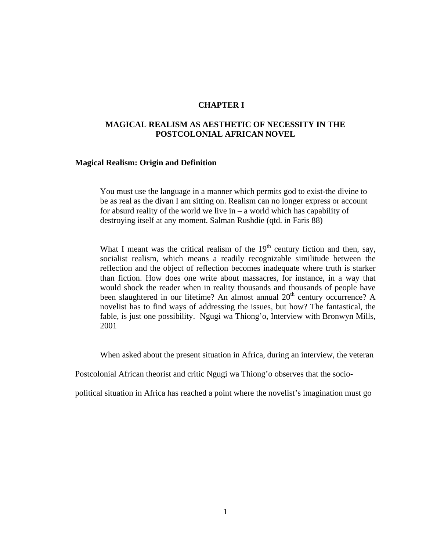## **CHAPTER I**

## **MAGICAL REALISM AS AESTHETIC OF NECESSITY IN THE POSTCOLONIAL AFRICAN NOVEL**

#### **Magical Realism: Origin and Definition**

You must use the language in a manner which permits god to exist-the divine to be as real as the divan I am sitting on. Realism can no longer express or account for absurd reality of the world we live in – a world which has capability of destroying itself at any moment. Salman Rushdie (qtd. in Faris 88)

What I meant was the critical realism of the  $19<sup>th</sup>$  century fiction and then, say, socialist realism, which means a readily recognizable similitude between the reflection and the object of reflection becomes inadequate where truth is starker than fiction. How does one write about massacres, for instance, in a way that would shock the reader when in reality thousands and thousands of people have been slaughtered in our lifetime? An almost annual 20<sup>th</sup> century occurrence? A novelist has to find ways of addressing the issues, but how? The fantastical, the fable, is just one possibility. Ngugi wa Thiong'o, Interview with Bronwyn Mills, 2001

When asked about the present situation in Africa, during an interview, the veteran

Postcolonial African theorist and critic Ngugi wa Thiong'o observes that the socio-

political situation in Africa has reached a point where the novelist's imagination must go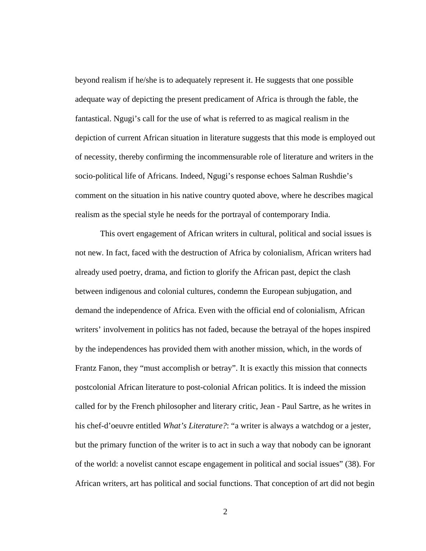beyond realism if he/she is to adequately represent it. He suggests that one possible adequate way of depicting the present predicament of Africa is through the fable, the fantastical. Ngugi's call for the use of what is referred to as magical realism in the depiction of current African situation in literature suggests that this mode is employed out of necessity, thereby confirming the incommensurable role of literature and writers in the socio-political life of Africans. Indeed, Ngugi's response echoes Salman Rushdie's comment on the situation in his native country quoted above, where he describes magical realism as the special style he needs for the portrayal of contemporary India.

 This overt engagement of African writers in cultural, political and social issues is not new. In fact, faced with the destruction of Africa by colonialism, African writers had already used poetry, drama, and fiction to glorify the African past, depict the clash between indigenous and colonial cultures, condemn the European subjugation, and demand the independence of Africa. Even with the official end of colonialism, African writers' involvement in politics has not faded, because the betrayal of the hopes inspired by the independences has provided them with another mission, which, in the words of Frantz Fanon, they "must accomplish or betray". It is exactly this mission that connects postcolonial African literature to post-colonial African politics. It is indeed the mission called for by the French philosopher and literary critic, Jean - Paul Sartre, as he writes in his chef-d'oeuvre entitled *What's Literature?*: "a writer is always a watchdog or a jester, but the primary function of the writer is to act in such a way that nobody can be ignorant of the world: a novelist cannot escape engagement in political and social issues" (38). For African writers, art has political and social functions. That conception of art did not begin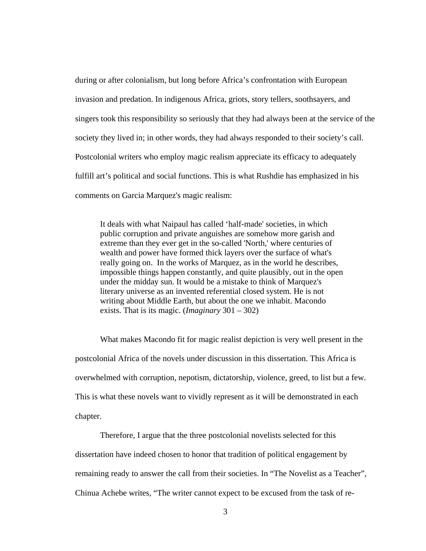during or after colonialism, but long before Africa's confrontation with European invasion and predation. In indigenous Africa, griots, story tellers, soothsayers, and singers took this responsibility so seriously that they had always been at the service of the society they lived in; in other words, they had always responded to their society's call. Postcolonial writers who employ magic realism appreciate its efficacy to adequately fulfill art's political and social functions. This is what Rushdie has emphasized in his comments on Garcia Marquez's magic realism:

It deals with what Naipaul has called 'half-made' societies, in which public corruption and private anguishes are somehow more garish and extreme than they ever get in the so-called 'North,' where centuries of wealth and power have formed thick layers over the surface of what's really going on. In the works of Marquez*,* as in the world he describes, impossible things happen constantly, and quite plausibly, out in the open under the midday sun*.* It would be a mistake to think of Marquez's literary universe as an invented referential closed system*.* He is not writing about Middle Earth, but about the one we inhabit. Macondo exists. That is its magic. (*Imaginary* 301 – 302)

What makes Macondo fit for magic realist depiction is very well present in the postcolonial Africa of the novels under discussion in this dissertation. This Africa is overwhelmed with corruption, nepotism, dictatorship, violence, greed, to list but a few. This is what these novels want to vividly represent as it will be demonstrated in each chapter.

Therefore, I argue that the three postcolonial novelists selected for this dissertation have indeed chosen to honor that tradition of political engagement by remaining ready to answer the call from their societies. In "The Novelist as a Teacher", Chinua Achebe writes, "The writer cannot expect to be excused from the task of re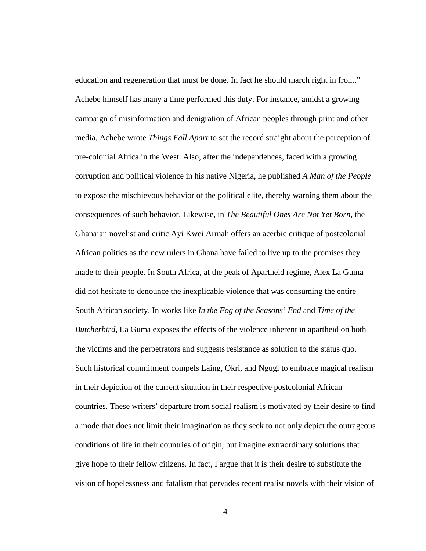education and regeneration that must be done. In fact he should march right in front." Achebe himself has many a time performed this duty. For instance, amidst a growing campaign of misinformation and denigration of African peoples through print and other media, Achebe wrote *Things Fall Apart* to set the record straight about the perception of pre-colonial Africa in the West. Also, after the independences, faced with a growing corruption and political violence in his native Nigeria, he published *A Man of the People* to expose the mischievous behavior of the political elite, thereby warning them about the consequences of such behavior. Likewise, in *The Beautiful Ones Are Not Yet Born*, the Ghanaian novelist and critic Ayi Kwei Armah offers an acerbic critique of postcolonial African politics as the new rulers in Ghana have failed to live up to the promises they made to their people. In South Africa, at the peak of Apartheid regime, Alex La Guma did not hesitate to denounce the inexplicable violence that was consuming the entire South African society. In works like *In the Fog of the Seasons' End* and *Time of the Butcherbird*, La Guma exposes the effects of the violence inherent in apartheid on both the victims and the perpetrators and suggests resistance as solution to the status quo. Such historical commitment compels Laing, Okri, and Ngugi to embrace magical realism in their depiction of the current situation in their respective postcolonial African countries. These writers' departure from social realism is motivated by their desire to find a mode that does not limit their imagination as they seek to not only depict the outrageous conditions of life in their countries of origin, but imagine extraordinary solutions that give hope to their fellow citizens. In fact, I argue that it is their desire to substitute the vision of hopelessness and fatalism that pervades recent realist novels with their vision of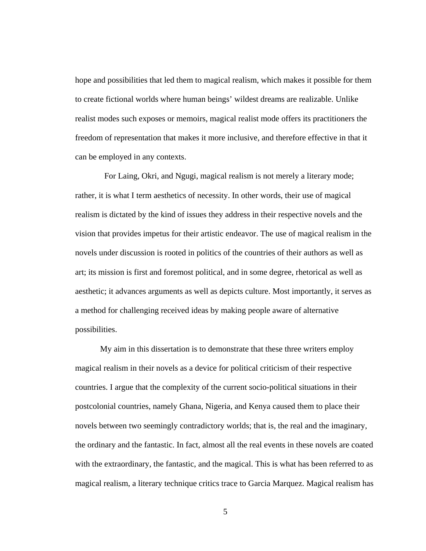hope and possibilities that led them to magical realism, which makes it possible for them to create fictional worlds where human beings' wildest dreams are realizable. Unlike realist modes such exposes or memoirs, magical realist mode offers its practitioners the freedom of representation that makes it more inclusive, and therefore effective in that it can be employed in any contexts.

 For Laing, Okri, and Ngugi, magical realism is not merely a literary mode; rather, it is what I term aesthetics of necessity. In other words, their use of magical realism is dictated by the kind of issues they address in their respective novels and the vision that provides impetus for their artistic endeavor. The use of magical realism in the novels under discussion is rooted in politics of the countries of their authors as well as art; its mission is first and foremost political, and in some degree, rhetorical as well as aesthetic; it advances arguments as well as depicts culture. Most importantly, it serves as a method for challenging received ideas by making people aware of alternative possibilities.

My aim in this dissertation is to demonstrate that these three writers employ magical realism in their novels as a device for political criticism of their respective countries. I argue that the complexity of the current socio-political situations in their postcolonial countries, namely Ghana, Nigeria, and Kenya caused them to place their novels between two seemingly contradictory worlds; that is, the real and the imaginary, the ordinary and the fantastic. In fact, almost all the real events in these novels are coated with the extraordinary, the fantastic, and the magical. This is what has been referred to as magical realism, a literary technique critics trace to Garcia Marquez. Magical realism has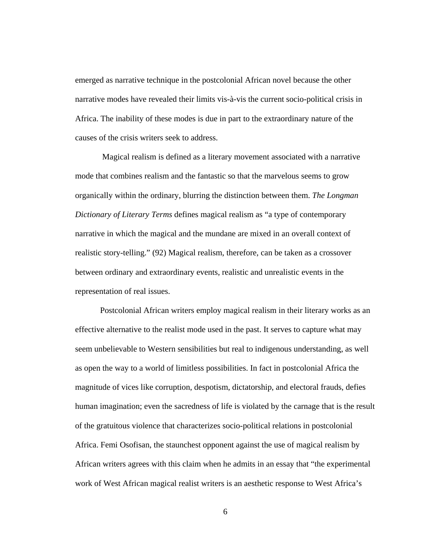emerged as narrative technique in the postcolonial African novel because the other narrative modes have revealed their limits vis-à-vis the current socio-political crisis in Africa. The inability of these modes is due in part to the extraordinary nature of the causes of the crisis writers seek to address.

Magical realism is defined as a literary movement associated with a narrative mode that combines realism and the fantastic so that the marvelous seems to grow organically within the ordinary, blurring the distinction between them. *The Longman Dictionary of Literary Terms* defines magical realism as "a type of contemporary narrative in which the magical and the mundane are mixed in an overall context of realistic story-telling." (92) Magical realism, therefore, can be taken as a crossover between ordinary and extraordinary events, realistic and unrealistic events in the representation of real issues.

Postcolonial African writers employ magical realism in their literary works as an effective alternative to the realist mode used in the past. It serves to capture what may seem unbelievable to Western sensibilities but real to indigenous understanding, as well as open the way to a world of limitless possibilities. In fact in postcolonial Africa the magnitude of vices like corruption, despotism, dictatorship, and electoral frauds, defies human imagination; even the sacredness of life is violated by the carnage that is the result of the gratuitous violence that characterizes socio-political relations in postcolonial Africa. Femi Osofisan, the staunchest opponent against the use of magical realism by African writers agrees with this claim when he admits in an essay that "the experimental work of West African magical realist writers is an aesthetic response to West Africa's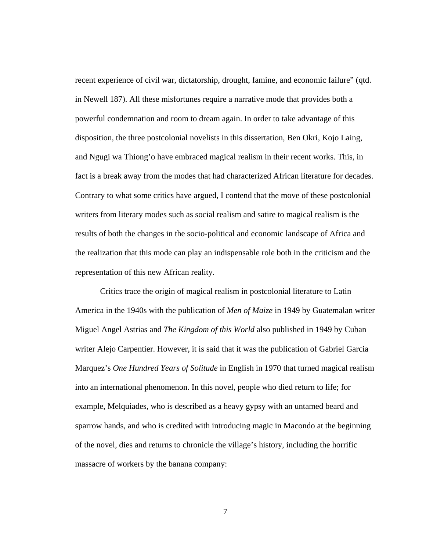recent experience of civil war, dictatorship, drought, famine, and economic failure" (qtd. in Newell 187). All these misfortunes require a narrative mode that provides both a powerful condemnation and room to dream again. In order to take advantage of this disposition, the three postcolonial novelists in this dissertation, Ben Okri, Kojo Laing, and Ngugi wa Thiong'o have embraced magical realism in their recent works. This, in fact is a break away from the modes that had characterized African literature for decades. Contrary to what some critics have argued, I contend that the move of these postcolonial writers from literary modes such as social realism and satire to magical realism is the results of both the changes in the socio-political and economic landscape of Africa and the realization that this mode can play an indispensable role both in the criticism and the representation of this new African reality.

Critics trace the origin of magical realism in postcolonial literature to Latin America in the 1940s with the publication of *Men of Maize* in 1949 by Guatemalan writer Miguel Angel Astrias and *The Kingdom of this World* also published in 1949 by Cuban writer Alejo Carpentier. However, it is said that it was the publication of Gabriel Garcia Marquez's *One Hundred Years of Solitude* in English in 1970 that turned magical realism into an international phenomenon. In this novel, people who died return to life; for example, Melquiades, who is described as a heavy gypsy with an untamed beard and sparrow hands, and who is credited with introducing magic in Macondo at the beginning of the novel, dies and returns to chronicle the village's history, including the horrific massacre of workers by the banana company: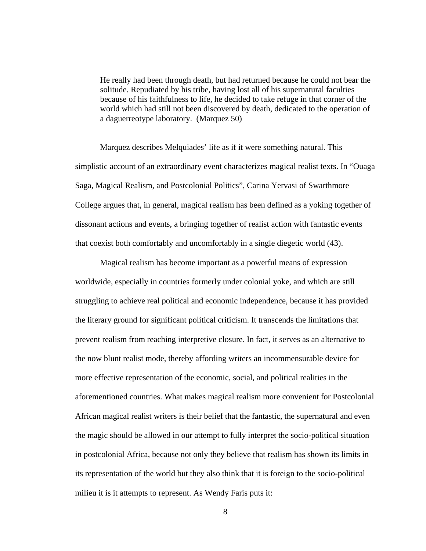He really had been through death, but had returned because he could not bear the solitude. Repudiated by his tribe, having lost all of his supernatural faculties because of his faithfulness to life, he decided to take refuge in that corner of the world which had still not been discovered by death, dedicated to the operation of a daguerreotype laboratory. (Marquez 50)

Marquez describes Melquiades' life as if it were something natural. This simplistic account of an extraordinary event characterizes magical realist texts. In "Ouaga Saga, Magical Realism, and Postcolonial Politics", Carina Yervasi of Swarthmore College argues that, in general, magical realism has been defined as a yoking together of dissonant actions and events, a bringing together of realist action with fantastic events that coexist both comfortably and uncomfortably in a single diegetic world (43).

Magical realism has become important as a powerful means of expression worldwide, especially in countries formerly under colonial yoke, and which are still struggling to achieve real political and economic independence, because it has provided the literary ground for significant political criticism. It transcends the limitations that prevent realism from reaching interpretive closure. In fact, it serves as an alternative to the now blunt realist mode, thereby affording writers an incommensurable device for more effective representation of the economic, social, and political realities in the aforementioned countries. What makes magical realism more convenient for Postcolonial African magical realist writers is their belief that the fantastic, the supernatural and even the magic should be allowed in our attempt to fully interpret the socio-political situation in postcolonial Africa, because not only they believe that realism has shown its limits in its representation of the world but they also think that it is foreign to the socio-political milieu it is it attempts to represent. As Wendy Faris puts it: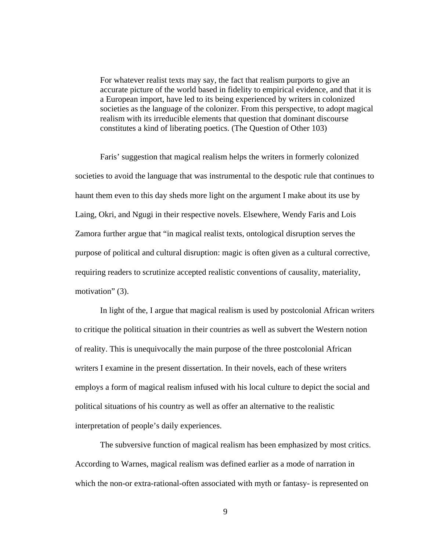For whatever realist texts may say, the fact that realism purports to give an accurate picture of the world based in fidelity to empirical evidence, and that it is a European import, have led to its being experienced by writers in colonized societies as the language of the colonizer. From this perspective, to adopt magical realism with its irreducible elements that question that dominant discourse constitutes a kind of liberating poetics. (The Question of Other 103)

Faris' suggestion that magical realism helps the writers in formerly colonized societies to avoid the language that was instrumental to the despotic rule that continues to haunt them even to this day sheds more light on the argument I make about its use by Laing, Okri, and Ngugi in their respective novels. Elsewhere, Wendy Faris and Lois Zamora further argue that "in magical realist texts, ontological disruption serves the purpose of political and cultural disruption: magic is often given as a cultural corrective, requiring readers to scrutinize accepted realistic conventions of causality, materiality, motivation" (3).

In light of the, I argue that magical realism is used by postcolonial African writers to critique the political situation in their countries as well as subvert the Western notion of reality. This is unequivocally the main purpose of the three postcolonial African writers I examine in the present dissertation. In their novels, each of these writers employs a form of magical realism infused with his local culture to depict the social and political situations of his country as well as offer an alternative to the realistic interpretation of people's daily experiences.

The subversive function of magical realism has been emphasized by most critics. According to Warnes, magical realism was defined earlier as a mode of narration in which the non-or extra-rational-often associated with myth or fantasy- is represented on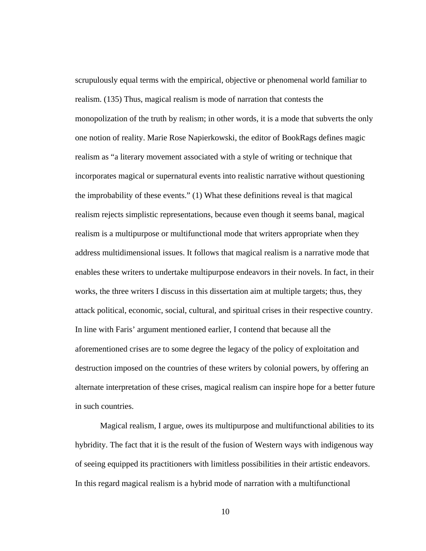scrupulously equal terms with the empirical, objective or phenomenal world familiar to realism. (135) Thus, magical realism is mode of narration that contests the monopolization of the truth by realism; in other words, it is a mode that subverts the only one notion of reality. Marie Rose Napierkowski, the editor of BookRags defines magic realism as "a literary movement associated with a style of writing or technique that incorporates magical or supernatural events into realistic narrative without questioning the improbability of these events." (1) What these definitions reveal is that magical realism rejects simplistic representations, because even though it seems banal, magical realism is a multipurpose or multifunctional mode that writers appropriate when they address multidimensional issues. It follows that magical realism is a narrative mode that enables these writers to undertake multipurpose endeavors in their novels. In fact, in their works, the three writers I discuss in this dissertation aim at multiple targets; thus, they attack political, economic, social, cultural, and spiritual crises in their respective country. In line with Faris' argument mentioned earlier, I contend that because all the aforementioned crises are to some degree the legacy of the policy of exploitation and destruction imposed on the countries of these writers by colonial powers, by offering an alternate interpretation of these crises, magical realism can inspire hope for a better future in such countries.

Magical realism, I argue, owes its multipurpose and multifunctional abilities to its hybridity. The fact that it is the result of the fusion of Western ways with indigenous way of seeing equipped its practitioners with limitless possibilities in their artistic endeavors. In this regard magical realism is a hybrid mode of narration with a multifunctional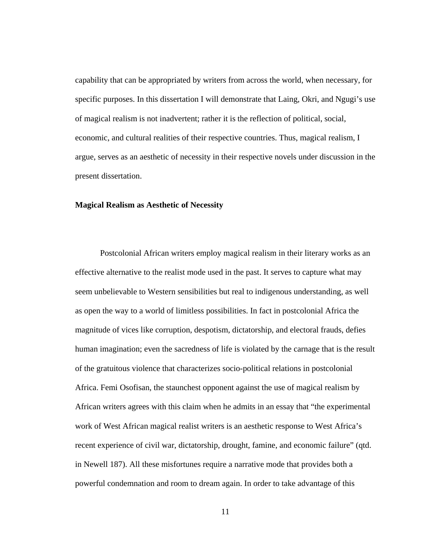capability that can be appropriated by writers from across the world, when necessary, for specific purposes. In this dissertation I will demonstrate that Laing, Okri, and Ngugi's use of magical realism is not inadvertent; rather it is the reflection of political, social, economic, and cultural realities of their respective countries. Thus, magical realism, I argue, serves as an aesthetic of necessity in their respective novels under discussion in the present dissertation.

#### **Magical Realism as Aesthetic of Necessity**

Postcolonial African writers employ magical realism in their literary works as an effective alternative to the realist mode used in the past. It serves to capture what may seem unbelievable to Western sensibilities but real to indigenous understanding, as well as open the way to a world of limitless possibilities. In fact in postcolonial Africa the magnitude of vices like corruption, despotism, dictatorship, and electoral frauds, defies human imagination; even the sacredness of life is violated by the carnage that is the result of the gratuitous violence that characterizes socio-political relations in postcolonial Africa. Femi Osofisan, the staunchest opponent against the use of magical realism by African writers agrees with this claim when he admits in an essay that "the experimental work of West African magical realist writers is an aesthetic response to West Africa's recent experience of civil war, dictatorship, drought, famine, and economic failure" (qtd. in Newell 187). All these misfortunes require a narrative mode that provides both a powerful condemnation and room to dream again. In order to take advantage of this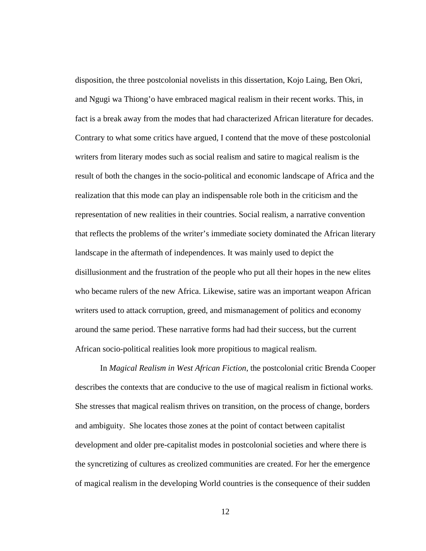disposition, the three postcolonial novelists in this dissertation, Kojo Laing, Ben Okri, and Ngugi wa Thiong'o have embraced magical realism in their recent works. This, in fact is a break away from the modes that had characterized African literature for decades. Contrary to what some critics have argued, I contend that the move of these postcolonial writers from literary modes such as social realism and satire to magical realism is the result of both the changes in the socio-political and economic landscape of Africa and the realization that this mode can play an indispensable role both in the criticism and the representation of new realities in their countries. Social realism, a narrative convention that reflects the problems of the writer's immediate society dominated the African literary landscape in the aftermath of independences. It was mainly used to depict the disillusionment and the frustration of the people who put all their hopes in the new elites who became rulers of the new Africa. Likewise, satire was an important weapon African writers used to attack corruption, greed, and mismanagement of politics and economy around the same period. These narrative forms had had their success, but the current African socio-political realities look more propitious to magical realism.

In *Magical Realism in West African Fiction*, the postcolonial critic Brenda Cooper describes the contexts that are conducive to the use of magical realism in fictional works. She stresses that magical realism thrives on transition, on the process of change, borders and ambiguity. She locates those zones at the point of contact between capitalist development and older pre-capitalist modes in postcolonial societies and where there is the syncretizing of cultures as creolized communities are created. For her the emergence of magical realism in the developing World countries is the consequence of their sudden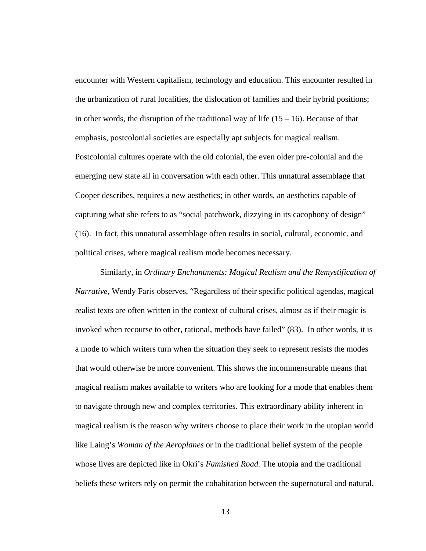encounter with Western capitalism, technology and education. This encounter resulted in the urbanization of rural localities, the dislocation of families and their hybrid positions; in other words, the disruption of the traditional way of life  $(15 - 16)$ . Because of that emphasis, postcolonial societies are especially apt subjects for magical realism. Postcolonial cultures operate with the old colonial, the even older pre-colonial and the emerging new state all in conversation with each other. This unnatural assemblage that Cooper describes, requires a new aesthetics; in other words, an aesthetics capable of capturing what she refers to as "social patchwork, dizzying in its cacophony of design" (16). In fact, this unnatural assemblage often results in social, cultural, economic, and political crises, where magical realism mode becomes necessary.

Similarly, in *Ordinary Enchantments: Magical Realism and the Remystification of Narrative*, Wendy Faris observes, "Regardless of their specific political agendas, magical realist texts are often written in the context of cultural crises, almost as if their magic is invoked when recourse to other, rational, methods have failed" (83). In other words, it is a mode to which writers turn when the situation they seek to represent resists the modes that would otherwise be more convenient. This shows the incommensurable means that magical realism makes available to writers who are looking for a mode that enables them to navigate through new and complex territories. This extraordinary ability inherent in magical realism is the reason why writers choose to place their work in the utopian world like Laing's *Woman of the Aeroplanes* or in the traditional belief system of the people whose lives are depicted like in Okri's *Famished Road.* The utopia and the traditional beliefs these writers rely on permit the cohabitation between the supernatural and natural,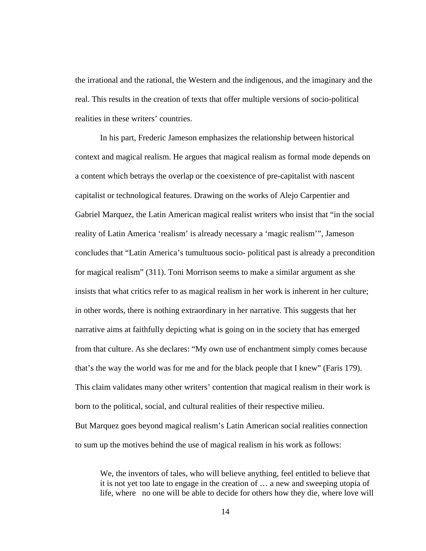the irrational and the rational, the Western and the indigenous, and the imaginary and the real. This results in the creation of texts that offer multiple versions of socio-political realities in these writers' countries.

In his part, Frederic Jameson emphasizes the relationship between historical context and magical realism. He argues that magical realism as formal mode depends on a content which betrays the overlap or the coexistence of pre-capitalist with nascent capitalist or technological features. Drawing on the works of Alejo Carpentier and Gabriel Marquez, the Latin American magical realist writers who insist that "in the social reality of Latin America 'realism' is already necessary a 'magic realism'", Jameson concludes that "Latin America's tumultuous socio- political past is already a precondition for magical realism" (311). Toni Morrison seems to make a similar argument as she insists that what critics refer to as magical realism in her work is inherent in her culture; in other words, there is nothing extraordinary in her narrative. This suggests that her narrative aims at faithfully depicting what is going on in the society that has emerged from that culture. As she declares: "My own use of enchantment simply comes because that's the way the world was for me and for the black people that I knew" (Faris 179). This claim validates many other writers' contention that magical realism in their work is born to the political, social, and cultural realities of their respective milieu. But Marquez goes beyond magical realism's Latin American social realities connection

to sum up the motives behind the use of magical realism in his work as follows:

We, the inventors of tales, who will believe anything, feel entitled to believe that it is not yet too late to engage in the creation of … a new and sweeping utopia of life, where no one will be able to decide for others how they die, where love will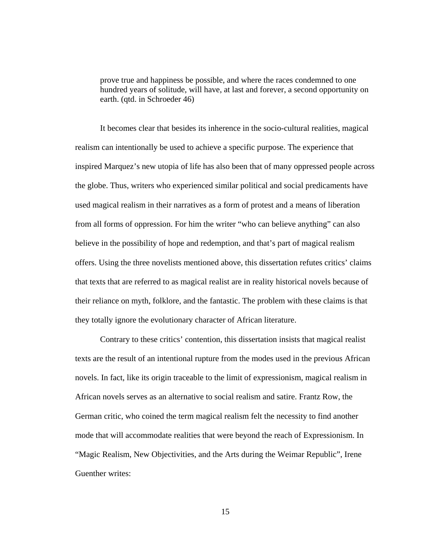prove true and happiness be possible, and where the races condemned to one hundred years of solitude, will have, at last and forever, a second opportunity on earth. (qtd. in Schroeder 46)

It becomes clear that besides its inherence in the socio-cultural realities, magical realism can intentionally be used to achieve a specific purpose. The experience that inspired Marquez's new utopia of life has also been that of many oppressed people across the globe. Thus, writers who experienced similar political and social predicaments have used magical realism in their narratives as a form of protest and a means of liberation from all forms of oppression. For him the writer "who can believe anything" can also believe in the possibility of hope and redemption, and that's part of magical realism offers. Using the three novelists mentioned above, this dissertation refutes critics' claims that texts that are referred to as magical realist are in reality historical novels because of their reliance on myth, folklore, and the fantastic. The problem with these claims is that they totally ignore the evolutionary character of African literature.

Contrary to these critics' contention, this dissertation insists that magical realist texts are the result of an intentional rupture from the modes used in the previous African novels. In fact, like its origin traceable to the limit of expressionism, magical realism in African novels serves as an alternative to social realism and satire. Frantz Row, the German critic, who coined the term magical realism felt the necessity to find another mode that will accommodate realities that were beyond the reach of Expressionism. In "Magic Realism, New Objectivities, and the Arts during the Weimar Republic", Irene Guenther writes: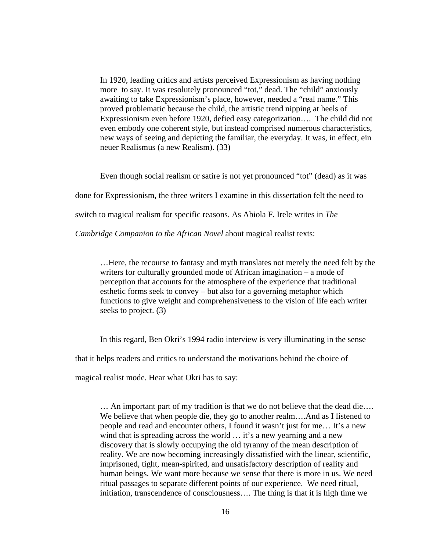In 1920, leading critics and artists perceived Expressionism as having nothing more to say. It was resolutely pronounced "tot," dead. The "child" anxiously awaiting to take Expressionism's place, however, needed a "real name." This proved problematic because the child, the artistic trend nipping at heels of Expressionism even before 1920, defied easy categorization…. The child did not even embody one coherent style, but instead comprised numerous characteristics, new ways of seeing and depicting the familiar, the everyday. It was, in effect, ein neuer Realismus (a new Realism). (33)

Even though social realism or satire is not yet pronounced "tot" (dead) as it was

done for Expressionism, the three writers I examine in this dissertation felt the need to

switch to magical realism for specific reasons. As Abiola F. Irele writes in *The* 

*Cambridge Companion to the African Novel* about magical realist texts:

…Here, the recourse to fantasy and myth translates not merely the need felt by the writers for culturally grounded mode of African imagination – a mode of perception that accounts for the atmosphere of the experience that traditional esthetic forms seek to convey – but also for a governing metaphor which functions to give weight and comprehensiveness to the vision of life each writer seeks to project. (3)

In this regard, Ben Okri's 1994 radio interview is very illuminating in the sense

that it helps readers and critics to understand the motivations behind the choice of

magical realist mode. Hear what Okri has to say:

… An important part of my tradition is that we do not believe that the dead die…. We believe that when people die, they go to another realm....And as I listened to people and read and encounter others, I found it wasn't just for me… It's a new wind that is spreading across the world  $\ldots$  it's a new yearning and a new discovery that is slowly occupying the old tyranny of the mean description of reality. We are now becoming increasingly dissatisfied with the linear, scientific, imprisoned, tight, mean-spirited, and unsatisfactory description of reality and human beings. We want more because we sense that there is more in us. We need ritual passages to separate different points of our experience. We need ritual, initiation, transcendence of consciousness…. The thing is that it is high time we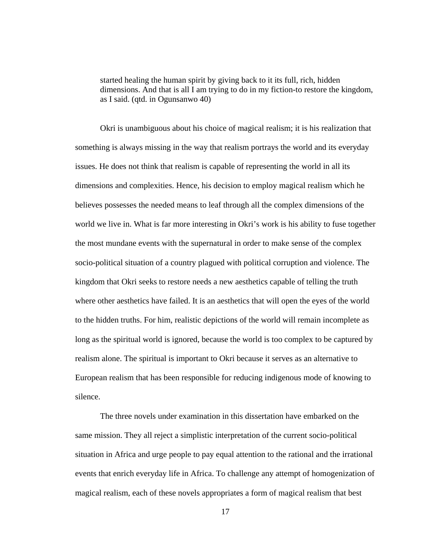started healing the human spirit by giving back to it its full, rich, hidden dimensions. And that is all I am trying to do in my fiction-to restore the kingdom, as I said. (qtd. in Ogunsanwo 40)

Okri is unambiguous about his choice of magical realism; it is his realization that something is always missing in the way that realism portrays the world and its everyday issues. He does not think that realism is capable of representing the world in all its dimensions and complexities. Hence, his decision to employ magical realism which he believes possesses the needed means to leaf through all the complex dimensions of the world we live in. What is far more interesting in Okri's work is his ability to fuse together the most mundane events with the supernatural in order to make sense of the complex socio-political situation of a country plagued with political corruption and violence. The kingdom that Okri seeks to restore needs a new aesthetics capable of telling the truth where other aesthetics have failed. It is an aesthetics that will open the eyes of the world to the hidden truths. For him, realistic depictions of the world will remain incomplete as long as the spiritual world is ignored, because the world is too complex to be captured by realism alone. The spiritual is important to Okri because it serves as an alternative to European realism that has been responsible for reducing indigenous mode of knowing to silence.

The three novels under examination in this dissertation have embarked on the same mission. They all reject a simplistic interpretation of the current socio-political situation in Africa and urge people to pay equal attention to the rational and the irrational events that enrich everyday life in Africa. To challenge any attempt of homogenization of magical realism, each of these novels appropriates a form of magical realism that best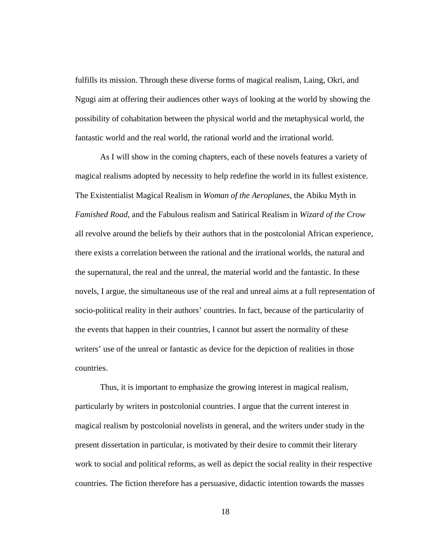fulfills its mission. Through these diverse forms of magical realism, Laing, Okri, and Ngugi aim at offering their audiences other ways of looking at the world by showing the possibility of cohabitation between the physical world and the metaphysical world, the fantastic world and the real world, the rational world and the irrational world.

As I will show in the coming chapters, each of these novels features a variety of magical realisms adopted by necessity to help redefine the world in its fullest existence. The Existentialist Magical Realism in *Woman of the Aeroplanes*, the Abiku Myth in *Famished Road*, and the Fabulous realism and Satirical Realism in *Wizard of the Crow*  all revolve around the beliefs by their authors that in the postcolonial African experience, there exists a correlation between the rational and the irrational worlds, the natural and the supernatural, the real and the unreal, the material world and the fantastic. In these novels, I argue, the simultaneous use of the real and unreal aims at a full representation of socio-political reality in their authors' countries. In fact, because of the particularity of the events that happen in their countries, I cannot but assert the normality of these writers' use of the unreal or fantastic as device for the depiction of realities in those countries.

Thus, it is important to emphasize the growing interest in magical realism, particularly by writers in postcolonial countries. I argue that the current interest in magical realism by postcolonial novelists in general, and the writers under study in the present dissertation in particular, is motivated by their desire to commit their literary work to social and political reforms, as well as depict the social reality in their respective countries. The fiction therefore has a persuasive, didactic intention towards the masses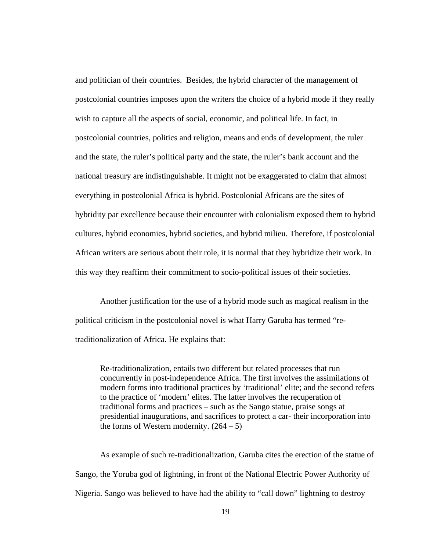and politician of their countries. Besides, the hybrid character of the management of postcolonial countries imposes upon the writers the choice of a hybrid mode if they really wish to capture all the aspects of social, economic, and political life. In fact, in postcolonial countries, politics and religion, means and ends of development, the ruler and the state, the ruler's political party and the state, the ruler's bank account and the national treasury are indistinguishable. It might not be exaggerated to claim that almost everything in postcolonial Africa is hybrid. Postcolonial Africans are the sites of hybridity par excellence because their encounter with colonialism exposed them to hybrid cultures, hybrid economies, hybrid societies, and hybrid milieu. Therefore, if postcolonial African writers are serious about their role, it is normal that they hybridize their work. In this way they reaffirm their commitment to socio-political issues of their societies.

Another justification for the use of a hybrid mode such as magical realism in the political criticism in the postcolonial novel is what Harry Garuba has termed "retraditionalization of Africa. He explains that:

Re-traditionalization, entails two different but related processes that run concurrently in post-independence Africa. The first involves the assimilations of modern forms into traditional practices by 'traditional' elite; and the second refers to the practice of 'modern' elites. The latter involves the recuperation of traditional forms and practices – such as the Sango statue, praise songs at presidential inaugurations, and sacrifices to protect a car- their incorporation into the forms of Western modernity.  $(264 – 5)$ 

As example of such re-traditionalization, Garuba cites the erection of the statue of Sango, the Yoruba god of lightning, in front of the National Electric Power Authority of Nigeria. Sango was believed to have had the ability to "call down" lightning to destroy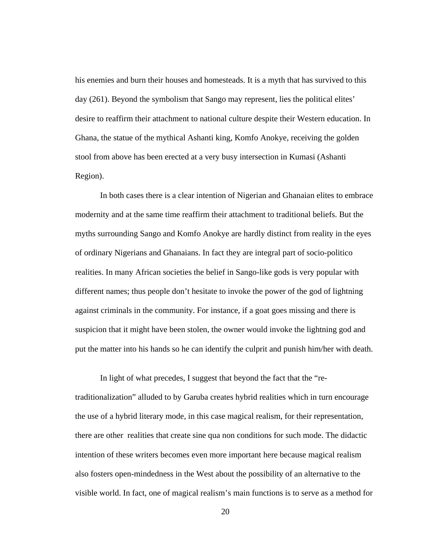his enemies and burn their houses and homesteads. It is a myth that has survived to this day (261). Beyond the symbolism that Sango may represent, lies the political elites' desire to reaffirm their attachment to national culture despite their Western education. In Ghana, the statue of the mythical Ashanti king, Komfo Anokye, receiving the golden stool from above has been erected at a very busy intersection in Kumasi (Ashanti Region).

In both cases there is a clear intention of Nigerian and Ghanaian elites to embrace modernity and at the same time reaffirm their attachment to traditional beliefs. But the myths surrounding Sango and Komfo Anokye are hardly distinct from reality in the eyes of ordinary Nigerians and Ghanaians. In fact they are integral part of socio-politico realities. In many African societies the belief in Sango-like gods is very popular with different names; thus people don't hesitate to invoke the power of the god of lightning against criminals in the community. For instance, if a goat goes missing and there is suspicion that it might have been stolen, the owner would invoke the lightning god and put the matter into his hands so he can identify the culprit and punish him/her with death.

In light of what precedes, I suggest that beyond the fact that the "retraditionalization" alluded to by Garuba creates hybrid realities which in turn encourage the use of a hybrid literary mode, in this case magical realism, for their representation, there are other realities that create sine qua non conditions for such mode. The didactic intention of these writers becomes even more important here because magical realism also fosters open-mindedness in the West about the possibility of an alternative to the visible world. In fact, one of magical realism's main functions is to serve as a method for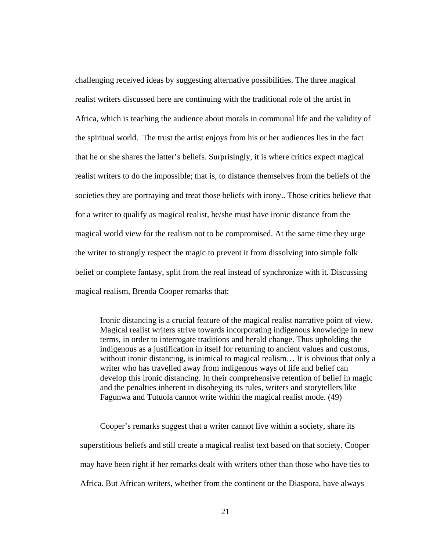challenging received ideas by suggesting alternative possibilities. The three magical realist writers discussed here are continuing with the traditional role of the artist in Africa, which is teaching the audience about morals in communal life and the validity of the spiritual world. The trust the artist enjoys from his or her audiences lies in the fact that he or she shares the latter's beliefs. Surprisingly, it is where critics expect magical realist writers to do the impossible; that is, to distance themselves from the beliefs of the societies they are portraying and treat those beliefs with irony.. Those critics believe that for a writer to qualify as magical realist, he/she must have ironic distance from the magical world view for the realism not to be compromised. At the same time they urge the writer to strongly respect the magic to prevent it from dissolving into simple folk belief or complete fantasy, split from the real instead of synchronize with it. Discussing magical realism, Brenda Cooper remarks that:

Ironic distancing is a crucial feature of the magical realist narrative point of view. Magical realist writers strive towards incorporating indigenous knowledge in new terms, in order to interrogate traditions and herald change. Thus upholding the indigenous as a justification in itself for returning to ancient values and customs, without ironic distancing, is inimical to magical realism... It is obvious that only a writer who has travelled away from indigenous ways of life and belief can develop this ironic distancing. In their comprehensive retention of belief in magic and the penalties inherent in disobeying its rules, writers and storytellers like Fagunwa and Tutuola cannot write within the magical realist mode. (49)

Cooper's remarks suggest that a writer cannot live within a society, share its superstitious beliefs and still create a magical realist text based on that society. Cooper may have been right if her remarks dealt with writers other than those who have ties to Africa. But African writers, whether from the continent or the Diaspora, have always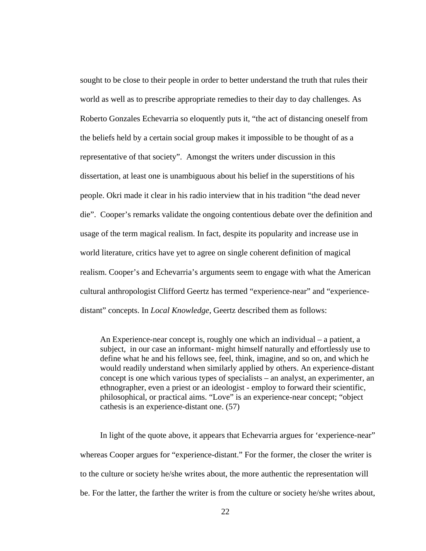sought to be close to their people in order to better understand the truth that rules their world as well as to prescribe appropriate remedies to their day to day challenges. As Roberto Gonzales Echevarria so eloquently puts it, "the act of distancing oneself from the beliefs held by a certain social group makes it impossible to be thought of as a representative of that society". Amongst the writers under discussion in this dissertation, at least one is unambiguous about his belief in the superstitions of his people. Okri made it clear in his radio interview that in his tradition "the dead never die". Cooper's remarks validate the ongoing contentious debate over the definition and usage of the term magical realism. In fact, despite its popularity and increase use in world literature, critics have yet to agree on single coherent definition of magical realism. Cooper's and Echevarria's arguments seem to engage with what the American cultural anthropologist Clifford Geertz has termed "experience-near" and "experiencedistant" concepts. In *Local Knowledge*, Geertz described them as follows:

An Experience-near concept is, roughly one which an individual – a patient, a subject, in our case an informant- might himself naturally and effortlessly use to define what he and his fellows see, feel, think, imagine, and so on, and which he would readily understand when similarly applied by others. An experience-distant concept is one which various types of specialists – an analyst, an experimenter, an ethnographer, even a priest or an ideologist - employ to forward their scientific, philosophical, or practical aims. "Love" is an experience-near concept; "object cathesis is an experience-distant one. (57)

In light of the quote above, it appears that Echevarria argues for 'experience-near" whereas Cooper argues for "experience-distant." For the former, the closer the writer is to the culture or society he/she writes about, the more authentic the representation will be. For the latter, the farther the writer is from the culture or society he/she writes about,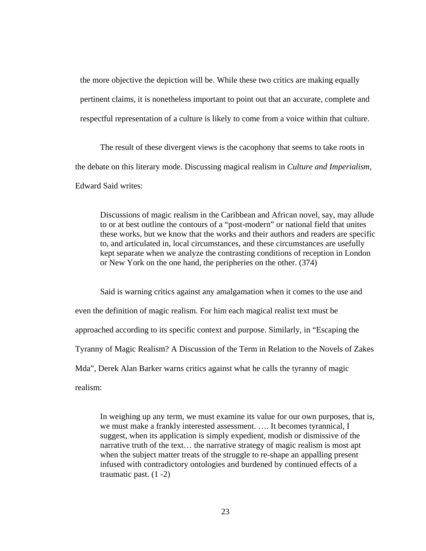the more objective the depiction will be. While these two critics are making equally pertinent claims, it is nonetheless important to point out that an accurate, complete and respectful representation of a culture is likely to come from a voice within that culture.

The result of these divergent views is the cacophony that seems to take roots in the debate on this literary mode. Discussing magical realism in *Culture and Imperialism*, Edward Said writes:

Discussions of magic realism in the Caribbean and African novel, say, may allude to or at best outline the contours of a "post-modern" or national field that unites these works, but we know that the works and their authors and readers are specific to, and articulated in, local circumstances, and these circumstances are usefully kept separate when we analyze the contrasting conditions of reception in London or New York on the one hand, the peripheries on the other. (374)

Said is warning critics against any amalgamation when it comes to the use and even the definition of magic realism. For him each magical realist text must be approached according to its specific context and purpose. Similarly, in "Escaping the Tyranny of Magic Realism? A Discussion of the Term in Relation to the Novels of Zakes Mda", Derek Alan Barker warns critics against what he calls the tyranny of magic realism:

In weighing up any term, we must examine its value for our own purposes, that is, we must make a frankly interested assessment. …. It becomes tyrannical, I suggest, when its application is simply expedient, modish or dismissive of the narrative truth of the text… the narrative strategy of magic realism is most apt when the subject matter treats of the struggle to re-shape an appalling present infused with contradictory ontologies and burdened by continued effects of a traumatic past. (1 -2)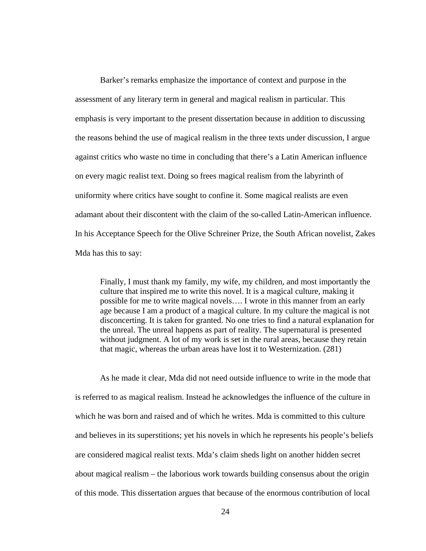Barker's remarks emphasize the importance of context and purpose in the assessment of any literary term in general and magical realism in particular. This emphasis is very important to the present dissertation because in addition to discussing the reasons behind the use of magical realism in the three texts under discussion, I argue against critics who waste no time in concluding that there's a Latin American influence on every magic realist text. Doing so frees magical realism from the labyrinth of uniformity where critics have sought to confine it. Some magical realists are even adamant about their discontent with the claim of the so-called Latin-American influence. In his Acceptance Speech for the Olive Schreiner Prize, the South African novelist, Zakes Mda has this to say:

Finally, I must thank my family, my wife, my children, and most importantly the culture that inspired me to write this novel. It is a magical culture, making it possible for me to write magical novels…. I wrote in this manner from an early age because I am a product of a magical culture. In my culture the magical is not disconcerting. It is taken for granted. No one tries to find a natural explanation for the unreal. The unreal happens as part of reality. The supernatural is presented without judgment. A lot of my work is set in the rural areas, because they retain that magic, whereas the urban areas have lost it to Westernization. (281)

As he made it clear, Mda did not need outside influence to write in the mode that is referred to as magical realism. Instead he acknowledges the influence of the culture in which he was born and raised and of which he writes. Mda is committed to this culture and believes in its superstitions; yet his novels in which he represents his people's beliefs are considered magical realist texts. Mda's claim sheds light on another hidden secret about magical realism – the laborious work towards building consensus about the origin of this mode. This dissertation argues that because of the enormous contribution of local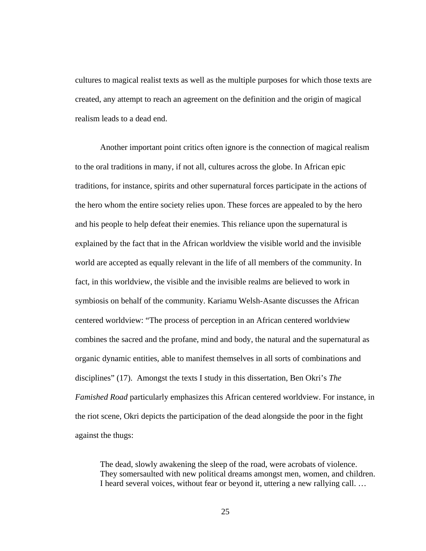cultures to magical realist texts as well as the multiple purposes for which those texts are created, any attempt to reach an agreement on the definition and the origin of magical realism leads to a dead end.

Another important point critics often ignore is the connection of magical realism to the oral traditions in many, if not all, cultures across the globe. In African epic traditions, for instance, spirits and other supernatural forces participate in the actions of the hero whom the entire society relies upon. These forces are appealed to by the hero and his people to help defeat their enemies. This reliance upon the supernatural is explained by the fact that in the African worldview the visible world and the invisible world are accepted as equally relevant in the life of all members of the community. In fact, in this worldview, the visible and the invisible realms are believed to work in symbiosis on behalf of the community. Kariamu Welsh-Asante discusses the African centered worldview: "The process of perception in an African centered worldview combines the sacred and the profane, mind and body, the natural and the supernatural as organic dynamic entities, able to manifest themselves in all sorts of combinations and disciplines" (17). Amongst the texts I study in this dissertation, Ben Okri's *The Famished Road* particularly emphasizes this African centered worldview. For instance, in the riot scene, Okri depicts the participation of the dead alongside the poor in the fight against the thugs:

The dead, slowly awakening the sleep of the road, were acrobats of violence. They somersaulted with new political dreams amongst men, women, and children. I heard several voices, without fear or beyond it, uttering a new rallying call. …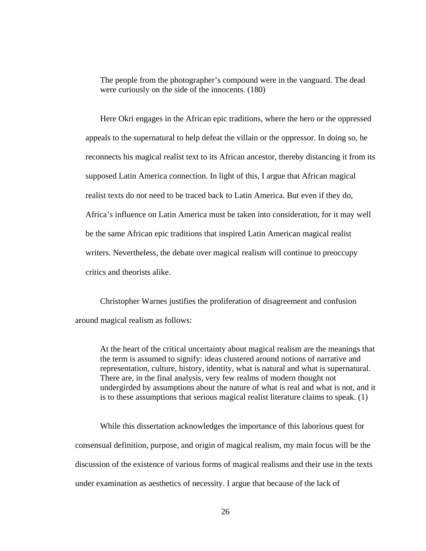The people from the photographer's compound were in the vanguard. The dead were curiously on the side of the innocents. (180)

Here Okri engages in the African epic traditions, where the hero or the oppressed appeals to the supernatural to help defeat the villain or the oppressor. In doing so, he reconnects his magical realist text to its African ancestor, thereby distancing it from its supposed Latin America connection. In light of this, I argue that African magical realist texts do not need to be traced back to Latin America. But even if they do, Africa's influence on Latin America must be taken into consideration, for it may well be the same African epic traditions that inspired Latin American magical realist writers. Nevertheless, the debate over magical realism will continue to preoccupy critics and theorists alike.

Christopher Warnes justifies the proliferation of disagreement and confusion around magical realism as follows:

At the heart of the critical uncertainty about magical realism are the meanings that the term is assumed to signify: ideas clustered around notions of narrative and representation, culture, history, identity, what is natural and what is supernatural. There are, in the final analysis, very few realms of modern thought not undergirded by assumptions about the nature of what is real and what is not, and it is to these assumptions that serious magical realist literature claims to speak. (1)

While this dissertation acknowledges the importance of this laborious quest for consensual definition, purpose, and origin of magical realism, my main focus will be the discussion of the existence of various forms of magical realisms and their use in the texts under examination as aesthetics of necessity. I argue that because of the lack of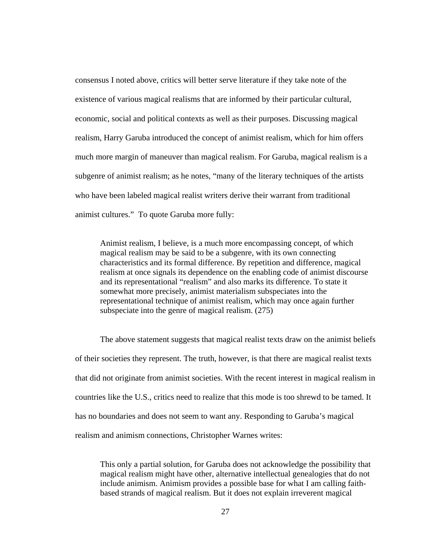consensus I noted above, critics will better serve literature if they take note of the existence of various magical realisms that are informed by their particular cultural, economic, social and political contexts as well as their purposes. Discussing magical realism, Harry Garuba introduced the concept of animist realism, which for him offers much more margin of maneuver than magical realism. For Garuba, magical realism is a subgenre of animist realism; as he notes, "many of the literary techniques of the artists who have been labeled magical realist writers derive their warrant from traditional animist cultures." To quote Garuba more fully:

Animist realism, I believe, is a much more encompassing concept, of which magical realism may be said to be a subgenre, with its own connecting characteristics and its formal difference. By repetition and difference, magical realism at once signals its dependence on the enabling code of animist discourse and its representational "realism" and also marks its difference. To state it somewhat more precisely, animist materialism subspeciates into the representational technique of animist realism, which may once again further subspeciate into the genre of magical realism. (275)

The above statement suggests that magical realist texts draw on the animist beliefs of their societies they represent. The truth, however, is that there are magical realist texts that did not originate from animist societies. With the recent interest in magical realism in countries like the U.S., critics need to realize that this mode is too shrewd to be tamed. It has no boundaries and does not seem to want any. Responding to Garuba's magical realism and animism connections, Christopher Warnes writes:

This only a partial solution, for Garuba does not acknowledge the possibility that magical realism might have other, alternative intellectual genealogies that do not include animism. Animism provides a possible base for what I am calling faithbased strands of magical realism. But it does not explain irreverent magical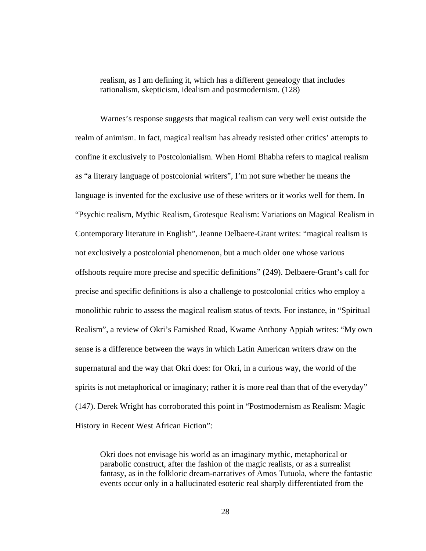realism, as I am defining it, which has a different genealogy that includes rationalism, skepticism, idealism and postmodernism. (128)

Warnes's response suggests that magical realism can very well exist outside the realm of animism. In fact, magical realism has already resisted other critics' attempts to confine it exclusively to Postcolonialism. When Homi Bhabha refers to magical realism as "a literary language of postcolonial writers", I'm not sure whether he means the language is invented for the exclusive use of these writers or it works well for them. In "Psychic realism, Mythic Realism, Grotesque Realism: Variations on Magical Realism in Contemporary literature in English", Jeanne Delbaere-Grant writes: "magical realism is not exclusively a postcolonial phenomenon, but a much older one whose various offshoots require more precise and specific definitions" (249). Delbaere-Grant's call for precise and specific definitions is also a challenge to postcolonial critics who employ a monolithic rubric to assess the magical realism status of texts. For instance, in "Spiritual Realism", a review of Okri's Famished Road, Kwame Anthony Appiah writes: "My own sense is a difference between the ways in which Latin American writers draw on the supernatural and the way that Okri does: for Okri, in a curious way, the world of the spirits is not metaphorical or imaginary; rather it is more real than that of the everyday" (147). Derek Wright has corroborated this point in "Postmodernism as Realism: Magic History in Recent West African Fiction":

Okri does not envisage his world as an imaginary mythic, metaphorical or parabolic construct, after the fashion of the magic realists, or as a surrealist fantasy, as in the folkloric dream-narratives of Amos Tutuola, where the fantastic events occur only in a hallucinated esoteric real sharply differentiated from the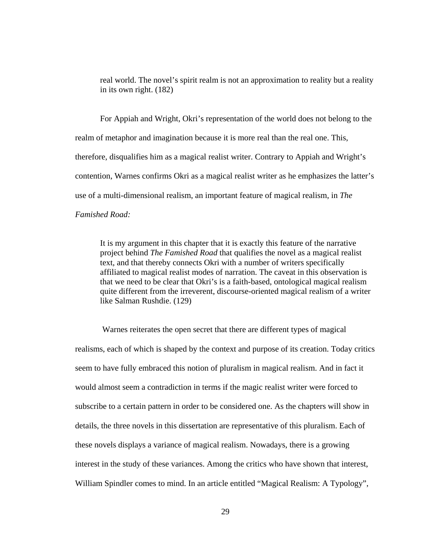real world. The novel's spirit realm is not an approximation to reality but a reality in its own right. (182)

For Appiah and Wright, Okri's representation of the world does not belong to the realm of metaphor and imagination because it is more real than the real one. This, therefore, disqualifies him as a magical realist writer. Contrary to Appiah and Wright's contention, Warnes confirms Okri as a magical realist writer as he emphasizes the latter's use of a multi-dimensional realism, an important feature of magical realism, in *The Famished Road:* 

It is my argument in this chapter that it is exactly this feature of the narrative project behind *The Famished Road* that qualifies the novel as a magical realist text, and that thereby connects Okri with a number of writers specifically affiliated to magical realist modes of narration. The caveat in this observation is that we need to be clear that Okri's is a faith-based, ontological magical realism quite different from the irreverent, discourse-oriented magical realism of a writer like Salman Rushdie. (129)

Warnes reiterates the open secret that there are different types of magical realisms, each of which is shaped by the context and purpose of its creation. Today critics seem to have fully embraced this notion of pluralism in magical realism. And in fact it would almost seem a contradiction in terms if the magic realist writer were forced to subscribe to a certain pattern in order to be considered one. As the chapters will show in details, the three novels in this dissertation are representative of this pluralism. Each of these novels displays a variance of magical realism. Nowadays, there is a growing interest in the study of these variances. Among the critics who have shown that interest, William Spindler comes to mind. In an article entitled "Magical Realism: A Typology",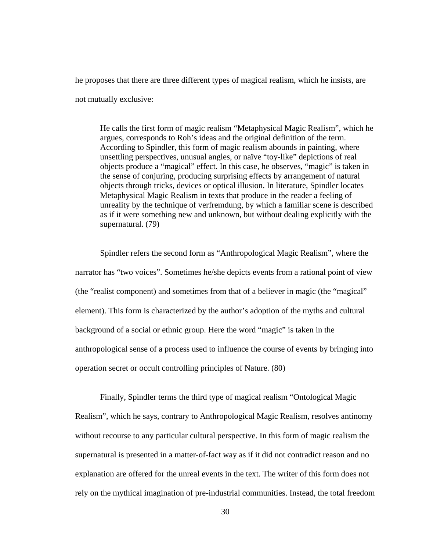he proposes that there are three different types of magical realism, which he insists, are not mutually exclusive:

He calls the first form of magic realism "Metaphysical Magic Realism", which he argues, corresponds to Roh's ideas and the original definition of the term. According to Spindler, this form of magic realism abounds in painting, where unsettling perspectives, unusual angles, or naïve "toy-like" depictions of real objects produce a "magical" effect. In this case, he observes, "magic" is taken in the sense of conjuring, producing surprising effects by arrangement of natural objects through tricks, devices or optical illusion. In literature, Spindler locates Metaphysical Magic Realism in texts that produce in the reader a feeling of unreality by the technique of verfremdung, by which a familiar scene is described as if it were something new and unknown, but without dealing explicitly with the supernatural. (79)

Spindler refers the second form as "Anthropological Magic Realism", where the narrator has "two voices". Sometimes he/she depicts events from a rational point of view (the "realist component) and sometimes from that of a believer in magic (the "magical" element). This form is characterized by the author's adoption of the myths and cultural background of a social or ethnic group. Here the word "magic" is taken in the anthropological sense of a process used to influence the course of events by bringing into operation secret or occult controlling principles of Nature. (80)

Finally, Spindler terms the third type of magical realism "Ontological Magic Realism", which he says, contrary to Anthropological Magic Realism, resolves antinomy without recourse to any particular cultural perspective. In this form of magic realism the supernatural is presented in a matter-of-fact way as if it did not contradict reason and no explanation are offered for the unreal events in the text. The writer of this form does not rely on the mythical imagination of pre-industrial communities. Instead, the total freedom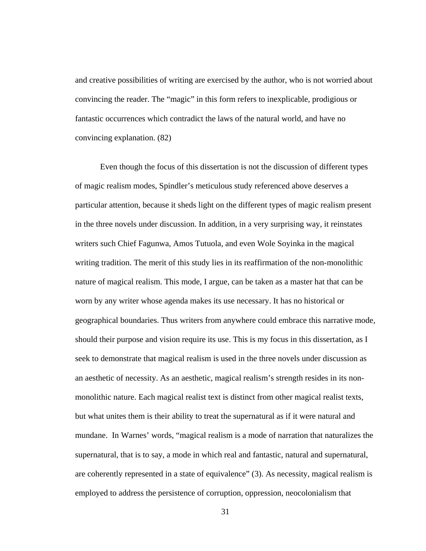and creative possibilities of writing are exercised by the author, who is not worried about convincing the reader. The "magic" in this form refers to inexplicable, prodigious or fantastic occurrences which contradict the laws of the natural world, and have no convincing explanation. (82)

Even though the focus of this dissertation is not the discussion of different types of magic realism modes, Spindler's meticulous study referenced above deserves a particular attention, because it sheds light on the different types of magic realism present in the three novels under discussion. In addition, in a very surprising way, it reinstates writers such Chief Fagunwa, Amos Tutuola, and even Wole Soyinka in the magical writing tradition. The merit of this study lies in its reaffirmation of the non-monolithic nature of magical realism. This mode, I argue, can be taken as a master hat that can be worn by any writer whose agenda makes its use necessary. It has no historical or geographical boundaries. Thus writers from anywhere could embrace this narrative mode, should their purpose and vision require its use. This is my focus in this dissertation, as I seek to demonstrate that magical realism is used in the three novels under discussion as an aesthetic of necessity. As an aesthetic, magical realism's strength resides in its nonmonolithic nature. Each magical realist text is distinct from other magical realist texts, but what unites them is their ability to treat the supernatural as if it were natural and mundane. In Warnes' words, "magical realism is a mode of narration that naturalizes the supernatural, that is to say, a mode in which real and fantastic, natural and supernatural, are coherently represented in a state of equivalence" (3). As necessity, magical realism is employed to address the persistence of corruption, oppression, neocolonialism that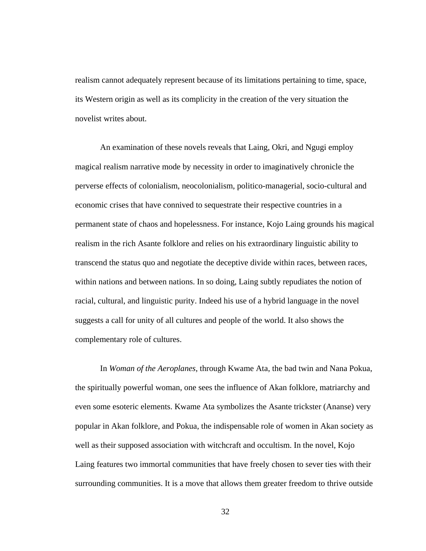realism cannot adequately represent because of its limitations pertaining to time, space, its Western origin as well as its complicity in the creation of the very situation the novelist writes about.

An examination of these novels reveals that Laing, Okri, and Ngugi employ magical realism narrative mode by necessity in order to imaginatively chronicle the perverse effects of colonialism, neocolonialism, politico-managerial, socio-cultural and economic crises that have connived to sequestrate their respective countries in a permanent state of chaos and hopelessness. For instance, Kojo Laing grounds his magical realism in the rich Asante folklore and relies on his extraordinary linguistic ability to transcend the status quo and negotiate the deceptive divide within races, between races, within nations and between nations. In so doing, Laing subtly repudiates the notion of racial, cultural, and linguistic purity. Indeed his use of a hybrid language in the novel suggests a call for unity of all cultures and people of the world. It also shows the complementary role of cultures.

In *Woman of the Aeroplanes*, through Kwame Ata, the bad twin and Nana Pokua, the spiritually powerful woman, one sees the influence of Akan folklore, matriarchy and even some esoteric elements. Kwame Ata symbolizes the Asante trickster (Ananse) very popular in Akan folklore, and Pokua, the indispensable role of women in Akan society as well as their supposed association with witchcraft and occultism. In the novel, Kojo Laing features two immortal communities that have freely chosen to sever ties with their surrounding communities. It is a move that allows them greater freedom to thrive outside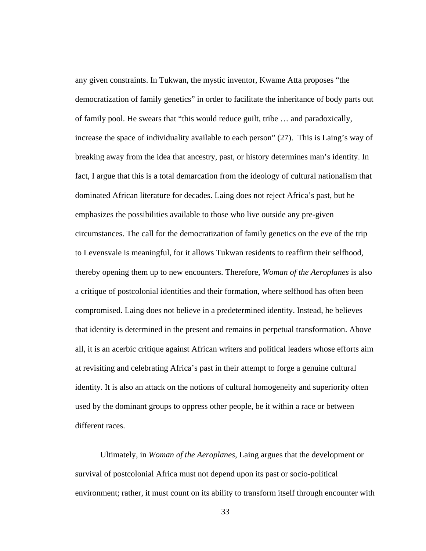any given constraints. In Tukwan, the mystic inventor, Kwame Atta proposes "the democratization of family genetics" in order to facilitate the inheritance of body parts out of family pool. He swears that "this would reduce guilt, tribe … and paradoxically, increase the space of individuality available to each person" (27). This is Laing's way of breaking away from the idea that ancestry, past, or history determines man's identity. In fact, I argue that this is a total demarcation from the ideology of cultural nationalism that dominated African literature for decades. Laing does not reject Africa's past, but he emphasizes the possibilities available to those who live outside any pre-given circumstances. The call for the democratization of family genetics on the eve of the trip to Levensvale is meaningful, for it allows Tukwan residents to reaffirm their selfhood, thereby opening them up to new encounters. Therefore, *Woman of the Aeroplanes* is also a critique of postcolonial identities and their formation, where selfhood has often been compromised. Laing does not believe in a predetermined identity. Instead, he believes that identity is determined in the present and remains in perpetual transformation. Above all, it is an acerbic critique against African writers and political leaders whose efforts aim at revisiting and celebrating Africa's past in their attempt to forge a genuine cultural identity. It is also an attack on the notions of cultural homogeneity and superiority often used by the dominant groups to oppress other people, be it within a race or between different races.

Ultimately, in *Woman of the Aeroplanes*, Laing argues that the development or survival of postcolonial Africa must not depend upon its past or socio-political environment; rather, it must count on its ability to transform itself through encounter with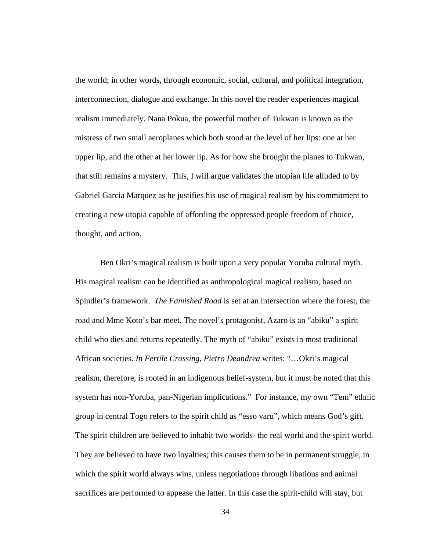the world; in other words, through economic, social, cultural, and political integration, interconnection, dialogue and exchange. In this novel the reader experiences magical realism immediately. Nana Pokua, the powerful mother of Tukwan is known as the mistress of two small aeroplanes which both stood at the level of her lips: one at her upper lip, and the other at her lower lip. As for how she brought the planes to Tukwan, that still remains a mystery. This, I will argue validates the utopian life alluded to by Gabriel Garcia Marquez as he justifies his use of magical realism by his commitment to creating a new utopia capable of affording the oppressed people freedom of choice, thought, and action.

Ben Okri's magical realism is built upon a very popular Yoruba cultural myth. His magical realism can be identified as anthropological magical realism, based on Spindler's framework. *The Famished Road* is set at an intersection where the forest, the road and Mme Koto's bar meet. The novel's protagonist, Azaro is an "abiku" a spirit child who dies and returns repeatedly. The myth of "abiku" exists in most traditional African societies. *In Fertile Crossing, Pietro Deandrea* writes: "…Okri's magical realism, therefore, is rooted in an indigenous belief-system, but it must be noted that this system has non-Yoruba, pan-Nigerian implications." For instance, my own "Tem" ethnic group in central Togo refers to the spirit child as "esso varu", which means God's gift. The spirit children are believed to inhabit two worlds- the real world and the spirit world. They are believed to have two loyalties; this causes them to be in permanent struggle, in which the spirit world always wins, unless negotiations through libations and animal sacrifices are performed to appease the latter. In this case the spirit-child will stay, but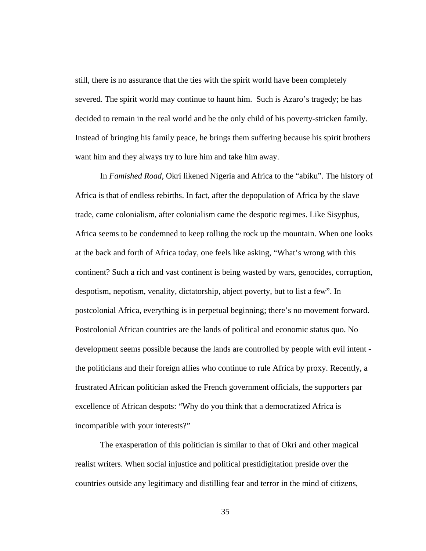still, there is no assurance that the ties with the spirit world have been completely severed. The spirit world may continue to haunt him. Such is Azaro's tragedy; he has decided to remain in the real world and be the only child of his poverty-stricken family. Instead of bringing his family peace, he brings them suffering because his spirit brothers want him and they always try to lure him and take him away.

In *Famished Road*, Okri likened Nigeria and Africa to the "abiku". The history of Africa is that of endless rebirths. In fact, after the depopulation of Africa by the slave trade, came colonialism, after colonialism came the despotic regimes. Like Sisyphus, Africa seems to be condemned to keep rolling the rock up the mountain. When one looks at the back and forth of Africa today, one feels like asking, "What's wrong with this continent? Such a rich and vast continent is being wasted by wars, genocides, corruption, despotism, nepotism, venality, dictatorship, abject poverty, but to list a few". In postcolonial Africa, everything is in perpetual beginning; there's no movement forward. Postcolonial African countries are the lands of political and economic status quo. No development seems possible because the lands are controlled by people with evil intent the politicians and their foreign allies who continue to rule Africa by proxy. Recently, a frustrated African politician asked the French government officials, the supporters par excellence of African despots: "Why do you think that a democratized Africa is incompatible with your interests?"

The exasperation of this politician is similar to that of Okri and other magical realist writers. When social injustice and political prestidigitation preside over the countries outside any legitimacy and distilling fear and terror in the mind of citizens,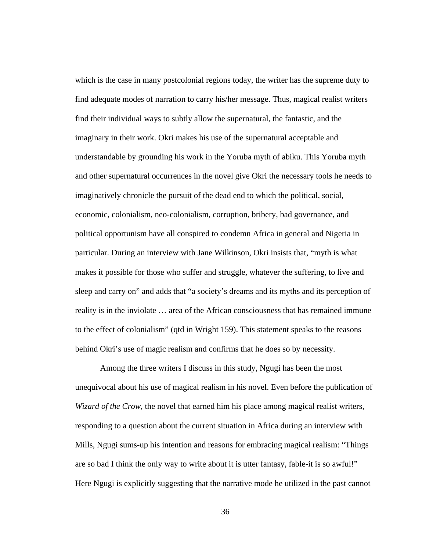which is the case in many postcolonial regions today, the writer has the supreme duty to find adequate modes of narration to carry his/her message. Thus, magical realist writers find their individual ways to subtly allow the supernatural, the fantastic, and the imaginary in their work. Okri makes his use of the supernatural acceptable and understandable by grounding his work in the Yoruba myth of abiku. This Yoruba myth and other supernatural occurrences in the novel give Okri the necessary tools he needs to imaginatively chronicle the pursuit of the dead end to which the political, social, economic, colonialism, neo-colonialism, corruption, bribery, bad governance, and political opportunism have all conspired to condemn Africa in general and Nigeria in particular. During an interview with Jane Wilkinson, Okri insists that, "myth is what makes it possible for those who suffer and struggle, whatever the suffering, to live and sleep and carry on" and adds that "a society's dreams and its myths and its perception of reality is in the inviolate … area of the African consciousness that has remained immune to the effect of colonialism" (qtd in Wright 159). This statement speaks to the reasons behind Okri's use of magic realism and confirms that he does so by necessity.

Among the three writers I discuss in this study, Ngugi has been the most unequivocal about his use of magical realism in his novel. Even before the publication of *Wizard of the Crow*, the novel that earned him his place among magical realist writers, responding to a question about the current situation in Africa during an interview with Mills, Ngugi sums-up his intention and reasons for embracing magical realism: "Things are so bad I think the only way to write about it is utter fantasy, fable-it is so awful!" Here Ngugi is explicitly suggesting that the narrative mode he utilized in the past cannot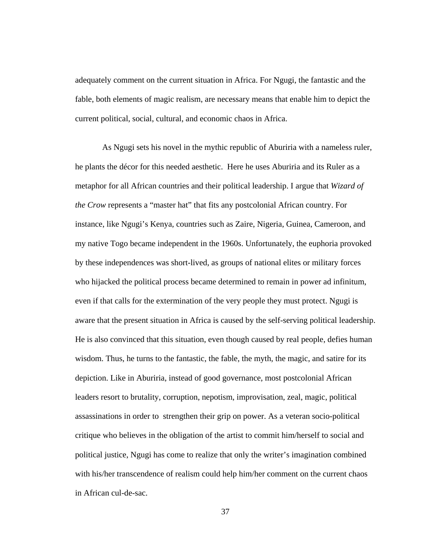adequately comment on the current situation in Africa. For Ngugi, the fantastic and the fable, both elements of magic realism, are necessary means that enable him to depict the current political, social, cultural, and economic chaos in Africa.

As Ngugi sets his novel in the mythic republic of Aburiria with a nameless ruler, he plants the décor for this needed aesthetic. Here he uses Aburiria and its Ruler as a metaphor for all African countries and their political leadership. I argue that *Wizard of the Crow* represents a "master hat" that fits any postcolonial African country. For instance, like Ngugi's Kenya, countries such as Zaire, Nigeria, Guinea, Cameroon, and my native Togo became independent in the 1960s. Unfortunately, the euphoria provoked by these independences was short-lived, as groups of national elites or military forces who hijacked the political process became determined to remain in power ad infinitum, even if that calls for the extermination of the very people they must protect. Ngugi is aware that the present situation in Africa is caused by the self-serving political leadership. He is also convinced that this situation, even though caused by real people, defies human wisdom. Thus, he turns to the fantastic, the fable, the myth, the magic, and satire for its depiction. Like in Aburiria, instead of good governance, most postcolonial African leaders resort to brutality, corruption, nepotism, improvisation, zeal, magic, political assassinations in order to strengthen their grip on power. As a veteran socio-political critique who believes in the obligation of the artist to commit him/herself to social and political justice, Ngugi has come to realize that only the writer's imagination combined with his/her transcendence of realism could help him/her comment on the current chaos in African cul-de-sac.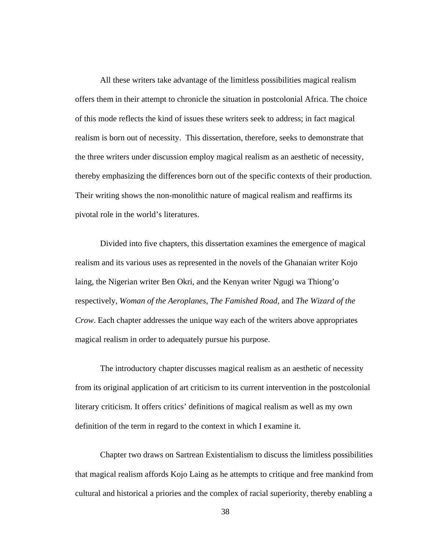All these writers take advantage of the limitless possibilities magical realism offers them in their attempt to chronicle the situation in postcolonial Africa. The choice of this mode reflects the kind of issues these writers seek to address; in fact magical realism is born out of necessity. This dissertation, therefore, seeks to demonstrate that the three writers under discussion employ magical realism as an aesthetic of necessity, thereby emphasizing the differences born out of the specific contexts of their production. Their writing shows the non-monolithic nature of magical realism and reaffirms its pivotal role in the world's literatures.

Divided into five chapters, this dissertation examines the emergence of magical realism and its various uses as represented in the novels of the Ghanaian writer Kojo laing, the Nigerian writer Ben Okri, and the Kenyan writer Ngugi wa Thiong'o respectively, *Woman of the Aeroplanes*, *The Famished Road*, and *The Wizard of the Crow*. Each chapter addresses the unique way each of the writers above appropriates magical realism in order to adequately pursue his purpose.

The introductory chapter discusses magical realism as an aesthetic of necessity from its original application of art criticism to its current intervention in the postcolonial literary criticism. It offers critics' definitions of magical realism as well as my own definition of the term in regard to the context in which I examine it.

Chapter two draws on Sartrean Existentialism to discuss the limitless possibilities that magical realism affords Kojo Laing as he attempts to critique and free mankind from cultural and historical a priories and the complex of racial superiority, thereby enabling a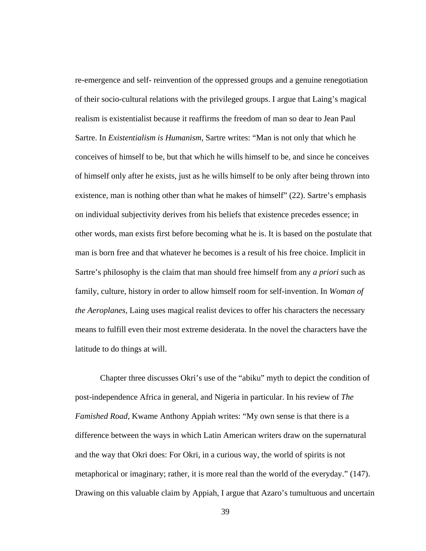re-emergence and self- reinvention of the oppressed groups and a genuine renegotiation of their socio-cultural relations with the privileged groups. I argue that Laing's magical realism is existentialist because it reaffirms the freedom of man so dear to Jean Paul Sartre. In *Existentialism is Humanism*, Sartre writes: "Man is not only that which he conceives of himself to be, but that which he wills himself to be, and since he conceives of himself only after he exists, just as he wills himself to be only after being thrown into existence, man is nothing other than what he makes of himself" (22). Sartre's emphasis on individual subjectivity derives from his beliefs that existence precedes essence; in other words, man exists first before becoming what he is. It is based on the postulate that man is born free and that whatever he becomes is a result of his free choice. Implicit in Sartre's philosophy is the claim that man should free himself from any *a priori* such as family, culture, history in order to allow himself room for self-invention. In *Woman of the Aeroplanes*, Laing uses magical realist devices to offer his characters the necessary means to fulfill even their most extreme desiderata. In the novel the characters have the latitude to do things at will.

Chapter three discusses Okri's use of the "abiku" myth to depict the condition of post-independence Africa in general, and Nigeria in particular. In his review of *The Famished Road*, Kwame Anthony Appiah writes: "My own sense is that there is a difference between the ways in which Latin American writers draw on the supernatural and the way that Okri does: For Okri, in a curious way, the world of spirits is not metaphorical or imaginary; rather, it is more real than the world of the everyday." (147). Drawing on this valuable claim by Appiah, I argue that Azaro's tumultuous and uncertain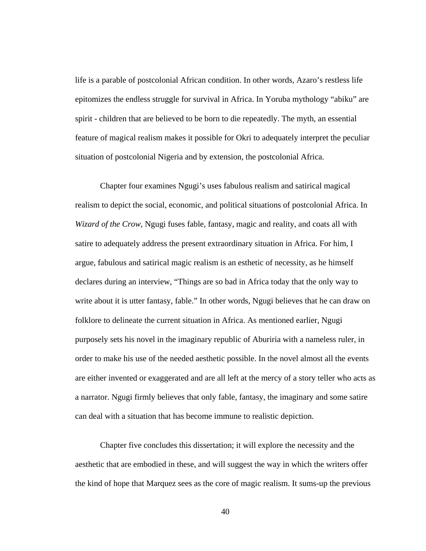life is a parable of postcolonial African condition. In other words, Azaro's restless life epitomizes the endless struggle for survival in Africa. In Yoruba mythology "abiku" are spirit - children that are believed to be born to die repeatedly. The myth, an essential feature of magical realism makes it possible for Okri to adequately interpret the peculiar situation of postcolonial Nigeria and by extension, the postcolonial Africa.

Chapter four examines Ngugi's uses fabulous realism and satirical magical realism to depict the social, economic, and political situations of postcolonial Africa. In *Wizard of the Crow*, Ngugi fuses fable, fantasy, magic and reality, and coats all with satire to adequately address the present extraordinary situation in Africa. For him, I argue, fabulous and satirical magic realism is an esthetic of necessity, as he himself declares during an interview, "Things are so bad in Africa today that the only way to write about it is utter fantasy, fable." In other words, Ngugi believes that he can draw on folklore to delineate the current situation in Africa. As mentioned earlier, Ngugi purposely sets his novel in the imaginary republic of Aburiria with a nameless ruler, in order to make his use of the needed aesthetic possible. In the novel almost all the events are either invented or exaggerated and are all left at the mercy of a story teller who acts as a narrator. Ngugi firmly believes that only fable, fantasy, the imaginary and some satire can deal with a situation that has become immune to realistic depiction.

Chapter five concludes this dissertation; it will explore the necessity and the aesthetic that are embodied in these, and will suggest the way in which the writers offer the kind of hope that Marquez sees as the core of magic realism. It sums-up the previous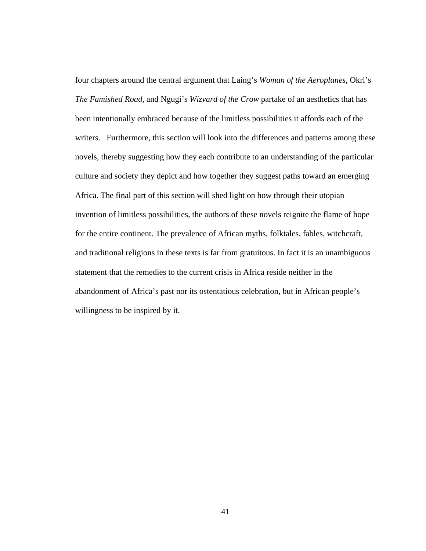four chapters around the central argument that Laing's *Woman of the Aeroplanes*, Okri's *The Famished Road*, and Ngugi's *Wizvard of the Crow* partake of an aesthetics that has been intentionally embraced because of the limitless possibilities it affords each of the writers. Furthermore, this section will look into the differences and patterns among these novels, thereby suggesting how they each contribute to an understanding of the particular culture and society they depict and how together they suggest paths toward an emerging Africa. The final part of this section will shed light on how through their utopian invention of limitless possibilities, the authors of these novels reignite the flame of hope for the entire continent. The prevalence of African myths, folktales, fables, witchcraft, and traditional religions in these texts is far from gratuitous. In fact it is an unambiguous statement that the remedies to the current crisis in Africa reside neither in the abandonment of Africa's past nor its ostentatious celebration, but in African people's willingness to be inspired by it.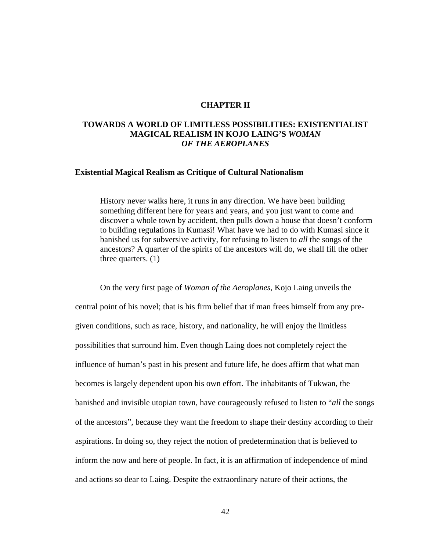## **CHAPTER II**

## **TOWARDS A WORLD OF LIMITLESS POSSIBILITIES: EXISTENTIALIST MAGICAL REALISM IN KOJO LAING'S** *WOMAN OF THE AEROPLANES*

## **Existential Magical Realism as Critique of Cultural Nationalism**

History never walks here, it runs in any direction. We have been building something different here for years and years, and you just want to come and discover a whole town by accident, then pulls down a house that doesn't conform to building regulations in Kumasi! What have we had to do with Kumasi since it banished us for subversive activity, for refusing to listen to *all* the songs of the ancestors? A quarter of the spirits of the ancestors will do, we shall fill the other three quarters. (1)

On the very first page of *Woman of the Aeroplanes*, Kojo Laing unveils the central point of his novel; that is his firm belief that if man frees himself from any pregiven conditions, such as race, history, and nationality, he will enjoy the limitless possibilities that surround him. Even though Laing does not completely reject the influence of human's past in his present and future life, he does affirm that what man becomes is largely dependent upon his own effort. The inhabitants of Tukwan, the banished and invisible utopian town, have courageously refused to listen to "*all* the songs of the ancestors", because they want the freedom to shape their destiny according to their aspirations. In doing so, they reject the notion of predetermination that is believed to inform the now and here of people. In fact, it is an affirmation of independence of mind and actions so dear to Laing. Despite the extraordinary nature of their actions, the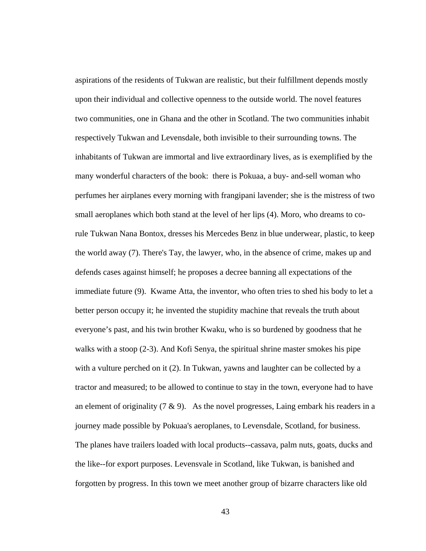aspirations of the residents of Tukwan are realistic, but their fulfillment depends mostly upon their individual and collective openness to the outside world. The novel features two communities, one in Ghana and the other in Scotland. The two communities inhabit respectively Tukwan and Levensdale, both invisible to their surrounding towns. The inhabitants of Tukwan are immortal and live extraordinary lives, as is exemplified by the many wonderful characters of the book: there is Pokuaa, a buy- and-sell woman who perfumes her airplanes every morning with frangipani lavender; she is the mistress of two small aeroplanes which both stand at the level of her lips (4). Moro, who dreams to corule Tukwan Nana Bontox, dresses his Mercedes Benz in blue underwear, plastic, to keep the world away (7). There's Tay, the lawyer, who, in the absence of crime, makes up and defends cases against himself; he proposes a decree banning all expectations of the immediate future (9). Kwame Atta, the inventor, who often tries to shed his body to let a better person occupy it; he invented the stupidity machine that reveals the truth about everyone's past, and his twin brother Kwaku, who is so burdened by goodness that he walks with a stoop (2-3). And Kofi Senya, the spiritual shrine master smokes his pipe with a vulture perched on it (2). In Tukwan, yawns and laughter can be collected by a tractor and measured; to be allowed to continue to stay in the town, everyone had to have an element of originality  $(7 \& 9)$ . As the novel progresses, Laing embark his readers in a journey made possible by Pokuaa's aeroplanes, to Levensdale, Scotland, for business. The planes have trailers loaded with local products--cassava, palm nuts, goats, ducks and the like--for export purposes. Levensvale in Scotland, like Tukwan, is banished and forgotten by progress. In this town we meet another group of bizarre characters like old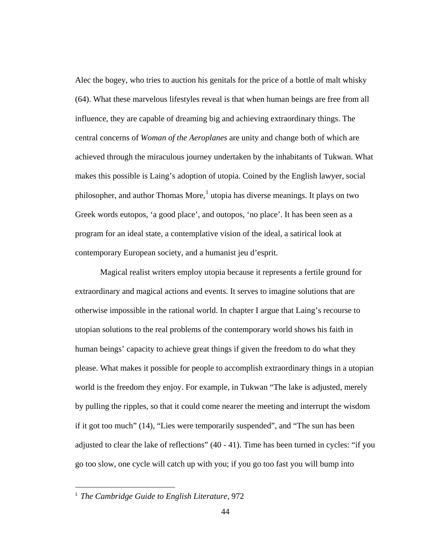Alec the bogey, who tries to auction his genitals for the price of a bottle of malt whisky (64). What these marvelous lifestyles reveal is that when human beings are free from all influence, they are capable of dreaming big and achieving extraordinary things. The central concerns of *Woman of the Aeroplanes* are unity and change both of which are achieved through the miraculous journey undertaken by the inhabitants of Tukwan. What makes this possible is Laing's adoption of utopia. Coined by the English lawyer, social philosopher, and author Thomas More, $<sup>1</sup>$  $<sup>1</sup>$  $<sup>1</sup>$ utopia has diverse meanings. It plays on two</sup> Greek words eutopos, 'a good place', and outopos, 'no place'. It has been seen as a program for an ideal state, a contemplative vision of the ideal, a satirical look at contemporary European society, and a humanist jeu d'esprit.

Magical realist writers employ utopia because it represents a fertile ground for extraordinary and magical actions and events. It serves to imagine solutions that are otherwise impossible in the rational world. In chapter I argue that Laing's recourse to utopian solutions to the real problems of the contemporary world shows his faith in human beings' capacity to achieve great things if given the freedom to do what they please. What makes it possible for people to accomplish extraordinary things in a utopian world is the freedom they enjoy. For example, in Tukwan "The lake is adjusted, merely by pulling the ripples, so that it could come nearer the meeting and interrupt the wisdom if it got too much" (14), "Lies were temporarily suspended", and "The sun has been adjusted to clear the lake of reflections" (40 - 41). Time has been turned in cycles: "if you go too slow, one cycle will catch up with you; if you go too fast you will bump into

 $\overline{a}$ 

<span id="page-50-0"></span><sup>1</sup> *The Cambridge Guide to English Literature*, 972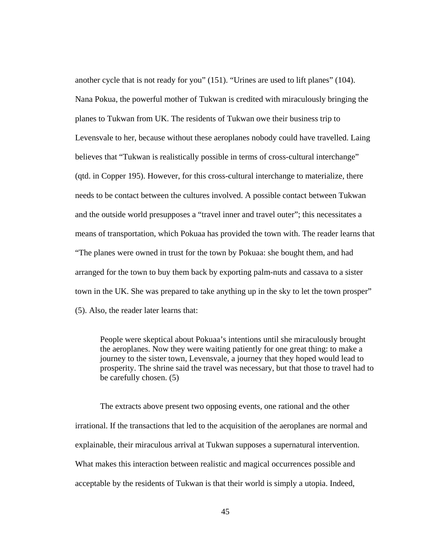another cycle that is not ready for you" (151). "Urines are used to lift planes" (104). Nana Pokua, the powerful mother of Tukwan is credited with miraculously bringing the planes to Tukwan from UK. The residents of Tukwan owe their business trip to Levensvale to her, because without these aeroplanes nobody could have travelled. Laing believes that "Tukwan is realistically possible in terms of cross-cultural interchange" (qtd. in Copper 195). However, for this cross-cultural interchange to materialize, there needs to be contact between the cultures involved. A possible contact between Tukwan and the outside world presupposes a "travel inner and travel outer"; this necessitates a means of transportation, which Pokuaa has provided the town with. The reader learns that "The planes were owned in trust for the town by Pokuaa: she bought them, and had arranged for the town to buy them back by exporting palm-nuts and cassava to a sister town in the UK. She was prepared to take anything up in the sky to let the town prosper" (5). Also, the reader later learns that:

People were skeptical about Pokuaa's intentions until she miraculously brought the aeroplanes. Now they were waiting patiently for one great thing: to make a journey to the sister town, Levensvale, a journey that they hoped would lead to prosperity. The shrine said the travel was necessary, but that those to travel had to be carefully chosen. (5)

The extracts above present two opposing events, one rational and the other irrational. If the transactions that led to the acquisition of the aeroplanes are normal and explainable, their miraculous arrival at Tukwan supposes a supernatural intervention. What makes this interaction between realistic and magical occurrences possible and acceptable by the residents of Tukwan is that their world is simply a utopia. Indeed,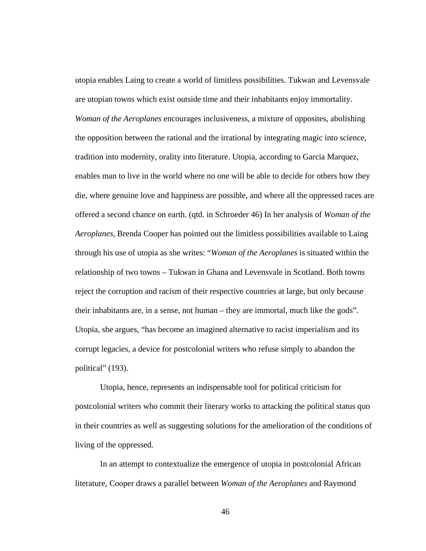utopia enables Laing to create a world of limitless possibilities. Tukwan and Levensvale are utopian towns which exist outside time and their inhabitants enjoy immortality. *Woman of the Aeroplanes* encourages inclusiveness, a mixture of opposites, abolishing the opposition between the rational and the irrational by integrating magic into science, tradition into modernity, orality into literature. Utopia, according to Garcia Marquez, enables man to live in the world where no one will be able to decide for others how they die, where genuine love and happiness are possible, and where all the oppressed races are offered a second chance on earth. (qtd. in Schroeder 46) In her analysis of *Woman of the Aeroplanes*, Brenda Cooper has pointed out the limitless possibilities available to Laing through his use of utopia as she writes: "*Woman of the Aeroplanes* is situated within the relationship of two towns – Tukwan in Ghana and Levensvale in Scotland. Both towns reject the corruption and racism of their respective countries at large, but only because their inhabitants are, in a sense, not human – they are immortal, much like the gods". Utopia, she argues, "has become an imagined alternative to racist imperialism and its corrupt legacies, a device for postcolonial writers who refuse simply to abandon the political" (193).

Utopia, hence, represents an indispensable tool for political criticism for postcolonial writers who commit their literary works to attacking the political status quo in their countries as well as suggesting solutions for the amelioration of the conditions of living of the oppressed.

In an attempt to contextualize the emergence of utopia in postcolonial African literature, Cooper draws a parallel between *Woman of the Aeroplanes* and Raymond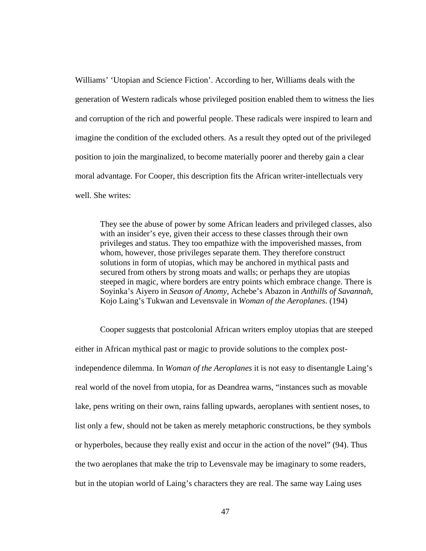Williams' 'Utopian and Science Fiction'. According to her, Williams deals with the generation of Western radicals whose privileged position enabled them to witness the lies and corruption of the rich and powerful people. These radicals were inspired to learn and imagine the condition of the excluded others. As a result they opted out of the privileged position to join the marginalized, to become materially poorer and thereby gain a clear moral advantage. For Cooper, this description fits the African writer-intellectuals very well. She writes:

They see the abuse of power by some African leaders and privileged classes, also with an insider's eye, given their access to these classes through their own privileges and status. They too empathize with the impoverished masses, from whom, however, those privileges separate them. They therefore construct solutions in form of utopias, which may be anchored in mythical pasts and secured from others by strong moats and walls; or perhaps they are utopias steeped in magic, where borders are entry points which embrace change. There is Soyinka's Aiyero in *Season of Anomy*, Achebe's Abazon in *Anthills of Savannah*, Kojo Laing's Tukwan and Levensvale in *Woman of the Aeroplanes*. (194)

Cooper suggests that postcolonial African writers employ utopias that are steeped either in African mythical past or magic to provide solutions to the complex postindependence dilemma. In *Woman of the Aeroplanes* it is not easy to disentangle Laing's real world of the novel from utopia, for as Deandrea warns, "instances such as movable lake, pens writing on their own, rains falling upwards, aeroplanes with sentient noses, to list only a few, should not be taken as merely metaphoric constructions, be they symbols or hyperboles, because they really exist and occur in the action of the novel" (94). Thus the two aeroplanes that make the trip to Levensvale may be imaginary to some readers, but in the utopian world of Laing's characters they are real. The same way Laing uses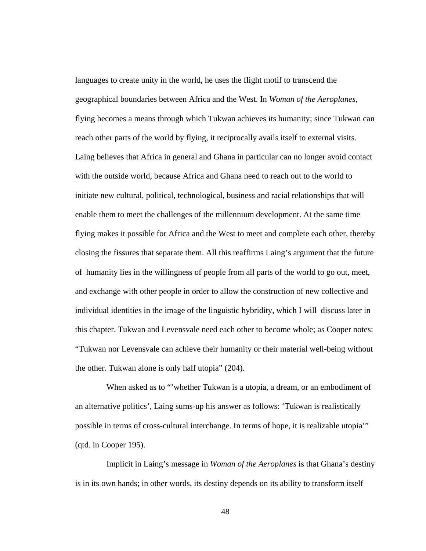languages to create unity in the world, he uses the flight motif to transcend the geographical boundaries between Africa and the West. In *Woman of the Aeroplanes*, flying becomes a means through which Tukwan achieves its humanity; since Tukwan can reach other parts of the world by flying, it reciprocally avails itself to external visits. Laing believes that Africa in general and Ghana in particular can no longer avoid contact with the outside world, because Africa and Ghana need to reach out to the world to initiate new cultural, political, technological, business and racial relationships that will enable them to meet the challenges of the millennium development. At the same time flying makes it possible for Africa and the West to meet and complete each other, thereby closing the fissures that separate them. All this reaffirms Laing's argument that the future of humanity lies in the willingness of people from all parts of the world to go out, meet, and exchange with other people in order to allow the construction of new collective and individual identities in the image of the linguistic hybridity, which I will discuss later in this chapter. Tukwan and Levensvale need each other to become whole; as Cooper notes: "Tukwan nor Levensvale can achieve their humanity or their material well-being without the other. Tukwan alone is only half utopia" (204).

When asked as to "'whether Tukwan is a utopia, a dream, or an embodiment of an alternative politics', Laing sums-up his answer as follows: 'Tukwan is realistically possible in terms of cross-cultural interchange. In terms of hope, it is realizable utopia'" (qtd. in Cooper 195).

 Implicit in Laing's message in *Woman of the Aeroplanes* is that Ghana's destiny is in its own hands; in other words, its destiny depends on its ability to transform itself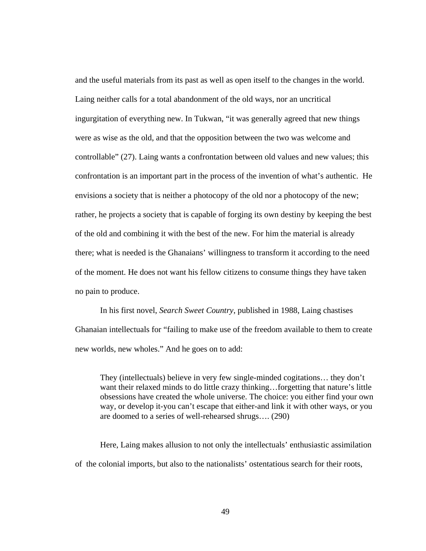and the useful materials from its past as well as open itself to the changes in the world. Laing neither calls for a total abandonment of the old ways, nor an uncritical ingurgitation of everything new. In Tukwan, "it was generally agreed that new things were as wise as the old, and that the opposition between the two was welcome and controllable" (27). Laing wants a confrontation between old values and new values; this confrontation is an important part in the process of the invention of what's authentic. He envisions a society that is neither a photocopy of the old nor a photocopy of the new; rather, he projects a society that is capable of forging its own destiny by keeping the best of the old and combining it with the best of the new. For him the material is already there; what is needed is the Ghanaians' willingness to transform it according to the need of the moment. He does not want his fellow citizens to consume things they have taken no pain to produce.

In his first novel, *Search Sweet Country*, published in 1988, Laing chastises Ghanaian intellectuals for "failing to make use of the freedom available to them to create new worlds, new wholes." And he goes on to add:

They (intellectuals) believe in very few single-minded cogitations… they don't want their relaxed minds to do little crazy thinking…forgetting that nature's little obsessions have created the whole universe. The choice: you either find your own way, or develop it-you can't escape that either-and link it with other ways, or you are doomed to a series of well-rehearsed shrugs…. (290)

Here, Laing makes allusion to not only the intellectuals' enthusiastic assimilation of the colonial imports, but also to the nationalists' ostentatious search for their roots,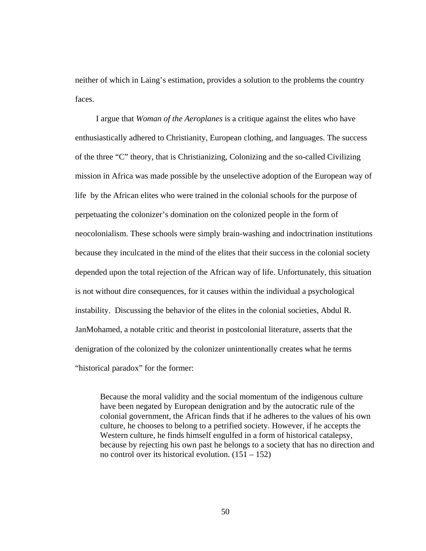neither of which in Laing's estimation, provides a solution to the problems the country faces.

 I argue that *Woman of the Aeroplanes* is a critique against the elites who have enthusiastically adhered to Christianity, European clothing, and languages. The success of the three "C" theory, that is Christianizing, Colonizing and the so-called Civilizing mission in Africa was made possible by the unselective adoption of the European way of life by the African elites who were trained in the colonial schools for the purpose of perpetuating the colonizer's domination on the colonized people in the form of neocolonialism. These schools were simply brain-washing and indoctrination institutions because they inculcated in the mind of the elites that their success in the colonial society depended upon the total rejection of the African way of life. Unfortunately, this situation is not without dire consequences, for it causes within the individual a psychological instability. Discussing the behavior of the elites in the colonial societies, Abdul R. JanMohamed, a notable critic and theorist in postcolonial literature, asserts that the denigration of the colonized by the colonizer unintentionally creates what he terms "historical paradox" for the former:

Because the moral validity and the social momentum of the indigenous culture have been negated by European denigration and by the autocratic rule of the colonial government, the African finds that if he adheres to the values of his own culture, he chooses to belong to a petrified society. However, if he accepts the Western culture, he finds himself engulfed in a form of historical catalepsy, because by rejecting his own past he belongs to a society that has no direction and no control over its historical evolution.  $(151 – 152)$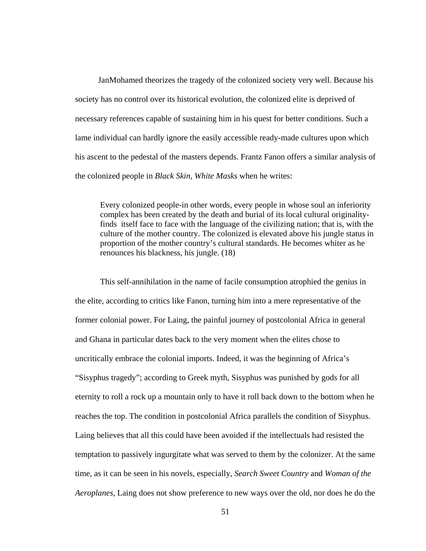JanMohamed theorizes the tragedy of the colonized society very well. Because his society has no control over its historical evolution, the colonized elite is deprived of necessary references capable of sustaining him in his quest for better conditions. Such a lame individual can hardly ignore the easily accessible ready-made cultures upon which his ascent to the pedestal of the masters depends. Frantz Fanon offers a similar analysis of the colonized people in *Black Skin, White Masks* when he writes:

Every colonized people-in other words, every people in whose soul an inferiority complex has been created by the death and burial of its local cultural originalityfinds itself face to face with the language of the civilizing nation; that is, with the culture of the mother country. The colonized is elevated above his jungle status in proportion of the mother country's cultural standards. He becomes whiter as he renounces his blackness, his jungle. (18)

This self-annihilation in the name of facile consumption atrophied the genius in the elite, according to critics like Fanon, turning him into a mere representative of the former colonial power. For Laing, the painful journey of postcolonial Africa in general and Ghana in particular dates back to the very moment when the elites chose to uncritically embrace the colonial imports. Indeed, it was the beginning of Africa's "Sisyphus tragedy"; according to Greek myth, Sisyphus was punished by gods for all eternity to roll a rock up a mountain only to have it roll back down to the bottom when he reaches the top. The condition in postcolonial Africa parallels the condition of Sisyphus. Laing believes that all this could have been avoided if the intellectuals had resisted the temptation to passively ingurgitate what was served to them by the colonizer. At the same time, as it can be seen in his novels, especially, *Search Sweet Country* and *Woman of the Aeroplanes*, Laing does not show preference to new ways over the old, nor does he do the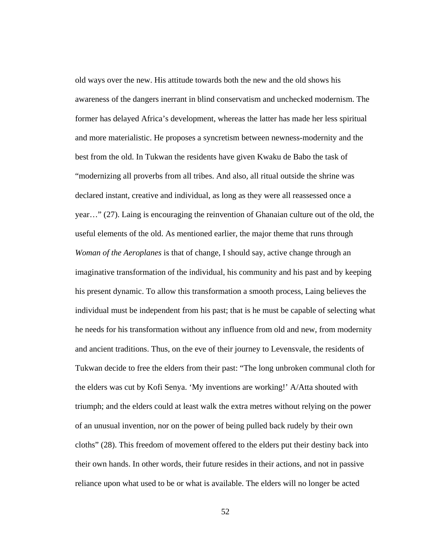old ways over the new. His attitude towards both the new and the old shows his awareness of the dangers inerrant in blind conservatism and unchecked modernism. The former has delayed Africa's development, whereas the latter has made her less spiritual and more materialistic. He proposes a syncretism between newness-modernity and the best from the old. In Tukwan the residents have given Kwaku de Babo the task of "modernizing all proverbs from all tribes. And also, all ritual outside the shrine was declared instant, creative and individual, as long as they were all reassessed once a year…" (27). Laing is encouraging the reinvention of Ghanaian culture out of the old, the useful elements of the old. As mentioned earlier, the major theme that runs through *Woman of the Aeroplanes* is that of change, I should say, active change through an imaginative transformation of the individual, his community and his past and by keeping his present dynamic. To allow this transformation a smooth process, Laing believes the individual must be independent from his past; that is he must be capable of selecting what he needs for his transformation without any influence from old and new, from modernity and ancient traditions. Thus, on the eve of their journey to Levensvale, the residents of Tukwan decide to free the elders from their past: "The long unbroken communal cloth for the elders was cut by Kofi Senya. 'My inventions are working!' A/Atta shouted with triumph; and the elders could at least walk the extra metres without relying on the power of an unusual invention, nor on the power of being pulled back rudely by their own cloths" (28). This freedom of movement offered to the elders put their destiny back into their own hands. In other words, their future resides in their actions, and not in passive reliance upon what used to be or what is available. The elders will no longer be acted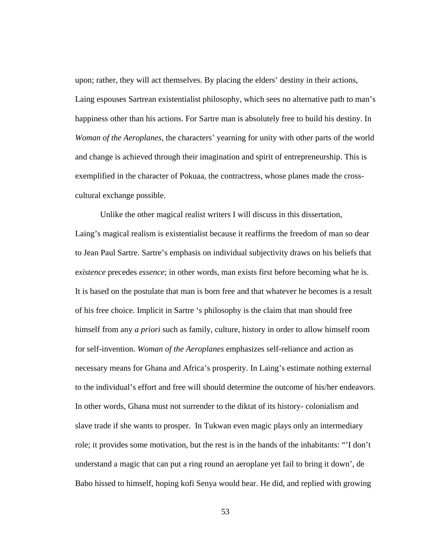upon; rather, they will act themselves. By placing the elders' destiny in their actions, Laing espouses Sartrean existentialist philosophy, which sees no alternative path to man's happiness other than his actions. For Sartre man is absolutely free to build his destiny. In *Woman of the Aeroplanes*, the characters' yearning for unity with other parts of the world and change is achieved through their imagination and spirit of entrepreneurship. This is exemplified in the character of Pokuaa, the contractress, whose planes made the crosscultural exchange possible.

Unlike the other magical realist writers I will discuss in this dissertation, Laing's magical realism is existentialist because it reaffirms the freedom of man so dear to Jean Paul Sartre. Sartre's emphasis on individual subjectivity draws on his beliefs that e*xistence* precedes *essence*; in other words, man exists first before becoming what he is. It is based on the postulate that man is born free and that whatever he becomes is a result of his free choice. Implicit in Sartre 's philosophy is the claim that man should free himself from any *a priori* such as family, culture, history in order to allow himself room for self-invention. *Woman of the Aeroplanes* emphasizes self-reliance and action as necessary means for Ghana and Africa's prosperity. In Laing's estimate nothing external to the individual's effort and free will should determine the outcome of his/her endeavors. In other words, Ghana must not surrender to the diktat of its history- colonialism and slave trade if she wants to prosper. In Tukwan even magic plays only an intermediary role; it provides some motivation, but the rest is in the hands of the inhabitants: "'I don't understand a magic that can put a ring round an aeroplane yet fail to bring it down', de Babo hissed to himself, hoping kofi Senya would hear. He did, and replied with growing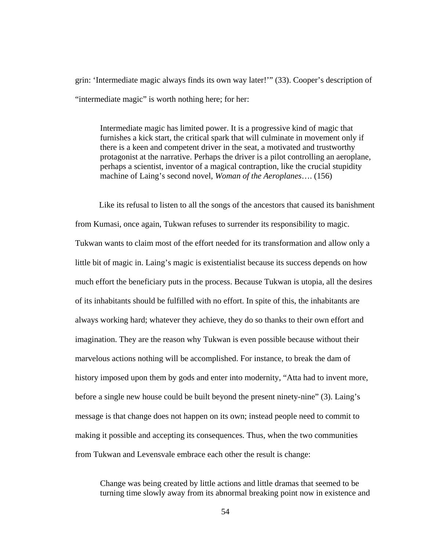grin: 'Intermediate magic always finds its own way later!'" (33). Cooper's description of "intermediate magic" is worth nothing here; for her:

Intermediate magic has limited power. It is a progressive kind of magic that furnishes a kick start, the critical spark that will culminate in movement only if there is a keen and competent driver in the seat, a motivated and trustworthy protagonist at the narrative. Perhaps the driver is a pilot controlling an aeroplane, perhaps a scientist, inventor of a magical contraption, like the crucial stupidity machine of Laing's second novel, *Woman of the Aeroplanes*…. (156)

 Like its refusal to listen to all the songs of the ancestors that caused its banishment from Kumasi, once again, Tukwan refuses to surrender its responsibility to magic. Tukwan wants to claim most of the effort needed for its transformation and allow only a little bit of magic in. Laing's magic is existentialist because its success depends on how much effort the beneficiary puts in the process. Because Tukwan is utopia, all the desires of its inhabitants should be fulfilled with no effort. In spite of this, the inhabitants are always working hard; whatever they achieve, they do so thanks to their own effort and imagination. They are the reason why Tukwan is even possible because without their marvelous actions nothing will be accomplished. For instance, to break the dam of history imposed upon them by gods and enter into modernity, "Atta had to invent more, before a single new house could be built beyond the present ninety-nine" (3). Laing's message is that change does not happen on its own; instead people need to commit to making it possible and accepting its consequences. Thus, when the two communities from Tukwan and Levensvale embrace each other the result is change:

Change was being created by little actions and little dramas that seemed to be turning time slowly away from its abnormal breaking point now in existence and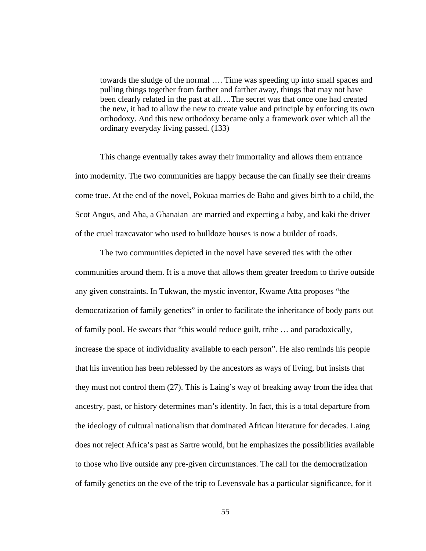towards the sludge of the normal …. Time was speeding up into small spaces and pulling things together from farther and farther away, things that may not have been clearly related in the past at all….The secret was that once one had created the new, it had to allow the new to create value and principle by enforcing its own orthodoxy. And this new orthodoxy became only a framework over which all the ordinary everyday living passed. (133)

This change eventually takes away their immortality and allows them entrance into modernity. The two communities are happy because the can finally see their dreams come true. At the end of the novel, Pokuaa marries de Babo and gives birth to a child, the Scot Angus, and Aba, a Ghanaian are married and expecting a baby, and kaki the driver of the cruel traxcavator who used to bulldoze houses is now a builder of roads.

The two communities depicted in the novel have severed ties with the other communities around them. It is a move that allows them greater freedom to thrive outside any given constraints. In Tukwan, the mystic inventor, Kwame Atta proposes "the democratization of family genetics" in order to facilitate the inheritance of body parts out of family pool. He swears that "this would reduce guilt, tribe … and paradoxically, increase the space of individuality available to each person". He also reminds his people that his invention has been reblessed by the ancestors as ways of living, but insists that they must not control them (27). This is Laing's way of breaking away from the idea that ancestry, past, or history determines man's identity. In fact, this is a total departure from the ideology of cultural nationalism that dominated African literature for decades. Laing does not reject Africa's past as Sartre would, but he emphasizes the possibilities available to those who live outside any pre-given circumstances. The call for the democratization of family genetics on the eve of the trip to Levensvale has a particular significance, for it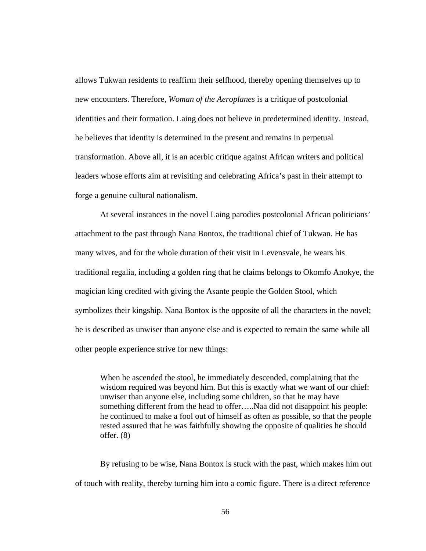allows Tukwan residents to reaffirm their selfhood, thereby opening themselves up to new encounters. Therefore, *Woman of the Aeroplanes* is a critique of postcolonial identities and their formation. Laing does not believe in predetermined identity. Instead, he believes that identity is determined in the present and remains in perpetual transformation. Above all, it is an acerbic critique against African writers and political leaders whose efforts aim at revisiting and celebrating Africa's past in their attempt to forge a genuine cultural nationalism.

At several instances in the novel Laing parodies postcolonial African politicians' attachment to the past through Nana Bontox, the traditional chief of Tukwan. He has many wives, and for the whole duration of their visit in Levensvale, he wears his traditional regalia, including a golden ring that he claims belongs to Okomfo Anokye, the magician king credited with giving the Asante people the Golden Stool, which symbolizes their kingship. Nana Bontox is the opposite of all the characters in the novel; he is described as unwiser than anyone else and is expected to remain the same while all other people experience strive for new things:

When he ascended the stool, he immediately descended, complaining that the wisdom required was beyond him. But this is exactly what we want of our chief: unwiser than anyone else, including some children, so that he may have something different from the head to offer…..Naa did not disappoint his people: he continued to make a fool out of himself as often as possible, so that the people rested assured that he was faithfully showing the opposite of qualities he should offer. (8)

By refusing to be wise, Nana Bontox is stuck with the past, which makes him out of touch with reality, thereby turning him into a comic figure. There is a direct reference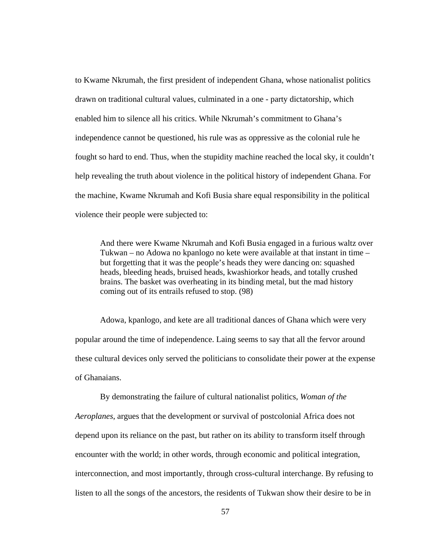to Kwame Nkrumah, the first president of independent Ghana, whose nationalist politics drawn on traditional cultural values, culminated in a one - party dictatorship, which enabled him to silence all his critics. While Nkrumah's commitment to Ghana's independence cannot be questioned, his rule was as oppressive as the colonial rule he fought so hard to end. Thus, when the stupidity machine reached the local sky, it couldn't help revealing the truth about violence in the political history of independent Ghana. For the machine, Kwame Nkrumah and Kofi Busia share equal responsibility in the political violence their people were subjected to:

And there were Kwame Nkrumah and Kofi Busia engaged in a furious waltz over Tukwan – no Adowa no kpanlogo no kete were available at that instant in time – but forgetting that it was the people's heads they were dancing on: squashed heads, bleeding heads, bruised heads, kwashiorkor heads, and totally crushed brains. The basket was overheating in its binding metal, but the mad history coming out of its entrails refused to stop. (98)

Adowa, kpanlogo, and kete are all traditional dances of Ghana which were very popular around the time of independence. Laing seems to say that all the fervor around these cultural devices only served the politicians to consolidate their power at the expense of Ghanaians.

By demonstrating the failure of cultural nationalist politics, *Woman of the Aeroplanes*, argues that the development or survival of postcolonial Africa does not depend upon its reliance on the past, but rather on its ability to transform itself through encounter with the world; in other words, through economic and political integration, interconnection, and most importantly, through cross-cultural interchange. By refusing to listen to all the songs of the ancestors, the residents of Tukwan show their desire to be in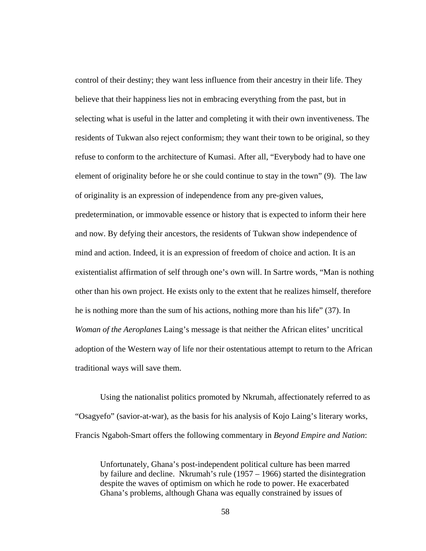control of their destiny; they want less influence from their ancestry in their life. They believe that their happiness lies not in embracing everything from the past, but in selecting what is useful in the latter and completing it with their own inventiveness. The residents of Tukwan also reject conformism; they want their town to be original, so they refuse to conform to the architecture of Kumasi. After all, "Everybody had to have one element of originality before he or she could continue to stay in the town" (9). The law of originality is an expression of independence from any pre-given values, predetermination, or immovable essence or history that is expected to inform their here and now. By defying their ancestors, the residents of Tukwan show independence of mind and action. Indeed, it is an expression of freedom of choice and action. It is an existentialist affirmation of self through one's own will. In Sartre words, "Man is nothing other than his own project. He exists only to the extent that he realizes himself, therefore he is nothing more than the sum of his actions, nothing more than his life" (37). In *Woman of the Aeroplanes* Laing's message is that neither the African elites' uncritical adoption of the Western way of life nor their ostentatious attempt to return to the African traditional ways will save them.

Using the nationalist politics promoted by Nkrumah, affectionately referred to as "Osagyefo" (savior-at-war), as the basis for his analysis of Kojo Laing's literary works, Francis Ngaboh-Smart offers the following commentary in *Beyond Empire and Nation*:

Unfortunately, Ghana's post-independent political culture has been marred by failure and decline. Nkrumah's rule (1957 – 1966) started the disintegration despite the waves of optimism on which he rode to power. He exacerbated Ghana's problems, although Ghana was equally constrained by issues of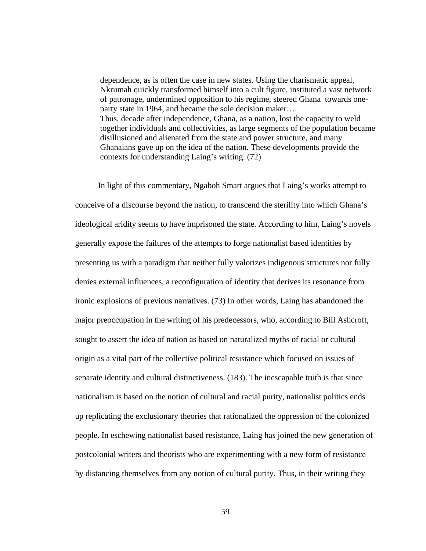dependence, as is often the case in new states. Using the charismatic appeal, Nkrumah quickly transformed himself into a cult figure, instituted a vast network of patronage, undermined opposition to his regime, steered Ghana towards oneparty state in 1964, and became the sole decision maker…. Thus, decade after independence, Ghana, as a nation, lost the capacity to weld together individuals and collectivities, as large segments of the population became disillusioned and alienated from the state and power structure, and many Ghanaians gave up on the idea of the nation. These developments provide the contexts for understanding Laing's writing. (72)

 In light of this commentary, Ngaboh Smart argues that Laing's works attempt to conceive of a discourse beyond the nation, to transcend the sterility into which Ghana's ideological aridity seems to have imprisoned the state. According to him, Laing's novels generally expose the failures of the attempts to forge nationalist based identities by presenting us with a paradigm that neither fully valorizes indigenous structures nor fully denies external influences, a reconfiguration of identity that derives its resonance from ironic explosions of previous narratives. (73) In other words, Laing has abandoned the major preoccupation in the writing of his predecessors, who, according to Bill Ashcroft, sought to assert the idea of nation as based on naturalized myths of racial or cultural origin as a vital part of the collective political resistance which focused on issues of separate identity and cultural distinctiveness. (183). The inescapable truth is that since nationalism is based on the notion of cultural and racial purity, nationalist politics ends up replicating the exclusionary theories that rationalized the oppression of the colonized people. In eschewing nationalist based resistance, Laing has joined the new generation of postcolonial writers and theorists who are experimenting with a new form of resistance by distancing themselves from any notion of cultural purity. Thus, in their writing they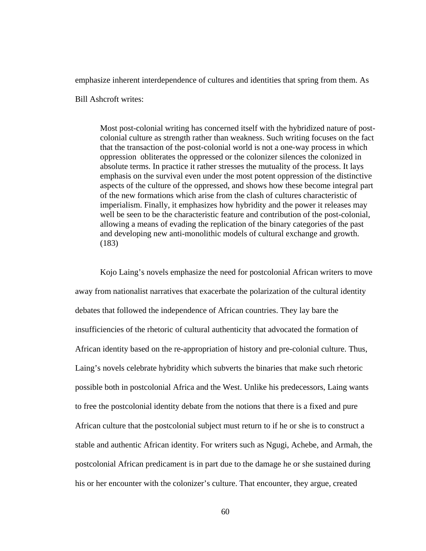emphasize inherent interdependence of cultures and identities that spring from them. As

Bill Ashcroft writes:

Most post-colonial writing has concerned itself with the hybridized nature of postcolonial culture as strength rather than weakness. Such writing focuses on the fact that the transaction of the post-colonial world is not a one-way process in which oppression obliterates the oppressed or the colonizer silences the colonized in absolute terms. In practice it rather stresses the mutuality of the process. It lays emphasis on the survival even under the most potent oppression of the distinctive aspects of the culture of the oppressed, and shows how these become integral part of the new formations which arise from the clash of cultures characteristic of imperialism. Finally, it emphasizes how hybridity and the power it releases may well be seen to be the characteristic feature and contribution of the post-colonial, allowing a means of evading the replication of the binary categories of the past and developing new anti-monolithic models of cultural exchange and growth. (183)

 Kojo Laing's novels emphasize the need for postcolonial African writers to move away from nationalist narratives that exacerbate the polarization of the cultural identity debates that followed the independence of African countries. They lay bare the insufficiencies of the rhetoric of cultural authenticity that advocated the formation of African identity based on the re-appropriation of history and pre-colonial culture. Thus, Laing's novels celebrate hybridity which subverts the binaries that make such rhetoric possible both in postcolonial Africa and the West. Unlike his predecessors, Laing wants to free the postcolonial identity debate from the notions that there is a fixed and pure African culture that the postcolonial subject must return to if he or she is to construct a stable and authentic African identity. For writers such as Ngugi, Achebe, and Armah, the postcolonial African predicament is in part due to the damage he or she sustained during his or her encounter with the colonizer's culture. That encounter, they argue, created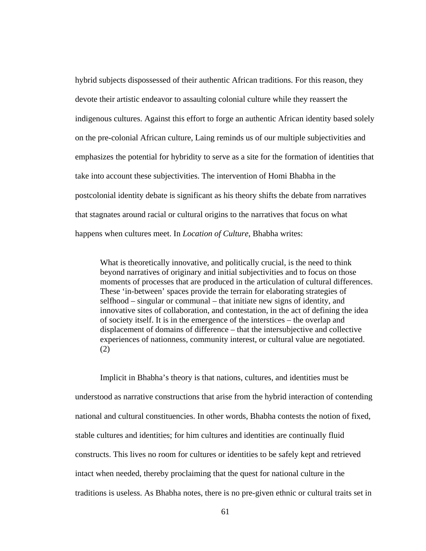hybrid subjects dispossessed of their authentic African traditions. For this reason, they devote their artistic endeavor to assaulting colonial culture while they reassert the indigenous cultures. Against this effort to forge an authentic African identity based solely on the pre-colonial African culture, Laing reminds us of our multiple subjectivities and emphasizes the potential for hybridity to serve as a site for the formation of identities that take into account these subjectivities. The intervention of Homi Bhabha in the postcolonial identity debate is significant as his theory shifts the debate from narratives that stagnates around racial or cultural origins to the narratives that focus on what happens when cultures meet. In *Location of Culture*, Bhabha writes:

What is theoretically innovative, and politically crucial, is the need to think beyond narratives of originary and initial subjectivities and to focus on those moments of processes that are produced in the articulation of cultural differences. These 'in-between' spaces provide the terrain for elaborating strategies of selfhood – singular or communal – that initiate new signs of identity, and innovative sites of collaboration, and contestation, in the act of defining the idea of society itself. It is in the emergence of the interstices – the overlap and displacement of domains of difference – that the intersubjective and collective experiences of nationness, community interest, or cultural value are negotiated. (2)

 Implicit in Bhabha's theory is that nations, cultures, and identities must be understood as narrative constructions that arise from the hybrid interaction of contending national and cultural constituencies. In other words, Bhabha contests the notion of fixed, stable cultures and identities; for him cultures and identities are continually fluid constructs. This lives no room for cultures or identities to be safely kept and retrieved intact when needed, thereby proclaiming that the quest for national culture in the traditions is useless. As Bhabha notes, there is no pre-given ethnic or cultural traits set in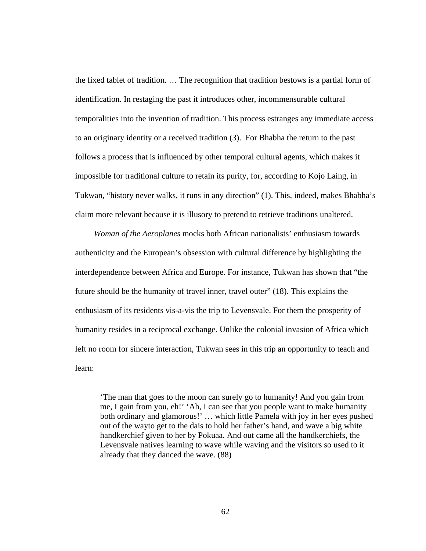the fixed tablet of tradition. … The recognition that tradition bestows is a partial form of identification. In restaging the past it introduces other, incommensurable cultural temporalities into the invention of tradition. This process estranges any immediate access to an originary identity or a received tradition (3). For Bhabha the return to the past follows a process that is influenced by other temporal cultural agents, which makes it impossible for traditional culture to retain its purity, for, according to Kojo Laing, in Tukwan, "history never walks, it runs in any direction" (1). This, indeed, makes Bhabha's claim more relevant because it is illusory to pretend to retrieve traditions unaltered.

 *Woman of the Aeroplanes* mocks both African nationalists' enthusiasm towards authenticity and the European's obsession with cultural difference by highlighting the interdependence between Africa and Europe. For instance, Tukwan has shown that "the future should be the humanity of travel inner, travel outer" (18). This explains the enthusiasm of its residents vis-a-vis the trip to Levensvale. For them the prosperity of humanity resides in a reciprocal exchange. Unlike the colonial invasion of Africa which left no room for sincere interaction, Tukwan sees in this trip an opportunity to teach and learn:

'The man that goes to the moon can surely go to humanity! And you gain from me, I gain from you, eh!' 'Ah, I can see that you people want to make humanity both ordinary and glamorous!' … which little Pamela with joy in her eyes pushed out of the wayto get to the dais to hold her father's hand, and wave a big white handkerchief given to her by Pokuaa. And out came all the handkerchiefs, the Levensvale natives learning to wave while waving and the visitors so used to it already that they danced the wave. (88)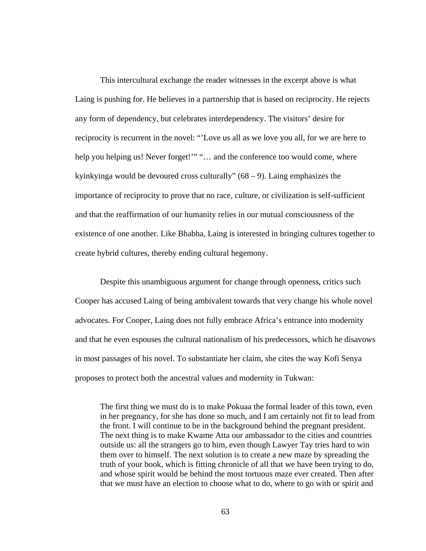This intercultural exchange the reader witnesses in the excerpt above is what Laing is pushing for. He believes in a partnership that is based on reciprocity. He rejects any form of dependency, but celebrates interdependency. The visitors' desire for reciprocity is recurrent in the novel: "'Love us all as we love you all, for we are here to help you helping us! Never forget!"" "... and the conference too would come, where kyinkyinga would be devoured cross culturally"  $(68 – 9)$ . Laing emphasizes the importance of reciprocity to prove that no race, culture, or civilization is self-sufficient and that the reaffirmation of our humanity relies in our mutual consciousness of the existence of one another. Like Bhabha, Laing is interested in bringing cultures together to create hybrid cultures, thereby ending cultural hegemony.

Despite this unambiguous argument for change through openness, critics such Cooper has accused Laing of being ambivalent towards that very change his whole novel advocates. For Cooper, Laing does not fully embrace Africa's entrance into modernity and that he even espouses the cultural nationalism of his predecessors, which he disavows in most passages of his novel. To substantiate her claim, she cites the way Kofi Senya proposes to protect both the ancestral values and modernity in Tukwan:

The first thing we must do is to make Pokuaa the formal leader of this town, even in her pregnancy, for she has done so much, and I am certainly not fit to lead from the front. I will continue to be in the background behind the pregnant president. The next thing is to make Kwame Atta our ambassador to the cities and countries outside us: all the strangers go to him, even though Lawyer Tay tries hard to win them over to himself. The next solution is to create a new maze by spreading the truth of your book, which is fitting chronicle of all that we have been trying to do, and whose spirit would be behind the most tortuous maze ever created. Then after that we must have an election to choose what to do, where to go with or spirit and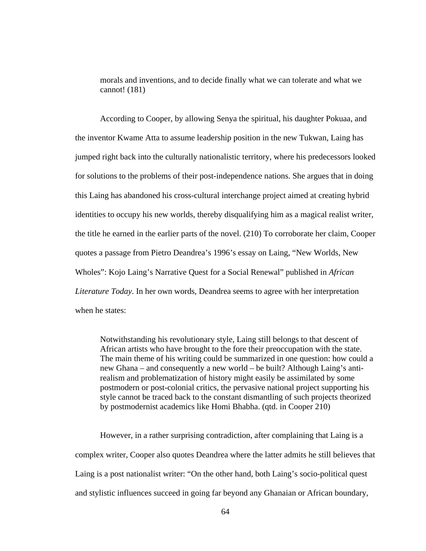morals and inventions, and to decide finally what we can tolerate and what we cannot! (181)

According to Cooper, by allowing Senya the spiritual, his daughter Pokuaa, and the inventor Kwame Atta to assume leadership position in the new Tukwan, Laing has jumped right back into the culturally nationalistic territory, where his predecessors looked for solutions to the problems of their post-independence nations. She argues that in doing this Laing has abandoned his cross-cultural interchange project aimed at creating hybrid identities to occupy his new worlds, thereby disqualifying him as a magical realist writer, the title he earned in the earlier parts of the novel. (210) To corroborate her claim, Cooper quotes a passage from Pietro Deandrea's 1996's essay on Laing, "New Worlds, New Wholes": Kojo Laing's Narrative Quest for a Social Renewal" published in *African Literature Today*. In her own words, Deandrea seems to agree with her interpretation when he states:

Notwithstanding his revolutionary style, Laing still belongs to that descent of African artists who have brought to the fore their preoccupation with the state. The main theme of his writing could be summarized in one question: how could a new Ghana – and consequently a new world – be built? Although Laing's antirealism and problematization of history might easily be assimilated by some postmodern or post-colonial critics, the pervasive national project supporting his style cannot be traced back to the constant dismantling of such projects theorized by postmodernist academics like Homi Bhabha. (qtd. in Cooper 210)

 However, in a rather surprising contradiction, after complaining that Laing is a complex writer, Cooper also quotes Deandrea where the latter admits he still believes that Laing is a post nationalist writer: "On the other hand, both Laing's socio-political quest and stylistic influences succeed in going far beyond any Ghanaian or African boundary,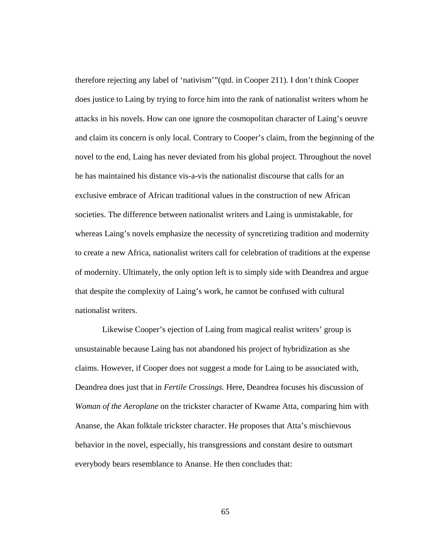therefore rejecting any label of 'nativism'"(qtd. in Cooper 211). I don't think Cooper does justice to Laing by trying to force him into the rank of nationalist writers whom he attacks in his novels. How can one ignore the cosmopolitan character of Laing's oeuvre and claim its concern is only local. Contrary to Cooper's claim, from the beginning of the novel to the end, Laing has never deviated from his global project. Throughout the novel he has maintained his distance vis-a-vis the nationalist discourse that calls for an exclusive embrace of African traditional values in the construction of new African societies. The difference between nationalist writers and Laing is unmistakable, for whereas Laing's novels emphasize the necessity of syncretizing tradition and modernity to create a new Africa, nationalist writers call for celebration of traditions at the expense of modernity. Ultimately, the only option left is to simply side with Deandrea and argue that despite the complexity of Laing's work, he cannot be confused with cultural nationalist writers.

Likewise Cooper's ejection of Laing from magical realist writers' group is unsustainable because Laing has not abandoned his project of hybridization as she claims. However, if Cooper does not suggest a mode for Laing to be associated with, Deandrea does just that in *Fertile Crossings.* Here, Deandrea focuses his discussion of *Woman of the Aeroplane* on the trickster character of Kwame Atta, comparing him with Ananse, the Akan folktale trickster character. He proposes that Atta's mischievous behavior in the novel, especially, his transgressions and constant desire to outsmart everybody bears resemblance to Ananse. He then concludes that: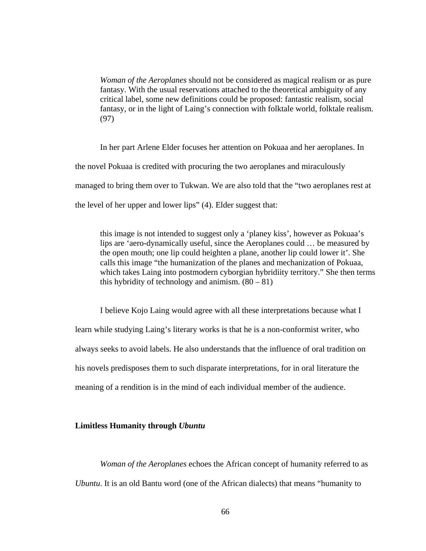*Woman of the Aeroplanes* should not be considered as magical realism or as pure fantasy. With the usual reservations attached to the theoretical ambiguity of any critical label, some new definitions could be proposed: fantastic realism, social fantasy, or in the light of Laing's connection with folktale world, folktale realism. (97)

In her part Arlene Elder focuses her attention on Pokuaa and her aeroplanes. In the novel Pokuaa is credited with procuring the two aeroplanes and miraculously managed to bring them over to Tukwan. We are also told that the "two aeroplanes rest at the level of her upper and lower lips" (4). Elder suggest that:

this image is not intended to suggest only a 'planey kiss', however as Pokuaa's lips are 'aero-dynamically useful, since the Aeroplanes could … be measured by the open mouth; one lip could heighten a plane, another lip could lower it'. She calls this image "the humanization of the planes and mechanization of Pokuaa, which takes Laing into postmodern cyborgian hybridiity territory." She then terms this hybridity of technology and animism.  $(80 - 81)$ 

I believe Kojo Laing would agree with all these interpretations because what I learn while studying Laing's literary works is that he is a non-conformist writer, who always seeks to avoid labels. He also understands that the influence of oral tradition on his novels predisposes them to such disparate interpretations, for in oral literature the meaning of a rendition is in the mind of each individual member of the audience.

## **Limitless Humanity through** *Ubuntu*

*Woman of the Aeroplanes* echoes the African concept of humanity referred to as *Ubuntu*. It is an old Bantu word (one of the African dialects) that means "humanity to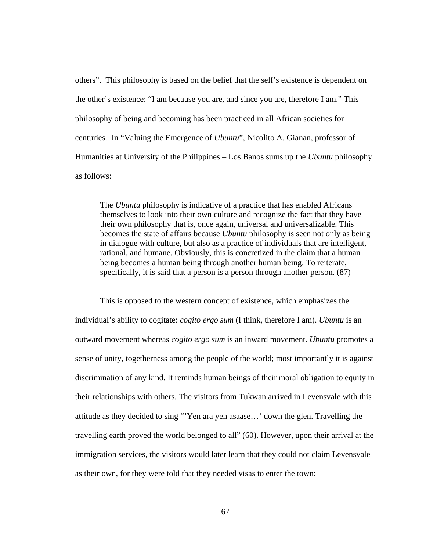others". This philosophy is based on the belief that the self's existence is dependent on the other's existence: "I am because you are, and since you are, therefore I am." This philosophy of being and becoming has been practiced in all African societies for centuries. In "Valuing the Emergence of *Ubuntu*", Nicolito A. Gianan, professor of Humanities at University of the Philippines – Los Banos sums up the *Ubuntu* philosophy as follows:

The *Ubuntu* philosophy is indicative of a practice that has enabled Africans themselves to look into their own culture and recognize the fact that they have their own philosophy that is, once again, universal and universalizable. This becomes the state of affairs because *Ubuntu* philosophy is seen not only as being in dialogue with culture, but also as a practice of individuals that are intelligent, rational, and humane. Obviously, this is concretized in the claim that a human being becomes a human being through another human being. To reiterate, specifically, it is said that a person is a person through another person. (87)

This is opposed to the western concept of existence, which emphasizes the individual's ability to cogitate: *cogito ergo sum* (I think, therefore I am). *Ubuntu* is an outward movement whereas *cogito ergo sum* is an inward movement. *Ubuntu* promotes a sense of unity, togetherness among the people of the world; most importantly it is against discrimination of any kind. It reminds human beings of their moral obligation to equity in their relationships with others. The visitors from Tukwan arrived in Levensvale with this attitude as they decided to sing "'Yen ara yen asaase…' down the glen. Travelling the travelling earth proved the world belonged to all" (60). However, upon their arrival at the immigration services, the visitors would later learn that they could not claim Levensvale as their own, for they were told that they needed visas to enter the town: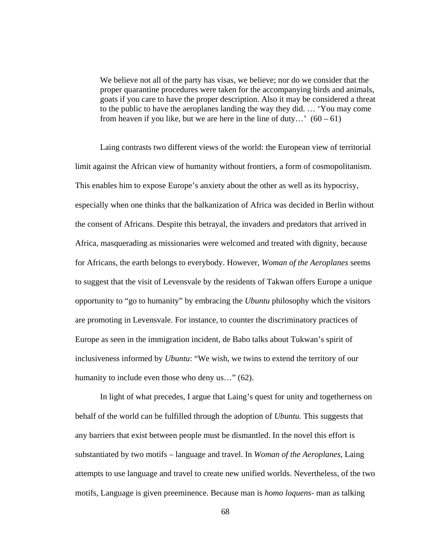We believe not all of the party has visas, we believe; nor do we consider that the proper quarantine procedures were taken for the accompanying birds and animals, goats if you care to have the proper description. Also it may be considered a threat to the public to have the aeroplanes landing the way they did. … 'You may come from heaven if you like, but we are here in the line of duty...'  $(60 - 61)$ 

Laing contrasts two different views of the world: the European view of territorial limit against the African view of humanity without frontiers, a form of cosmopolitanism. This enables him to expose Europe's anxiety about the other as well as its hypocrisy, especially when one thinks that the balkanization of Africa was decided in Berlin without the consent of Africans. Despite this betrayal, the invaders and predators that arrived in Africa, masquerading as missionaries were welcomed and treated with dignity, because for Africans, the earth belongs to everybody. However, *Woman of the Aeroplanes* seems to suggest that the visit of Levensvale by the residents of Takwan offers Europe a unique opportunity to "go to humanity" by embracing the *Ubuntu* philosophy which the visitors are promoting in Levensvale. For instance, to counter the discriminatory practices of Europe as seen in the immigration incident, de Babo talks about Tukwan's spirit of inclusiveness informed by *Ubuntu*: "We wish, we twins to extend the territory of our humanity to include even those who deny us..." (62).

In light of what precedes, I argue that Laing's quest for unity and togetherness on behalf of the world can be fulfilled through the adoption of *Ubuntu.* This suggests that any barriers that exist between people must be dismantled. In the novel this effort is substantiated by two motifs – language and travel. In *Woman of the Aeroplanes*, Laing attempts to use language and travel to create new unified worlds. Nevertheless, of the two motifs, Language is given preeminence. Because man is *homo loquens*- man as talking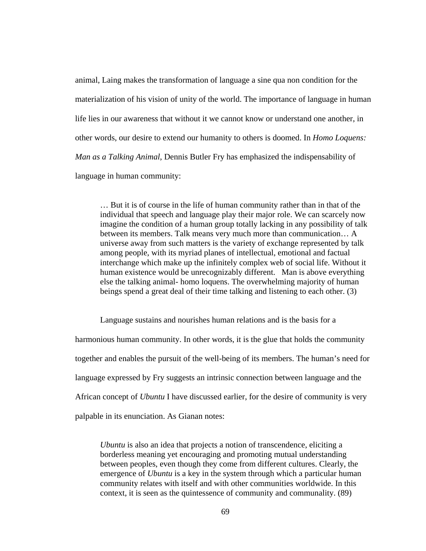animal, Laing makes the transformation of language a sine qua non condition for the materialization of his vision of unity of the world. The importance of language in human life lies in our awareness that without it we cannot know or understand one another, in other words, our desire to extend our humanity to others is doomed. In *Homo Loquens: Man as a Talking Animal*, Dennis Butler Fry has emphasized the indispensability of language in human community:

… But it is of course in the life of human community rather than in that of the individual that speech and language play their major role. We can scarcely now imagine the condition of a human group totally lacking in any possibility of talk between its members. Talk means very much more than communication… A universe away from such matters is the variety of exchange represented by talk among people, with its myriad planes of intellectual, emotional and factual interchange which make up the infinitely complex web of social life. Without it human existence would be unrecognizably different. Man is above everything else the talking animal- homo loquens. The overwhelming majority of human beings spend a great deal of their time talking and listening to each other. (3)

Language sustains and nourishes human relations and is the basis for a harmonious human community. In other words, it is the glue that holds the community together and enables the pursuit of the well-being of its members. The human's need for language expressed by Fry suggests an intrinsic connection between language and the African concept of *Ubuntu* I have discussed earlier, for the desire of community is very palpable in its enunciation. As Gianan notes:

*Ubuntu* is also an idea that projects a notion of transcendence, eliciting a borderless meaning yet encouraging and promoting mutual understanding between peoples, even though they come from different cultures. Clearly, the emergence of *Ubuntu* is a key in the system through which a particular human community relates with itself and with other communities worldwide. In this context, it is seen as the quintessence of community and communality. (89)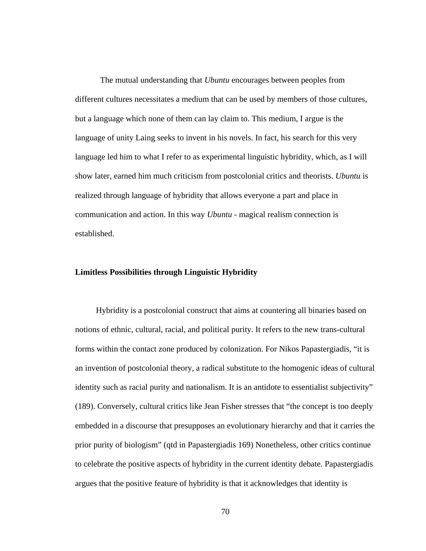The mutual understanding that *Ubuntu* encourages between peoples from different cultures necessitates a medium that can be used by members of those cultures, but a language which none of them can lay claim to. This medium, I argue is the language of unity Laing seeks to invent in his novels. In fact, his search for this very language led him to what I refer to as experimental linguistic hybridity, which, as I will show later, earned him much criticism from postcolonial critics and theorists. *Ubuntu* is realized through language of hybridity that allows everyone a part and place in communication and action. In this way *Ubuntu -* magical realism connection is established.

## **Limitless Possibilities through Linguistic Hybridity**

 Hybridity is a postcolonial construct that aims at countering all binaries based on notions of ethnic, cultural, racial, and political purity. It refers to the new trans-cultural forms within the contact zone produced by colonization. For Nikos Papastergiadis, "it is an invention of postcolonial theory, a radical substitute to the homogenic ideas of cultural identity such as racial purity and nationalism. It is an antidote to essentialist subjectivity" (189). Conversely, cultural critics like Jean Fisher stresses that "the concept is too deeply embedded in a discourse that presupposes an evolutionary hierarchy and that it carries the prior purity of biologism" (qtd in Papastergiadis 169) Nonetheless, other critics continue to celebrate the positive aspects of hybridity in the current identity debate. Papastergiadis argues that the positive feature of hybridity is that it acknowledges that identity is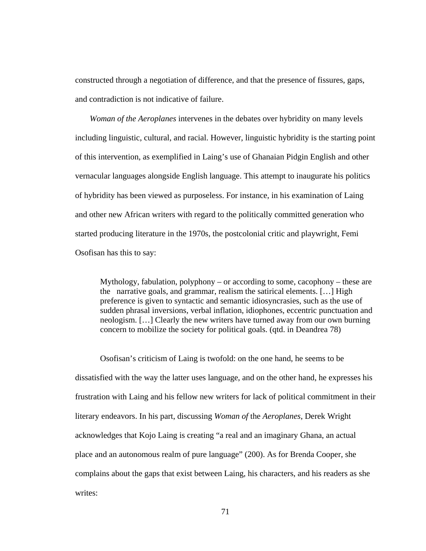constructed through a negotiation of difference, and that the presence of fissures, gaps, and contradiction is not indicative of failure.

 *Woman of the Aeroplanes* intervenes in the debates over hybridity on many levels including linguistic, cultural, and racial. However, linguistic hybridity is the starting point of this intervention, as exemplified in Laing's use of Ghanaian Pidgin English and other vernacular languages alongside English language. This attempt to inaugurate his politics of hybridity has been viewed as purposeless. For instance, in his examination of Laing and other new African writers with regard to the politically committed generation who started producing literature in the 1970s, the postcolonial critic and playwright, Femi Osofisan has this to say:

Mythology, fabulation, polyphony – or according to some, cacophony – these are the narrative goals, and grammar, realism the satirical elements. […] High preference is given to syntactic and semantic idiosyncrasies, such as the use of sudden phrasal inversions, verbal inflation, idiophones, eccentric punctuation and neologism. […] Clearly the new writers have turned away from our own burning concern to mobilize the society for political goals. (qtd. in Deandrea 78)

 Osofisan's criticism of Laing is twofold: on the one hand, he seems to be dissatisfied with the way the latter uses language, and on the other hand, he expresses his frustration with Laing and his fellow new writers for lack of political commitment in their literary endeavors. In his part, discussing *Woman of* the *Aeroplanes*, Derek Wright acknowledges that Kojo Laing is creating "a real and an imaginary Ghana, an actual place and an autonomous realm of pure language" (200). As for Brenda Cooper, she complains about the gaps that exist between Laing, his characters, and his readers as she writes: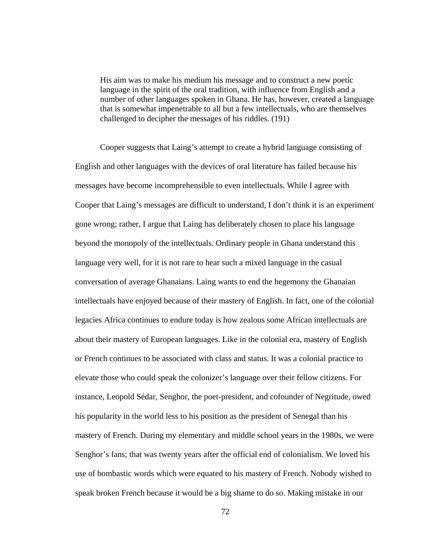His aim was to make his medium his message and to construct a new poetic language in the spirit of the oral tradition, with influence from English and a number of other languages spoken in Ghana. He has, however, created a language that is somewhat impenetrable to all but a few intellectuals, who are themselves challenged to decipher the messages of his riddles. (191)

 Cooper suggests that Laing's attempt to create a hybrid language consisting of English and other languages with the devices of oral literature has failed because his messages have become incomprehensible to even intellectuals. While I agree with Cooper that Laing's messages are difficult to understand, I don't think it is an experiment gone wrong; rather, I argue that Laing has deliberately chosen to place his language beyond the monopoly of the intellectuals. Ordinary people in Ghana understand this language very well, for it is not rare to hear such a mixed language in the casual conversation of average Ghanaians. Laing wants to end the hegemony the Ghanaian intellectuals have enjoyed because of their mastery of English. In fact, one of the colonial legacies Africa continues to endure today is how zealous some African intellectuals are about their mastery of European languages. Like in the colonial era, mastery of English or French continues to be associated with class and status. It was a colonial practice to elevate those who could speak the colonizer's language over their fellow citizens. For instance, Leopold Sédar, Senghor, the poet-president, and cofounder of Negritude, owed his popularity in the world less to his position as the president of Senegal than his mastery of French. During my elementary and middle school years in the 1980s, we were Senghor's fans; that was twenty years after the official end of colonialism. We loved his use of bombastic words which were equated to his mastery of French. Nobody wished to speak broken French because it would be a big shame to do so. Making mistake in our

72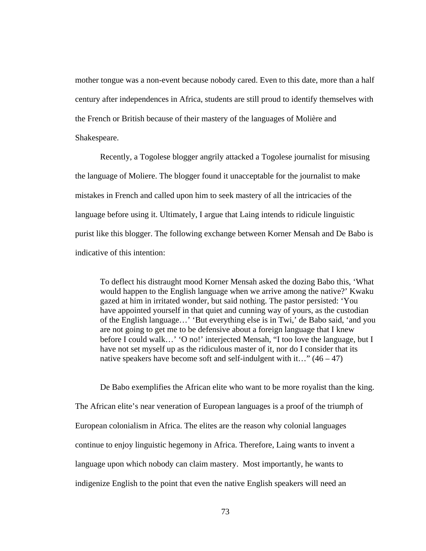mother tongue was a non-event because nobody cared. Even to this date, more than a half century after independences in Africa, students are still proud to identify themselves with the French or British because of their mastery of the languages of Molière and Shakespeare.

 Recently, a Togolese blogger angrily attacked a Togolese journalist for misusing the language of Moliere. The blogger found it unacceptable for the journalist to make mistakes in French and called upon him to seek mastery of all the intricacies of the language before using it. Ultimately, I argue that Laing intends to ridicule linguistic purist like this blogger. The following exchange between Korner Mensah and De Babo is indicative of this intention:

To deflect his distraught mood Korner Mensah asked the dozing Babo this, 'What would happen to the English language when we arrive among the native?' Kwaku gazed at him in irritated wonder, but said nothing. The pastor persisted: 'You have appointed yourself in that quiet and cunning way of yours, as the custodian of the English language…' 'But everything else is in Twi,' de Babo said, 'and you are not going to get me to be defensive about a foreign language that I knew before I could walk…' 'O no!' interjected Mensah, "I too love the language, but I have not set myself up as the ridiculous master of it, nor do I consider that its native speakers have become soft and self-indulgent with it…"  $(46 - 47)$ 

 De Babo exemplifies the African elite who want to be more royalist than the king. The African elite's near veneration of European languages is a proof of the triumph of European colonialism in Africa. The elites are the reason why colonial languages continue to enjoy linguistic hegemony in Africa. Therefore, Laing wants to invent a language upon which nobody can claim mastery. Most importantly, he wants to indigenize English to the point that even the native English speakers will need an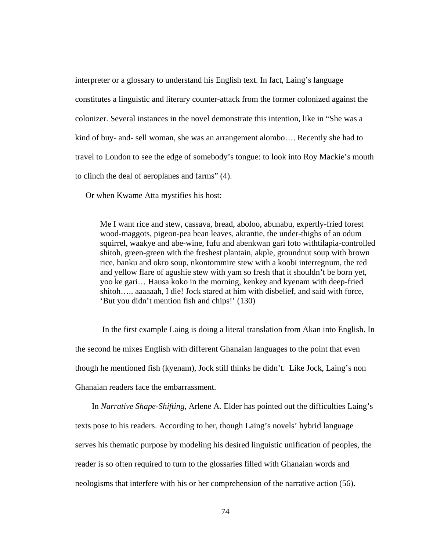interpreter or a glossary to understand his English text. In fact, Laing's language constitutes a linguistic and literary counter-attack from the former colonized against the colonizer. Several instances in the novel demonstrate this intention, like in "She was a kind of buy- and- sell woman, she was an arrangement alombo…. Recently she had to travel to London to see the edge of somebody's tongue: to look into Roy Mackie's mouth to clinch the deal of aeroplanes and farms" (4).

Or when Kwame Atta mystifies his host:

Me I want rice and stew, cassava, bread, aboloo, abunabu, expertly-fried forest wood-maggots, pigeon-pea bean leaves, akrantie, the under-thighs of an odum squirrel, waakye and abe-wine, fufu and abenkwan gari foto withtilapia-controlled shitoh, green-green with the freshest plantain, akple, groundnut soup with brown rice, banku and okro soup, nkontommire stew with a koobi interregnum, the red and yellow flare of agushie stew with yam so fresh that it shouldn't be born yet, yoo ke gari… Hausa koko in the morning, kenkey and kyenam with deep-fried shitoh….. aaaaaah, I die! Jock stared at him with disbelief, and said with force, 'But you didn't mention fish and chips!' (130)

 In the first example Laing is doing a literal translation from Akan into English. In the second he mixes English with different Ghanaian languages to the point that even though he mentioned fish (kyenam), Jock still thinks he didn't. Like Jock, Laing's non Ghanaian readers face the embarrassment.

 In *Narrative Shape-Shifting*, Arlene A. Elder has pointed out the difficulties Laing's texts pose to his readers. According to her, though Laing's novels' hybrid language serves his thematic purpose by modeling his desired linguistic unification of peoples, the reader is so often required to turn to the glossaries filled with Ghanaian words and neologisms that interfere with his or her comprehension of the narrative action (56).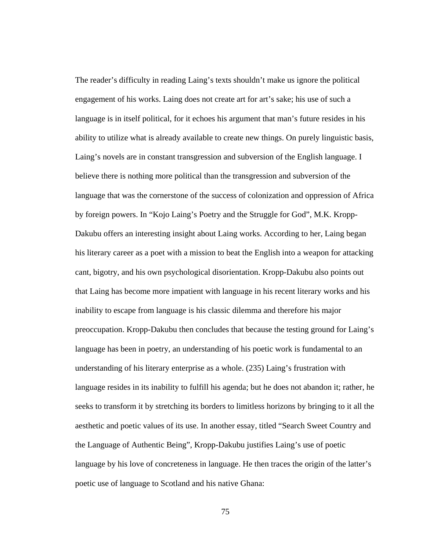The reader's difficulty in reading Laing's texts shouldn't make us ignore the political engagement of his works. Laing does not create art for art's sake; his use of such a language is in itself political, for it echoes his argument that man's future resides in his ability to utilize what is already available to create new things. On purely linguistic basis, Laing's novels are in constant transgression and subversion of the English language. I believe there is nothing more political than the transgression and subversion of the language that was the cornerstone of the success of colonization and oppression of Africa by foreign powers. In "Kojo Laing's Poetry and the Struggle for God", M.K. Kropp-Dakubu offers an interesting insight about Laing works. According to her, Laing began his literary career as a poet with a mission to beat the English into a weapon for attacking cant, bigotry, and his own psychological disorientation. Kropp-Dakubu also points out that Laing has become more impatient with language in his recent literary works and his inability to escape from language is his classic dilemma and therefore his major preoccupation. Kropp-Dakubu then concludes that because the testing ground for Laing's language has been in poetry, an understanding of his poetic work is fundamental to an understanding of his literary enterprise as a whole. (235) Laing's frustration with language resides in its inability to fulfill his agenda; but he does not abandon it; rather, he seeks to transform it by stretching its borders to limitless horizons by bringing to it all the aesthetic and poetic values of its use. In another essay, titled "Search Sweet Country and the Language of Authentic Being", Kropp-Dakubu justifies Laing's use of poetic language by his love of concreteness in language. He then traces the origin of the latter's poetic use of language to Scotland and his native Ghana:

75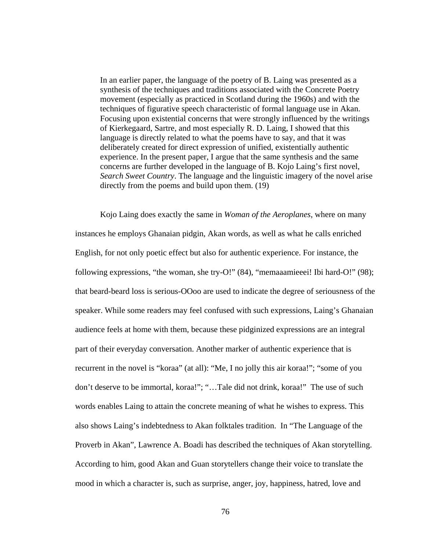In an earlier paper, the language of the poetry of B. Laing was presented as a synthesis of the techniques and traditions associated with the Concrete Poetry movement (especially as practiced in Scotland during the 1960s) and with the techniques of figurative speech characteristic of formal language use in Akan. Focusing upon existential concerns that were strongly influenced by the writings of Kierkegaard, Sartre, and most especially R. D. Laing, I showed that this language is directly related to what the poems have to say, and that it was deliberately created for direct expression of unified, existentially authentic experience. In the present paper, I argue that the same synthesis and the same concerns are further developed in the language of B. Kojo Laing's first novel, *Search Sweet Country*. The language and the linguistic imagery of the novel arise directly from the poems and build upon them. (19)

 Kojo Laing does exactly the same in *Woman of the Aeroplanes*, where on many instances he employs Ghanaian pidgin, Akan words, as well as what he calls enriched English, for not only poetic effect but also for authentic experience. For instance, the following expressions, "the woman, she try-O!" (84), "memaaamieeei! Ibi hard-O!" (98); that beard-beard loss is serious-OOoo are used to indicate the degree of seriousness of the speaker. While some readers may feel confused with such expressions, Laing's Ghanaian audience feels at home with them, because these pidginized expressions are an integral part of their everyday conversation. Another marker of authentic experience that is recurrent in the novel is "koraa" (at all): "Me, I no jolly this air koraa!"; "some of you don't deserve to be immortal, koraa!"; "…Tale did not drink, koraa!" The use of such words enables Laing to attain the concrete meaning of what he wishes to express. This also shows Laing's indebtedness to Akan folktales tradition. In "The Language of the Proverb in Akan", Lawrence A. Boadi has described the techniques of Akan storytelling. According to him, good Akan and Guan storytellers change their voice to translate the mood in which a character is, such as surprise, anger, joy, happiness, hatred, love and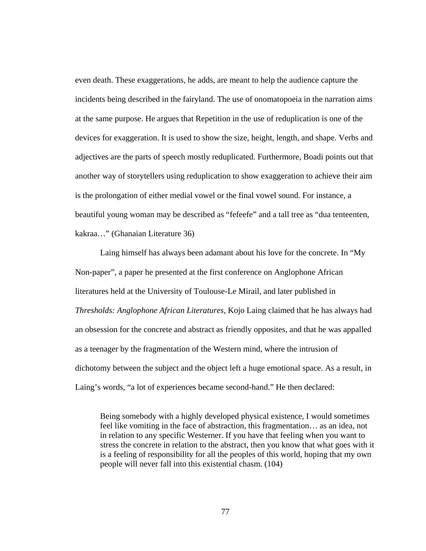even death. These exaggerations, he adds, are meant to help the audience capture the incidents being described in the fairyland. The use of onomatopoeia in the narration aims at the same purpose. He argues that Repetition in the use of reduplication is one of the devices for exaggeration. It is used to show the size, height, length, and shape. Verbs and adjectives are the parts of speech mostly reduplicated. Furthermore, Boadi points out that another way of storytellers using reduplication to show exaggeration to achieve their aim is the prolongation of either medial vowel or the final vowel sound. For instance, a beautiful young woman may be described as "fefeefe" and a tall tree as "dua tenteenten, kakraa…" (Ghanaian Literature 36)

 Laing himself has always been adamant about his love for the concrete. In "My Non-paper", a paper he presented at the first conference on Anglophone African literatures held at the University of Toulouse-Le Mirail, and later published in *Thresholds: Anglophone African Literatures*, Kojo Laing claimed that he has always had an obsession for the concrete and abstract as friendly opposites, and that he was appalled as a teenager by the fragmentation of the Western mind, where the intrusion of dichotomy between the subject and the object left a huge emotional space. As a result, in Laing's words, "a lot of experiences became second-hand." He then declared:

Being somebody with a highly developed physical existence, I would sometimes feel like vomiting in the face of abstraction, this fragmentation… as an idea, not in relation to any specific Westerner. If you have that feeling when you want to stress the concrete in relation to the abstract, then you know that what goes with it is a feeling of responsibility for all the peoples of this world, hoping that my own people will never fall into this existential chasm. (104)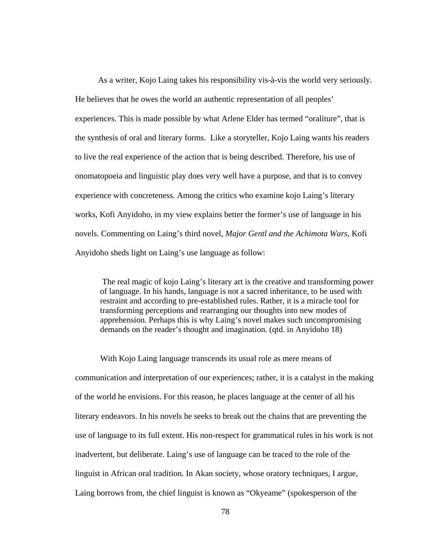As a writer, Kojo Laing takes his responsibility vis-à-vis the world very seriously. He believes that he owes the world an authentic representation of all peoples' experiences. This is made possible by what Arlene Elder has termed "oraliture", that is the synthesis of oral and literary forms. Like a storyteller, Kojo Laing wants his readers to live the real experience of the action that is being described. Therefore, his use of onomatopoeia and linguistic play does very well have a purpose, and that is to convey experience with concreteness. Among the critics who examine kojo Laing's literary works, Kofi Anyidoho, in my view explains better the former's use of language in his novels. Commenting on Laing's third novel, *Major Gentl and the Achimota Wars*, Kofi Anyidoho sheds light on Laing's use language as follow:

The real magic of kojo Laing's literary art is the creative and transforming power of language. In his hands, language is not a sacred inheritance, to be used with restraint and according to pre-established rules. Rather, it is a miracle tool for transforming perceptions and rearranging our thoughts into new modes of apprehension. Perhaps this is why Laing's novel makes such uncompromising demands on the reader's thought and imagination. (qtd. in Anyidoho 18)

 With Kojo Laing language transcends its usual role as mere means of communication and interpretation of our experiences; rather, it is a catalyst in the making of the world he envisions. For this reason, he places language at the center of all his literary endeavors. In his novels he seeks to break out the chains that are preventing the use of language to its full extent. His non-respect for grammatical rules in his work is not inadvertent, but deliberate. Laing's use of language can be traced to the role of the linguist in African oral tradition. In Akan society, whose oratory techniques, I argue, Laing borrows from, the chief linguist is known as "Okyeame" (spokesperson of the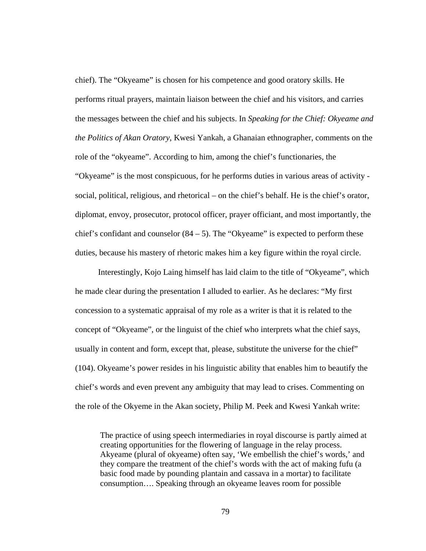chief). The "Okyeame" is chosen for his competence and good oratory skills. He performs ritual prayers, maintain liaison between the chief and his visitors, and carries the messages between the chief and his subjects. In *Speaking for the Chief: Okyeame and the Politics of Akan Oratory*, Kwesi Yankah, a Ghanaian ethnographer, comments on the role of the "okyeame". According to him, among the chief's functionaries, the "Okyeame" is the most conspicuous, for he performs duties in various areas of activity social, political, religious, and rhetorical – on the chief's behalf. He is the chief's orator, diplomat, envoy, prosecutor, protocol officer, prayer officiant, and most importantly, the chief's confidant and counselor  $(84 – 5)$ . The "Okyeame" is expected to perform these duties, because his mastery of rhetoric makes him a key figure within the royal circle.

 Interestingly, Kojo Laing himself has laid claim to the title of "Okyeame", which he made clear during the presentation I alluded to earlier. As he declares: "My first concession to a systematic appraisal of my role as a writer is that it is related to the concept of "Okyeame", or the linguist of the chief who interprets what the chief says, usually in content and form, except that, please, substitute the universe for the chief" (104). Okyeame's power resides in his linguistic ability that enables him to beautify the chief's words and even prevent any ambiguity that may lead to crises. Commenting on the role of the Okyeme in the Akan society, Philip M. Peek and Kwesi Yankah write:

The practice of using speech intermediaries in royal discourse is partly aimed at creating opportunities for the flowering of language in the relay process. Akyeame (plural of okyeame) often say, 'We embellish the chief's words,' and they compare the treatment of the chief's words with the act of making fufu (a basic food made by pounding plantain and cassava in a mortar) to facilitate consumption…. Speaking through an okyeame leaves room for possible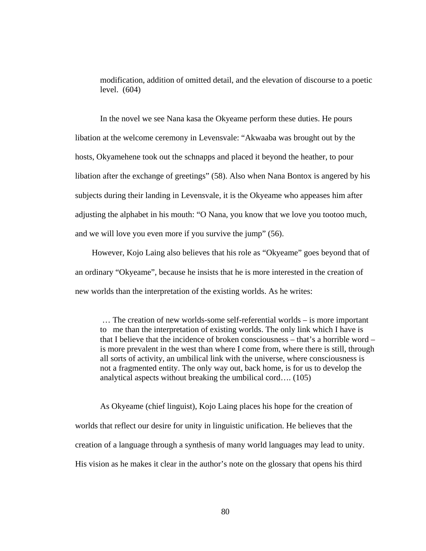modification, addition of omitted detail, and the elevation of discourse to a poetic level. (604)

 In the novel we see Nana kasa the Okyeame perform these duties. He pours libation at the welcome ceremony in Levensvale: "Akwaaba was brought out by the hosts, Okyamehene took out the schnapps and placed it beyond the heather, to pour libation after the exchange of greetings" (58). Also when Nana Bontox is angered by his subjects during their landing in Levensvale, it is the Okyeame who appeases him after adjusting the alphabet in his mouth: "O Nana, you know that we love you tootoo much, and we will love you even more if you survive the jump" (56).

 However, Kojo Laing also believes that his role as "Okyeame" goes beyond that of an ordinary "Okyeame", because he insists that he is more interested in the creation of new worlds than the interpretation of the existing worlds. As he writes:

… The creation of new worlds-some self-referential worlds – is more important to me than the interpretation of existing worlds. The only link which I have is that I believe that the incidence of broken consciousness – that's a horrible word – is more prevalent in the west than where I come from, where there is still, through all sorts of activity, an umbilical link with the universe, where consciousness is not a fragmented entity. The only way out, back home, is for us to develop the analytical aspects without breaking the umbilical cord…. (105)

 As Okyeame (chief linguist), Kojo Laing places his hope for the creation of worlds that reflect our desire for unity in linguistic unification. He believes that the creation of a language through a synthesis of many world languages may lead to unity. His vision as he makes it clear in the author's note on the glossary that opens his third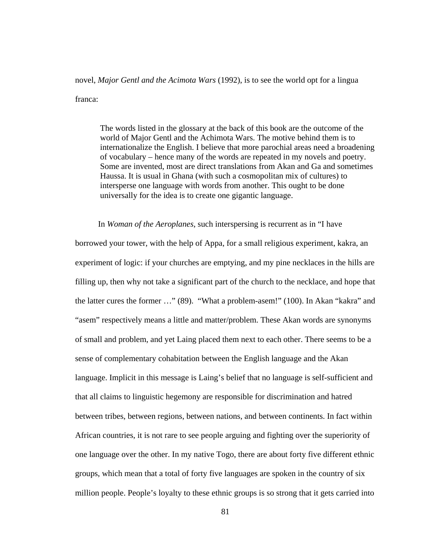novel, *Major Gentl and the Acimota Wars* (1992), is to see the world opt for a lingua franca:

The words listed in the glossary at the back of this book are the outcome of the world of Major Gentl and the Achimota Wars. The motive behind them is to internationalize the English. I believe that more parochial areas need a broadening of vocabulary – hence many of the words are repeated in my novels and poetry. Some are invented, most are direct translations from Akan and Ga and sometimes Haussa. It is usual in Ghana (with such a cosmopolitan mix of cultures) to intersperse one language with words from another. This ought to be done universally for the idea is to create one gigantic language.

In *Woman of the Aeroplanes*, such interspersing is recurrent as in "I have

borrowed your tower, with the help of Appa, for a small religious experiment, kakra, an experiment of logic: if your churches are emptying, and my pine necklaces in the hills are filling up, then why not take a significant part of the church to the necklace, and hope that the latter cures the former …" (89). "What a problem-asem!" (100). In Akan "kakra" and "asem" respectively means a little and matter/problem. These Akan words are synonyms of small and problem, and yet Laing placed them next to each other. There seems to be a sense of complementary cohabitation between the English language and the Akan language. Implicit in this message is Laing's belief that no language is self-sufficient and that all claims to linguistic hegemony are responsible for discrimination and hatred between tribes, between regions, between nations, and between continents. In fact within African countries, it is not rare to see people arguing and fighting over the superiority of one language over the other. In my native Togo, there are about forty five different ethnic groups, which mean that a total of forty five languages are spoken in the country of six million people. People's loyalty to these ethnic groups is so strong that it gets carried into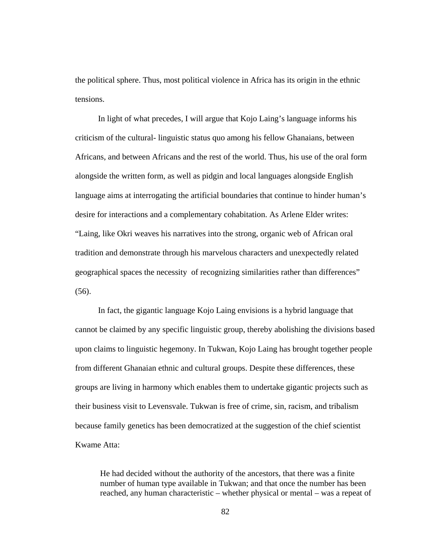the political sphere. Thus, most political violence in Africa has its origin in the ethnic tensions.

 In light of what precedes, I will argue that Kojo Laing's language informs his criticism of the cultural- linguistic status quo among his fellow Ghanaians, between Africans, and between Africans and the rest of the world. Thus, his use of the oral form alongside the written form, as well as pidgin and local languages alongside English language aims at interrogating the artificial boundaries that continue to hinder human's desire for interactions and a complementary cohabitation. As Arlene Elder writes: "Laing, like Okri weaves his narratives into the strong, organic web of African oral tradition and demonstrate through his marvelous characters and unexpectedly related geographical spaces the necessity of recognizing similarities rather than differences" (56).

 In fact, the gigantic language Kojo Laing envisions is a hybrid language that cannot be claimed by any specific linguistic group, thereby abolishing the divisions based upon claims to linguistic hegemony. In Tukwan, Kojo Laing has brought together people from different Ghanaian ethnic and cultural groups. Despite these differences, these groups are living in harmony which enables them to undertake gigantic projects such as their business visit to Levensvale. Tukwan is free of crime, sin, racism, and tribalism because family genetics has been democratized at the suggestion of the chief scientist Kwame Atta:

He had decided without the authority of the ancestors, that there was a finite number of human type available in Tukwan; and that once the number has been reached, any human characteristic – whether physical or mental – was a repeat of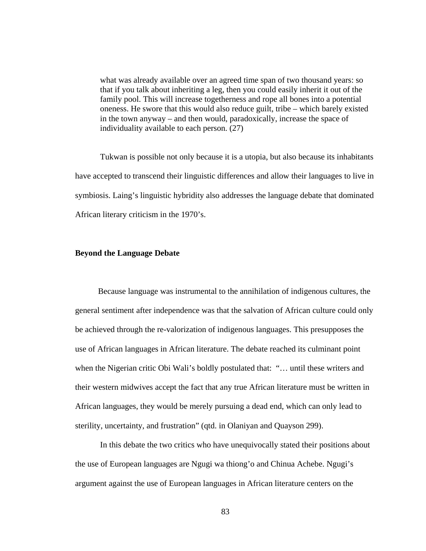what was already available over an agreed time span of two thousand years: so that if you talk about inheriting a leg, then you could easily inherit it out of the family pool. This will increase togetherness and rope all bones into a potential oneness. He swore that this would also reduce guilt, tribe – which barely existed in the town anyway – and then would, paradoxically, increase the space of individuality available to each person. (27)

 Tukwan is possible not only because it is a utopia, but also because its inhabitants have accepted to transcend their linguistic differences and allow their languages to live in symbiosis. Laing's linguistic hybridity also addresses the language debate that dominated African literary criticism in the 1970's.

## **Beyond the Language Debate**

 Because language was instrumental to the annihilation of indigenous cultures, the general sentiment after independence was that the salvation of African culture could only be achieved through the re-valorization of indigenous languages. This presupposes the use of African languages in African literature. The debate reached its culminant point when the Nigerian critic Obi Wali's boldly postulated that: "… until these writers and their western midwives accept the fact that any true African literature must be written in African languages, they would be merely pursuing a dead end, which can only lead to sterility, uncertainty, and frustration" (qtd. in Olaniyan and Quayson 299).

In this debate the two critics who have unequivocally stated their positions about the use of European languages are Ngugi wa thiong'o and Chinua Achebe. Ngugi's argument against the use of European languages in African literature centers on the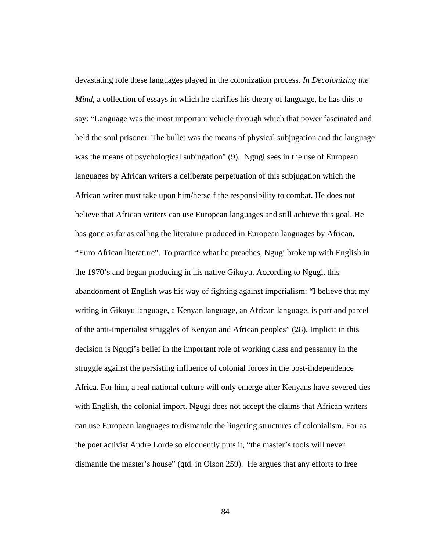devastating role these languages played in the colonization process. *In Decolonizing the Mind*, a collection of essays in which he clarifies his theory of language, he has this to say: "Language was the most important vehicle through which that power fascinated and held the soul prisoner. The bullet was the means of physical subjugation and the language was the means of psychological subjugation" (9). Ngugi sees in the use of European languages by African writers a deliberate perpetuation of this subjugation which the African writer must take upon him/herself the responsibility to combat. He does not believe that African writers can use European languages and still achieve this goal. He has gone as far as calling the literature produced in European languages by African, "Euro African literature". To practice what he preaches, Ngugi broke up with English in the 1970's and began producing in his native Gikuyu. According to Ngugi, this abandonment of English was his way of fighting against imperialism: "I believe that my writing in Gikuyu language, a Kenyan language, an African language, is part and parcel of the anti-imperialist struggles of Kenyan and African peoples" (28). Implicit in this decision is Ngugi's belief in the important role of working class and peasantry in the struggle against the persisting influence of colonial forces in the post-independence Africa. For him, a real national culture will only emerge after Kenyans have severed ties with English, the colonial import. Ngugi does not accept the claims that African writers can use European languages to dismantle the lingering structures of colonialism. For as the poet activist Audre Lorde so eloquently puts it, "the master's tools will never dismantle the master's house" (qtd. in Olson 259). He argues that any efforts to free

84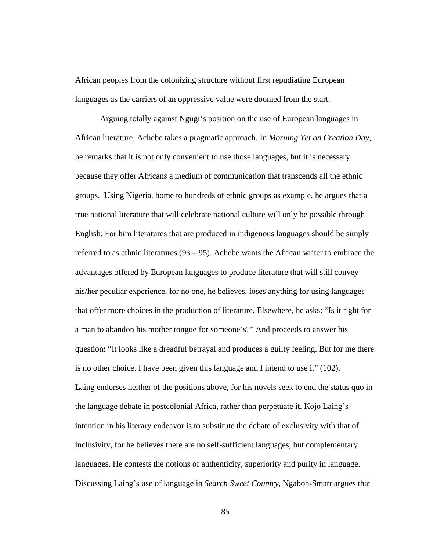African peoples from the colonizing structure without first repudiating European languages as the carriers of an oppressive value were doomed from the start.

Arguing totally against Ngugi's position on the use of European languages in African literature, Achebe takes a pragmatic approach. In *Morning Yet on Creation Day*, he remarks that it is not only convenient to use those languages, but it is necessary because they offer Africans a medium of communication that transcends all the ethnic groups. Using Nigeria, home to hundreds of ethnic groups as example, he argues that a true national literature that will celebrate national culture will only be possible through English. For him literatures that are produced in indigenous languages should be simply referred to as ethnic literatures (93 – 95). Achebe wants the African writer to embrace the advantages offered by European languages to produce literature that will still convey his/her peculiar experience, for no one, he believes, loses anything for using languages that offer more choices in the production of literature. Elsewhere, he asks: "Is it right for a man to abandon his mother tongue for someone's?" And proceeds to answer his question: "It looks like a dreadful betrayal and produces a guilty feeling. But for me there is no other choice. I have been given this language and I intend to use it" (102). Laing endorses neither of the positions above, for his novels seek to end the status quo in the language debate in postcolonial Africa, rather than perpetuate it. Kojo Laing's intention in his literary endeavor is to substitute the debate of exclusivity with that of inclusivity, for he believes there are no self-sufficient languages, but complementary languages. He contests the notions of authenticity, superiority and purity in language. Discussing Laing's use of language in *Search Sweet Country*, Ngaboh-Smart argues that

85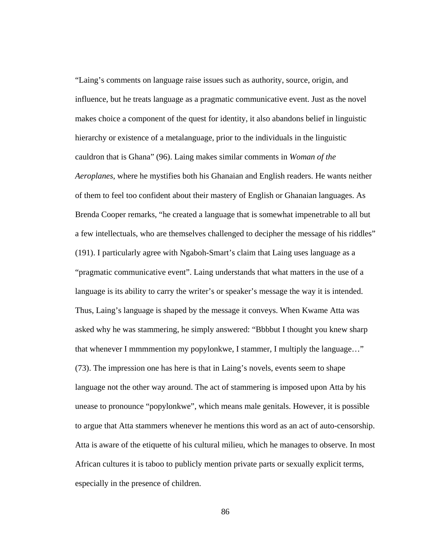"Laing's comments on language raise issues such as authority, source, origin, and influence, but he treats language as a pragmatic communicative event. Just as the novel makes choice a component of the quest for identity, it also abandons belief in linguistic hierarchy or existence of a metalanguage, prior to the individuals in the linguistic cauldron that is Ghana" (96). Laing makes similar comments in *Woman of the Aeroplanes*, where he mystifies both his Ghanaian and English readers. He wants neither of them to feel too confident about their mastery of English or Ghanaian languages. As Brenda Cooper remarks, "he created a language that is somewhat impenetrable to all but a few intellectuals, who are themselves challenged to decipher the message of his riddles" (191). I particularly agree with Ngaboh-Smart's claim that Laing uses language as a "pragmatic communicative event". Laing understands that what matters in the use of a language is its ability to carry the writer's or speaker's message the way it is intended. Thus, Laing's language is shaped by the message it conveys. When Kwame Atta was asked why he was stammering, he simply answered: "Bbbbut I thought you knew sharp that whenever I mmmmention my popylonkwe, I stammer, I multiply the language…" (73). The impression one has here is that in Laing's novels, events seem to shape language not the other way around. The act of stammering is imposed upon Atta by his unease to pronounce "popylonkwe", which means male genitals. However, it is possible to argue that Atta stammers whenever he mentions this word as an act of auto-censorship. Atta is aware of the etiquette of his cultural milieu, which he manages to observe. In most African cultures it is taboo to publicly mention private parts or sexually explicit terms, especially in the presence of children.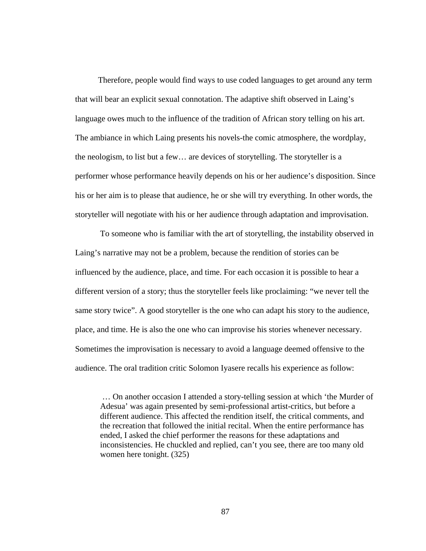Therefore, people would find ways to use coded languages to get around any term that will bear an explicit sexual connotation. The adaptive shift observed in Laing's language owes much to the influence of the tradition of African story telling on his art. The ambiance in which Laing presents his novels-the comic atmosphere, the wordplay, the neologism, to list but a few… are devices of storytelling. The storyteller is a performer whose performance heavily depends on his or her audience's disposition. Since his or her aim is to please that audience, he or she will try everything. In other words, the storyteller will negotiate with his or her audience through adaptation and improvisation.

To someone who is familiar with the art of storytelling, the instability observed in Laing's narrative may not be a problem, because the rendition of stories can be influenced by the audience, place, and time. For each occasion it is possible to hear a different version of a story; thus the storyteller feels like proclaiming: "we never tell the same story twice". A good storyteller is the one who can adapt his story to the audience, place, and time. He is also the one who can improvise his stories whenever necessary. Sometimes the improvisation is necessary to avoid a language deemed offensive to the audience. The oral tradition critic Solomon Iyasere recalls his experience as follow:

… On another occasion I attended a story-telling session at which 'the Murder of Adesua' was again presented by semi-professional artist-critics, but before a different audience. This affected the rendition itself, the critical comments, and the recreation that followed the initial recital. When the entire performance has ended, I asked the chief performer the reasons for these adaptations and inconsistencies. He chuckled and replied, can't you see, there are too many old women here tonight. (325)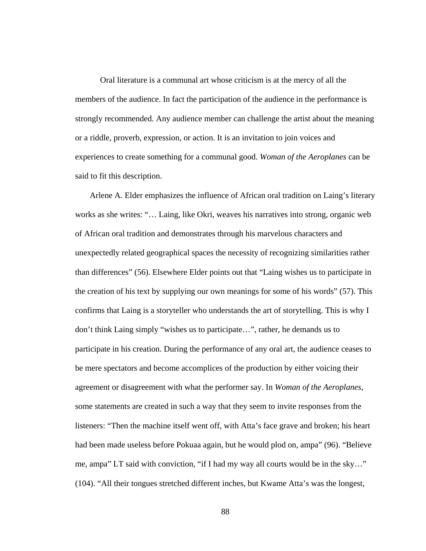Oral literature is a communal art whose criticism is at the mercy of all the members of the audience. In fact the participation of the audience in the performance is strongly recommended. Any audience member can challenge the artist about the meaning or a riddle, proverb, expression, or action. It is an invitation to join voices and experiences to create something for a communal good. *Woman of the Aeroplanes* can be said to fit this description.

 Arlene A. Elder emphasizes the influence of African oral tradition on Laing's literary works as she writes: "… Laing, like Okri, weaves his narratives into strong, organic web of African oral tradition and demonstrates through his marvelous characters and unexpectedly related geographical spaces the necessity of recognizing similarities rather than differences" (56). Elsewhere Elder points out that "Laing wishes us to participate in the creation of his text by supplying our own meanings for some of his words" (57). This confirms that Laing is a storyteller who understands the art of storytelling. This is why I don't think Laing simply "wishes us to participate…", rather, he demands us to participate in his creation. During the performance of any oral art, the audience ceases to be mere spectators and become accomplices of the production by either voicing their agreement or disagreement with what the performer say. In *Woman of the Aeroplanes*, some statements are created in such a way that they seem to invite responses from the listeners: "Then the machine itself went off, with Atta's face grave and broken; his heart had been made useless before Pokuaa again, but he would plod on, ampa" (96). "Believe me, ampa" LT said with conviction, "if I had my way all courts would be in the sky…" (104). "All their tongues stretched different inches, but Kwame Atta's was the longest,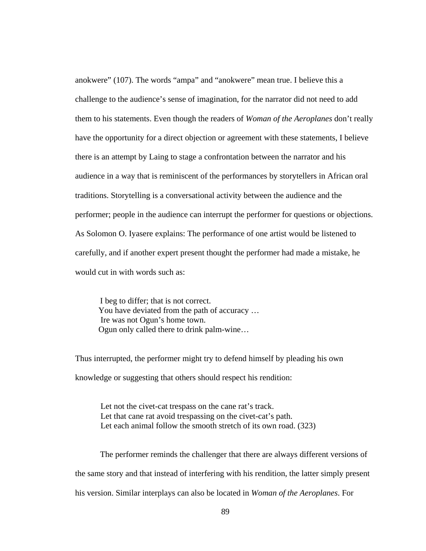anokwere" (107). The words "ampa" and "anokwere" mean true. I believe this a challenge to the audience's sense of imagination, for the narrator did not need to add them to his statements. Even though the readers of *Woman of the Aeroplanes* don't really have the opportunity for a direct objection or agreement with these statements, I believe there is an attempt by Laing to stage a confrontation between the narrator and his audience in a way that is reminiscent of the performances by storytellers in African oral traditions. Storytelling is a conversational activity between the audience and the performer; people in the audience can interrupt the performer for questions or objections. As Solomon O. Iyasere explains: The performance of one artist would be listened to carefully, and if another expert present thought the performer had made a mistake, he would cut in with words such as:

I beg to differ; that is not correct. You have deviated from the path of accuracy … Ire was not Ogun's home town. Ogun only called there to drink palm-wine…

Thus interrupted, the performer might try to defend himself by pleading his own knowledge or suggesting that others should respect his rendition:

 Let not the civet-cat trespass on the cane rat's track. Let that cane rat avoid trespassing on the civet-cat's path. Let each animal follow the smooth stretch of its own road. (323)

 The performer reminds the challenger that there are always different versions of the same story and that instead of interfering with his rendition, the latter simply present his version. Similar interplays can also be located in *Woman of the Aeroplanes*. For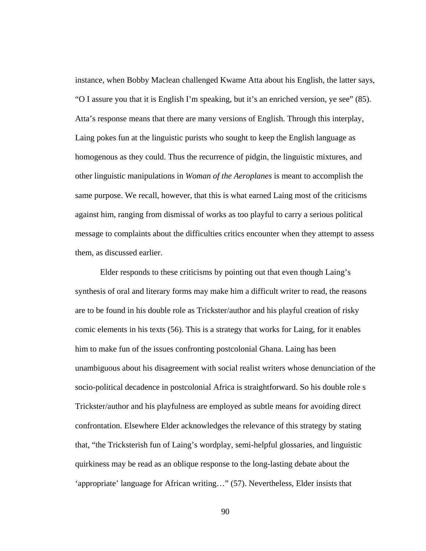instance, when Bobby Maclean challenged Kwame Atta about his English, the latter says, "O I assure you that it is English I'm speaking, but it's an enriched version, ye see" (85). Atta's response means that there are many versions of English. Through this interplay, Laing pokes fun at the linguistic purists who sought to keep the English language as homogenous as they could. Thus the recurrence of pidgin, the linguistic mixtures, and other linguistic manipulations in *Woman of the Aeroplanes* is meant to accomplish the same purpose. We recall, however, that this is what earned Laing most of the criticisms against him, ranging from dismissal of works as too playful to carry a serious political message to complaints about the difficulties critics encounter when they attempt to assess them, as discussed earlier.

 Elder responds to these criticisms by pointing out that even though Laing's synthesis of oral and literary forms may make him a difficult writer to read, the reasons are to be found in his double role as Trickster/author and his playful creation of risky comic elements in his texts (56). This is a strategy that works for Laing, for it enables him to make fun of the issues confronting postcolonial Ghana. Laing has been unambiguous about his disagreement with social realist writers whose denunciation of the socio-political decadence in postcolonial Africa is straightforward. So his double role s Trickster/author and his playfulness are employed as subtle means for avoiding direct confrontation. Elsewhere Elder acknowledges the relevance of this strategy by stating that, "the Tricksterish fun of Laing's wordplay, semi-helpful glossaries, and linguistic quirkiness may be read as an oblique response to the long-lasting debate about the 'appropriate' language for African writing…" (57). Nevertheless, Elder insists that

90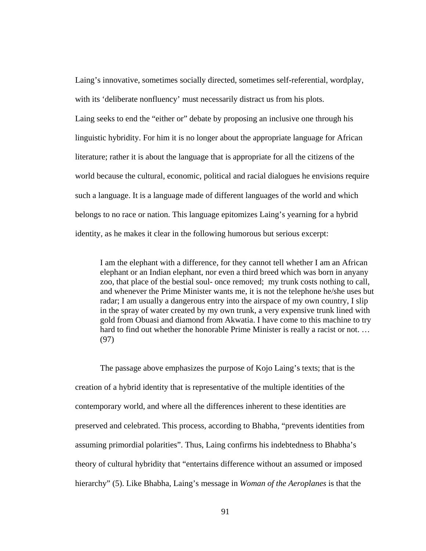Laing's innovative, sometimes socially directed, sometimes self-referential, wordplay, with its 'deliberate nonfluency' must necessarily distract us from his plots. Laing seeks to end the "either or" debate by proposing an inclusive one through his linguistic hybridity. For him it is no longer about the appropriate language for African literature; rather it is about the language that is appropriate for all the citizens of the world because the cultural, economic, political and racial dialogues he envisions require such a language. It is a language made of different languages of the world and which belongs to no race or nation. This language epitomizes Laing's yearning for a hybrid identity, as he makes it clear in the following humorous but serious excerpt:

I am the elephant with a difference, for they cannot tell whether I am an African elephant or an Indian elephant, nor even a third breed which was born in anyany zoo, that place of the bestial soul- once removed; my trunk costs nothing to call, and whenever the Prime Minister wants me, it is not the telephone he/she uses but radar; I am usually a dangerous entry into the airspace of my own country, I slip in the spray of water created by my own trunk, a very expensive trunk lined with gold from Obuasi and diamond from Akwatia. I have come to this machine to try hard to find out whether the honorable Prime Minister is really a racist or not. … (97)

 The passage above emphasizes the purpose of Kojo Laing's texts; that is the creation of a hybrid identity that is representative of the multiple identities of the contemporary world, and where all the differences inherent to these identities are preserved and celebrated. This process, according to Bhabha, "prevents identities from assuming primordial polarities". Thus, Laing confirms his indebtedness to Bhabha's theory of cultural hybridity that "entertains difference without an assumed or imposed hierarchy" (5). Like Bhabha, Laing's message in *Woman of the Aeroplanes* is that the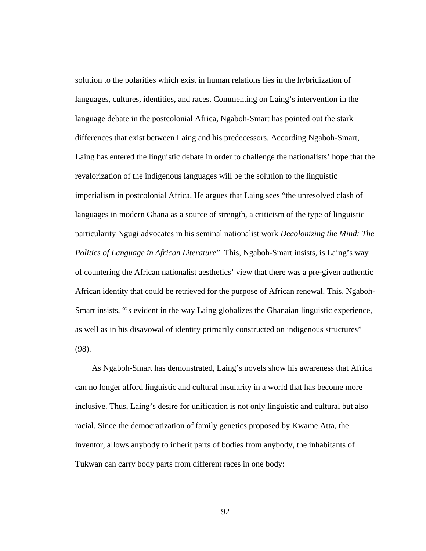solution to the polarities which exist in human relations lies in the hybridization of languages, cultures, identities, and races. Commenting on Laing's intervention in the language debate in the postcolonial Africa, Ngaboh-Smart has pointed out the stark differences that exist between Laing and his predecessors. According Ngaboh-Smart, Laing has entered the linguistic debate in order to challenge the nationalists' hope that the revalorization of the indigenous languages will be the solution to the linguistic imperialism in postcolonial Africa. He argues that Laing sees "the unresolved clash of languages in modern Ghana as a source of strength, a criticism of the type of linguistic particularity Ngugi advocates in his seminal nationalist work *Decolonizing the Mind: The Politics of Language in African Literature*". This, Ngaboh-Smart insists, is Laing's way of countering the African nationalist aesthetics' view that there was a pre-given authentic African identity that could be retrieved for the purpose of African renewal. This, Ngaboh-Smart insists, "is evident in the way Laing globalizes the Ghanaian linguistic experience, as well as in his disavowal of identity primarily constructed on indigenous structures" (98).

 As Ngaboh-Smart has demonstrated, Laing's novels show his awareness that Africa can no longer afford linguistic and cultural insularity in a world that has become more inclusive. Thus, Laing's desire for unification is not only linguistic and cultural but also racial. Since the democratization of family genetics proposed by Kwame Atta, the inventor, allows anybody to inherit parts of bodies from anybody, the inhabitants of Tukwan can carry body parts from different races in one body:

92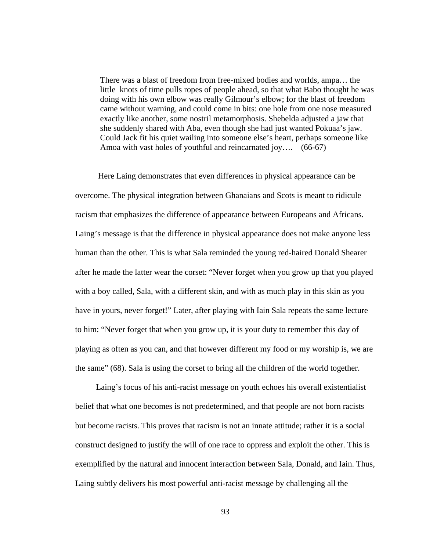There was a blast of freedom from free-mixed bodies and worlds, ampa… the little knots of time pulls ropes of people ahead, so that what Babo thought he was doing with his own elbow was really Gilmour's elbow; for the blast of freedom came without warning, and could come in bits: one hole from one nose measured exactly like another, some nostril metamorphosis. Shebelda adjusted a jaw that she suddenly shared with Aba, even though she had just wanted Pokuaa's jaw. Could Jack fit his quiet wailing into someone else's heart, perhaps someone like Amoa with vast holes of youthful and reincarnated joy.... (66-67)

 Here Laing demonstrates that even differences in physical appearance can be overcome. The physical integration between Ghanaians and Scots is meant to ridicule racism that emphasizes the difference of appearance between Europeans and Africans. Laing's message is that the difference in physical appearance does not make anyone less human than the other. This is what Sala reminded the young red-haired Donald Shearer after he made the latter wear the corset: "Never forget when you grow up that you played with a boy called, Sala, with a different skin, and with as much play in this skin as you have in yours, never forget!" Later, after playing with Iain Sala repeats the same lecture to him: "Never forget that when you grow up, it is your duty to remember this day of playing as often as you can, and that however different my food or my worship is, we are the same" (68). Sala is using the corset to bring all the children of the world together.

 Laing's focus of his anti-racist message on youth echoes his overall existentialist belief that what one becomes is not predetermined, and that people are not born racists but become racists. This proves that racism is not an innate attitude; rather it is a social construct designed to justify the will of one race to oppress and exploit the other. This is exemplified by the natural and innocent interaction between Sala, Donald, and Iain. Thus, Laing subtly delivers his most powerful anti-racist message by challenging all the

93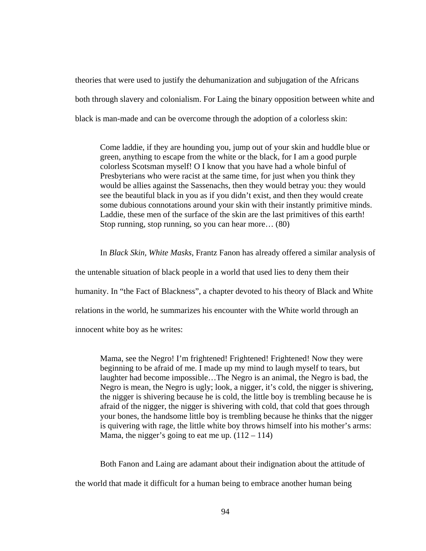theories that were used to justify the dehumanization and subjugation of the Africans both through slavery and colonialism. For Laing the binary opposition between white and black is man-made and can be overcome through the adoption of a colorless skin:

Come laddie, if they are hounding you, jump out of your skin and huddle blue or green, anything to escape from the white or the black, for I am a good purple colorless Scotsman myself! O I know that you have had a whole binful of Presbyterians who were racist at the same time, for just when you think they would be allies against the Sassenachs, then they would betray you: they would see the beautiful black in you as if you didn't exist, and then they would create some dubious connotations around your skin with their instantly primitive minds. Laddie, these men of the surface of the skin are the last primitives of this earth! Stop running, stop running, so you can hear more… (80)

In *Black Skin, White Masks*, Frantz Fanon has already offered a similar analysis of

the untenable situation of black people in a world that used lies to deny them their

humanity. In "the Fact of Blackness", a chapter devoted to his theory of Black and White

relations in the world, he summarizes his encounter with the White world through an

innocent white boy as he writes:

Mama, see the Negro! I'm frightened! Frightened! Frightened! Now they were beginning to be afraid of me. I made up my mind to laugh myself to tears, but laughter had become impossible…The Negro is an animal, the Negro is bad, the Negro is mean, the Negro is ugly; look, a nigger, it's cold, the nigger is shivering, the nigger is shivering because he is cold, the little boy is trembling because he is afraid of the nigger, the nigger is shivering with cold, that cold that goes through your bones, the handsome little boy is trembling because he thinks that the nigger is quivering with rage, the little white boy throws himself into his mother's arms: Mama, the nigger's going to eat me up.  $(112 - 114)$ 

 Both Fanon and Laing are adamant about their indignation about the attitude of the world that made it difficult for a human being to embrace another human being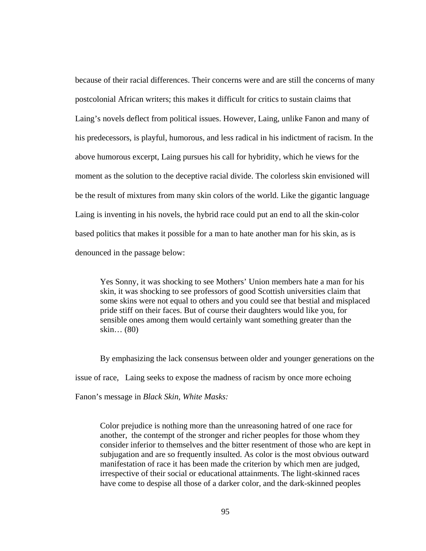because of their racial differences. Their concerns were and are still the concerns of many postcolonial African writers; this makes it difficult for critics to sustain claims that Laing's novels deflect from political issues. However, Laing, unlike Fanon and many of his predecessors, is playful, humorous, and less radical in his indictment of racism. In the above humorous excerpt, Laing pursues his call for hybridity, which he views for the moment as the solution to the deceptive racial divide. The colorless skin envisioned will be the result of mixtures from many skin colors of the world. Like the gigantic language Laing is inventing in his novels, the hybrid race could put an end to all the skin-color based politics that makes it possible for a man to hate another man for his skin, as is denounced in the passage below:

Yes Sonny, it was shocking to see Mothers' Union members hate a man for his skin, it was shocking to see professors of good Scottish universities claim that some skins were not equal to others and you could see that bestial and misplaced pride stiff on their faces. But of course their daughters would like you, for sensible ones among them would certainly want something greater than the skin… (80)

 By emphasizing the lack consensus between older and younger generations on the issue of race, Laing seeks to expose the madness of racism by once more echoing Fanon's message in *Black Skin, White Masks:*

Color prejudice is nothing more than the unreasoning hatred of one race for another, the contempt of the stronger and richer peoples for those whom they consider inferior to themselves and the bitter resentment of those who are kept in subjugation and are so frequently insulted. As color is the most obvious outward manifestation of race it has been made the criterion by which men are judged, irrespective of their social or educational attainments. The light-skinned races have come to despise all those of a darker color, and the dark-skinned peoples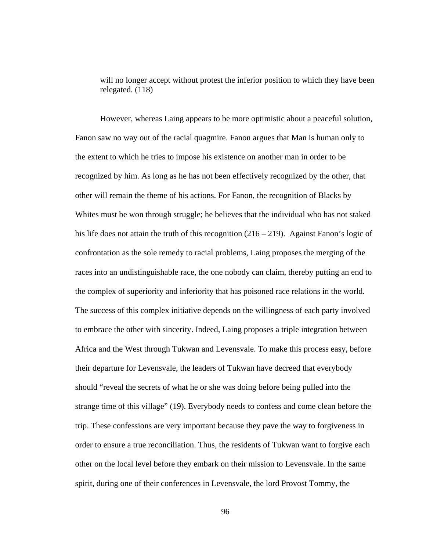will no longer accept without protest the inferior position to which they have been relegated. (118)

 However, whereas Laing appears to be more optimistic about a peaceful solution, Fanon saw no way out of the racial quagmire. Fanon argues that Man is human only to the extent to which he tries to impose his existence on another man in order to be recognized by him. As long as he has not been effectively recognized by the other, that other will remain the theme of his actions. For Fanon, the recognition of Blacks by Whites must be won through struggle; he believes that the individual who has not staked his life does not attain the truth of this recognition (216 – 219). Against Fanon's logic of confrontation as the sole remedy to racial problems, Laing proposes the merging of the races into an undistinguishable race, the one nobody can claim, thereby putting an end to the complex of superiority and inferiority that has poisoned race relations in the world. The success of this complex initiative depends on the willingness of each party involved to embrace the other with sincerity. Indeed, Laing proposes a triple integration between Africa and the West through Tukwan and Levensvale. To make this process easy, before their departure for Levensvale, the leaders of Tukwan have decreed that everybody should "reveal the secrets of what he or she was doing before being pulled into the strange time of this village" (19). Everybody needs to confess and come clean before the trip. These confessions are very important because they pave the way to forgiveness in order to ensure a true reconciliation. Thus, the residents of Tukwan want to forgive each other on the local level before they embark on their mission to Levensvale. In the same spirit, during one of their conferences in Levensvale, the lord Provost Tommy, the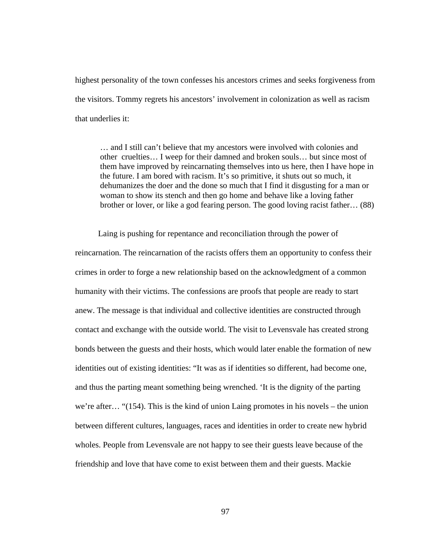highest personality of the town confesses his ancestors crimes and seeks forgiveness from the visitors. Tommy regrets his ancestors' involvement in colonization as well as racism that underlies it:

… and I still can't believe that my ancestors were involved with colonies and other cruelties… I weep for their damned and broken souls… but since most of them have improved by reincarnating themselves into us here, then I have hope in the future. I am bored with racism. It's so primitive, it shuts out so much, it dehumanizes the doer and the done so much that I find it disgusting for a man or woman to show its stench and then go home and behave like a loving father brother or lover, or like a god fearing person. The good loving racist father… (88)

 Laing is pushing for repentance and reconciliation through the power of reincarnation. The reincarnation of the racists offers them an opportunity to confess their crimes in order to forge a new relationship based on the acknowledgment of a common humanity with their victims. The confessions are proofs that people are ready to start anew. The message is that individual and collective identities are constructed through contact and exchange with the outside world. The visit to Levensvale has created strong bonds between the guests and their hosts, which would later enable the formation of new identities out of existing identities: "It was as if identities so different, had become one, and thus the parting meant something being wrenched. 'It is the dignity of the parting we're after… "(154). This is the kind of union Laing promotes in his novels – the union between different cultures, languages, races and identities in order to create new hybrid wholes. People from Levensvale are not happy to see their guests leave because of the friendship and love that have come to exist between them and their guests. Mackie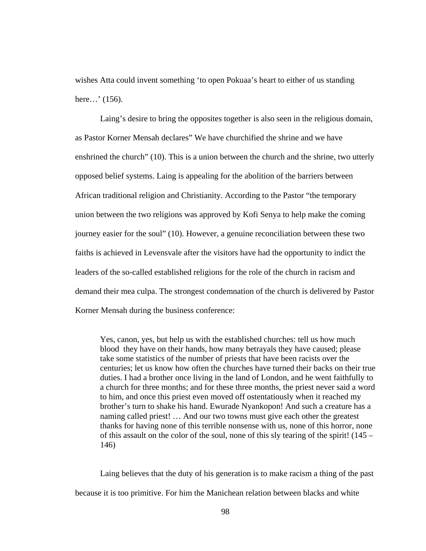wishes Atta could invent something 'to open Pokuaa's heart to either of us standing here…' (156).

Laing's desire to bring the opposites together is also seen in the religious domain, as Pastor Korner Mensah declares" We have churchified the shrine and we have enshrined the church" (10). This is a union between the church and the shrine, two utterly opposed belief systems. Laing is appealing for the abolition of the barriers between African traditional religion and Christianity. According to the Pastor "the temporary union between the two religions was approved by Kofi Senya to help make the coming journey easier for the soul" (10). However, a genuine reconciliation between these two faiths is achieved in Levensvale after the visitors have had the opportunity to indict the leaders of the so-called established religions for the role of the church in racism and demand their mea culpa. The strongest condemnation of the church is delivered by Pastor Korner Mensah during the business conference:

Yes, canon, yes, but help us with the established churches: tell us how much blood they have on their hands, how many betrayals they have caused; please take some statistics of the number of priests that have been racists over the centuries; let us know how often the churches have turned their backs on their true duties. I had a brother once living in the land of London, and he went faithfully to a church for three months; and for these three months, the priest never said a word to him, and once this priest even moved off ostentatiously when it reached my brother's turn to shake his hand. Ewurade Nyankopon! And such a creature has a naming called priest! … And our two towns must give each other the greatest thanks for having none of this terrible nonsense with us, none of this horror, none of this assault on the color of the soul, none of this sly tearing of the spirit! (145 – 146)

 Laing believes that the duty of his generation is to make racism a thing of the past because it is too primitive. For him the Manichean relation between blacks and white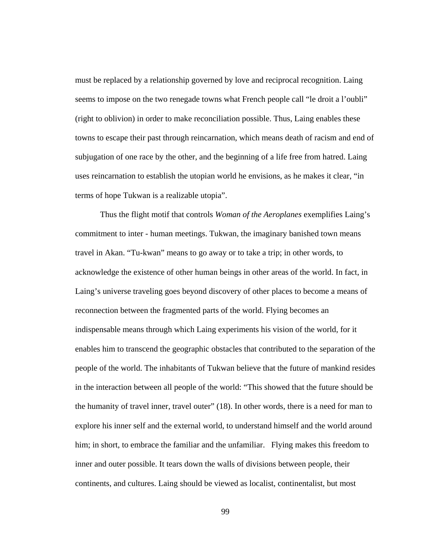must be replaced by a relationship governed by love and reciprocal recognition. Laing seems to impose on the two renegade towns what French people call "le droit a l'oubli" (right to oblivion) in order to make reconciliation possible. Thus, Laing enables these towns to escape their past through reincarnation, which means death of racism and end of subjugation of one race by the other, and the beginning of a life free from hatred. Laing uses reincarnation to establish the utopian world he envisions, as he makes it clear, "in terms of hope Tukwan is a realizable utopia".

 Thus the flight motif that controls *Woman of the Aeroplanes* exemplifies Laing's commitment to inter - human meetings. Tukwan, the imaginary banished town means travel in Akan. "Tu-kwan" means to go away or to take a trip; in other words, to acknowledge the existence of other human beings in other areas of the world. In fact, in Laing's universe traveling goes beyond discovery of other places to become a means of reconnection between the fragmented parts of the world. Flying becomes an indispensable means through which Laing experiments his vision of the world, for it enables him to transcend the geographic obstacles that contributed to the separation of the people of the world. The inhabitants of Tukwan believe that the future of mankind resides in the interaction between all people of the world: "This showed that the future should be the humanity of travel inner, travel outer" (18). In other words, there is a need for man to explore his inner self and the external world, to understand himself and the world around him; in short, to embrace the familiar and the unfamiliar. Flying makes this freedom to inner and outer possible. It tears down the walls of divisions between people, their continents, and cultures. Laing should be viewed as localist, continentalist, but most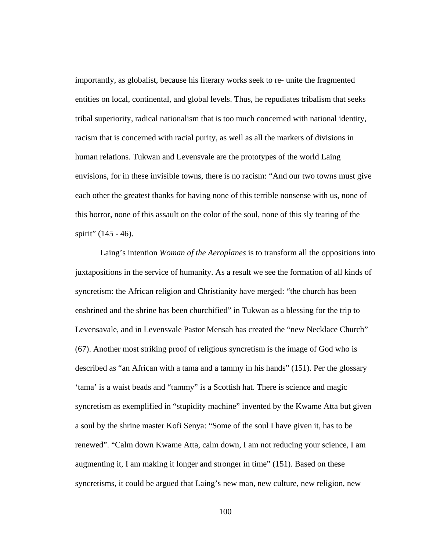importantly, as globalist, because his literary works seek to re- unite the fragmented entities on local, continental, and global levels. Thus, he repudiates tribalism that seeks tribal superiority, radical nationalism that is too much concerned with national identity, racism that is concerned with racial purity, as well as all the markers of divisions in human relations. Tukwan and Levensvale are the prototypes of the world Laing envisions, for in these invisible towns, there is no racism: "And our two towns must give each other the greatest thanks for having none of this terrible nonsense with us, none of this horror, none of this assault on the color of the soul, none of this sly tearing of the spirit" (145 - 46).

Laing's intention *Woman of the Aeroplanes* is to transform all the oppositions into juxtapositions in the service of humanity. As a result we see the formation of all kinds of syncretism: the African religion and Christianity have merged: "the church has been enshrined and the shrine has been churchified" in Tukwan as a blessing for the trip to Levensavale, and in Levensvale Pastor Mensah has created the "new Necklace Church" (67). Another most striking proof of religious syncretism is the image of God who is described as "an African with a tama and a tammy in his hands" (151). Per the glossary 'tama' is a waist beads and "tammy" is a Scottish hat. There is science and magic syncretism as exemplified in "stupidity machine" invented by the Kwame Atta but given a soul by the shrine master Kofi Senya: "Some of the soul I have given it, has to be renewed". "Calm down Kwame Atta, calm down, I am not reducing your science, I am augmenting it, I am making it longer and stronger in time" (151). Based on these syncretisms, it could be argued that Laing's new man, new culture, new religion, new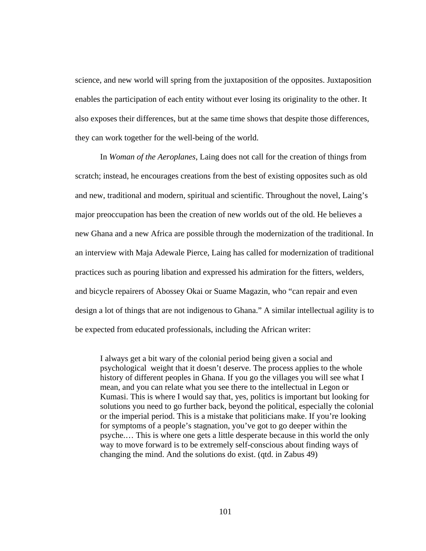science, and new world will spring from the juxtaposition of the opposites. Juxtaposition enables the participation of each entity without ever losing its originality to the other. It also exposes their differences, but at the same time shows that despite those differences, they can work together for the well-being of the world.

In *Woman of the Aeroplanes*, Laing does not call for the creation of things from scratch; instead, he encourages creations from the best of existing opposites such as old and new, traditional and modern, spiritual and scientific. Throughout the novel, Laing's major preoccupation has been the creation of new worlds out of the old. He believes a new Ghana and a new Africa are possible through the modernization of the traditional. In an interview with Maja Adewale Pierce, Laing has called for modernization of traditional practices such as pouring libation and expressed his admiration for the fitters, welders, and bicycle repairers of Abossey Okai or Suame Magazin, who "can repair and even design a lot of things that are not indigenous to Ghana." A similar intellectual agility is to be expected from educated professionals, including the African writer:

I always get a bit wary of the colonial period being given a social and psychological weight that it doesn't deserve. The process applies to the whole history of different peoples in Ghana. If you go the villages you will see what I mean, and you can relate what you see there to the intellectual in Legon or Kumasi. This is where I would say that, yes, politics is important but looking for solutions you need to go further back, beyond the political, especially the colonial or the imperial period. This is a mistake that politicians make. If you're looking for symptoms of a people's stagnation, you've got to go deeper within the psyche.… This is where one gets a little desperate because in this world the only way to move forward is to be extremely self-conscious about finding ways of changing the mind. And the solutions do exist. (qtd. in Zabus 49)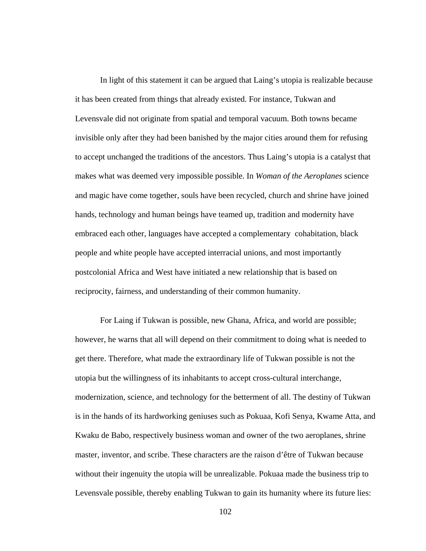In light of this statement it can be argued that Laing's utopia is realizable because it has been created from things that already existed. For instance, Tukwan and Levensvale did not originate from spatial and temporal vacuum. Both towns became invisible only after they had been banished by the major cities around them for refusing to accept unchanged the traditions of the ancestors. Thus Laing's utopia is a catalyst that makes what was deemed very impossible possible. In *Woman of the Aeroplanes* science and magic have come together, souls have been recycled, church and shrine have joined hands, technology and human beings have teamed up, tradition and modernity have embraced each other, languages have accepted a complementary cohabitation, black people and white people have accepted interracial unions, and most importantly postcolonial Africa and West have initiated a new relationship that is based on reciprocity, fairness, and understanding of their common humanity.

For Laing if Tukwan is possible, new Ghana, Africa, and world are possible; however, he warns that all will depend on their commitment to doing what is needed to get there. Therefore, what made the extraordinary life of Tukwan possible is not the utopia but the willingness of its inhabitants to accept cross-cultural interchange, modernization, science, and technology for the betterment of all. The destiny of Tukwan is in the hands of its hardworking geniuses such as Pokuaa, Kofi Senya, Kwame Atta, and Kwaku de Babo, respectively business woman and owner of the two aeroplanes, shrine master, inventor, and scribe. These characters are the raison d'être of Tukwan because without their ingenuity the utopia will be unrealizable. Pokuaa made the business trip to Levensvale possible, thereby enabling Tukwan to gain its humanity where its future lies: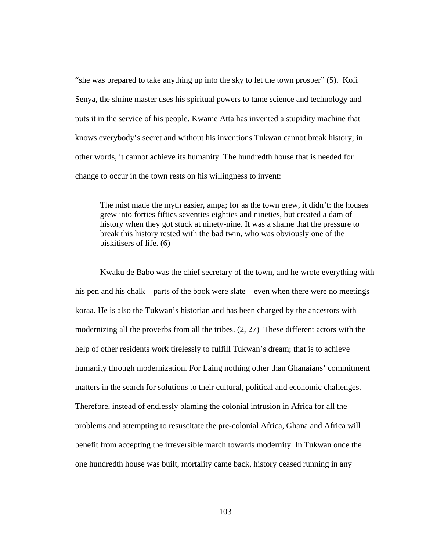"she was prepared to take anything up into the sky to let the town prosper" (5). Kofi Senya, the shrine master uses his spiritual powers to tame science and technology and puts it in the service of his people. Kwame Atta has invented a stupidity machine that knows everybody's secret and without his inventions Tukwan cannot break history; in other words, it cannot achieve its humanity. The hundredth house that is needed for change to occur in the town rests on his willingness to invent:

The mist made the myth easier, ampa; for as the town grew, it didn't: the houses grew into forties fifties seventies eighties and nineties, but created a dam of history when they got stuck at ninety-nine. It was a shame that the pressure to break this history rested with the bad twin, who was obviously one of the biskitisers of life. (6)

 Kwaku de Babo was the chief secretary of the town, and he wrote everything with his pen and his chalk – parts of the book were slate – even when there were no meetings koraa. He is also the Tukwan's historian and has been charged by the ancestors with modernizing all the proverbs from all the tribes. (2, 27) These different actors with the help of other residents work tirelessly to fulfill Tukwan's dream; that is to achieve humanity through modernization. For Laing nothing other than Ghanaians' commitment matters in the search for solutions to their cultural, political and economic challenges. Therefore, instead of endlessly blaming the colonial intrusion in Africa for all the problems and attempting to resuscitate the pre-colonial Africa, Ghana and Africa will benefit from accepting the irreversible march towards modernity. In Tukwan once the one hundredth house was built, mortality came back, history ceased running in any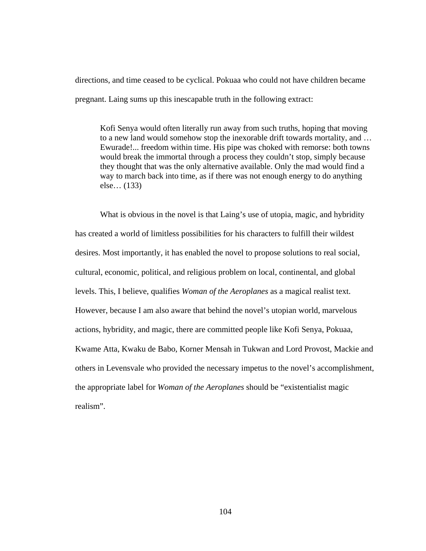directions, and time ceased to be cyclical. Pokuaa who could not have children became pregnant. Laing sums up this inescapable truth in the following extract:

Kofi Senya would often literally run away from such truths, hoping that moving to a new land would somehow stop the inexorable drift towards mortality, and … Ewurade!... freedom within time. His pipe was choked with remorse: both towns would break the immortal through a process they couldn't stop, simply because they thought that was the only alternative available. Only the mad would find a way to march back into time, as if there was not enough energy to do anything else… (133)

What is obvious in the novel is that Laing's use of utopia, magic, and hybridity has created a world of limitless possibilities for his characters to fulfill their wildest desires. Most importantly, it has enabled the novel to propose solutions to real social, cultural, economic, political, and religious problem on local, continental, and global levels. This, I believe, qualifies *Woman of the Aeroplanes* as a magical realist text. However, because I am also aware that behind the novel's utopian world, marvelous actions, hybridity, and magic, there are committed people like Kofi Senya, Pokuaa, Kwame Atta, Kwaku de Babo, Korner Mensah in Tukwan and Lord Provost, Mackie and others in Levensvale who provided the necessary impetus to the novel's accomplishment, the appropriate label for *Woman of the Aeroplanes* should be "existentialist magic realism".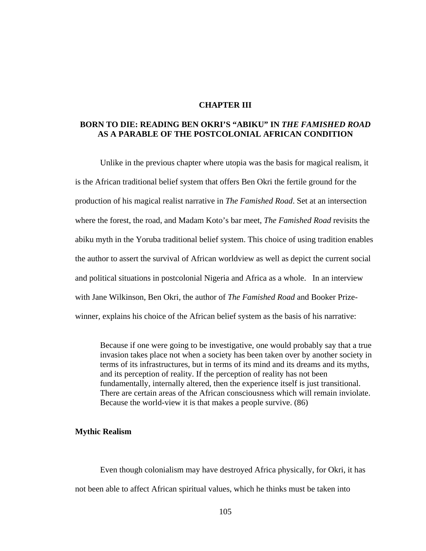## **CHAPTER III**

## **BORN TO DIE: READING BEN OKRI'S "ABIKU" IN** *THE FAMISHED ROAD*  **AS A PARABLE OF THE POSTCOLONIAL AFRICAN CONDITION**

 Unlike in the previous chapter where utopia was the basis for magical realism, it is the African traditional belief system that offers Ben Okri the fertile ground for the production of his magical realist narrative in *The Famished Road*. Set at an intersection where the forest, the road, and Madam Koto's bar meet, *The Famished Road* revisits the abiku myth in the Yoruba traditional belief system. This choice of using tradition enables the author to assert the survival of African worldview as well as depict the current social and political situations in postcolonial Nigeria and Africa as a whole. In an interview with Jane Wilkinson, Ben Okri, the author of *The Famished Road* and Booker Prizewinner, explains his choice of the African belief system as the basis of his narrative:

Because if one were going to be investigative, one would probably say that a true invasion takes place not when a society has been taken over by another society in terms of its infrastructures, but in terms of its mind and its dreams and its myths, and its perception of reality. If the perception of reality has not been fundamentally, internally altered, then the experience itself is just transitional. There are certain areas of the African consciousness which will remain inviolate. Because the world-view it is that makes a people survive. (86)

#### **Mythic Realism**

Even though colonialism may have destroyed Africa physically, for Okri, it has not been able to affect African spiritual values, which he thinks must be taken into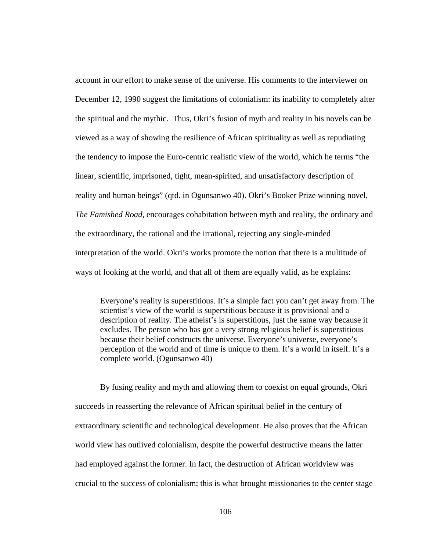account in our effort to make sense of the universe. His comments to the interviewer on December 12, 1990 suggest the limitations of colonialism: its inability to completely alter the spiritual and the mythic. Thus, Okri's fusion of myth and reality in his novels can be viewed as a way of showing the resilience of African spirituality as well as repudiating the tendency to impose the Euro-centric realistic view of the world, which he terms "the linear, scientific, imprisoned, tight, mean-spirited, and unsatisfactory description of reality and human beings" (qtd. in Ogunsanwo 40). Okri's Booker Prize winning novel, *The Famished Road*, encourages cohabitation between myth and reality, the ordinary and the extraordinary, the rational and the irrational, rejecting any single-minded interpretation of the world. Okri's works promote the notion that there is a multitude of ways of looking at the world, and that all of them are equally valid, as he explains:

Everyone's reality is superstitious. It's a simple fact you can't get away from. The scientist's view of the world is superstitious because it is provisional and a description of reality. The atheist's is superstitious, just the same way because it excludes. The person who has got a very strong religious belief is superstitious because their belief constructs the universe. Everyone's universe, everyone's perception of the world and of time is unique to them. It's a world in itself. It's a complete world. (Ogunsanwo 40)

 By fusing reality and myth and allowing them to coexist on equal grounds, Okri succeeds in reasserting the relevance of African spiritual belief in the century of extraordinary scientific and technological development. He also proves that the African world view has outlived colonialism, despite the powerful destructive means the latter had employed against the former. In fact, the destruction of African worldview was crucial to the success of colonialism; this is what brought missionaries to the center stage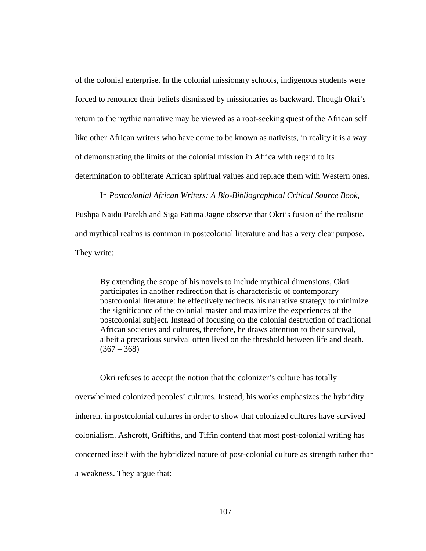of the colonial enterprise. In the colonial missionary schools, indigenous students were forced to renounce their beliefs dismissed by missionaries as backward. Though Okri's return to the mythic narrative may be viewed as a root-seeking quest of the African self like other African writers who have come to be known as nativists, in reality it is a way of demonstrating the limits of the colonial mission in Africa with regard to its determination to obliterate African spiritual values and replace them with Western ones.

In *Postcolonial African Writers: A Bio-Bibliographical Critical Source Book,* Pushpa Naidu Parekh and Siga Fatima Jagne observe that Okri's fusion of the realistic and mythical realms is common in postcolonial literature and has a very clear purpose. They write:

By extending the scope of his novels to include mythical dimensions, Okri participates in another redirection that is characteristic of contemporary postcolonial literature: he effectively redirects his narrative strategy to minimize the significance of the colonial master and maximize the experiences of the postcolonial subject. Instead of focusing on the colonial destruction of traditional African societies and cultures, therefore, he draws attention to their survival, albeit a precarious survival often lived on the threshold between life and death.  $(367 - 368)$ 

 Okri refuses to accept the notion that the colonizer's culture has totally overwhelmed colonized peoples' cultures. Instead, his works emphasizes the hybridity inherent in postcolonial cultures in order to show that colonized cultures have survived colonialism. Ashcroft, Griffiths, and Tiffin contend that most post-colonial writing has concerned itself with the hybridized nature of post-colonial culture as strength rather than a weakness. They argue that: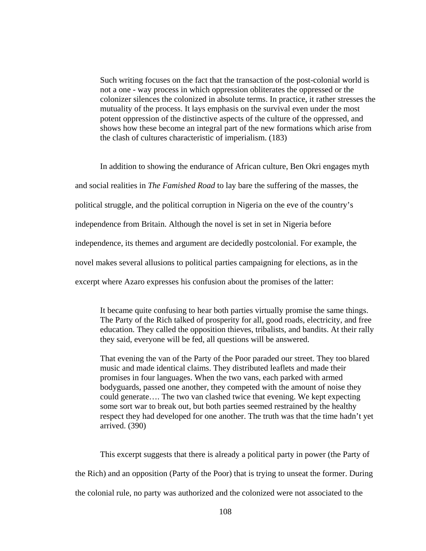Such writing focuses on the fact that the transaction of the post-colonial world is not a one - way process in which oppression obliterates the oppressed or the colonizer silences the colonized in absolute terms. In practice, it rather stresses the mutuality of the process. It lays emphasis on the survival even under the most potent oppression of the distinctive aspects of the culture of the oppressed, and shows how these become an integral part of the new formations which arise from the clash of cultures characteristic of imperialism. (183)

 In addition to showing the endurance of African culture, Ben Okri engages myth and social realities in *The Famished Road* to lay bare the suffering of the masses, the political struggle, and the political corruption in Nigeria on the eve of the country's independence from Britain. Although the novel is set in set in Nigeria before independence, its themes and argument are decidedly postcolonial. For example, the novel makes several allusions to political parties campaigning for elections, as in the excerpt where Azaro expresses his confusion about the promises of the latter:

It became quite confusing to hear both parties virtually promise the same things. The Party of the Rich talked of prosperity for all, good roads, electricity, and free education. They called the opposition thieves, tribalists, and bandits. At their rally they said, everyone will be fed, all questions will be answered.

That evening the van of the Party of the Poor paraded our street. They too blared music and made identical claims. They distributed leaflets and made their promises in four languages. When the two vans, each parked with armed bodyguards, passed one another, they competed with the amount of noise they could generate…. The two van clashed twice that evening. We kept expecting some sort war to break out, but both parties seemed restrained by the healthy respect they had developed for one another. The truth was that the time hadn't yet arrived. (390)

 This excerpt suggests that there is already a political party in power (the Party of the Rich) and an opposition (Party of the Poor) that is trying to unseat the former. During the colonial rule, no party was authorized and the colonized were not associated to the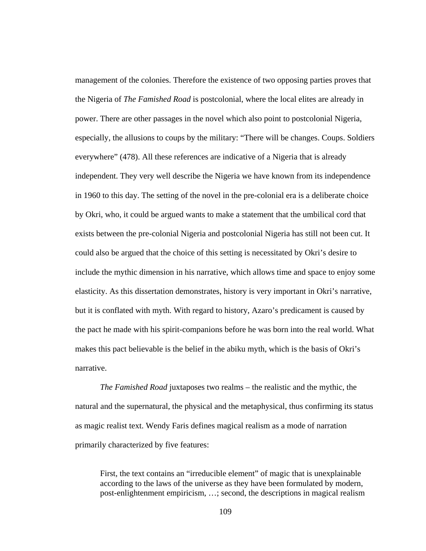management of the colonies. Therefore the existence of two opposing parties proves that the Nigeria of *The Famished Road* is postcolonial, where the local elites are already in power. There are other passages in the novel which also point to postcolonial Nigeria, especially, the allusions to coups by the military: "There will be changes. Coups. Soldiers everywhere" (478). All these references are indicative of a Nigeria that is already independent. They very well describe the Nigeria we have known from its independence in 1960 to this day. The setting of the novel in the pre-colonial era is a deliberate choice by Okri, who, it could be argued wants to make a statement that the umbilical cord that exists between the pre-colonial Nigeria and postcolonial Nigeria has still not been cut. It could also be argued that the choice of this setting is necessitated by Okri's desire to include the mythic dimension in his narrative, which allows time and space to enjoy some elasticity. As this dissertation demonstrates, history is very important in Okri's narrative, but it is conflated with myth. With regard to history, Azaro's predicament is caused by the pact he made with his spirit-companions before he was born into the real world. What makes this pact believable is the belief in the abiku myth, which is the basis of Okri's narrative.

 *The Famished Road* juxtaposes two realms – the realistic and the mythic, the natural and the supernatural, the physical and the metaphysical, thus confirming its status as magic realist text. Wendy Faris defines magical realism as a mode of narration primarily characterized by five features:

First, the text contains an "irreducible element" of magic that is unexplainable according to the laws of the universe as they have been formulated by modern, post-enlightenment empiricism, …; second, the descriptions in magical realism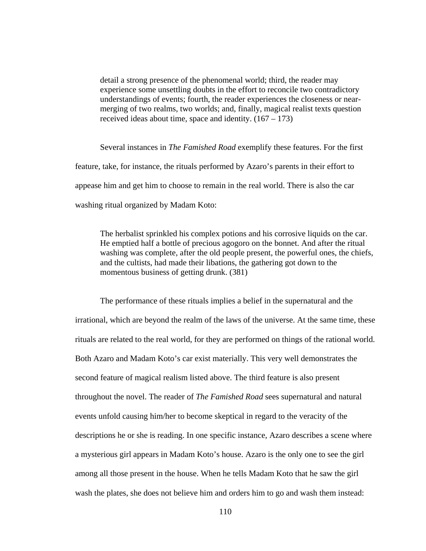detail a strong presence of the phenomenal world; third, the reader may experience some unsettling doubts in the effort to reconcile two contradictory understandings of events; fourth, the reader experiences the closeness or nearmerging of two realms, two worlds; and, finally, magical realist texts question received ideas about time, space and identity.  $(167 - 173)$ 

 Several instances in *The Famished Road* exemplify these features. For the first feature, take, for instance, the rituals performed by Azaro's parents in their effort to appease him and get him to choose to remain in the real world. There is also the car washing ritual organized by Madam Koto:

The herbalist sprinkled his complex potions and his corrosive liquids on the car. He emptied half a bottle of precious agogoro on the bonnet. And after the ritual washing was complete, after the old people present, the powerful ones, the chiefs, and the cultists, had made their libations, the gathering got down to the momentous business of getting drunk. (381)

 The performance of these rituals implies a belief in the supernatural and the irrational, which are beyond the realm of the laws of the universe. At the same time, these rituals are related to the real world, for they are performed on things of the rational world. Both Azaro and Madam Koto's car exist materially. This very well demonstrates the second feature of magical realism listed above. The third feature is also present throughout the novel. The reader of *The Famished Road* sees supernatural and natural events unfold causing him/her to become skeptical in regard to the veracity of the descriptions he or she is reading. In one specific instance, Azaro describes a scene where a mysterious girl appears in Madam Koto's house. Azaro is the only one to see the girl among all those present in the house. When he tells Madam Koto that he saw the girl wash the plates, she does not believe him and orders him to go and wash them instead: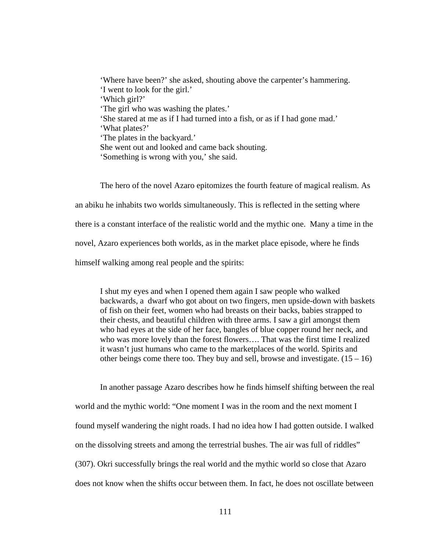'Where have been?' she asked, shouting above the carpenter's hammering. 'I went to look for the girl.' 'Which girl?' 'The girl who was washing the plates.' 'She stared at me as if I had turned into a fish, or as if I had gone mad.' 'What plates?' 'The plates in the backyard.' She went out and looked and came back shouting. 'Something is wrong with you,' she said.

The hero of the novel Azaro epitomizes the fourth feature of magical realism. As an abiku he inhabits two worlds simultaneously. This is reflected in the setting where there is a constant interface of the realistic world and the mythic one. Many a time in the novel, Azaro experiences both worlds, as in the market place episode, where he finds himself walking among real people and the spirits:

I shut my eyes and when I opened them again I saw people who walked backwards, a dwarf who got about on two fingers, men upside-down with baskets of fish on their feet, women who had breasts on their backs, babies strapped to their chests, and beautiful children with three arms. I saw a girl amongst them who had eyes at the side of her face, bangles of blue copper round her neck, and who was more lovely than the forest flowers…. That was the first time I realized it wasn't just humans who came to the marketplaces of the world. Spirits and other beings come there too. They buy and sell, browse and investigate.  $(15 - 16)$ 

 In another passage Azaro describes how he finds himself shifting between the real world and the mythic world: "One moment I was in the room and the next moment I found myself wandering the night roads. I had no idea how I had gotten outside. I walked on the dissolving streets and among the terrestrial bushes. The air was full of riddles" (307). Okri successfully brings the real world and the mythic world so close that Azaro does not know when the shifts occur between them. In fact, he does not oscillate between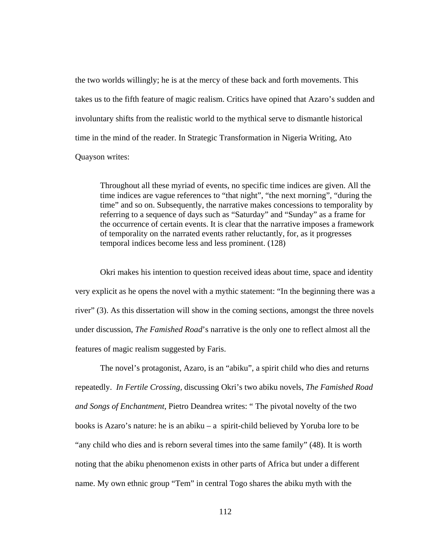the two worlds willingly; he is at the mercy of these back and forth movements. This takes us to the fifth feature of magic realism. Critics have opined that Azaro's sudden and involuntary shifts from the realistic world to the mythical serve to dismantle historical time in the mind of the reader. In Strategic Transformation in Nigeria Writing, Ato Quayson writes:

Throughout all these myriad of events, no specific time indices are given. All the time indices are vague references to "that night", "the next morning", "during the time" and so on. Subsequently, the narrative makes concessions to temporality by referring to a sequence of days such as "Saturday" and "Sunday" as a frame for the occurrence of certain events. It is clear that the narrative imposes a framework of temporality on the narrated events rather reluctantly, for, as it progresses temporal indices become less and less prominent. (128)

 Okri makes his intention to question received ideas about time, space and identity very explicit as he opens the novel with a mythic statement: "In the beginning there was a river" (3). As this dissertation will show in the coming sections, amongst the three novels under discussion, *The Famished Road*'s narrative is the only one to reflect almost all the features of magic realism suggested by Faris.

The novel's protagonist, Azaro, is an "abiku", a spirit child who dies and returns repeatedly. *In Fertile Crossing,* discussing Okri's two abiku novels, *The Famished Road and Songs of Enchantment*, Pietro Deandrea writes: " The pivotal novelty of the two books is Azaro's nature: he is an abiku – a spirit-child believed by Yoruba lore to be "any child who dies and is reborn several times into the same family" (48). It is worth noting that the abiku phenomenon exists in other parts of Africa but under a different name. My own ethnic group "Tem" in central Togo shares the abiku myth with the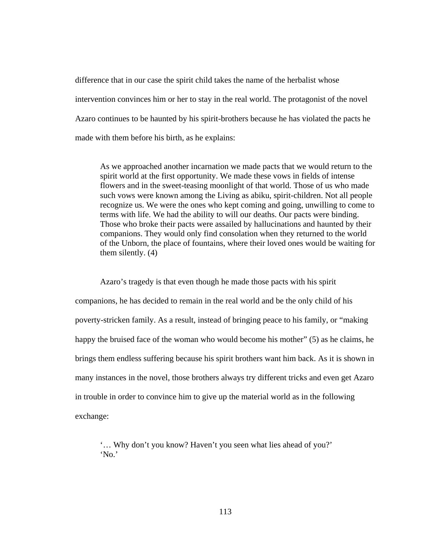difference that in our case the spirit child takes the name of the herbalist whose intervention convinces him or her to stay in the real world. The protagonist of the novel Azaro continues to be haunted by his spirit-brothers because he has violated the pacts he made with them before his birth, as he explains:

As we approached another incarnation we made pacts that we would return to the spirit world at the first opportunity. We made these vows in fields of intense flowers and in the sweet-teasing moonlight of that world. Those of us who made such vows were known among the Living as abiku, spirit-children. Not all people recognize us. We were the ones who kept coming and going, unwilling to come to terms with life. We had the ability to will our deaths. Our pacts were binding. Those who broke their pacts were assailed by hallucinations and haunted by their companions. They would only find consolation when they returned to the world of the Unborn, the place of fountains, where their loved ones would be waiting for them silently. (4)

 Azaro's tragedy is that even though he made those pacts with his spirit companions, he has decided to remain in the real world and be the only child of his poverty-stricken family. As a result, instead of bringing peace to his family, or "making happy the bruised face of the woman who would become his mother" (5) as he claims, he brings them endless suffering because his spirit brothers want him back. As it is shown in many instances in the novel, those brothers always try different tricks and even get Azaro in trouble in order to convince him to give up the material world as in the following exchange:

'… Why don't you know? Haven't you seen what lies ahead of you?' 'No.'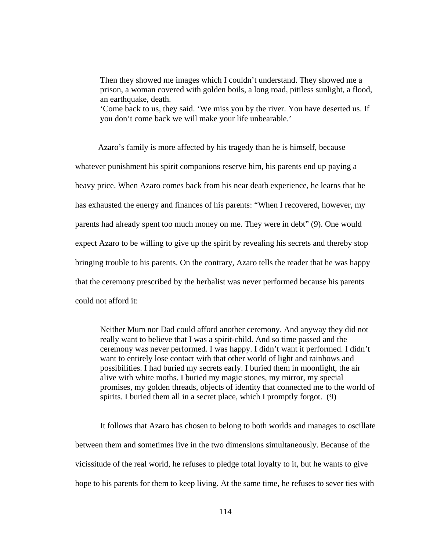Then they showed me images which I couldn't understand. They showed me a prison, a woman covered with golden boils, a long road, pitiless sunlight, a flood, an earthquake, death.

'Come back to us, they said. 'We miss you by the river. You have deserted us. If you don't come back we will make your life unbearable.'

 Azaro's family is more affected by his tragedy than he is himself, because whatever punishment his spirit companions reserve him, his parents end up paying a heavy price. When Azaro comes back from his near death experience, he learns that he has exhausted the energy and finances of his parents: "When I recovered, however, my parents had already spent too much money on me. They were in debt" (9). One would expect Azaro to be willing to give up the spirit by revealing his secrets and thereby stop bringing trouble to his parents. On the contrary, Azaro tells the reader that he was happy that the ceremony prescribed by the herbalist was never performed because his parents could not afford it:

Neither Mum nor Dad could afford another ceremony. And anyway they did not really want to believe that I was a spirit-child. And so time passed and the ceremony was never performed. I was happy. I didn't want it performed. I didn't want to entirely lose contact with that other world of light and rainbows and possibilities. I had buried my secrets early. I buried them in moonlight, the air alive with white moths. I buried my magic stones, my mirror, my special promises, my golden threads, objects of identity that connected me to the world of spirits. I buried them all in a secret place, which I promptly forgot. (9)

 It follows that Azaro has chosen to belong to both worlds and manages to oscillate between them and sometimes live in the two dimensions simultaneously. Because of the vicissitude of the real world, he refuses to pledge total loyalty to it, but he wants to give hope to his parents for them to keep living. At the same time, he refuses to sever ties with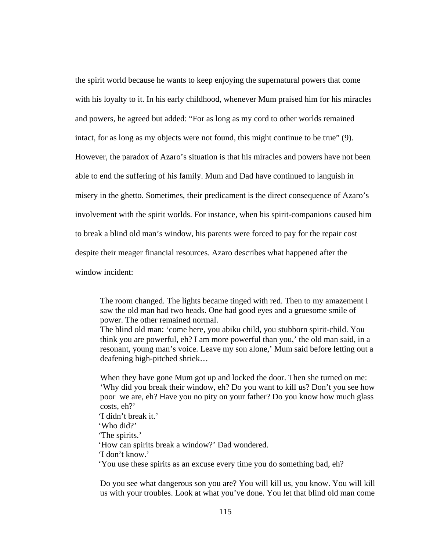the spirit world because he wants to keep enjoying the supernatural powers that come with his loyalty to it. In his early childhood, whenever Mum praised him for his miracles and powers, he agreed but added: "For as long as my cord to other worlds remained intact, for as long as my objects were not found, this might continue to be true" (9). However, the paradox of Azaro's situation is that his miracles and powers have not been able to end the suffering of his family. Mum and Dad have continued to languish in misery in the ghetto. Sometimes, their predicament is the direct consequence of Azaro's involvement with the spirit worlds. For instance, when his spirit-companions caused him to break a blind old man's window, his parents were forced to pay for the repair cost despite their meager financial resources. Azaro describes what happened after the window incident:

The room changed. The lights became tinged with red. Then to my amazement I saw the old man had two heads. One had good eyes and a gruesome smile of power. The other remained normal.

The blind old man: 'come here, you abiku child, you stubborn spirit-child. You think you are powerful, eh? I am more powerful than you,' the old man said, in a resonant, young man's voice. Leave my son alone,' Mum said before letting out a deafening high-pitched shriek…

When they have gone Mum got up and locked the door. Then she turned on me: 'Why did you break their window, eh? Do you want to kill us? Don't you see how poor we are, eh? Have you no pity on your father? Do you know how much glass costs, eh?'

 'I didn't break it.' 'Who did?' 'The spirits.' 'How can spirits break a window?' Dad wondered. 'I don't know.' 'You use these spirits as an excuse every time you do something bad, eh?

Do you see what dangerous son you are? You will kill us, you know. You will kill us with your troubles. Look at what you've done. You let that blind old man come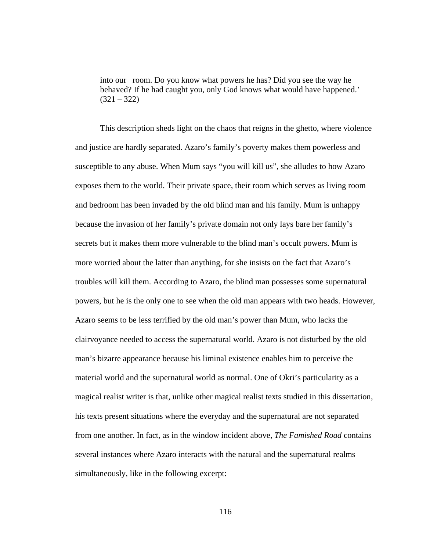into our room. Do you know what powers he has? Did you see the way he behaved? If he had caught you, only God knows what would have happened.'  $(321 - 322)$ 

 This description sheds light on the chaos that reigns in the ghetto, where violence and justice are hardly separated. Azaro's family's poverty makes them powerless and susceptible to any abuse. When Mum says "you will kill us", she alludes to how Azaro exposes them to the world. Their private space, their room which serves as living room and bedroom has been invaded by the old blind man and his family. Mum is unhappy because the invasion of her family's private domain not only lays bare her family's secrets but it makes them more vulnerable to the blind man's occult powers. Mum is more worried about the latter than anything, for she insists on the fact that Azaro's troubles will kill them. According to Azaro, the blind man possesses some supernatural powers, but he is the only one to see when the old man appears with two heads. However, Azaro seems to be less terrified by the old man's power than Mum, who lacks the clairvoyance needed to access the supernatural world. Azaro is not disturbed by the old man's bizarre appearance because his liminal existence enables him to perceive the material world and the supernatural world as normal. One of Okri's particularity as a magical realist writer is that, unlike other magical realist texts studied in this dissertation, his texts present situations where the everyday and the supernatural are not separated from one another. In fact, as in the window incident above, *The Famished Road* contains several instances where Azaro interacts with the natural and the supernatural realms simultaneously, like in the following excerpt: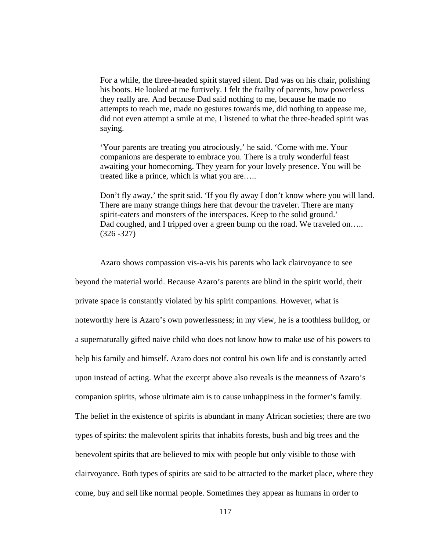For a while, the three-headed spirit stayed silent. Dad was on his chair, polishing his boots. He looked at me furtively. I felt the frailty of parents, how powerless they really are. And because Dad said nothing to me, because he made no attempts to reach me, made no gestures towards me, did nothing to appease me, did not even attempt a smile at me, I listened to what the three-headed spirit was saying.

'Your parents are treating you atrociously,' he said. 'Come with me. Your companions are desperate to embrace you. There is a truly wonderful feast awaiting your homecoming. They yearn for your lovely presence. You will be treated like a prince, which is what you are…..

Don't fly away,' the sprit said. 'If you fly away I don't know where you will land. There are many strange things here that devour the traveler. There are many spirit-eaters and monsters of the interspaces. Keep to the solid ground.' Dad coughed, and I tripped over a green bump on the road. We traveled on..... (326 -327)

 Azaro shows compassion vis-a-vis his parents who lack clairvoyance to see beyond the material world. Because Azaro's parents are blind in the spirit world, their private space is constantly violated by his spirit companions. However, what is noteworthy here is Azaro's own powerlessness; in my view, he is a toothless bulldog, or a supernaturally gifted naive child who does not know how to make use of his powers to help his family and himself. Azaro does not control his own life and is constantly acted upon instead of acting. What the excerpt above also reveals is the meanness of Azaro's companion spirits, whose ultimate aim is to cause unhappiness in the former's family. The belief in the existence of spirits is abundant in many African societies; there are two types of spirits: the malevolent spirits that inhabits forests, bush and big trees and the benevolent spirits that are believed to mix with people but only visible to those with clairvoyance. Both types of spirits are said to be attracted to the market place, where they come, buy and sell like normal people. Sometimes they appear as humans in order to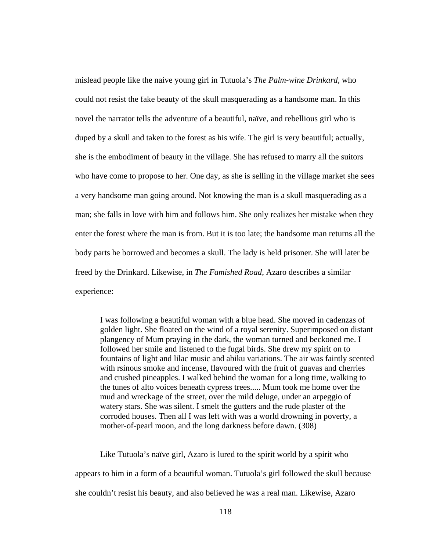mislead people like the naive young girl in Tutuola's *The Palm-wine Drinkard*, who could not resist the fake beauty of the skull masquerading as a handsome man. In this novel the narrator tells the adventure of a beautiful, naïve, and rebellious girl who is duped by a skull and taken to the forest as his wife. The girl is very beautiful; actually, she is the embodiment of beauty in the village. She has refused to marry all the suitors who have come to propose to her. One day, as she is selling in the village market she sees a very handsome man going around. Not knowing the man is a skull masquerading as a man; she falls in love with him and follows him. She only realizes her mistake when they enter the forest where the man is from. But it is too late; the handsome man returns all the body parts he borrowed and becomes a skull. The lady is held prisoner. She will later be freed by the Drinkard. Likewise, in *The Famished Road*, Azaro describes a similar experience:

I was following a beautiful woman with a blue head. She moved in cadenzas of golden light. She floated on the wind of a royal serenity. Superimposed on distant plangency of Mum praying in the dark, the woman turned and beckoned me. I followed her smile and listened to the fugal birds. She drew my spirit on to fountains of light and lilac music and abiku variations. The air was faintly scented with rsinous smoke and incense, flavoured with the fruit of guavas and cherries and crushed pineapples. I walked behind the woman for a long time, walking to the tunes of alto voices beneath cypress trees..... Mum took me home over the mud and wreckage of the street, over the mild deluge, under an arpeggio of watery stars. She was silent. I smelt the gutters and the rude plaster of the corroded houses. Then all I was left with was a world drowning in poverty, a mother-of-pearl moon, and the long darkness before dawn. (308)

 Like Tutuola's naïve girl, Azaro is lured to the spirit world by a spirit who appears to him in a form of a beautiful woman. Tutuola's girl followed the skull because she couldn't resist his beauty, and also believed he was a real man. Likewise, Azaro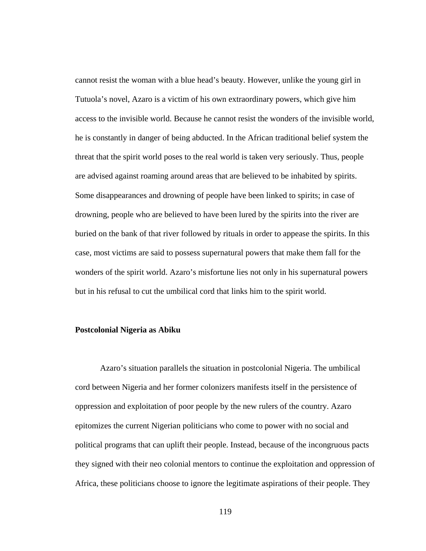cannot resist the woman with a blue head's beauty. However, unlike the young girl in Tutuola's novel, Azaro is a victim of his own extraordinary powers, which give him access to the invisible world. Because he cannot resist the wonders of the invisible world, he is constantly in danger of being abducted. In the African traditional belief system the threat that the spirit world poses to the real world is taken very seriously. Thus, people are advised against roaming around areas that are believed to be inhabited by spirits. Some disappearances and drowning of people have been linked to spirits; in case of drowning, people who are believed to have been lured by the spirits into the river are buried on the bank of that river followed by rituals in order to appease the spirits. In this case, most victims are said to possess supernatural powers that make them fall for the wonders of the spirit world. Azaro's misfortune lies not only in his supernatural powers but in his refusal to cut the umbilical cord that links him to the spirit world.

#### **Postcolonial Nigeria as Abiku**

Azaro's situation parallels the situation in postcolonial Nigeria. The umbilical cord between Nigeria and her former colonizers manifests itself in the persistence of oppression and exploitation of poor people by the new rulers of the country. Azaro epitomizes the current Nigerian politicians who come to power with no social and political programs that can uplift their people. Instead, because of the incongruous pacts they signed with their neo colonial mentors to continue the exploitation and oppression of Africa, these politicians choose to ignore the legitimate aspirations of their people. They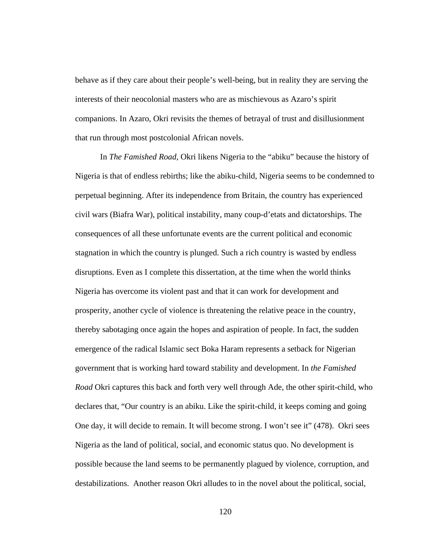behave as if they care about their people's well-being, but in reality they are serving the interests of their neocolonial masters who are as mischievous as Azaro's spirit companions. In Azaro, Okri revisits the themes of betrayal of trust and disillusionment that run through most postcolonial African novels.

In *The Famished Road*, Okri likens Nigeria to the "abiku" because the history of Nigeria is that of endless rebirths; like the abiku-child, Nigeria seems to be condemned to perpetual beginning. After its independence from Britain, the country has experienced civil wars (Biafra War), political instability, many coup-d'etats and dictatorships. The consequences of all these unfortunate events are the current political and economic stagnation in which the country is plunged. Such a rich country is wasted by endless disruptions. Even as I complete this dissertation, at the time when the world thinks Nigeria has overcome its violent past and that it can work for development and prosperity, another cycle of violence is threatening the relative peace in the country, thereby sabotaging once again the hopes and aspiration of people. In fact, the sudden emergence of the radical Islamic sect Boka Haram represents a setback for Nigerian government that is working hard toward stability and development. In *the Famished Road* Okri captures this back and forth very well through Ade, the other spirit-child, who declares that, "Our country is an abiku. Like the spirit-child, it keeps coming and going One day, it will decide to remain. It will become strong. I won't see it" (478). Okri sees Nigeria as the land of political, social, and economic status quo. No development is possible because the land seems to be permanently plagued by violence, corruption, and destabilizations. Another reason Okri alludes to in the novel about the political, social,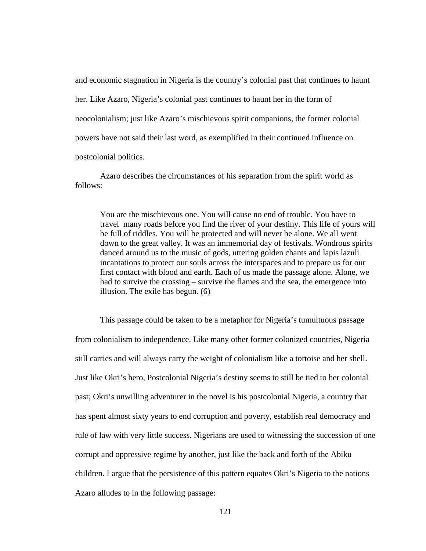and economic stagnation in Nigeria is the country's colonial past that continues to haunt her. Like Azaro, Nigeria's colonial past continues to haunt her in the form of neocolonialism; just like Azaro's mischievous spirit companions, the former colonial powers have not said their last word, as exemplified in their continued influence on postcolonial politics.

Azaro describes the circumstances of his separation from the spirit world as follows:

You are the mischievous one. You will cause no end of trouble. You have to travel many roads before you find the river of your destiny. This life of yours will be full of riddles. You will be protected and will never be alone. We all went down to the great valley. It was an immemorial day of festivals. Wondrous spirits danced around us to the music of gods, uttering golden chants and lapis lazuli incantations to protect our souls across the interspaces and to prepare us for our first contact with blood and earth. Each of us made the passage alone. Alone, we had to survive the crossing – survive the flames and the sea, the emergence into illusion. The exile has begun. (6)

 This passage could be taken to be a metaphor for Nigeria's tumultuous passage from colonialism to independence. Like many other former colonized countries, Nigeria still carries and will always carry the weight of colonialism like a tortoise and her shell. Just like Okri's hero, Postcolonial Nigeria's destiny seems to still be tied to her colonial past; Okri's unwilling adventurer in the novel is his postcolonial Nigeria, a country that has spent almost sixty years to end corruption and poverty, establish real democracy and rule of law with very little success. Nigerians are used to witnessing the succession of one corrupt and oppressive regime by another, just like the back and forth of the Abiku children. I argue that the persistence of this pattern equates Okri's Nigeria to the nations Azaro alludes to in the following passage: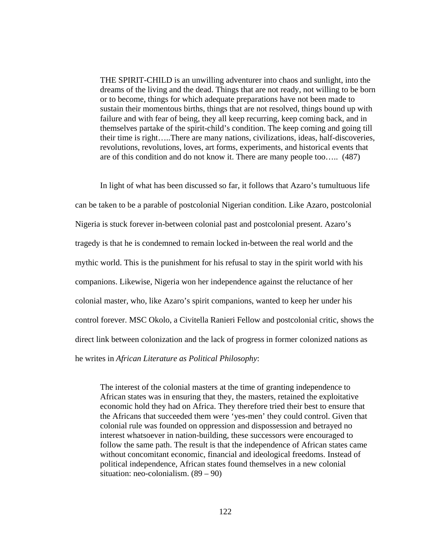THE SPIRIT-CHILD is an unwilling adventurer into chaos and sunlight, into the dreams of the living and the dead. Things that are not ready, not willing to be born or to become, things for which adequate preparations have not been made to sustain their momentous births, things that are not resolved, things bound up with failure and with fear of being, they all keep recurring, keep coming back, and in themselves partake of the spirit-child's condition. The keep coming and going till their time is right…..There are many nations, civilizations, ideas, half-discoveries, revolutions, revolutions, loves, art forms, experiments, and historical events that are of this condition and do not know it. There are many people too….. (487)

In light of what has been discussed so far, it follows that Azaro's tumultuous life can be taken to be a parable of postcolonial Nigerian condition. Like Azaro, postcolonial Nigeria is stuck forever in-between colonial past and postcolonial present. Azaro's tragedy is that he is condemned to remain locked in-between the real world and the mythic world. This is the punishment for his refusal to stay in the spirit world with his companions. Likewise, Nigeria won her independence against the reluctance of her colonial master, who, like Azaro's spirit companions, wanted to keep her under his control forever. MSC Okolo, a Civitella Ranieri Fellow and postcolonial critic, shows the direct link between colonization and the lack of progress in former colonized nations as he writes in *African Literature as Political Philosophy*:

The interest of the colonial masters at the time of granting independence to African states was in ensuring that they, the masters, retained the exploitative economic hold they had on Africa. They therefore tried their best to ensure that the Africans that succeeded them were 'yes-men' they could control. Given that colonial rule was founded on oppression and dispossession and betrayed no interest whatsoever in nation-building, these successors were encouraged to follow the same path. The result is that the independence of African states came without concomitant economic, financial and ideological freedoms. Instead of political independence, African states found themselves in a new colonial situation: neo-colonialism. (89 – 90)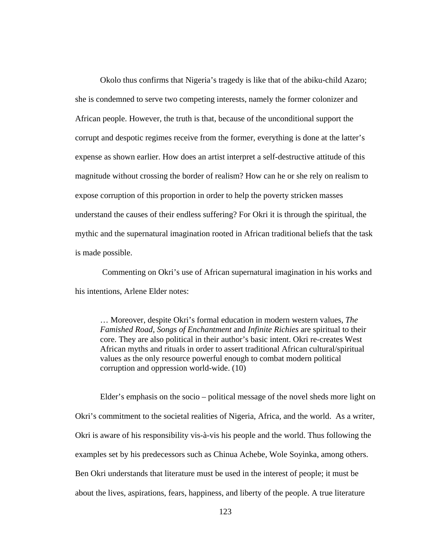Okolo thus confirms that Nigeria's tragedy is like that of the abiku-child Azaro; she is condemned to serve two competing interests, namely the former colonizer and African people. However, the truth is that, because of the unconditional support the corrupt and despotic regimes receive from the former, everything is done at the latter's expense as shown earlier. How does an artist interpret a self-destructive attitude of this magnitude without crossing the border of realism? How can he or she rely on realism to expose corruption of this proportion in order to help the poverty stricken masses understand the causes of their endless suffering? For Okri it is through the spiritual, the mythic and the supernatural imagination rooted in African traditional beliefs that the task is made possible.

Commenting on Okri's use of African supernatural imagination in his works and his intentions, Arlene Elder notes:

… Moreover, despite Okri's formal education in modern western values, *The Famished Road, Songs of Enchantment* and *Infinite Richies* are spiritual to their core. They are also political in their author's basic intent. Okri re-creates West African myths and rituals in order to assert traditional African cultural/spiritual values as the only resource powerful enough to combat modern political corruption and oppression world-wide. (10)

 Elder's emphasis on the socio – political message of the novel sheds more light on Okri's commitment to the societal realities of Nigeria, Africa, and the world. As a writer, Okri is aware of his responsibility vis-à-vis his people and the world. Thus following the examples set by his predecessors such as Chinua Achebe, Wole Soyinka, among others. Ben Okri understands that literature must be used in the interest of people; it must be about the lives, aspirations, fears, happiness, and liberty of the people. A true literature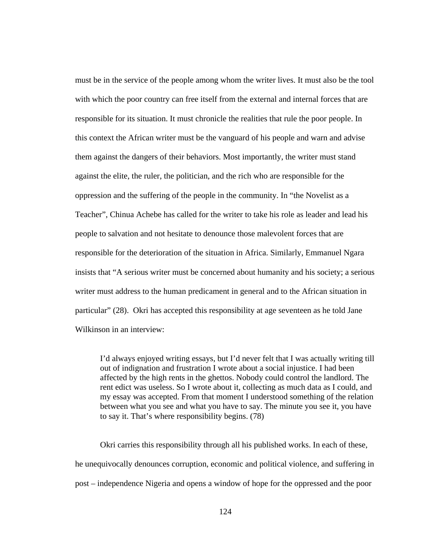must be in the service of the people among whom the writer lives. It must also be the tool with which the poor country can free itself from the external and internal forces that are responsible for its situation. It must chronicle the realities that rule the poor people. In this context the African writer must be the vanguard of his people and warn and advise them against the dangers of their behaviors. Most importantly, the writer must stand against the elite, the ruler, the politician, and the rich who are responsible for the oppression and the suffering of the people in the community. In "the Novelist as a Teacher", Chinua Achebe has called for the writer to take his role as leader and lead his people to salvation and not hesitate to denounce those malevolent forces that are responsible for the deterioration of the situation in Africa. Similarly, Emmanuel Ngara insists that "A serious writer must be concerned about humanity and his society; a serious writer must address to the human predicament in general and to the African situation in particular" (28). Okri has accepted this responsibility at age seventeen as he told Jane Wilkinson in an interview:

I'd always enjoyed writing essays, but I'd never felt that I was actually writing till out of indignation and frustration I wrote about a social injustice. I had been affected by the high rents in the ghettos. Nobody could control the landlord. The rent edict was useless. So I wrote about it, collecting as much data as I could, and my essay was accepted. From that moment I understood something of the relation between what you see and what you have to say. The minute you see it, you have to say it. That's where responsibility begins. (78)

 Okri carries this responsibility through all his published works. In each of these, he unequivocally denounces corruption, economic and political violence, and suffering in post – independence Nigeria and opens a window of hope for the oppressed and the poor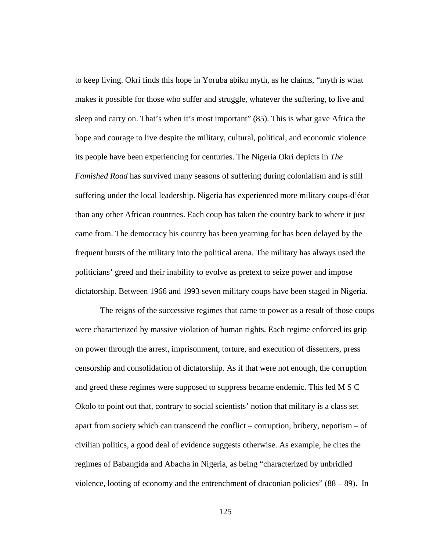to keep living. Okri finds this hope in Yoruba abiku myth, as he claims, "myth is what makes it possible for those who suffer and struggle, whatever the suffering, to live and sleep and carry on. That's when it's most important" (85). This is what gave Africa the hope and courage to live despite the military, cultural, political, and economic violence its people have been experiencing for centuries. The Nigeria Okri depicts in *The Famished Road* has survived many seasons of suffering during colonialism and is still suffering under the local leadership. Nigeria has experienced more military coups-d'état than any other African countries. Each coup has taken the country back to where it just came from. The democracy his country has been yearning for has been delayed by the frequent bursts of the military into the political arena. The military has always used the politicians' greed and their inability to evolve as pretext to seize power and impose dictatorship. Between 1966 and 1993 seven military coups have been staged in Nigeria.

 The reigns of the successive regimes that came to power as a result of those coups were characterized by massive violation of human rights. Each regime enforced its grip on power through the arrest, imprisonment, torture, and execution of dissenters, press censorship and consolidation of dictatorship. As if that were not enough, the corruption and greed these regimes were supposed to suppress became endemic. This led M S C Okolo to point out that, contrary to social scientists' notion that military is a class set apart from society which can transcend the conflict – corruption, bribery, nepotism – of civilian politics, a good deal of evidence suggests otherwise. As example, he cites the regimes of Babangida and Abacha in Nigeria, as being "characterized by unbridled violence, looting of economy and the entrenchment of draconian policies" (88 – 89). In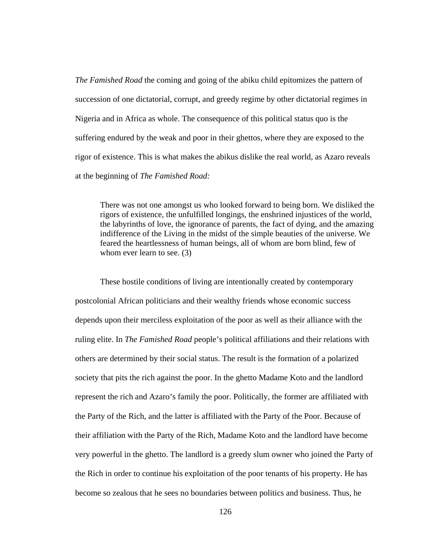*The Famished Road* the coming and going of the abiku child epitomizes the pattern of succession of one dictatorial, corrupt, and greedy regime by other dictatorial regimes in Nigeria and in Africa as whole. The consequence of this political status quo is the suffering endured by the weak and poor in their ghettos, where they are exposed to the rigor of existence. This is what makes the abikus dislike the real world, as Azaro reveals at the beginning of *The Famished Road:*

There was not one amongst us who looked forward to being born. We disliked the rigors of existence, the unfulfilled longings, the enshrined injustices of the world, the labyrinths of love, the ignorance of parents, the fact of dying, and the amazing indifference of the Living in the midst of the simple beauties of the universe. We feared the heartlessness of human beings, all of whom are born blind, few of whom ever learn to see. (3)

 These hostile conditions of living are intentionally created by contemporary postcolonial African politicians and their wealthy friends whose economic success depends upon their merciless exploitation of the poor as well as their alliance with the ruling elite. In *The Famished Road* people's political affiliations and their relations with others are determined by their social status. The result is the formation of a polarized society that pits the rich against the poor. In the ghetto Madame Koto and the landlord represent the rich and Azaro's family the poor. Politically, the former are affiliated with the Party of the Rich, and the latter is affiliated with the Party of the Poor. Because of their affiliation with the Party of the Rich, Madame Koto and the landlord have become very powerful in the ghetto. The landlord is a greedy slum owner who joined the Party of the Rich in order to continue his exploitation of the poor tenants of his property. He has become so zealous that he sees no boundaries between politics and business. Thus, he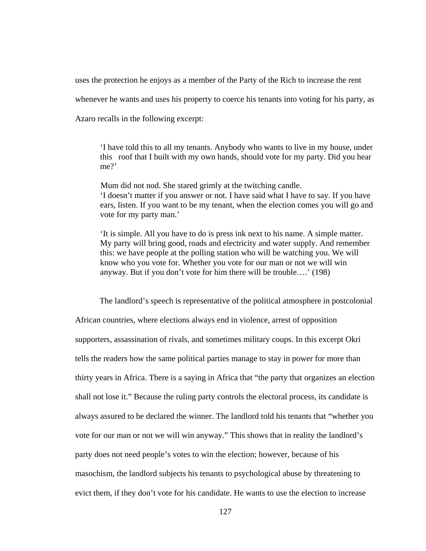uses the protection he enjoys as a member of the Party of the Rich to increase the rent whenever he wants and uses his property to coerce his tenants into voting for his party, as

Azaro recalls in the following excerpt:

'I have told this to all my tenants. Anybody who wants to live in my house, under this roof that I built with my own hands, should vote for my party. Did you hear me?'

 Mum did not nod. She stared grimly at the twitching candle. 'I doesn't matter if you answer or not. I have said what I have to say. If you have ears, listen. If you want to be my tenant, when the election comes you will go and vote for my party man.'

'It is simple. All you have to do is press ink next to his name. A simple matter. My party will bring good, roads and electricity and water supply. And remember this: we have people at the polling station who will be watching you. We will know who you vote for. Whether you vote for our man or not we will win anyway. But if you don't vote for him there will be trouble….' (198)

 The landlord's speech is representative of the political atmosphere in postcolonial African countries, where elections always end in violence, arrest of opposition supporters, assassination of rivals, and sometimes military coups. In this excerpt Okri tells the readers how the same political parties manage to stay in power for more than thirty years in Africa. There is a saying in Africa that "the party that organizes an election shall not lose it." Because the ruling party controls the electoral process, its candidate is always assured to be declared the winner. The landlord told his tenants that "whether you vote for our man or not we will win anyway." This shows that in reality the landlord's party does not need people's votes to win the election; however, because of his masochism, the landlord subjects his tenants to psychological abuse by threatening to evict them, if they don't vote for his candidate. He wants to use the election to increase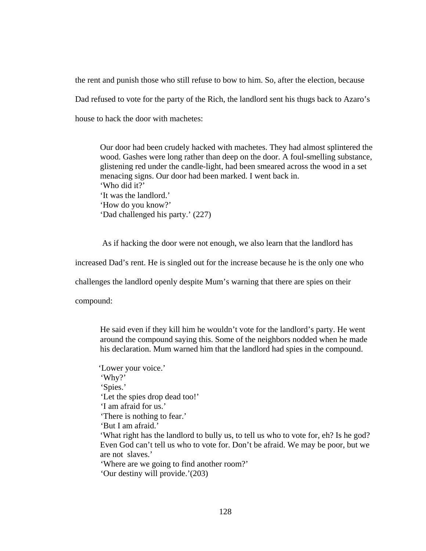the rent and punish those who still refuse to bow to him. So, after the election, because Dad refused to vote for the party of the Rich, the landlord sent his thugs back to Azaro's house to hack the door with machetes:

Our door had been crudely hacked with machetes. They had almost splintered the wood. Gashes were long rather than deep on the door. A foul-smelling substance, glistening red under the candle-light, had been smeared across the wood in a set menacing signs. Our door had been marked. I went back in. 'Who did it?' 'It was the landlord.' 'How do you know?' 'Dad challenged his party.' (227)

As if hacking the door were not enough, we also learn that the landlord has

increased Dad's rent. He is singled out for the increase because he is the only one who

challenges the landlord openly despite Mum's warning that there are spies on their

compound:

He said even if they kill him he wouldn't vote for the landlord's party. He went around the compound saying this. Some of the neighbors nodded when he made his declaration. Mum warned him that the landlord had spies in the compound.

 'Lower your voice.' 'Why?' 'Spies.' 'Let the spies drop dead too!' 'I am afraid for us.' 'There is nothing to fear.' 'But I am afraid.' 'What right has the landlord to bully us, to tell us who to vote for, eh? Is he god? Even God can't tell us who to vote for. Don't be afraid. We may be poor, but we are not slaves.' 'Where are we going to find another room?' 'Our destiny will provide.'(203)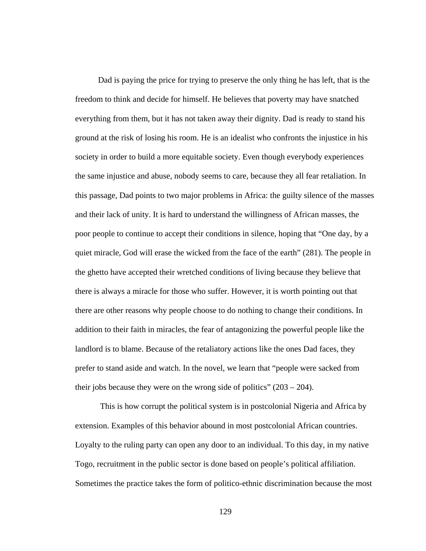Dad is paying the price for trying to preserve the only thing he has left, that is the freedom to think and decide for himself. He believes that poverty may have snatched everything from them, but it has not taken away their dignity. Dad is ready to stand his ground at the risk of losing his room. He is an idealist who confronts the injustice in his society in order to build a more equitable society. Even though everybody experiences the same injustice and abuse, nobody seems to care, because they all fear retaliation. In this passage, Dad points to two major problems in Africa: the guilty silence of the masses and their lack of unity. It is hard to understand the willingness of African masses, the poor people to continue to accept their conditions in silence, hoping that "One day, by a quiet miracle, God will erase the wicked from the face of the earth" (281). The people in the ghetto have accepted their wretched conditions of living because they believe that there is always a miracle for those who suffer. However, it is worth pointing out that there are other reasons why people choose to do nothing to change their conditions. In addition to their faith in miracles, the fear of antagonizing the powerful people like the landlord is to blame. Because of the retaliatory actions like the ones Dad faces, they prefer to stand aside and watch. In the novel, we learn that "people were sacked from their jobs because they were on the wrong side of politics"  $(203 – 204)$ .

This is how corrupt the political system is in postcolonial Nigeria and Africa by extension. Examples of this behavior abound in most postcolonial African countries. Loyalty to the ruling party can open any door to an individual. To this day, in my native Togo, recruitment in the public sector is done based on people's political affiliation. Sometimes the practice takes the form of politico-ethnic discrimination because the most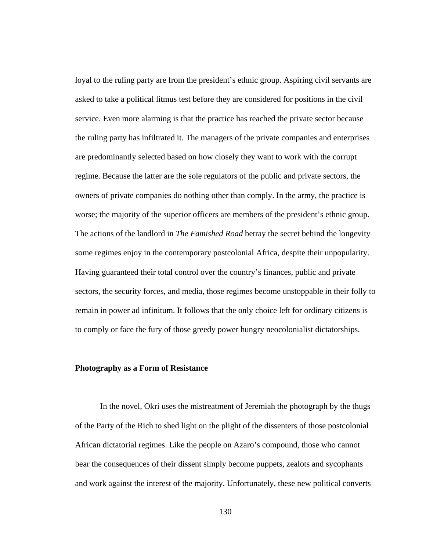loyal to the ruling party are from the president's ethnic group. Aspiring civil servants are asked to take a political litmus test before they are considered for positions in the civil service. Even more alarming is that the practice has reached the private sector because the ruling party has infiltrated it. The managers of the private companies and enterprises are predominantly selected based on how closely they want to work with the corrupt regime. Because the latter are the sole regulators of the public and private sectors, the owners of private companies do nothing other than comply. In the army, the practice is worse; the majority of the superior officers are members of the president's ethnic group. The actions of the landlord in *The Famished Road* betray the secret behind the longevity some regimes enjoy in the contemporary postcolonial Africa, despite their unpopularity. Having guaranteed their total control over the country's finances, public and private sectors, the security forces, and media, those regimes become unstoppable in their folly to remain in power ad infinitum. It follows that the only choice left for ordinary citizens is to comply or face the fury of those greedy power hungry neocolonialist dictatorships.

### **Photography as a Form of Resistance**

In the novel, Okri uses the mistreatment of Jeremiah the photograph by the thugs of the Party of the Rich to shed light on the plight of the dissenters of those postcolonial African dictatorial regimes. Like the people on Azaro's compound, those who cannot bear the consequences of their dissent simply become puppets, zealots and sycophants and work against the interest of the majority. Unfortunately, these new political converts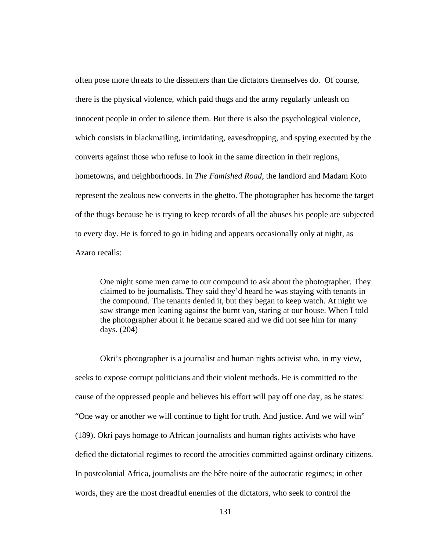often pose more threats to the dissenters than the dictators themselves do. Of course, there is the physical violence, which paid thugs and the army regularly unleash on innocent people in order to silence them. But there is also the psychological violence, which consists in blackmailing, intimidating, eavesdropping, and spying executed by the converts against those who refuse to look in the same direction in their regions, hometowns, and neighborhoods. In *The Famished Road*, the landlord and Madam Koto represent the zealous new converts in the ghetto. The photographer has become the target of the thugs because he is trying to keep records of all the abuses his people are subjected to every day. He is forced to go in hiding and appears occasionally only at night, as Azaro recalls:

One night some men came to our compound to ask about the photographer. They claimed to be journalists. They said they'd heard he was staying with tenants in the compound. The tenants denied it, but they began to keep watch. At night we saw strange men leaning against the burnt van, staring at our house. When I told the photographer about it he became scared and we did not see him for many days. (204)

 Okri's photographer is a journalist and human rights activist who, in my view, seeks to expose corrupt politicians and their violent methods. He is committed to the cause of the oppressed people and believes his effort will pay off one day, as he states: "One way or another we will continue to fight for truth. And justice. And we will win" (189). Okri pays homage to African journalists and human rights activists who have defied the dictatorial regimes to record the atrocities committed against ordinary citizens. In postcolonial Africa, journalists are the bête noire of the autocratic regimes; in other words, they are the most dreadful enemies of the dictators, who seek to control the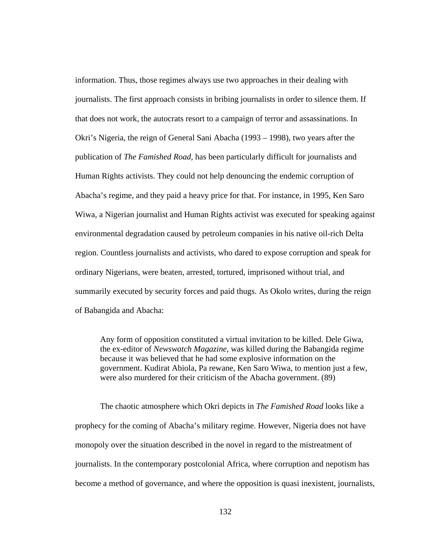information. Thus, those regimes always use two approaches in their dealing with journalists. The first approach consists in bribing journalists in order to silence them. If that does not work, the autocrats resort to a campaign of terror and assassinations. In Okri's Nigeria, the reign of General Sani Abacha (1993 – 1998), two years after the publication of *The Famished Road,* has been particularly difficult for journalists and Human Rights activists. They could not help denouncing the endemic corruption of Abacha's regime, and they paid a heavy price for that. For instance, in 1995, Ken Saro Wiwa, a Nigerian journalist and Human Rights activist was executed for speaking against environmental degradation caused by petroleum companies in his native oil-rich Delta region. Countless journalists and activists, who dared to expose corruption and speak for ordinary Nigerians, were beaten, arrested, tortured, imprisoned without trial, and summarily executed by security forces and paid thugs. As Okolo writes, during the reign of Babangida and Abacha:

Any form of opposition constituted a virtual invitation to be killed. Dele Giwa, the ex-editor of *Newswatch Magazine*, was killed during the Babangida regime because it was believed that he had some explosive information on the government. Kudirat Abiola, Pa rewane, Ken Saro Wiwa, to mention just a few, were also murdered for their criticism of the Abacha government. (89)

The chaotic atmosphere which Okri depicts in *The Famished Road* looks like a prophecy for the coming of Abacha's military regime. However, Nigeria does not have monopoly over the situation described in the novel in regard to the mistreatment of journalists. In the contemporary postcolonial Africa, where corruption and nepotism has become a method of governance, and where the opposition is quasi inexistent, journalists,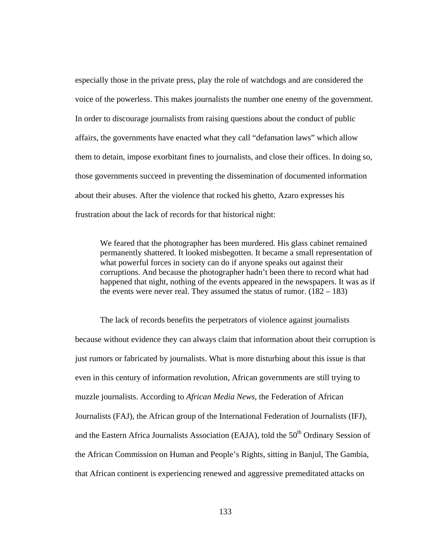especially those in the private press, play the role of watchdogs and are considered the voice of the powerless. This makes journalists the number one enemy of the government. In order to discourage journalists from raising questions about the conduct of public affairs, the governments have enacted what they call "defamation laws" which allow them to detain, impose exorbitant fines to journalists, and close their offices. In doing so, those governments succeed in preventing the dissemination of documented information about their abuses. After the violence that rocked his ghetto, Azaro expresses his frustration about the lack of records for that historical night:

We feared that the photographer has been murdered. His glass cabinet remained permanently shattered. It looked misbegotten. It became a small representation of what powerful forces in society can do if anyone speaks out against their corruptions. And because the photographer hadn't been there to record what had happened that night, nothing of the events appeared in the newspapers. It was as if the events were never real. They assumed the status of rumor.  $(182 – 183)$ 

 The lack of records benefits the perpetrators of violence against journalists because without evidence they can always claim that information about their corruption is just rumors or fabricated by journalists. What is more disturbing about this issue is that even in this century of information revolution, African governments are still trying to muzzle journalists. According to *African Media News*, the Federation of African Journalists (FAJ), the African group of the International Federation of Journalists (IFJ), and the Eastern Africa Journalists Association (EAJA), told the 50<sup>th</sup> Ordinary Session of the African Commission on Human and People's Rights, sitting in Banjul, The Gambia, that African continent is experiencing renewed and aggressive premeditated attacks on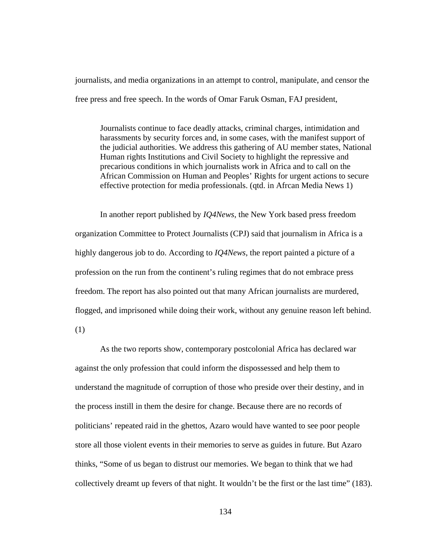journalists, and media organizations in an attempt to control, manipulate, and censor the free press and free speech. In the words of Omar Faruk Osman, FAJ president,

Journalists continue to face deadly attacks, criminal charges, intimidation and harassments by security forces and, in some cases, with the manifest support of the judicial authorities. We address this gathering of AU member states, National Human rights Institutions and Civil Society to highlight the repressive and precarious conditions in which journalists work in Africa and to call on the African Commission on Human and Peoples' Rights for urgent actions to secure effective protection for media professionals. (qtd. in Afrcan Media News 1)

 In another report published by *IQ4News*, the New York based press freedom organization Committee to Protect Journalists (CPJ) said that journalism in Africa is a highly dangerous job to do. According to *IQ4News*, the report painted a picture of a profession on the run from the continent's ruling regimes that do not embrace press freedom. The report has also pointed out that many African journalists are murdered, flogged, and imprisoned while doing their work, without any genuine reason left behind. (1)

As the two reports show, contemporary postcolonial Africa has declared war against the only profession that could inform the dispossessed and help them to understand the magnitude of corruption of those who preside over their destiny, and in the process instill in them the desire for change. Because there are no records of politicians' repeated raid in the ghettos, Azaro would have wanted to see poor people store all those violent events in their memories to serve as guides in future. But Azaro thinks, "Some of us began to distrust our memories. We began to think that we had collectively dreamt up fevers of that night. It wouldn't be the first or the last time" (183).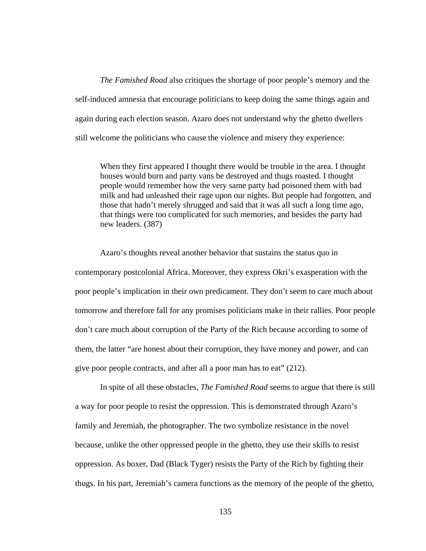*The Famished Road* also critiques the shortage of poor people's memory and the self-induced amnesia that encourage politicians to keep doing the same things again and again during each election season. Azaro does not understand why the ghetto dwellers still welcome the politicians who cause the violence and misery they experience:

When they first appeared I thought there would be trouble in the area. I thought houses would burn and party vans be destroyed and thugs roasted. I thought people would remember how the very same party had poisoned them with bad milk and had unleashed their rage upon our nights. But people had forgotten, and those that hadn't merely shrugged and said that it was all such a long time ago, that things were too complicated for such memories, and besides the party had new leaders. (387)

 Azaro's thoughts reveal another behavior that sustains the status quo in contemporary postcolonial Africa. Moreover, they express Okri's exasperation with the poor people's implication in their own predicament. They don't seem to care much about tomorrow and therefore fall for any promises politicians make in their rallies. Poor people don't care much about corruption of the Party of the Rich because according to some of them, the latter "are honest about their corruption, they have money and power, and can give poor people contracts, and after all a poor man has to eat" (212).

In spite of all these obstacles, *The Famished Road* seems to argue that there is still a way for poor people to resist the oppression. This is demonstrated through Azaro's family and Jeremiah, the photographer. The two symbolize resistance in the novel because, unlike the other oppressed people in the ghetto, they use their skills to resist oppression. As boxer, Dad (Black Tyger) resists the Party of the Rich by fighting their thugs. In his part, Jeremiah's camera functions as the memory of the people of the ghetto,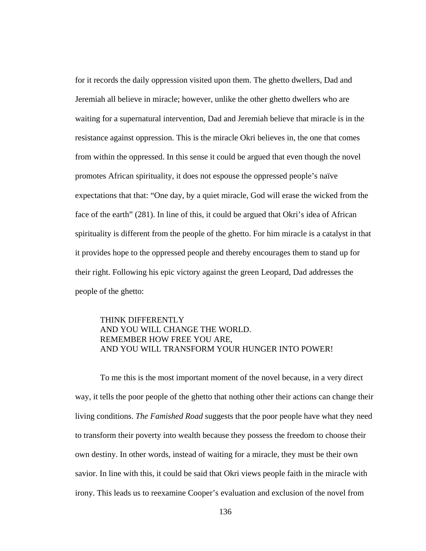for it records the daily oppression visited upon them. The ghetto dwellers, Dad and Jeremiah all believe in miracle; however, unlike the other ghetto dwellers who are waiting for a supernatural intervention, Dad and Jeremiah believe that miracle is in the resistance against oppression. This is the miracle Okri believes in, the one that comes from within the oppressed. In this sense it could be argued that even though the novel promotes African spirituality, it does not espouse the oppressed people's naïve expectations that that: "One day, by a quiet miracle, God will erase the wicked from the face of the earth" (281). In line of this, it could be argued that Okri's idea of African spirituality is different from the people of the ghetto. For him miracle is a catalyst in that it provides hope to the oppressed people and thereby encourages them to stand up for their right. Following his epic victory against the green Leopard, Dad addresses the people of the ghetto:

# THINK DIFFERENTLY AND YOU WILL CHANGE THE WORLD. REMEMBER HOW FREE YOU ARE, AND YOU WILL TRANSFORM YOUR HUNGER INTO POWER!

 To me this is the most important moment of the novel because, in a very direct way, it tells the poor people of the ghetto that nothing other their actions can change their living conditions. *The Famished Road* suggests that the poor people have what they need to transform their poverty into wealth because they possess the freedom to choose their own destiny. In other words, instead of waiting for a miracle, they must be their own savior. In line with this, it could be said that Okri views people faith in the miracle with irony. This leads us to reexamine Cooper's evaluation and exclusion of the novel from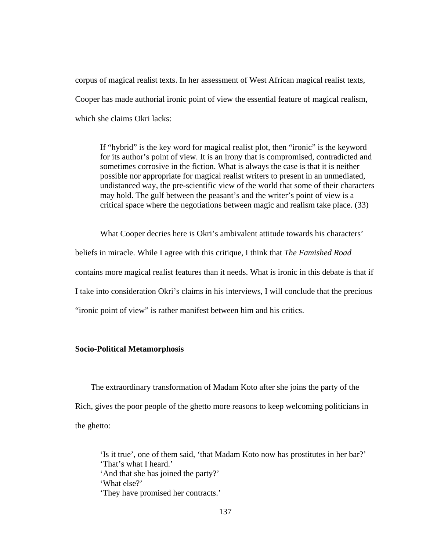corpus of magical realist texts. In her assessment of West African magical realist texts, Cooper has made authorial ironic point of view the essential feature of magical realism, which she claims Okri lacks:

If "hybrid" is the key word for magical realist plot, then "ironic" is the keyword for its author's point of view. It is an irony that is compromised, contradicted and sometimes corrosive in the fiction. What is always the case is that it is neither possible nor appropriate for magical realist writers to present in an unmediated, undistanced way, the pre-scientific view of the world that some of their characters may hold. The gulf between the peasant's and the writer's point of view is a critical space where the negotiations between magic and realism take place. (33)

What Cooper decries here is Okri's ambivalent attitude towards his characters' beliefs in miracle. While I agree with this critique, I think that *The Famished Road* contains more magical realist features than it needs. What is ironic in this debate is that if I take into consideration Okri's claims in his interviews, I will conclude that the precious "ironic point of view" is rather manifest between him and his critics.

## **Socio-Political Metamorphosis**

The extraordinary transformation of Madam Koto after she joins the party of the Rich, gives the poor people of the ghetto more reasons to keep welcoming politicians in the ghetto:

'Is it true', one of them said, 'that Madam Koto now has prostitutes in her bar?' 'That's what I heard.' 'And that she has joined the party?' 'What else?' 'They have promised her contracts.'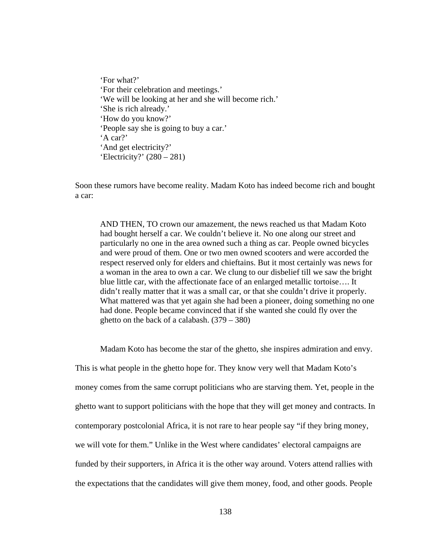'For what?' 'For their celebration and meetings.' 'We will be looking at her and she will become rich.' 'She is rich already.' 'How do you know?' 'People say she is going to buy a car.' 'A car?' 'And get electricity?' 'Electricity?' (280 – 281)

Soon these rumors have become reality. Madam Koto has indeed become rich and bought a car:

AND THEN, TO crown our amazement, the news reached us that Madam Koto had bought herself a car. We couldn't believe it. No one along our street and particularly no one in the area owned such a thing as car. People owned bicycles and were proud of them. One or two men owned scooters and were accorded the respect reserved only for elders and chieftains. But it most certainly was news for a woman in the area to own a car. We clung to our disbelief till we saw the bright blue little car, with the affectionate face of an enlarged metallic tortoise…. It didn't really matter that it was a small car, or that she couldn't drive it properly. What mattered was that yet again she had been a pioneer, doing something no one had done. People became convinced that if she wanted she could fly over the ghetto on the back of a calabash. (379 – 380)

Madam Koto has become the star of the ghetto, she inspires admiration and envy.

This is what people in the ghetto hope for. They know very well that Madam Koto's money comes from the same corrupt politicians who are starving them. Yet, people in the ghetto want to support politicians with the hope that they will get money and contracts. In contemporary postcolonial Africa, it is not rare to hear people say "if they bring money, we will vote for them." Unlike in the West where candidates' electoral campaigns are funded by their supporters, in Africa it is the other way around. Voters attend rallies with the expectations that the candidates will give them money, food, and other goods. People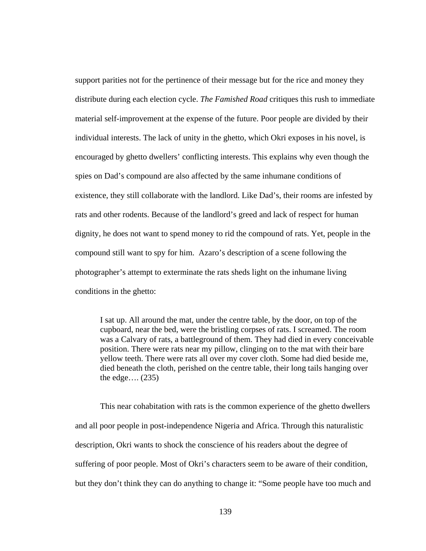support parities not for the pertinence of their message but for the rice and money they distribute during each election cycle. *The Famished Road* critiques this rush to immediate material self-improvement at the expense of the future. Poor people are divided by their individual interests. The lack of unity in the ghetto, which Okri exposes in his novel, is encouraged by ghetto dwellers' conflicting interests. This explains why even though the spies on Dad's compound are also affected by the same inhumane conditions of existence, they still collaborate with the landlord. Like Dad's, their rooms are infested by rats and other rodents. Because of the landlord's greed and lack of respect for human dignity, he does not want to spend money to rid the compound of rats. Yet, people in the compound still want to spy for him. Azaro's description of a scene following the photographer's attempt to exterminate the rats sheds light on the inhumane living conditions in the ghetto:

I sat up. All around the mat, under the centre table, by the door, on top of the cupboard, near the bed, were the bristling corpses of rats. I screamed. The room was a Calvary of rats, a battleground of them. They had died in every conceivable position. There were rats near my pillow, clinging on to the mat with their bare yellow teeth. There were rats all over my cover cloth. Some had died beside me, died beneath the cloth, perished on the centre table, their long tails hanging over the edge.... $(235)$ 

This near cohabitation with rats is the common experience of the ghetto dwellers and all poor people in post-independence Nigeria and Africa. Through this naturalistic description, Okri wants to shock the conscience of his readers about the degree of suffering of poor people. Most of Okri's characters seem to be aware of their condition, but they don't think they can do anything to change it: "Some people have too much and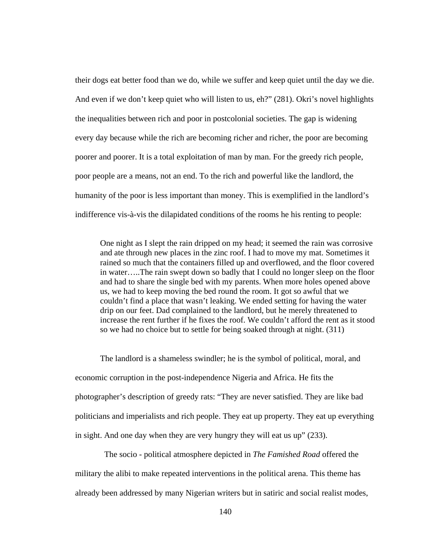their dogs eat better food than we do, while we suffer and keep quiet until the day we die. And even if we don't keep quiet who will listen to us, eh?" (281). Okri's novel highlights the inequalities between rich and poor in postcolonial societies. The gap is widening every day because while the rich are becoming richer and richer, the poor are becoming poorer and poorer. It is a total exploitation of man by man. For the greedy rich people, poor people are a means, not an end. To the rich and powerful like the landlord, the humanity of the poor is less important than money. This is exemplified in the landlord's indifference vis-à-vis the dilapidated conditions of the rooms he his renting to people:

One night as I slept the rain dripped on my head; it seemed the rain was corrosive and ate through new places in the zinc roof. I had to move my mat. Sometimes it rained so much that the containers filled up and overflowed, and the floor covered in water…..The rain swept down so badly that I could no longer sleep on the floor and had to share the single bed with my parents. When more holes opened above us, we had to keep moving the bed round the room. It got so awful that we couldn't find a place that wasn't leaking. We ended setting for having the water drip on our feet. Dad complained to the landlord, but he merely threatened to increase the rent further if he fixes the roof. We couldn't afford the rent as it stood so we had no choice but to settle for being soaked through at night. (311)

The landlord is a shameless swindler; he is the symbol of political, moral, and economic corruption in the post-independence Nigeria and Africa. He fits the photographer's description of greedy rats: "They are never satisfied. They are like bad politicians and imperialists and rich people. They eat up property. They eat up everything in sight. And one day when they are very hungry they will eat us up" (233).

 The socio - political atmosphere depicted in *The Famished Road* offered the military the alibi to make repeated interventions in the political arena. This theme has already been addressed by many Nigerian writers but in satiric and social realist modes,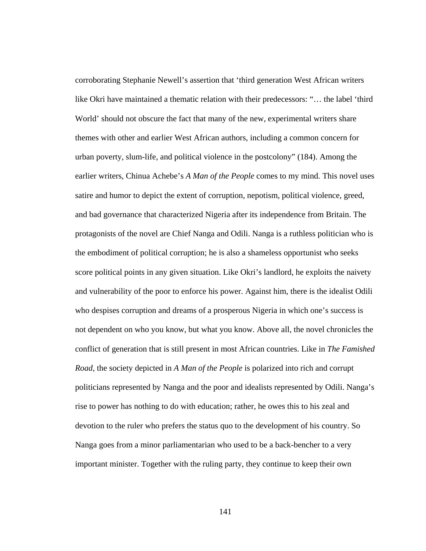corroborating Stephanie Newell's assertion that 'third generation West African writers like Okri have maintained a thematic relation with their predecessors: "… the label 'third World' should not obscure the fact that many of the new, experimental writers share themes with other and earlier West African authors, including a common concern for urban poverty, slum-life, and political violence in the postcolony" (184). Among the earlier writers, Chinua Achebe's *A Man of the People* comes to my mind*.* This novel uses satire and humor to depict the extent of corruption, nepotism, political violence, greed, and bad governance that characterized Nigeria after its independence from Britain. The protagonists of the novel are Chief Nanga and Odili. Nanga is a ruthless politician who is the embodiment of political corruption; he is also a shameless opportunist who seeks score political points in any given situation. Like Okri's landlord, he exploits the naivety and vulnerability of the poor to enforce his power. Against him, there is the idealist Odili who despises corruption and dreams of a prosperous Nigeria in which one's success is not dependent on who you know, but what you know. Above all, the novel chronicles the conflict of generation that is still present in most African countries. Like in *The Famished Road*, the society depicted in *A Man of the People* is polarized into rich and corrupt politicians represented by Nanga and the poor and idealists represented by Odili. Nanga's rise to power has nothing to do with education; rather, he owes this to his zeal and devotion to the ruler who prefers the status quo to the development of his country. So Nanga goes from a minor parliamentarian who used to be a back-bencher to a very important minister. Together with the ruling party, they continue to keep their own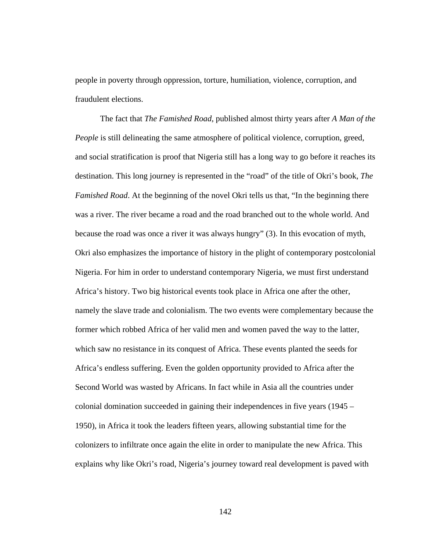people in poverty through oppression, torture, humiliation, violence, corruption, and fraudulent elections.

The fact that *The Famished Road*, published almost thirty years after *A Man of the People* is still delineating the same atmosphere of political violence, corruption, greed, and social stratification is proof that Nigeria still has a long way to go before it reaches its destination. This long journey is represented in the "road" of the title of Okri's book, *The Famished Road*. At the beginning of the novel Okri tells us that, "In the beginning there was a river. The river became a road and the road branched out to the whole world. And because the road was once a river it was always hungry" (3). In this evocation of myth, Okri also emphasizes the importance of history in the plight of contemporary postcolonial Nigeria. For him in order to understand contemporary Nigeria, we must first understand Africa's history. Two big historical events took place in Africa one after the other, namely the slave trade and colonialism. The two events were complementary because the former which robbed Africa of her valid men and women paved the way to the latter, which saw no resistance in its conquest of Africa. These events planted the seeds for Africa's endless suffering. Even the golden opportunity provided to Africa after the Second World was wasted by Africans. In fact while in Asia all the countries under colonial domination succeeded in gaining their independences in five years (1945 – 1950), in Africa it took the leaders fifteen years, allowing substantial time for the colonizers to infiltrate once again the elite in order to manipulate the new Africa. This explains why like Okri's road, Nigeria's journey toward real development is paved with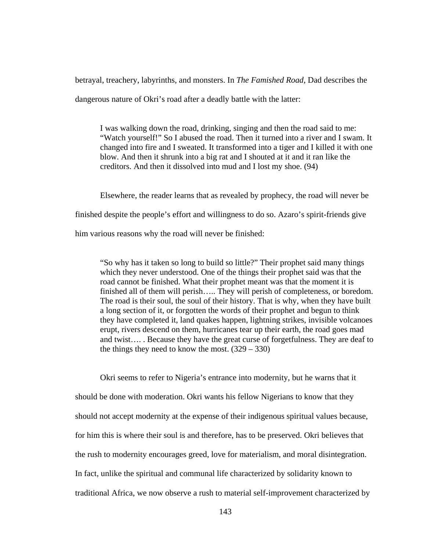betrayal, treachery, labyrinths, and monsters. In *The Famished Road*, Dad describes the dangerous nature of Okri's road after a deadly battle with the latter:

I was walking down the road, drinking, singing and then the road said to me: "Watch yourself!" So I abused the road. Then it turned into a river and I swam. It changed into fire and I sweated. It transformed into a tiger and I killed it with one blow. And then it shrunk into a big rat and I shouted at it and it ran like the creditors. And then it dissolved into mud and I lost my shoe. (94)

Elsewhere, the reader learns that as revealed by prophecy, the road will never be finished despite the people's effort and willingness to do so. Azaro's spirit-friends give him various reasons why the road will never be finished:

"So why has it taken so long to build so little?" Their prophet said many things which they never understood. One of the things their prophet said was that the road cannot be finished. What their prophet meant was that the moment it is finished all of them will perish….. They will perish of completeness, or boredom. The road is their soul, the soul of their history. That is why, when they have built a long section of it, or forgotten the words of their prophet and begun to think they have completed it, land quakes happen, lightning strikes, invisible volcanoes erupt, rivers descend on them, hurricanes tear up their earth, the road goes mad and twist…. . Because they have the great curse of forgetfulness. They are deaf to the things they need to know the most.  $(329 - 330)$ 

Okri seems to refer to Nigeria's entrance into modernity, but he warns that it should be done with moderation. Okri wants his fellow Nigerians to know that they should not accept modernity at the expense of their indigenous spiritual values because, for him this is where their soul is and therefore, has to be preserved. Okri believes that the rush to modernity encourages greed, love for materialism, and moral disintegration. In fact, unlike the spiritual and communal life characterized by solidarity known to traditional Africa, we now observe a rush to material self-improvement characterized by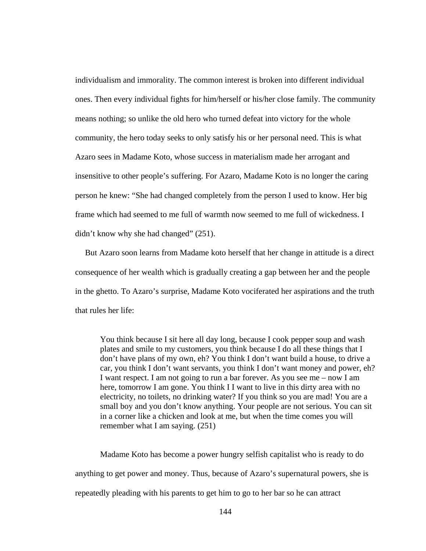individualism and immorality. The common interest is broken into different individual ones. Then every individual fights for him/herself or his/her close family. The community means nothing; so unlike the old hero who turned defeat into victory for the whole community, the hero today seeks to only satisfy his or her personal need. This is what Azaro sees in Madame Koto, whose success in materialism made her arrogant and insensitive to other people's suffering. For Azaro, Madame Koto is no longer the caring person he knew: "She had changed completely from the person I used to know. Her big frame which had seemed to me full of warmth now seemed to me full of wickedness. I didn't know why she had changed" (251).

But Azaro soon learns from Madame koto herself that her change in attitude is a direct consequence of her wealth which is gradually creating a gap between her and the people in the ghetto. To Azaro's surprise, Madame Koto vociferated her aspirations and the truth that rules her life:

You think because I sit here all day long, because I cook pepper soup and wash plates and smile to my customers, you think because I do all these things that I don't have plans of my own, eh? You think I don't want build a house, to drive a car, you think I don't want servants, you think I don't want money and power, eh? I want respect. I am not going to run a bar forever. As you see me – now I am here, tomorrow I am gone. You think I I want to live in this dirty area with no electricity, no toilets, no drinking water? If you think so you are mad! You are a small boy and you don't know anything. Your people are not serious. You can sit in a corner like a chicken and look at me, but when the time comes you will remember what I am saying. (251)

Madame Koto has become a power hungry selfish capitalist who is ready to do anything to get power and money. Thus, because of Azaro's supernatural powers, she is repeatedly pleading with his parents to get him to go to her bar so he can attract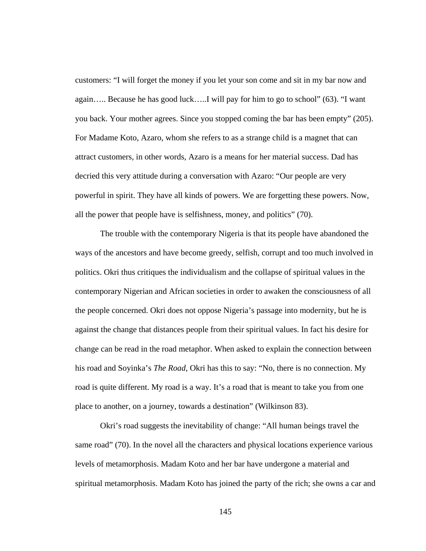customers: "I will forget the money if you let your son come and sit in my bar now and again….. Because he has good luck…..I will pay for him to go to school" (63). "I want you back. Your mother agrees. Since you stopped coming the bar has been empty" (205). For Madame Koto, Azaro, whom she refers to as a strange child is a magnet that can attract customers, in other words, Azaro is a means for her material success. Dad has decried this very attitude during a conversation with Azaro: "Our people are very powerful in spirit. They have all kinds of powers. We are forgetting these powers. Now, all the power that people have is selfishness, money, and politics" (70).

The trouble with the contemporary Nigeria is that its people have abandoned the ways of the ancestors and have become greedy, selfish, corrupt and too much involved in politics. Okri thus critiques the individualism and the collapse of spiritual values in the contemporary Nigerian and African societies in order to awaken the consciousness of all the people concerned. Okri does not oppose Nigeria's passage into modernity, but he is against the change that distances people from their spiritual values. In fact his desire for change can be read in the road metaphor. When asked to explain the connection between his road and Soyinka's *The Road*, Okri has this to say: "No, there is no connection. My road is quite different. My road is a way. It's a road that is meant to take you from one place to another, on a journey, towards a destination" (Wilkinson 83).

Okri's road suggests the inevitability of change: "All human beings travel the same road" (70). In the novel all the characters and physical locations experience various levels of metamorphosis. Madam Koto and her bar have undergone a material and spiritual metamorphosis. Madam Koto has joined the party of the rich; she owns a car and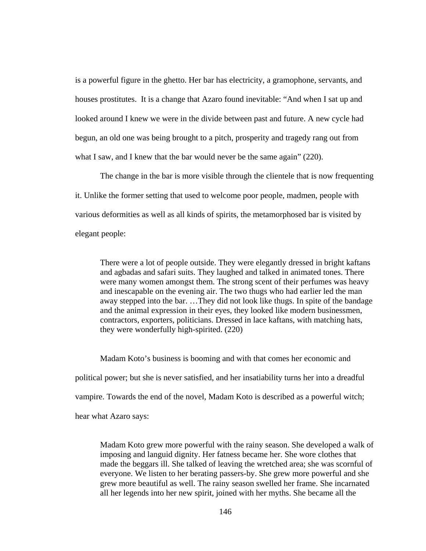is a powerful figure in the ghetto. Her bar has electricity, a gramophone, servants, and houses prostitutes. It is a change that Azaro found inevitable: "And when I sat up and looked around I knew we were in the divide between past and future. A new cycle had begun, an old one was being brought to a pitch, prosperity and tragedy rang out from what I saw, and I knew that the bar would never be the same again" (220).

The change in the bar is more visible through the clientele that is now frequenting it. Unlike the former setting that used to welcome poor people, madmen, people with various deformities as well as all kinds of spirits, the metamorphosed bar is visited by elegant people:

There were a lot of people outside. They were elegantly dressed in bright kaftans and agbadas and safari suits. They laughed and talked in animated tones. There were many women amongst them. The strong scent of their perfumes was heavy and inescapable on the evening air. The two thugs who had earlier led the man away stepped into the bar. …They did not look like thugs. In spite of the bandage and the animal expression in their eyes, they looked like modern businessmen, contractors, exporters, politicians. Dressed in lace kaftans, with matching hats, they were wonderfully high-spirited. (220)

Madam Koto's business is booming and with that comes her economic and political power; but she is never satisfied, and her insatiability turns her into a dreadful vampire. Towards the end of the novel, Madam Koto is described as a powerful witch; hear what Azaro says:

Madam Koto grew more powerful with the rainy season. She developed a walk of imposing and languid dignity. Her fatness became her. She wore clothes that made the beggars ill. She talked of leaving the wretched area; she was scornful of everyone. We listen to her berating passers-by. She grew more powerful and she grew more beautiful as well. The rainy season swelled her frame. She incarnated all her legends into her new spirit, joined with her myths. She became all the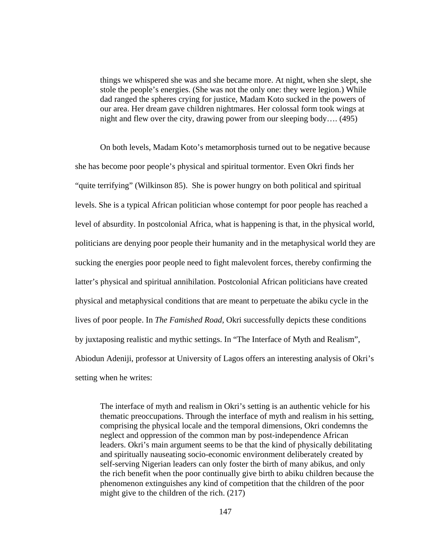things we whispered she was and she became more. At night, when she slept, she stole the people's energies. (She was not the only one: they were legion.) While dad ranged the spheres crying for justice, Madam Koto sucked in the powers of our area. Her dream gave children nightmares. Her colossal form took wings at night and flew over the city, drawing power from our sleeping body…. (495)

On both levels, Madam Koto's metamorphosis turned out to be negative because she has become poor people's physical and spiritual tormentor. Even Okri finds her "quite terrifying" (Wilkinson 85). She is power hungry on both political and spiritual levels. She is a typical African politician whose contempt for poor people has reached a level of absurdity. In postcolonial Africa, what is happening is that, in the physical world, politicians are denying poor people their humanity and in the metaphysical world they are sucking the energies poor people need to fight malevolent forces, thereby confirming the latter's physical and spiritual annihilation. Postcolonial African politicians have created physical and metaphysical conditions that are meant to perpetuate the abiku cycle in the lives of poor people. In *The Famished Road*, Okri successfully depicts these conditions by juxtaposing realistic and mythic settings. In "The Interface of Myth and Realism", Abiodun Adeniji, professor at University of Lagos offers an interesting analysis of Okri's setting when he writes:

The interface of myth and realism in Okri's setting is an authentic vehicle for his thematic preoccupations. Through the interface of myth and realism in his setting, comprising the physical locale and the temporal dimensions, Okri condemns the neglect and oppression of the common man by post-independence African leaders. Okri's main argument seems to be that the kind of physically debilitating and spiritually nauseating socio-economic environment deliberately created by self-serving Nigerian leaders can only foster the birth of many abikus, and only the rich benefit when the poor continually give birth to abiku children because the phenomenon extinguishes any kind of competition that the children of the poor might give to the children of the rich. (217)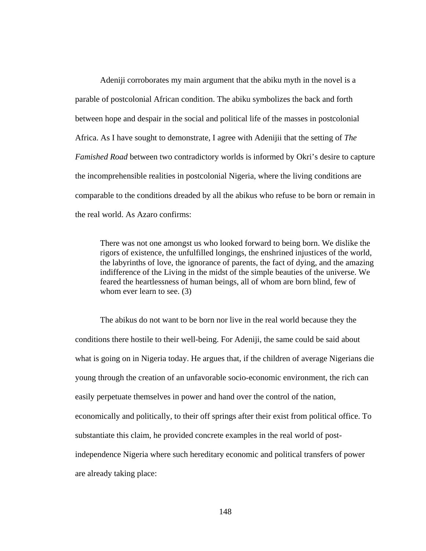Adeniji corroborates my main argument that the abiku myth in the novel is a parable of postcolonial African condition. The abiku symbolizes the back and forth between hope and despair in the social and political life of the masses in postcolonial Africa. As I have sought to demonstrate, I agree with Adenijii that the setting of *The Famished Road* between two contradictory worlds is informed by Okri's desire to capture the incomprehensible realities in postcolonial Nigeria, where the living conditions are comparable to the conditions dreaded by all the abikus who refuse to be born or remain in the real world. As Azaro confirms:

There was not one amongst us who looked forward to being born. We dislike the rigors of existence, the unfulfilled longings, the enshrined injustices of the world, the labyrinths of love, the ignorance of parents, the fact of dying, and the amazing indifference of the Living in the midst of the simple beauties of the universe. We feared the heartlessness of human beings, all of whom are born blind, few of whom ever learn to see. (3)

The abikus do not want to be born nor live in the real world because they the conditions there hostile to their well-being. For Adeniji, the same could be said about what is going on in Nigeria today. He argues that, if the children of average Nigerians die young through the creation of an unfavorable socio-economic environment, the rich can easily perpetuate themselves in power and hand over the control of the nation, economically and politically, to their off springs after their exist from political office. To substantiate this claim, he provided concrete examples in the real world of postindependence Nigeria where such hereditary economic and political transfers of power are already taking place: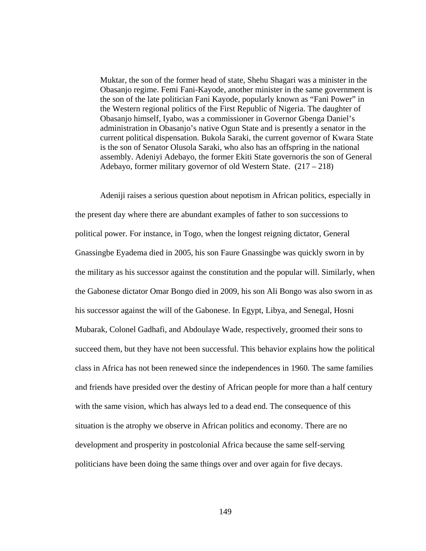Muktar, the son of the former head of state, Shehu Shagari was a minister in the Obasanjo regime. Femi Fani-Kayode, another minister in the same government is the son of the late politician Fani Kayode, popularly known as "Fani Power" in the Western regional politics of the First Republic of Nigeria. The daughter of Obasanjo himself, Iyabo, was a commissioner in Governor Gbenga Daniel's administration in Obasanjo's native Ogun State and is presently a senator in the current political dispensation. Bukola Saraki, the current governor of Kwara State is the son of Senator Olusola Saraki, who also has an offspring in the national assembly. Adeniyi Adebayo, the former Ekiti State governoris the son of General Adebayo, former military governor of old Western State. (217 – 218)

Adeniji raises a serious question about nepotism in African politics, especially in the present day where there are abundant examples of father to son successions to political power. For instance, in Togo, when the longest reigning dictator, General Gnassingbe Eyadema died in 2005, his son Faure Gnassingbe was quickly sworn in by the military as his successor against the constitution and the popular will. Similarly, when the Gabonese dictator Omar Bongo died in 2009, his son Ali Bongo was also sworn in as his successor against the will of the Gabonese. In Egypt, Libya, and Senegal, Hosni Mubarak, Colonel Gadhafi, and Abdoulaye Wade, respectively, groomed their sons to succeed them, but they have not been successful. This behavior explains how the political class in Africa has not been renewed since the independences in 1960. The same families and friends have presided over the destiny of African people for more than a half century with the same vision, which has always led to a dead end. The consequence of this situation is the atrophy we observe in African politics and economy. There are no development and prosperity in postcolonial Africa because the same self-serving politicians have been doing the same things over and over again for five decays.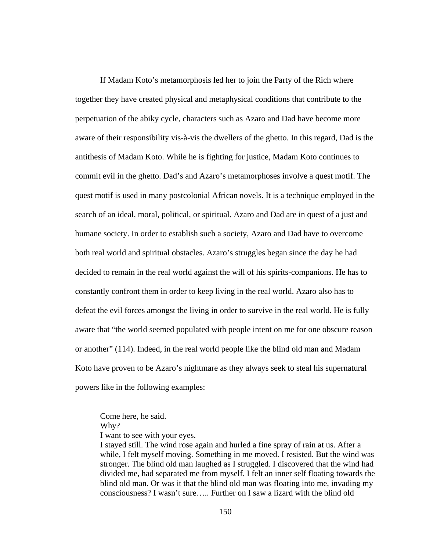If Madam Koto's metamorphosis led her to join the Party of the Rich where together they have created physical and metaphysical conditions that contribute to the perpetuation of the abiky cycle, characters such as Azaro and Dad have become more aware of their responsibility vis-à-vis the dwellers of the ghetto. In this regard, Dad is the antithesis of Madam Koto. While he is fighting for justice, Madam Koto continues to commit evil in the ghetto. Dad's and Azaro's metamorphoses involve a quest motif. The quest motif is used in many postcolonial African novels. It is a technique employed in the search of an ideal, moral, political, or spiritual. Azaro and Dad are in quest of a just and humane society. In order to establish such a society, Azaro and Dad have to overcome both real world and spiritual obstacles. Azaro's struggles began since the day he had decided to remain in the real world against the will of his spirits-companions. He has to constantly confront them in order to keep living in the real world. Azaro also has to defeat the evil forces amongst the living in order to survive in the real world. He is fully aware that "the world seemed populated with people intent on me for one obscure reason or another" (114). Indeed, in the real world people like the blind old man and Madam Koto have proven to be Azaro's nightmare as they always seek to steal his supernatural powers like in the following examples:

Come here, he said. Why?

I want to see with your eyes.

I stayed still. The wind rose again and hurled a fine spray of rain at us. After a while, I felt myself moving. Something in me moved. I resisted. But the wind was stronger. The blind old man laughed as I struggled. I discovered that the wind had divided me, had separated me from myself. I felt an inner self floating towards the blind old man. Or was it that the blind old man was floating into me, invading my consciousness? I wasn't sure….. Further on I saw a lizard with the blind old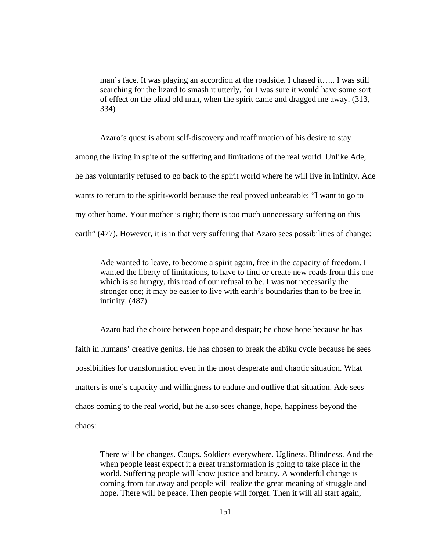man's face. It was playing an accordion at the roadside. I chased it….. I was still searching for the lizard to smash it utterly, for I was sure it would have some sort of effect on the blind old man, when the spirit came and dragged me away. (313, 334)

Azaro's quest is about self-discovery and reaffirmation of his desire to stay among the living in spite of the suffering and limitations of the real world. Unlike Ade, he has voluntarily refused to go back to the spirit world where he will live in infinity. Ade wants to return to the spirit-world because the real proved unbearable: "I want to go to my other home. Your mother is right; there is too much unnecessary suffering on this earth" (477). However, it is in that very suffering that Azaro sees possibilities of change:

Ade wanted to leave, to become a spirit again, free in the capacity of freedom. I wanted the liberty of limitations, to have to find or create new roads from this one which is so hungry, this road of our refusal to be. I was not necessarily the stronger one; it may be easier to live with earth's boundaries than to be free in infinity. (487)

Azaro had the choice between hope and despair; he chose hope because he has faith in humans' creative genius. He has chosen to break the abiku cycle because he sees possibilities for transformation even in the most desperate and chaotic situation. What matters is one's capacity and willingness to endure and outlive that situation. Ade sees chaos coming to the real world, but he also sees change, hope, happiness beyond the chaos:

There will be changes. Coups. Soldiers everywhere. Ugliness. Blindness. And the when people least expect it a great transformation is going to take place in the world. Suffering people will know justice and beauty. A wonderful change is coming from far away and people will realize the great meaning of struggle and hope. There will be peace. Then people will forget. Then it will all start again,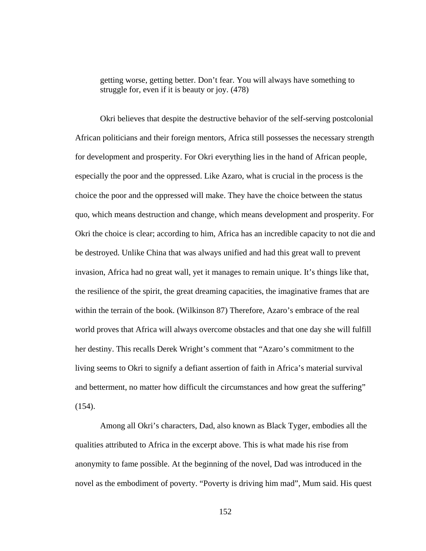getting worse, getting better. Don't fear. You will always have something to struggle for, even if it is beauty or joy. (478)

Okri believes that despite the destructive behavior of the self-serving postcolonial African politicians and their foreign mentors, Africa still possesses the necessary strength for development and prosperity. For Okri everything lies in the hand of African people, especially the poor and the oppressed. Like Azaro, what is crucial in the process is the choice the poor and the oppressed will make. They have the choice between the status quo, which means destruction and change, which means development and prosperity. For Okri the choice is clear; according to him, Africa has an incredible capacity to not die and be destroyed. Unlike China that was always unified and had this great wall to prevent invasion, Africa had no great wall, yet it manages to remain unique. It's things like that, the resilience of the spirit, the great dreaming capacities, the imaginative frames that are within the terrain of the book. (Wilkinson 87) Therefore, Azaro's embrace of the real world proves that Africa will always overcome obstacles and that one day she will fulfill her destiny. This recalls Derek Wright's comment that "Azaro's commitment to the living seems to Okri to signify a defiant assertion of faith in Africa's material survival and betterment, no matter how difficult the circumstances and how great the suffering"  $(154)$ .

Among all Okri's characters, Dad, also known as Black Tyger, embodies all the qualities attributed to Africa in the excerpt above. This is what made his rise from anonymity to fame possible. At the beginning of the novel, Dad was introduced in the novel as the embodiment of poverty. "Poverty is driving him mad", Mum said. His quest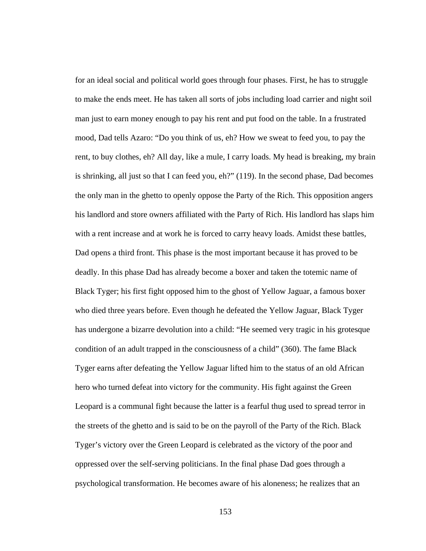for an ideal social and political world goes through four phases. First, he has to struggle to make the ends meet. He has taken all sorts of jobs including load carrier and night soil man just to earn money enough to pay his rent and put food on the table. In a frustrated mood, Dad tells Azaro: "Do you think of us, eh? How we sweat to feed you, to pay the rent, to buy clothes, eh? All day, like a mule, I carry loads. My head is breaking, my brain is shrinking, all just so that I can feed you, eh?" (119). In the second phase, Dad becomes the only man in the ghetto to openly oppose the Party of the Rich. This opposition angers his landlord and store owners affiliated with the Party of Rich. His landlord has slaps him with a rent increase and at work he is forced to carry heavy loads. Amidst these battles, Dad opens a third front. This phase is the most important because it has proved to be deadly. In this phase Dad has already become a boxer and taken the totemic name of Black Tyger; his first fight opposed him to the ghost of Yellow Jaguar, a famous boxer who died three years before. Even though he defeated the Yellow Jaguar, Black Tyger has undergone a bizarre devolution into a child: "He seemed very tragic in his grotesque condition of an adult trapped in the consciousness of a child" (360). The fame Black Tyger earns after defeating the Yellow Jaguar lifted him to the status of an old African hero who turned defeat into victory for the community. His fight against the Green Leopard is a communal fight because the latter is a fearful thug used to spread terror in the streets of the ghetto and is said to be on the payroll of the Party of the Rich. Black Tyger's victory over the Green Leopard is celebrated as the victory of the poor and oppressed over the self-serving politicians. In the final phase Dad goes through a psychological transformation. He becomes aware of his aloneness; he realizes that an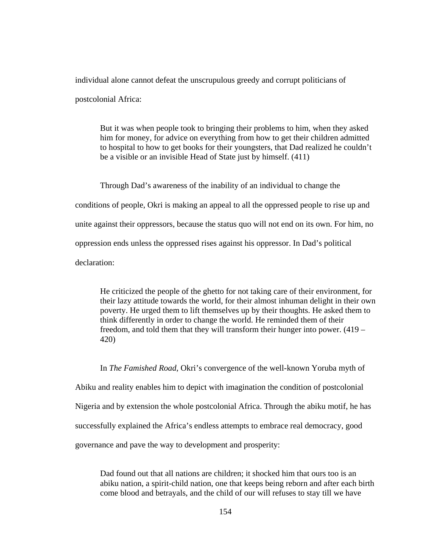individual alone cannot defeat the unscrupulous greedy and corrupt politicians of

postcolonial Africa:

But it was when people took to bringing their problems to him, when they asked him for money, for advice on everything from how to get their children admitted to hospital to how to get books for their youngsters, that Dad realized he couldn't be a visible or an invisible Head of State just by himself. (411)

Through Dad's awareness of the inability of an individual to change the conditions of people, Okri is making an appeal to all the oppressed people to rise up and unite against their oppressors, because the status quo will not end on its own. For him, no oppression ends unless the oppressed rises against his oppressor. In Dad's political declaration:

He criticized the people of the ghetto for not taking care of their environment, for their lazy attitude towards the world, for their almost inhuman delight in their own poverty. He urged them to lift themselves up by their thoughts. He asked them to think differently in order to change the world. He reminded them of their freedom, and told them that they will transform their hunger into power. (419 – 420)

In *The Famished Road*, Okri's convergence of the well-known Yoruba myth of Abiku and reality enables him to depict with imagination the condition of postcolonial Nigeria and by extension the whole postcolonial Africa. Through the abiku motif, he has successfully explained the Africa's endless attempts to embrace real democracy, good governance and pave the way to development and prosperity:

Dad found out that all nations are children; it shocked him that ours too is an abiku nation, a spirit-child nation, one that keeps being reborn and after each birth come blood and betrayals, and the child of our will refuses to stay till we have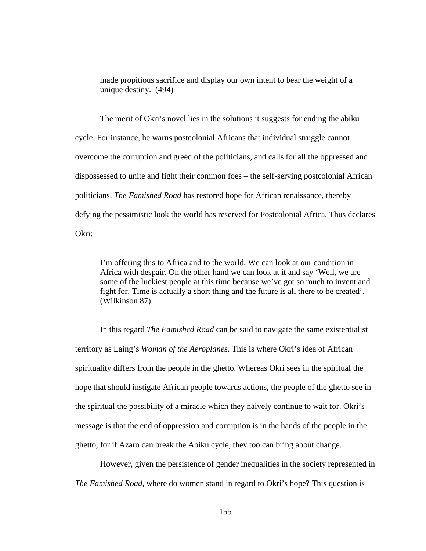made propitious sacrifice and display our own intent to bear the weight of a unique destiny. (494)

The merit of Okri's novel lies in the solutions it suggests for ending the abiku cycle. For instance, he warns postcolonial Africans that individual struggle cannot overcome the corruption and greed of the politicians, and calls for all the oppressed and dispossessed to unite and fight their common foes – the self-serving postcolonial African politicians. *The Famished Road* has restored hope for African renaissance, thereby defying the pessimistic look the world has reserved for Postcolonial Africa. Thus declares Okri:

I'm offering this to Africa and to the world. We can look at our condition in Africa with despair. On the other hand we can look at it and say 'Well, we are some of the luckiest people at this time because we've got so much to invent and fight for. Time is actually a short thing and the future is all there to be created'. (Wilkinson 87)

In this regard *The Famished Road* can be said to navigate the same existentialist territory as Laing's *Woman of the Aeroplanes*. This is where Okri's idea of African spirituality differs from the people in the ghetto. Whereas Okri sees in the spiritual the hope that should instigate African people towards actions, the people of the ghetto see in the spiritual the possibility of a miracle which they naively continue to wait for. Okri's message is that the end of oppression and corruption is in the hands of the people in the ghetto, for if Azaro can break the Abiku cycle, they too can bring about change.

However, given the persistence of gender inequalities in the society represented in *The Famished Road*, where do women stand in regard to Okri's hope? This question is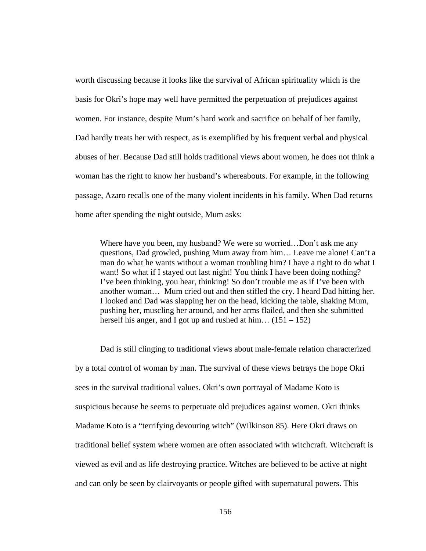worth discussing because it looks like the survival of African spirituality which is the basis for Okri's hope may well have permitted the perpetuation of prejudices against women. For instance, despite Mum's hard work and sacrifice on behalf of her family, Dad hardly treats her with respect, as is exemplified by his frequent verbal and physical abuses of her. Because Dad still holds traditional views about women, he does not think a woman has the right to know her husband's whereabouts. For example, in the following passage, Azaro recalls one of the many violent incidents in his family. When Dad returns home after spending the night outside, Mum asks:

Where have you been, my husband? We were so worried…Don't ask me any questions, Dad growled, pushing Mum away from him… Leave me alone! Can't a man do what he wants without a woman troubling him? I have a right to do what I want! So what if I stayed out last night! You think I have been doing nothing? I've been thinking, you hear, thinking! So don't trouble me as if I've been with another woman… Mum cried out and then stifled the cry. I heard Dad hitting her. I looked and Dad was slapping her on the head, kicking the table, shaking Mum, pushing her, muscling her around, and her arms flailed, and then she submitted herself his anger, and I got up and rushed at him...  $(151 – 152)$ 

Dad is still clinging to traditional views about male-female relation characterized by a total control of woman by man. The survival of these views betrays the hope Okri sees in the survival traditional values. Okri's own portrayal of Madame Koto is suspicious because he seems to perpetuate old prejudices against women. Okri thinks Madame Koto is a "terrifying devouring witch" (Wilkinson 85). Here Okri draws on traditional belief system where women are often associated with witchcraft. Witchcraft is viewed as evil and as life destroying practice. Witches are believed to be active at night and can only be seen by clairvoyants or people gifted with supernatural powers. This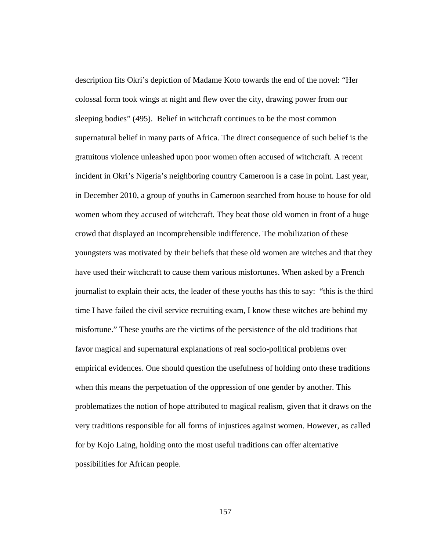description fits Okri's depiction of Madame Koto towards the end of the novel: "Her colossal form took wings at night and flew over the city, drawing power from our sleeping bodies" (495). Belief in witchcraft continues to be the most common supernatural belief in many parts of Africa. The direct consequence of such belief is the gratuitous violence unleashed upon poor women often accused of witchcraft. A recent incident in Okri's Nigeria's neighboring country Cameroon is a case in point. Last year, in December 2010, a group of youths in Cameroon searched from house to house for old women whom they accused of witchcraft. They beat those old women in front of a huge crowd that displayed an incomprehensible indifference. The mobilization of these youngsters was motivated by their beliefs that these old women are witches and that they have used their witchcraft to cause them various misfortunes. When asked by a French journalist to explain their acts, the leader of these youths has this to say: "this is the third time I have failed the civil service recruiting exam, I know these witches are behind my misfortune." These youths are the victims of the persistence of the old traditions that favor magical and supernatural explanations of real socio-political problems over empirical evidences. One should question the usefulness of holding onto these traditions when this means the perpetuation of the oppression of one gender by another. This problematizes the notion of hope attributed to magical realism, given that it draws on the very traditions responsible for all forms of injustices against women. However, as called for by Kojo Laing, holding onto the most useful traditions can offer alternative possibilities for African people.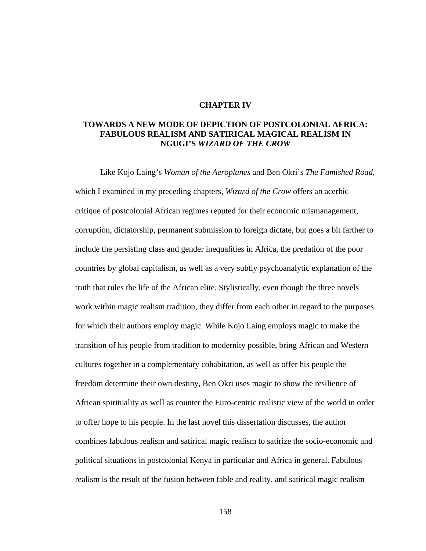## **CHAPTER IV**

## **TOWARDS A NEW MODE OF DEPICTION OF POSTCOLONIAL AFRICA: FABULOUS REALISM AND SATIRICAL MAGICAL REALISM IN NGUGI'S** *WIZARD OF THE CROW*

Like Kojo Laing's *Woman of the Aeroplanes* and Ben Okri's *The Famished Road*, which I examined in my preceding chapters, *Wizard of the Crow* offers an acerbic critique of postcolonial African regimes reputed for their economic mismanagement, corruption, dictatorship, permanent submission to foreign dictate, but goes a bit farther to include the persisting class and gender inequalities in Africa, the predation of the poor countries by global capitalism, as well as a very subtly psychoanalytic explanation of the truth that rules the life of the African elite. Stylistically, even though the three novels work within magic realism tradition, they differ from each other in regard to the purposes for which their authors employ magic. While Kojo Laing employs magic to make the transition of his people from tradition to modernity possible, bring African and Western cultures together in a complementary cohabitation, as well as offer his people the freedom determine their own destiny, Ben Okri uses magic to show the resilience of African spirituality as well as counter the Euro-centric realistic view of the world in order to offer hope to his people. In the last novel this dissertation discusses, the author combines fabulous realism and satirical magic realism to satirize the socio-economic and political situations in postcolonial Kenya in particular and Africa in general. Fabulous realism is the result of the fusion between fable and reality, and satirical magic realism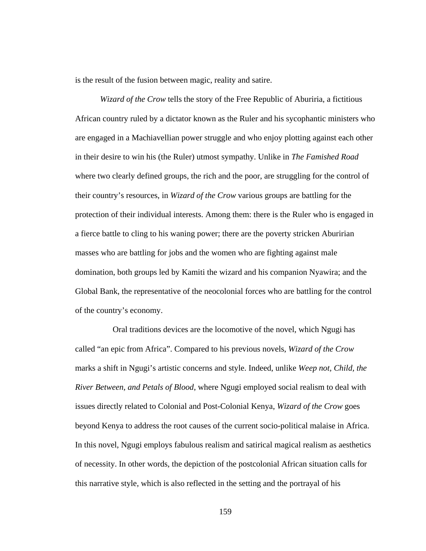is the result of the fusion between magic, reality and satire.

*Wizard of the Crow* tells the story of the Free Republic of Aburiria, a fictitious African country ruled by a dictator known as the Ruler and his sycophantic ministers who are engaged in a Machiavellian power struggle and who enjoy plotting against each other in their desire to win his (the Ruler) utmost sympathy. Unlike in *The Famished Road* where two clearly defined groups, the rich and the poor, are struggling for the control of their country's resources, in *Wizard of the Crow* various groups are battling for the protection of their individual interests. Among them: there is the Ruler who is engaged in a fierce battle to cling to his waning power; there are the poverty stricken Aburirian masses who are battling for jobs and the women who are fighting against male domination, both groups led by Kamiti the wizard and his companion Nyawira; and the Global Bank, the representative of the neocolonial forces who are battling for the control of the country's economy.

 Oral traditions devices are the locomotive of the novel, which Ngugi has called "an epic from Africa". Compared to his previous novels, *Wizard of the Crow* marks a shift in Ngugi's artistic concerns and style. Indeed, unlike *Weep not, Child, the River Between, and Petals of Blood*, where Ngugi employed social realism to deal with issues directly related to Colonial and Post-Colonial Kenya, *Wizard of the Crow* goes beyond Kenya to address the root causes of the current socio-political malaise in Africa. In this novel, Ngugi employs fabulous realism and satirical magical realism as aesthetics of necessity. In other words, the depiction of the postcolonial African situation calls for this narrative style, which is also reflected in the setting and the portrayal of his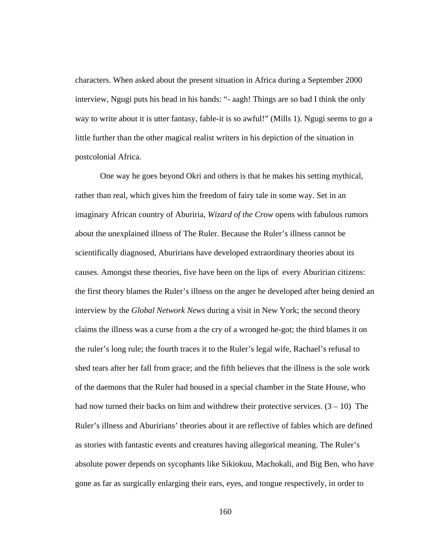characters. When asked about the present situation in Africa during a September 2000 interview, Ngugi puts his head in his hands: "- aagh! Things are so bad I think the only way to write about it is utter fantasy, fable-it is so awful!" (Mills 1). Ngugi seems to go a little further than the other magical realist writers in his depiction of the situation in postcolonial Africa.

One way he goes beyond Okri and others is that he makes his setting mythical, rather than real, which gives him the freedom of fairy tale in some way. Set in an imaginary African country of Aburiria, *Wizard of the Crow* opens with fabulous rumors about the unexplained illness of The Ruler. Because the Ruler's illness cannot be scientifically diagnosed, Aburirians have developed extraordinary theories about its causes. Amongst these theories, five have been on the lips of every Aburirian citizens: the first theory blames the Ruler's illness on the anger he developed after being denied an interview by the *Global Network News* during a visit in New York; the second theory claims the illness was a curse from a the cry of a wronged he-got; the third blames it on the ruler's long rule; the fourth traces it to the Ruler's legal wife, Rachael's refusal to shed tears after her fall from grace; and the fifth believes that the illness is the sole work of the daemons that the Ruler had housed in a special chamber in the State House, who had now turned their backs on him and withdrew their protective services.  $(3 - 10)$  The Ruler's illness and Aburirians' theories about it are reflective of fables which are defined as stories with fantastic events and creatures having allegorical meaning. The Ruler's absolute power depends on sycophants like Sikiokuu, Machokali, and Big Ben, who have gone as far as surgically enlarging their ears, eyes, and tongue respectively, in order to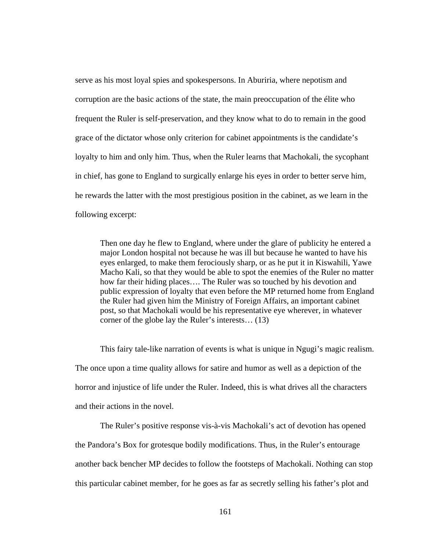serve as his most loyal spies and spokespersons. In Aburiria, where nepotism and corruption are the basic actions of the state, the main preoccupation of the élite who frequent the Ruler is self-preservation, and they know what to do to remain in the good grace of the dictator whose only criterion for cabinet appointments is the candidate's loyalty to him and only him. Thus, when the Ruler learns that Machokali, the sycophant in chief, has gone to England to surgically enlarge his eyes in order to better serve him, he rewards the latter with the most prestigious position in the cabinet, as we learn in the following excerpt:

Then one day he flew to England, where under the glare of publicity he entered a major London hospital not because he was ill but because he wanted to have his eyes enlarged, to make them ferociously sharp, or as he put it in Kiswahili, Yawe Macho Kali, so that they would be able to spot the enemies of the Ruler no matter how far their hiding places…. The Ruler was so touched by his devotion and public expression of loyalty that even before the MP returned home from England the Ruler had given him the Ministry of Foreign Affairs, an important cabinet post, so that Machokali would be his representative eye wherever, in whatever corner of the globe lay the Ruler's interests… (13)

This fairy tale-like narration of events is what is unique in Ngugi's magic realism. The once upon a time quality allows for satire and humor as well as a depiction of the horror and injustice of life under the Ruler. Indeed, this is what drives all the characters and their actions in the novel.

The Ruler's positive response vis-à-vis Machokali's act of devotion has opened the Pandora's Box for grotesque bodily modifications. Thus, in the Ruler's entourage another back bencher MP decides to follow the footsteps of Machokali. Nothing can stop this particular cabinet member, for he goes as far as secretly selling his father's plot and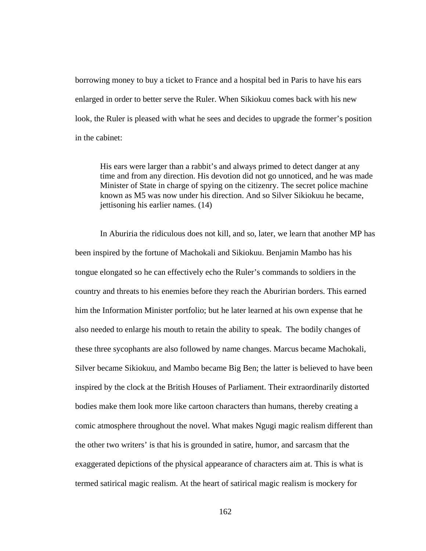borrowing money to buy a ticket to France and a hospital bed in Paris to have his ears enlarged in order to better serve the Ruler. When Sikiokuu comes back with his new look, the Ruler is pleased with what he sees and decides to upgrade the former's position in the cabinet:

His ears were larger than a rabbit's and always primed to detect danger at any time and from any direction. His devotion did not go unnoticed, and he was made Minister of State in charge of spying on the citizenry. The secret police machine known as M5 was now under his direction. And so Silver Sikiokuu he became, jettisoning his earlier names. (14)

In Aburiria the ridiculous does not kill, and so, later, we learn that another MP has been inspired by the fortune of Machokali and Sikiokuu. Benjamin Mambo has his tongue elongated so he can effectively echo the Ruler's commands to soldiers in the country and threats to his enemies before they reach the Aburirian borders. This earned him the Information Minister portfolio; but he later learned at his own expense that he also needed to enlarge his mouth to retain the ability to speak. The bodily changes of these three sycophants are also followed by name changes. Marcus became Machokali, Silver became Sikiokuu, and Mambo became Big Ben; the latter is believed to have been inspired by the clock at the British Houses of Parliament. Their extraordinarily distorted bodies make them look more like cartoon characters than humans, thereby creating a comic atmosphere throughout the novel. What makes Ngugi magic realism different than the other two writers' is that his is grounded in satire, humor, and sarcasm that the exaggerated depictions of the physical appearance of characters aim at. This is what is termed satirical magic realism. At the heart of satirical magic realism is mockery for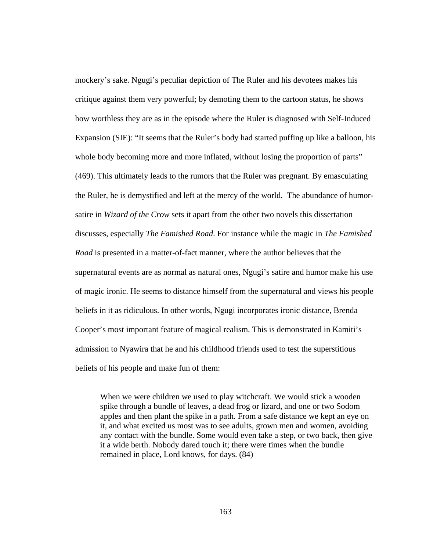mockery's sake. Ngugi's peculiar depiction of The Ruler and his devotees makes his critique against them very powerful; by demoting them to the cartoon status, he shows how worthless they are as in the episode where the Ruler is diagnosed with Self-Induced Expansion (SIE): "It seems that the Ruler's body had started puffing up like a balloon, his whole body becoming more and more inflated, without losing the proportion of parts" (469). This ultimately leads to the rumors that the Ruler was pregnant. By emasculating the Ruler, he is demystified and left at the mercy of the world. The abundance of humorsatire in *Wizard of the Crow* sets it apart from the other two novels this dissertation discusses, especially *The Famished Road*. For instance while the magic in *The Famished Road* is presented in a matter-of-fact manner, where the author believes that the supernatural events are as normal as natural ones, Ngugi's satire and humor make his use of magic ironic. He seems to distance himself from the supernatural and views his people beliefs in it as ridiculous. In other words, Ngugi incorporates ironic distance, Brenda Cooper's most important feature of magical realism. This is demonstrated in Kamiti's admission to Nyawira that he and his childhood friends used to test the superstitious beliefs of his people and make fun of them:

When we were children we used to play witchcraft. We would stick a wooden spike through a bundle of leaves, a dead frog or lizard, and one or two Sodom apples and then plant the spike in a path. From a safe distance we kept an eye on it, and what excited us most was to see adults, grown men and women, avoiding any contact with the bundle. Some would even take a step, or two back, then give it a wide berth. Nobody dared touch it; there were times when the bundle remained in place, Lord knows, for days. (84)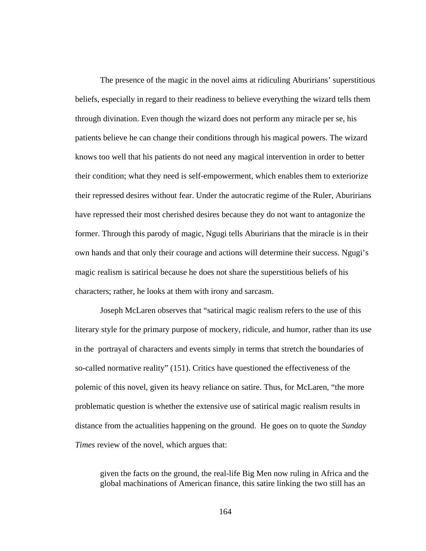The presence of the magic in the novel aims at ridiculing Aburirians' superstitious beliefs, especially in regard to their readiness to believe everything the wizard tells them through divination. Even though the wizard does not perform any miracle per se, his patients believe he can change their conditions through his magical powers. The wizard knows too well that his patients do not need any magical intervention in order to better their condition; what they need is self-empowerment, which enables them to exteriorize their repressed desires without fear. Under the autocratic regime of the Ruler, Aburirians have repressed their most cherished desires because they do not want to antagonize the former. Through this parody of magic, Ngugi tells Aburirians that the miracle is in their own hands and that only their courage and actions will determine their success. Ngugi's magic realism is satirical because he does not share the superstitious beliefs of his characters; rather, he looks at them with irony and sarcasm.

Joseph McLaren observes that "satirical magic realism refers to the use of this literary style for the primary purpose of mockery, ridicule, and humor, rather than its use in the portrayal of characters and events simply in terms that stretch the boundaries of so-called normative reality" (151). Critics have questioned the effectiveness of the polemic of this novel, given its heavy reliance on satire. Thus, for McLaren, "the more problematic question is whether the extensive use of satirical magic realism results in distance from the actualities happening on the ground. He goes on to quote the *Sunday Times* review of the novel, which argues that:

given the facts on the ground, the real-life Big Men now ruling in Africa and the global machinations of American finance, this satire linking the two still has an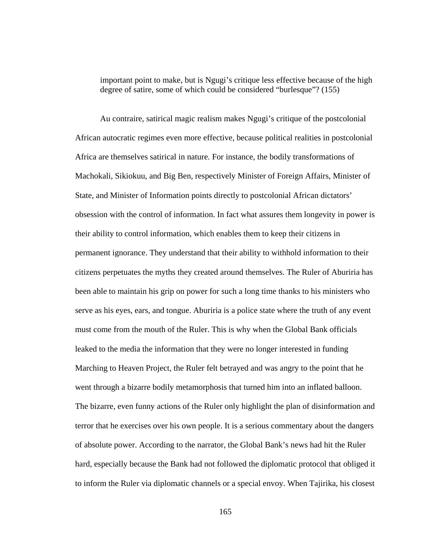important point to make, but is Ngugi's critique less effective because of the high degree of satire, some of which could be considered "burlesque"? (155)

Au contraire, satirical magic realism makes Ngugi's critique of the postcolonial African autocratic regimes even more effective, because political realities in postcolonial Africa are themselves satirical in nature. For instance, the bodily transformations of Machokali, Sikiokuu, and Big Ben, respectively Minister of Foreign Affairs, Minister of State, and Minister of Information points directly to postcolonial African dictators' obsession with the control of information. In fact what assures them longevity in power is their ability to control information, which enables them to keep their citizens in permanent ignorance. They understand that their ability to withhold information to their citizens perpetuates the myths they created around themselves. The Ruler of Aburiria has been able to maintain his grip on power for such a long time thanks to his ministers who serve as his eyes, ears, and tongue. Aburiria is a police state where the truth of any event must come from the mouth of the Ruler. This is why when the Global Bank officials leaked to the media the information that they were no longer interested in funding Marching to Heaven Project, the Ruler felt betrayed and was angry to the point that he went through a bizarre bodily metamorphosis that turned him into an inflated balloon. The bizarre, even funny actions of the Ruler only highlight the plan of disinformation and terror that he exercises over his own people. It is a serious commentary about the dangers of absolute power. According to the narrator, the Global Bank's news had hit the Ruler hard, especially because the Bank had not followed the diplomatic protocol that obliged it to inform the Ruler via diplomatic channels or a special envoy. When Tajirika, his closest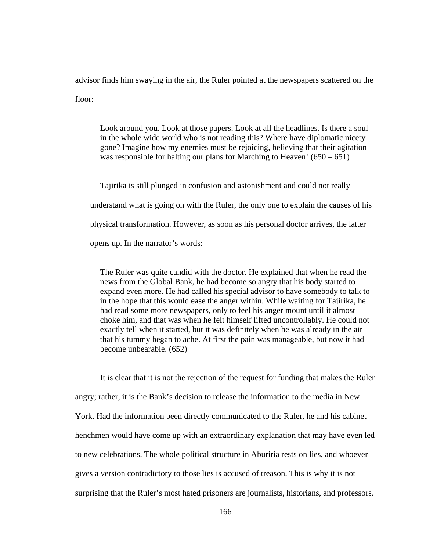advisor finds him swaying in the air, the Ruler pointed at the newspapers scattered on the floor:

Look around you. Look at those papers. Look at all the headlines. Is there a soul in the whole wide world who is not reading this? Where have diplomatic nicety gone? Imagine how my enemies must be rejoicing, believing that their agitation was responsible for halting our plans for Marching to Heaven!  $(650 - 651)$ 

Tajirika is still plunged in confusion and astonishment and could not really understand what is going on with the Ruler, the only one to explain the causes of his physical transformation. However, as soon as his personal doctor arrives, the latter opens up. In the narrator's words:

The Ruler was quite candid with the doctor. He explained that when he read the news from the Global Bank, he had become so angry that his body started to expand even more. He had called his special advisor to have somebody to talk to in the hope that this would ease the anger within. While waiting for Tajirika, he had read some more newspapers, only to feel his anger mount until it almost choke him, and that was when he felt himself lifted uncontrollably. He could not exactly tell when it started, but it was definitely when he was already in the air that his tummy began to ache. At first the pain was manageable, but now it had become unbearable. (652)

It is clear that it is not the rejection of the request for funding that makes the Ruler angry; rather, it is the Bank's decision to release the information to the media in New York. Had the information been directly communicated to the Ruler, he and his cabinet henchmen would have come up with an extraordinary explanation that may have even led to new celebrations. The whole political structure in Aburiria rests on lies, and whoever gives a version contradictory to those lies is accused of treason. This is why it is not surprising that the Ruler's most hated prisoners are journalists, historians, and professors.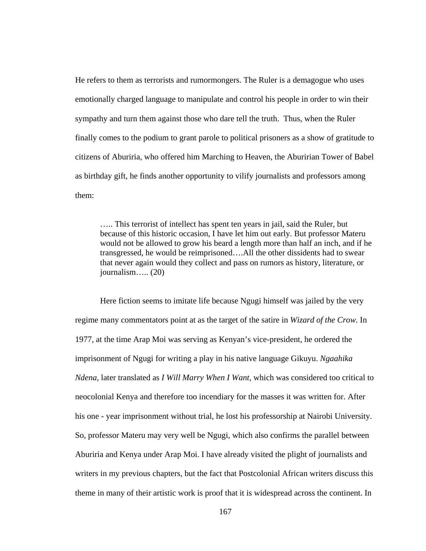He refers to them as terrorists and rumormongers. The Ruler is a demagogue who uses emotionally charged language to manipulate and control his people in order to win their sympathy and turn them against those who dare tell the truth. Thus, when the Ruler finally comes to the podium to grant parole to political prisoners as a show of gratitude to citizens of Aburiria, who offered him Marching to Heaven, the Aburirian Tower of Babel as birthday gift, he finds another opportunity to vilify journalists and professors among them:

….. This terrorist of intellect has spent ten years in jail, said the Ruler, but because of this historic occasion, I have let him out early. But professor Materu would not be allowed to grow his beard a length more than half an inch, and if he transgressed, he would be reimprisoned….All the other dissidents had to swear that never again would they collect and pass on rumors as history, literature, or journalism….. (20)

Here fiction seems to imitate life because Ngugi himself was jailed by the very regime many commentators point at as the target of the satire in *Wizard of the Crow*. In 1977, at the time Arap Moi was serving as Kenyan's vice-president, he ordered the imprisonment of Ngugi for writing a play in his native language Gikuyu. *Ngaahika Ndena*, later translated as *I Will Marry When I Want*, which was considered too critical to neocolonial Kenya and therefore too incendiary for the masses it was written for. After his one - year imprisonment without trial, he lost his professorship at Nairobi University. So, professor Materu may very well be Ngugi, which also confirms the parallel between Aburiria and Kenya under Arap Moi. I have already visited the plight of journalists and writers in my previous chapters, but the fact that Postcolonial African writers discuss this theme in many of their artistic work is proof that it is widespread across the continent. In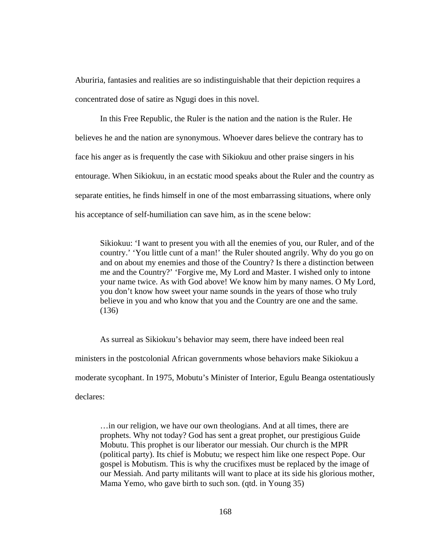Aburiria, fantasies and realities are so indistinguishable that their depiction requires a concentrated dose of satire as Ngugi does in this novel.

 In this Free Republic, the Ruler is the nation and the nation is the Ruler. He believes he and the nation are synonymous. Whoever dares believe the contrary has to face his anger as is frequently the case with Sikiokuu and other praise singers in his entourage. When Sikiokuu, in an ecstatic mood speaks about the Ruler and the country as separate entities, he finds himself in one of the most embarrassing situations, where only his acceptance of self-humiliation can save him, as in the scene below:

Sikiokuu: 'I want to present you with all the enemies of you, our Ruler, and of the country.' 'You little cunt of a man!' the Ruler shouted angrily. Why do you go on and on about my enemies and those of the Country? Is there a distinction between me and the Country?' 'Forgive me, My Lord and Master. I wished only to intone your name twice. As with God above! We know him by many names. O My Lord, you don't know how sweet your name sounds in the years of those who truly believe in you and who know that you and the Country are one and the same. (136)

As surreal as Sikiokuu's behavior may seem, there have indeed been real ministers in the postcolonial African governments whose behaviors make Sikiokuu a moderate sycophant. In 1975, Mobutu's Minister of Interior, Egulu Beanga ostentatiously declares:

…in our religion, we have our own theologians. And at all times, there are prophets. Why not today? God has sent a great prophet, our prestigious Guide Mobutu. This prophet is our liberator our messiah. Our church is the MPR (political party). Its chief is Mobutu; we respect him like one respect Pope. Our gospel is Mobutism. This is why the crucifixes must be replaced by the image of our Messiah. And party militants will want to place at its side his glorious mother, Mama Yemo, who gave birth to such son. (qtd. in Young 35)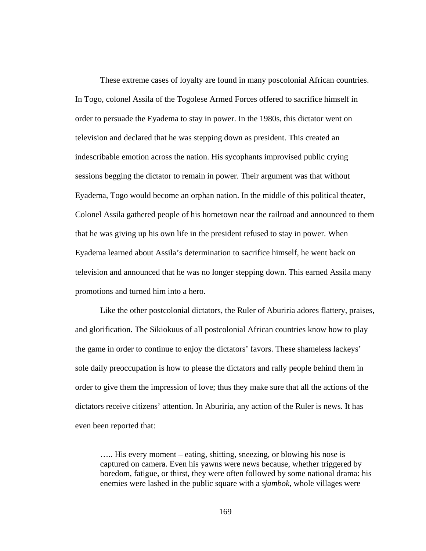These extreme cases of loyalty are found in many poscolonial African countries. In Togo, colonel Assila of the Togolese Armed Forces offered to sacrifice himself in order to persuade the Eyadema to stay in power. In the 1980s, this dictator went on television and declared that he was stepping down as president. This created an indescribable emotion across the nation. His sycophants improvised public crying sessions begging the dictator to remain in power. Their argument was that without Eyadema, Togo would become an orphan nation. In the middle of this political theater, Colonel Assila gathered people of his hometown near the railroad and announced to them that he was giving up his own life in the president refused to stay in power. When Eyadema learned about Assila's determination to sacrifice himself, he went back on television and announced that he was no longer stepping down. This earned Assila many promotions and turned him into a hero.

Like the other postcolonial dictators, the Ruler of Aburiria adores flattery, praises, and glorification. The Sikiokuus of all postcolonial African countries know how to play the game in order to continue to enjoy the dictators' favors. These shameless lackeys' sole daily preoccupation is how to please the dictators and rally people behind them in order to give them the impression of love; thus they make sure that all the actions of the dictators receive citizens' attention. In Aburiria, any action of the Ruler is news. It has even been reported that:

….. His every moment – eating, shitting, sneezing, or blowing his nose is captured on camera. Even his yawns were news because, whether triggered by boredom, fatigue, or thirst, they were often followed by some national drama: his enemies were lashed in the public square with a *sjambok,* whole villages were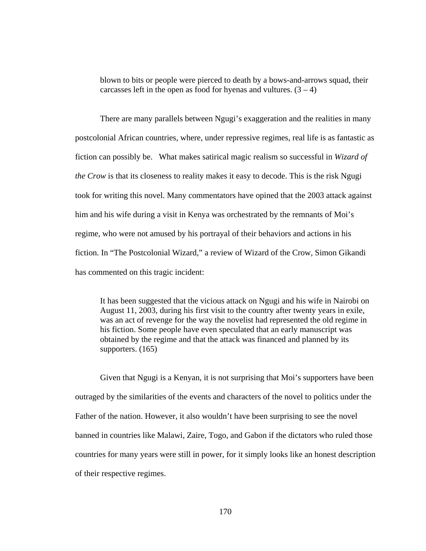blown to bits or people were pierced to death by a bows-and-arrows squad, their carcasses left in the open as food for hyenas and vultures.  $(3 – 4)$ 

There are many parallels between Ngugi's exaggeration and the realities in many postcolonial African countries, where, under repressive regimes, real life is as fantastic as fiction can possibly be. What makes satirical magic realism so successful in *Wizard of the Crow* is that its closeness to reality makes it easy to decode. This is the risk Ngugi took for writing this novel. Many commentators have opined that the 2003 attack against him and his wife during a visit in Kenya was orchestrated by the remnants of Moi's regime, who were not amused by his portrayal of their behaviors and actions in his fiction. In "The Postcolonial Wizard," a review of Wizard of the Crow, Simon Gikandi has commented on this tragic incident:

It has been suggested that the vicious attack on Ngugi and his wife in Nairobi on August 11, 2003, during his first visit to the country after twenty years in exile, was an act of revenge for the way the novelist had represented the old regime in his fiction. Some people have even speculated that an early manuscript was obtained by the regime and that the attack was financed and planned by its supporters. (165)

Given that Ngugi is a Kenyan, it is not surprising that Moi's supporters have been outraged by the similarities of the events and characters of the novel to politics under the Father of the nation. However, it also wouldn't have been surprising to see the novel banned in countries like Malawi, Zaire, Togo, and Gabon if the dictators who ruled those countries for many years were still in power, for it simply looks like an honest description of their respective regimes.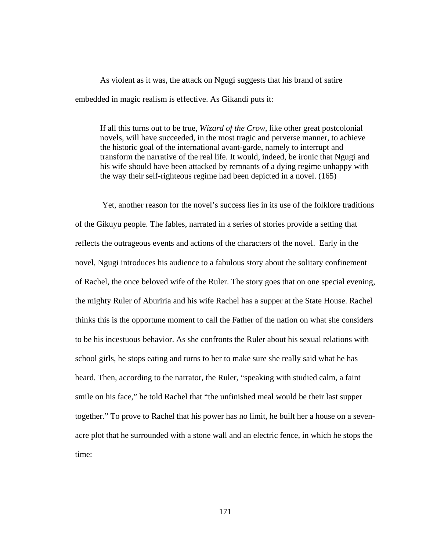As violent as it was, the attack on Ngugi suggests that his brand of satire embedded in magic realism is effective. As Gikandi puts it:

If all this turns out to be true, *Wizard of the Crow*, like other great postcolonial novels, will have succeeded, in the most tragic and perverse manner, to achieve the historic goal of the international avant-garde, namely to interrupt and transform the narrative of the real life. It would, indeed, be ironic that Ngugi and his wife should have been attacked by remnants of a dying regime unhappy with the way their self-righteous regime had been depicted in a novel. (165)

Yet, another reason for the novel's success lies in its use of the folklore traditions of the Gikuyu people. The fables, narrated in a series of stories provide a setting that reflects the outrageous events and actions of the characters of the novel. Early in the novel, Ngugi introduces his audience to a fabulous story about the solitary confinement of Rachel, the once beloved wife of the Ruler. The story goes that on one special evening, the mighty Ruler of Aburiria and his wife Rachel has a supper at the State House. Rachel thinks this is the opportune moment to call the Father of the nation on what she considers to be his incestuous behavior. As she confronts the Ruler about his sexual relations with school girls, he stops eating and turns to her to make sure she really said what he has heard. Then, according to the narrator, the Ruler, "speaking with studied calm, a faint smile on his face," he told Rachel that "the unfinished meal would be their last supper together." To prove to Rachel that his power has no limit, he built her a house on a sevenacre plot that he surrounded with a stone wall and an electric fence, in which he stops the time: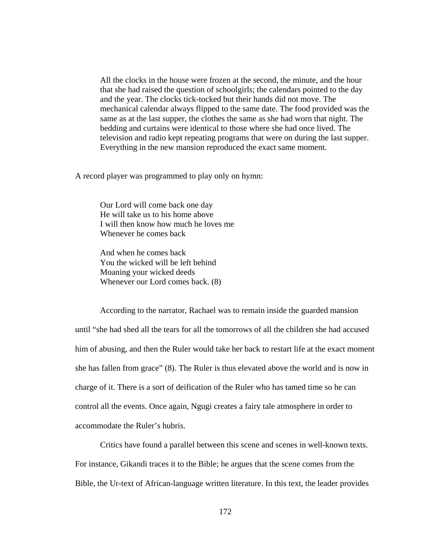All the clocks in the house were frozen at the second, the minute, and the hour that she had raised the question of schoolgirls; the calendars pointed to the day and the year. The clocks tick-tocked but their hands did not move. The mechanical calendar always flipped to the same date. The food provided was the same as at the last supper, the clothes the same as she had worn that night. The bedding and curtains were identical to those where she had once lived. The television and radio kept repeating programs that were on during the last supper. Everything in the new mansion reproduced the exact same moment.

A record player was programmed to play only on hymn:

Our Lord will come back one day He will take us to his home above I will then know how much he loves me Whenever he comes back

And when he comes back You the wicked will be left behind Moaning your wicked deeds Whenever our Lord comes back. (8)

According to the narrator, Rachael was to remain inside the guarded mansion until "she had shed all the tears for all the tomorrows of all the children she had accused him of abusing, and then the Ruler would take her back to restart life at the exact moment she has fallen from grace" (8). The Ruler is thus elevated above the world and is now in charge of it. There is a sort of deification of the Ruler who has tamed time so he can control all the events. Once again, Ngugi creates a fairy tale atmosphere in order to accommodate the Ruler's hubris.

Critics have found a parallel between this scene and scenes in well-known texts. For instance, Gikandi traces it to the Bible; he argues that the scene comes from the Bible, the Ur-text of African-language written literature. In this text, the leader provides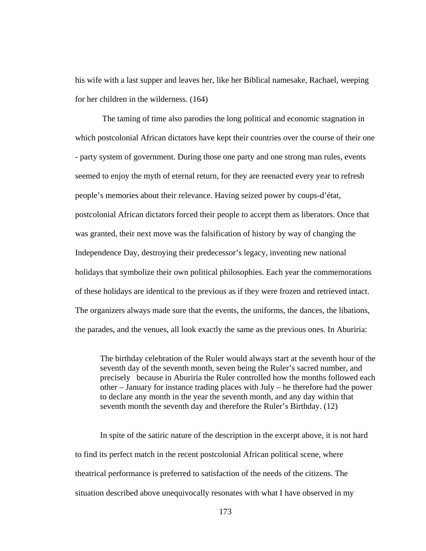his wife with a last supper and leaves her, like her Biblical namesake, Rachael, weeping for her children in the wilderness. (164)

The taming of time also parodies the long political and economic stagnation in which postcolonial African dictators have kept their countries over the course of their one - party system of government. During those one party and one strong man rules, events seemed to enjoy the myth of eternal return, for they are reenacted every year to refresh people's memories about their relevance. Having seized power by coups-d'état, postcolonial African dictators forced their people to accept them as liberators. Once that was granted, their next move was the falsification of history by way of changing the Independence Day, destroying their predecessor's legacy, inventing new national holidays that symbolize their own political philosophies. Each year the commemorations of these holidays are identical to the previous as if they were frozen and retrieved intact. The organizers always made sure that the events, the uniforms, the dances, the libations, the parades, and the venues, all look exactly the same as the previous ones. In Aburiria:

The birthday celebration of the Ruler would always start at the seventh hour of the seventh day of the seventh month, seven being the Ruler's sacred number, and precisely because in Aburiria the Ruler controlled how the months followed each other – January for instance trading places with July – he therefore had the power to declare any month in the year the seventh month, and any day within that seventh month the seventh day and therefore the Ruler's Birthday. (12)

In spite of the satiric nature of the description in the excerpt above, it is not hard to find its perfect match in the recent postcolonial African political scene, where theatrical performance is preferred to satisfaction of the needs of the citizens. The situation described above unequivocally resonates with what I have observed in my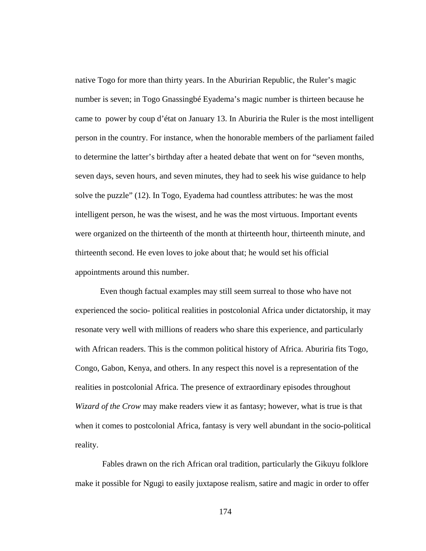native Togo for more than thirty years. In the Aburirian Republic, the Ruler's magic number is seven; in Togo Gnassingbé Eyadema's magic number is thirteen because he came to power by coup d'état on January 13. In Aburiria the Ruler is the most intelligent person in the country. For instance, when the honorable members of the parliament failed to determine the latter's birthday after a heated debate that went on for "seven months, seven days, seven hours, and seven minutes, they had to seek his wise guidance to help solve the puzzle" (12). In Togo, Eyadema had countless attributes: he was the most intelligent person, he was the wisest, and he was the most virtuous. Important events were organized on the thirteenth of the month at thirteenth hour, thirteenth minute, and thirteenth second. He even loves to joke about that; he would set his official appointments around this number.

Even though factual examples may still seem surreal to those who have not experienced the socio- political realities in postcolonial Africa under dictatorship, it may resonate very well with millions of readers who share this experience, and particularly with African readers. This is the common political history of Africa. Aburiria fits Togo, Congo, Gabon, Kenya, and others. In any respect this novel is a representation of the realities in postcolonial Africa. The presence of extraordinary episodes throughout *Wizard of the Crow* may make readers view it as fantasy; however, what is true is that when it comes to postcolonial Africa, fantasy is very well abundant in the socio-political reality.

Fables drawn on the rich African oral tradition, particularly the Gikuyu folklore make it possible for Ngugi to easily juxtapose realism, satire and magic in order to offer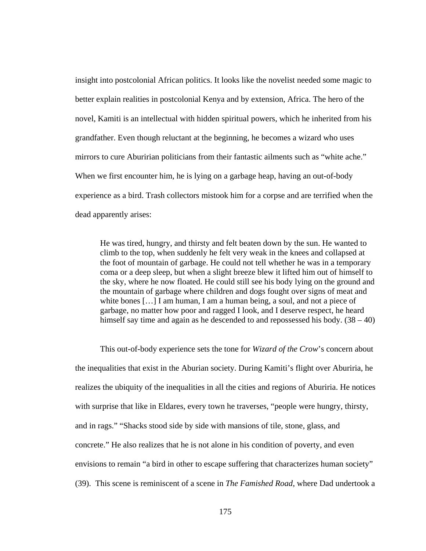insight into postcolonial African politics. It looks like the novelist needed some magic to better explain realities in postcolonial Kenya and by extension, Africa. The hero of the novel, Kamiti is an intellectual with hidden spiritual powers, which he inherited from his grandfather. Even though reluctant at the beginning, he becomes a wizard who uses mirrors to cure Aburirian politicians from their fantastic ailments such as "white ache." When we first encounter him, he is lying on a garbage heap, having an out-of-body experience as a bird. Trash collectors mistook him for a corpse and are terrified when the dead apparently arises:

He was tired, hungry, and thirsty and felt beaten down by the sun. He wanted to climb to the top, when suddenly he felt very weak in the knees and collapsed at the foot of mountain of garbage. He could not tell whether he was in a temporary coma or a deep sleep, but when a slight breeze blew it lifted him out of himself to the sky, where he now floated. He could still see his body lying on the ground and the mountain of garbage where children and dogs fought over signs of meat and white bones [...] I am human, I am a human being, a soul, and not a piece of garbage, no matter how poor and ragged I look, and I deserve respect, he heard himself say time and again as he descended to and repossessed his body.  $(38 - 40)$ 

This out-of-body experience sets the tone for *Wizard of the Crow*'s concern about the inequalities that exist in the Aburian society. During Kamiti's flight over Aburiria, he realizes the ubiquity of the inequalities in all the cities and regions of Aburiria. He notices with surprise that like in Eldares, every town he traverses, "people were hungry, thirsty, and in rags." "Shacks stood side by side with mansions of tile, stone, glass, and concrete." He also realizes that he is not alone in his condition of poverty, and even envisions to remain "a bird in other to escape suffering that characterizes human society" (39). This scene is reminiscent of a scene in *The Famished Road*, where Dad undertook a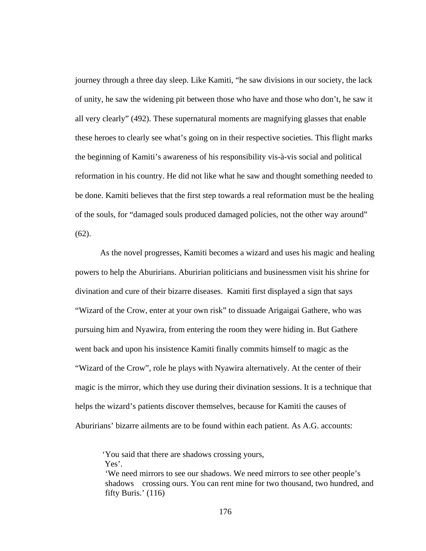journey through a three day sleep. Like Kamiti, "he saw divisions in our society, the lack of unity, he saw the widening pit between those who have and those who don't, he saw it all very clearly" (492). These supernatural moments are magnifying glasses that enable these heroes to clearly see what's going on in their respective societies. This flight marks the beginning of Kamiti's awareness of his responsibility vis-à-vis social and political reformation in his country. He did not like what he saw and thought something needed to be done. Kamiti believes that the first step towards a real reformation must be the healing of the souls, for "damaged souls produced damaged policies, not the other way around" (62).

As the novel progresses, Kamiti becomes a wizard and uses his magic and healing powers to help the Aburirians. Aburirian politicians and businessmen visit his shrine for divination and cure of their bizarre diseases. Kamiti first displayed a sign that says "Wizard of the Crow, enter at your own risk" to dissuade Arigaigai Gathere, who was pursuing him and Nyawira, from entering the room they were hiding in. But Gathere went back and upon his insistence Kamiti finally commits himself to magic as the "Wizard of the Crow", role he plays with Nyawira alternatively. At the center of their magic is the mirror, which they use during their divination sessions. It is a technique that helps the wizard's patients discover themselves, because for Kamiti the causes of Aburirians' bizarre ailments are to be found within each patient. As A.G. accounts:

'You said that there are shadows crossing yours, Yes'.

'We need mirrors to see our shadows. We need mirrors to see other people's shadows crossing ours. You can rent mine for two thousand, two hundred, and fifty Buris.' (116)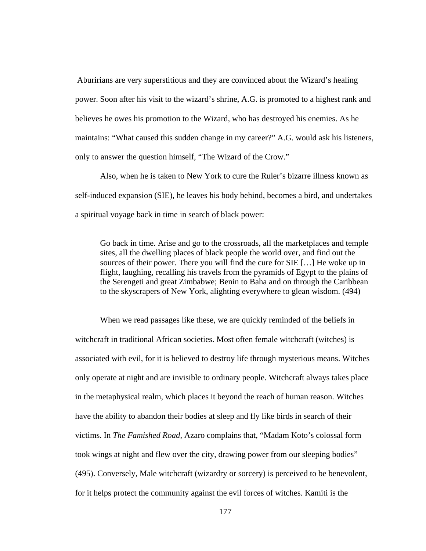Aburirians are very superstitious and they are convinced about the Wizard's healing power. Soon after his visit to the wizard's shrine, A.G. is promoted to a highest rank and believes he owes his promotion to the Wizard, who has destroyed his enemies. As he maintains: "What caused this sudden change in my career?" A.G. would ask his listeners, only to answer the question himself, "The Wizard of the Crow."

Also, when he is taken to New York to cure the Ruler's bizarre illness known as self-induced expansion (SIE), he leaves his body behind, becomes a bird, and undertakes a spiritual voyage back in time in search of black power:

Go back in time. Arise and go to the crossroads, all the marketplaces and temple sites, all the dwelling places of black people the world over, and find out the sources of their power. There you will find the cure for SIE […] He woke up in flight, laughing, recalling his travels from the pyramids of Egypt to the plains of the Serengeti and great Zimbabwe; Benin to Baha and on through the Caribbean to the skyscrapers of New York, alighting everywhere to glean wisdom. (494)

When we read passages like these, we are quickly reminded of the beliefs in witchcraft in traditional African societies. Most often female witchcraft (witches) is associated with evil, for it is believed to destroy life through mysterious means. Witches only operate at night and are invisible to ordinary people. Witchcraft always takes place in the metaphysical realm, which places it beyond the reach of human reason. Witches have the ability to abandon their bodies at sleep and fly like birds in search of their victims. In *The Famished Road*, Azaro complains that, "Madam Koto's colossal form took wings at night and flew over the city, drawing power from our sleeping bodies" (495). Conversely, Male witchcraft (wizardry or sorcery) is perceived to be benevolent, for it helps protect the community against the evil forces of witches. Kamiti is the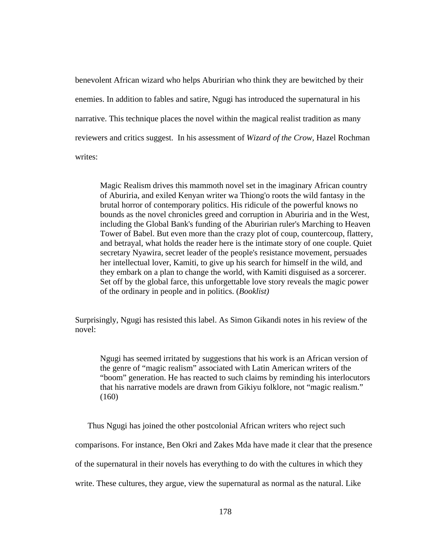benevolent African wizard who helps Aburirian who think they are bewitched by their enemies. In addition to fables and satire, Ngugi has introduced the supernatural in his narrative. This technique places the novel within the magical realist tradition as many reviewers and critics suggest. In his assessment of *Wizard of the Crow,* Hazel Rochman writes:

Magic Realism drives this mammoth novel set in the imaginary African country of Aburiria, and exiled Kenyan writer wa Thiong'o roots the wild fantasy in the brutal horror of contemporary politics. His ridicule of the powerful knows no bounds as the novel chronicles greed and corruption in Aburiria and in the West, including the Global Bank's funding of the Aburirian ruler's Marching to Heaven Tower of Babel. But even more than the crazy plot of coup, countercoup, flattery, and betrayal, what holds the reader here is the intimate story of one couple. Quiet secretary Nyawira, secret leader of the people's resistance movement, persuades her intellectual lover, Kamiti, to give up his search for himself in the wild, and they embark on a plan to change the world, with Kamiti disguised as a sorcerer. Set off by the global farce, this unforgettable love story reveals the magic power of the ordinary in people and in politics. (*Booklist)*

Surprisingly, Ngugi has resisted this label. As Simon Gikandi notes in his review of the novel:

Ngugi has seemed irritated by suggestions that his work is an African version of the genre of "magic realism" associated with Latin American writers of the "boom" generation. He has reacted to such claims by reminding his interlocutors that his narrative models are drawn from Gikiyu folklore, not "magic realism." (160)

Thus Ngugi has joined the other postcolonial African writers who reject such

comparisons. For instance, Ben Okri and Zakes Mda have made it clear that the presence

of the supernatural in their novels has everything to do with the cultures in which they

write. These cultures, they argue, view the supernatural as normal as the natural. Like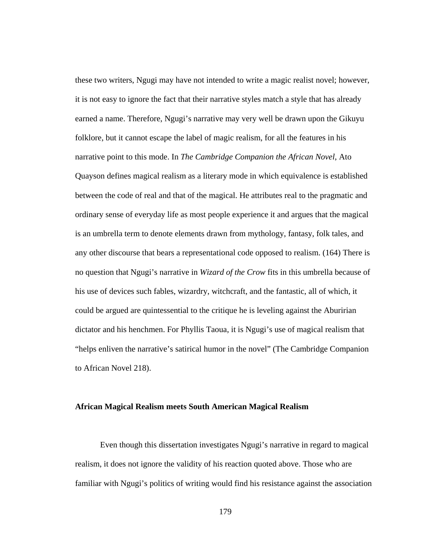these two writers, Ngugi may have not intended to write a magic realist novel; however, it is not easy to ignore the fact that their narrative styles match a style that has already earned a name. Therefore, Ngugi's narrative may very well be drawn upon the Gikuyu folklore, but it cannot escape the label of magic realism, for all the features in his narrative point to this mode. In *The Cambridge Companion the African Novel*, Ato Quayson defines magical realism as a literary mode in which equivalence is established between the code of real and that of the magical. He attributes real to the pragmatic and ordinary sense of everyday life as most people experience it and argues that the magical is an umbrella term to denote elements drawn from mythology, fantasy, folk tales, and any other discourse that bears a representational code opposed to realism. (164) There is no question that Ngugi's narrative in *Wizard of the Crow* fits in this umbrella because of his use of devices such fables, wizardry, witchcraft, and the fantastic, all of which, it could be argued are quintessential to the critique he is leveling against the Aburirian dictator and his henchmen. For Phyllis Taoua, it is Ngugi's use of magical realism that "helps enliven the narrative's satirical humor in the novel" (The Cambridge Companion to African Novel 218).

## **African Magical Realism meets South American Magical Realism**

Even though this dissertation investigates Ngugi's narrative in regard to magical realism, it does not ignore the validity of his reaction quoted above. Those who are familiar with Ngugi's politics of writing would find his resistance against the association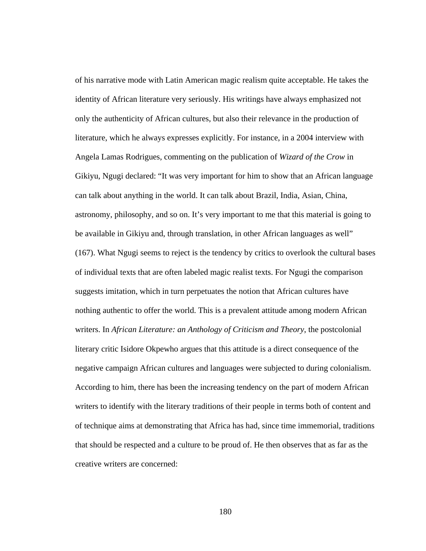of his narrative mode with Latin American magic realism quite acceptable. He takes the identity of African literature very seriously. His writings have always emphasized not only the authenticity of African cultures, but also their relevance in the production of literature, which he always expresses explicitly. For instance, in a 2004 interview with Angela Lamas Rodrigues, commenting on the publication of *Wizard of the Crow* in Gikiyu, Ngugi declared: "It was very important for him to show that an African language can talk about anything in the world. It can talk about Brazil, India, Asian, China, astronomy, philosophy, and so on. It's very important to me that this material is going to be available in Gikiyu and, through translation, in other African languages as well" (167). What Ngugi seems to reject is the tendency by critics to overlook the cultural bases of individual texts that are often labeled magic realist texts. For Ngugi the comparison suggests imitation, which in turn perpetuates the notion that African cultures have nothing authentic to offer the world. This is a prevalent attitude among modern African writers. In *African Literature: an Anthology of Criticism and Theory*, the postcolonial literary critic Isidore Okpewho argues that this attitude is a direct consequence of the negative campaign African cultures and languages were subjected to during colonialism. According to him, there has been the increasing tendency on the part of modern African writers to identify with the literary traditions of their people in terms both of content and of technique aims at demonstrating that Africa has had, since time immemorial, traditions that should be respected and a culture to be proud of. He then observes that as far as the creative writers are concerned: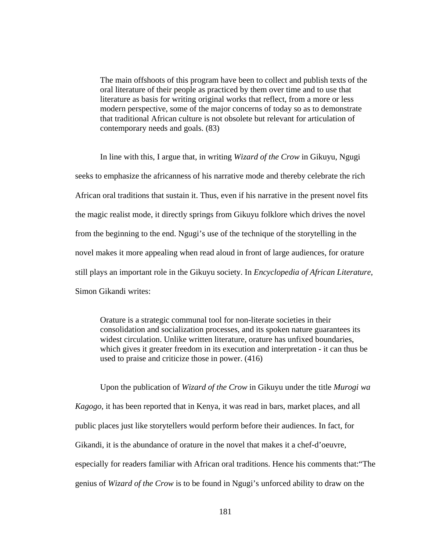The main offshoots of this program have been to collect and publish texts of the oral literature of their people as practiced by them over time and to use that literature as basis for writing original works that reflect, from a more or less modern perspective, some of the major concerns of today so as to demonstrate that traditional African culture is not obsolete but relevant for articulation of contemporary needs and goals. (83)

In line with this, I argue that, in writing *Wizard of the Crow* in Gikuyu, Ngugi seeks to emphasize the africanness of his narrative mode and thereby celebrate the rich African oral traditions that sustain it. Thus, even if his narrative in the present novel fits the magic realist mode, it directly springs from Gikuyu folklore which drives the novel from the beginning to the end. Ngugi's use of the technique of the storytelling in the novel makes it more appealing when read aloud in front of large audiences, for orature still plays an important role in the Gikuyu society. In *Encyclopedia of African Literature*, Simon Gikandi writes:

Orature is a strategic communal tool for non-literate societies in their consolidation and socialization processes, and its spoken nature guarantees its widest circulation. Unlike written literature, orature has unfixed boundaries, which gives it greater freedom in its execution and interpretation - it can thus be used to praise and criticize those in power. (416)

 Upon the publication of *Wizard of the Crow* in Gikuyu under the title *Murogi wa Kagogo*, it has been reported that in Kenya, it was read in bars, market places, and all public places just like storytellers would perform before their audiences. In fact, for Gikandi, it is the abundance of orature in the novel that makes it a chef-d'oeuvre, especially for readers familiar with African oral traditions. Hence his comments that:"The genius of *Wizard of the Crow* is to be found in Ngugi's unforced ability to draw on the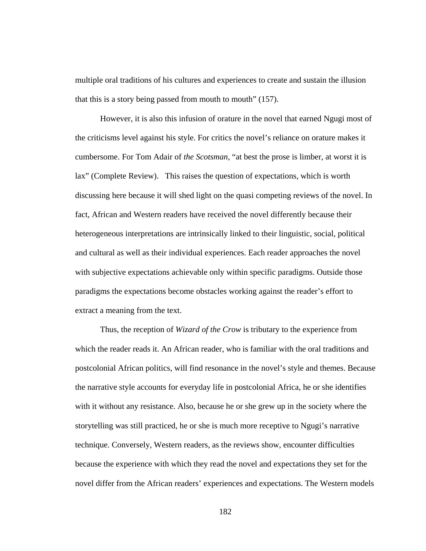multiple oral traditions of his cultures and experiences to create and sustain the illusion that this is a story being passed from mouth to mouth" (157).

However, it is also this infusion of orature in the novel that earned Ngugi most of the criticisms level against his style. For critics the novel's reliance on orature makes it cumbersome. For Tom Adair of *the Scotsman*, "at best the prose is limber, at worst it is lax" (Complete Review). This raises the question of expectations, which is worth discussing here because it will shed light on the quasi competing reviews of the novel. In fact, African and Western readers have received the novel differently because their heterogeneous interpretations are intrinsically linked to their linguistic, social, political and cultural as well as their individual experiences. Each reader approaches the novel with subjective expectations achievable only within specific paradigms. Outside those paradigms the expectations become obstacles working against the reader's effort to extract a meaning from the text.

Thus, the reception of *Wizard of the Crow* is tributary to the experience from which the reader reads it. An African reader, who is familiar with the oral traditions and postcolonial African politics, will find resonance in the novel's style and themes. Because the narrative style accounts for everyday life in postcolonial Africa, he or she identifies with it without any resistance. Also, because he or she grew up in the society where the storytelling was still practiced, he or she is much more receptive to Ngugi's narrative technique. Conversely, Western readers, as the reviews show, encounter difficulties because the experience with which they read the novel and expectations they set for the novel differ from the African readers' experiences and expectations. The Western models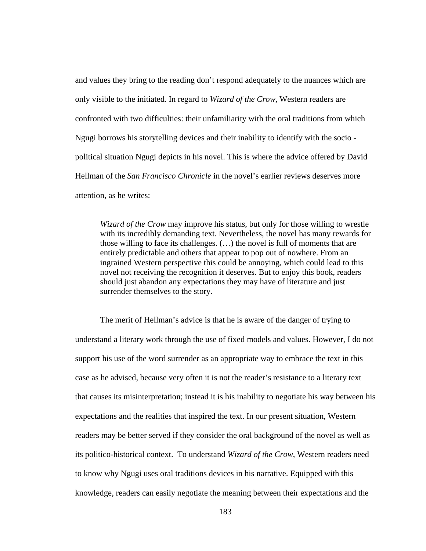and values they bring to the reading don't respond adequately to the nuances which are only visible to the initiated. In regard to *Wizard of the Crow*, Western readers are confronted with two difficulties: their unfamiliarity with the oral traditions from which Ngugi borrows his storytelling devices and their inability to identify with the socio political situation Ngugi depicts in his novel. This is where the advice offered by David Hellman of the *San Francisco Chronicle* in the novel's earlier reviews deserves more attention, as he writes:

*Wizard of the Crow* may improve his status, but only for those willing to wrestle with its incredibly demanding text. Nevertheless, the novel has many rewards for those willing to face its challenges. (…) the novel is full of moments that are entirely predictable and others that appear to pop out of nowhere. From an ingrained Western perspective this could be annoying, which could lead to this novel not receiving the recognition it deserves. But to enjoy this book, readers should just abandon any expectations they may have of literature and just surrender themselves to the story.

The merit of Hellman's advice is that he is aware of the danger of trying to understand a literary work through the use of fixed models and values. However, I do not support his use of the word surrender as an appropriate way to embrace the text in this case as he advised, because very often it is not the reader's resistance to a literary text that causes its misinterpretation; instead it is his inability to negotiate his way between his expectations and the realities that inspired the text. In our present situation, Western readers may be better served if they consider the oral background of the novel as well as its politico-historical context. To understand *Wizard of the Crow*, Western readers need to know why Ngugi uses oral traditions devices in his narrative. Equipped with this knowledge, readers can easily negotiate the meaning between their expectations and the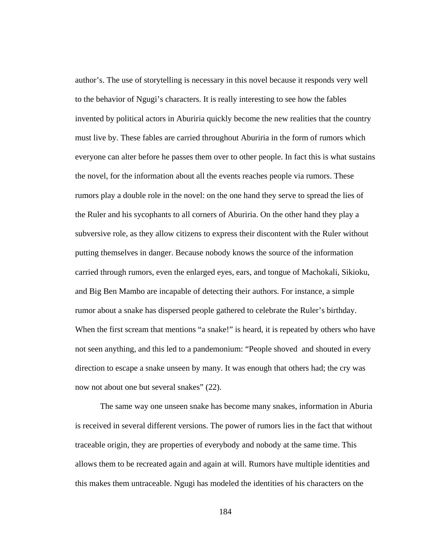author's. The use of storytelling is necessary in this novel because it responds very well to the behavior of Ngugi's characters. It is really interesting to see how the fables invented by political actors in Aburiria quickly become the new realities that the country must live by. These fables are carried throughout Aburiria in the form of rumors which everyone can alter before he passes them over to other people. In fact this is what sustains the novel, for the information about all the events reaches people via rumors. These rumors play a double role in the novel: on the one hand they serve to spread the lies of the Ruler and his sycophants to all corners of Aburiria. On the other hand they play a subversive role, as they allow citizens to express their discontent with the Ruler without putting themselves in danger. Because nobody knows the source of the information carried through rumors, even the enlarged eyes, ears, and tongue of Machokali, Sikioku, and Big Ben Mambo are incapable of detecting their authors. For instance, a simple rumor about a snake has dispersed people gathered to celebrate the Ruler's birthday. When the first scream that mentions "a snake!" is heard, it is repeated by others who have not seen anything, and this led to a pandemonium: "People shoved and shouted in every direction to escape a snake unseen by many. It was enough that others had; the cry was now not about one but several snakes" (22).

The same way one unseen snake has become many snakes, information in Aburia is received in several different versions. The power of rumors lies in the fact that without traceable origin, they are properties of everybody and nobody at the same time. This allows them to be recreated again and again at will. Rumors have multiple identities and this makes them untraceable. Ngugi has modeled the identities of his characters on the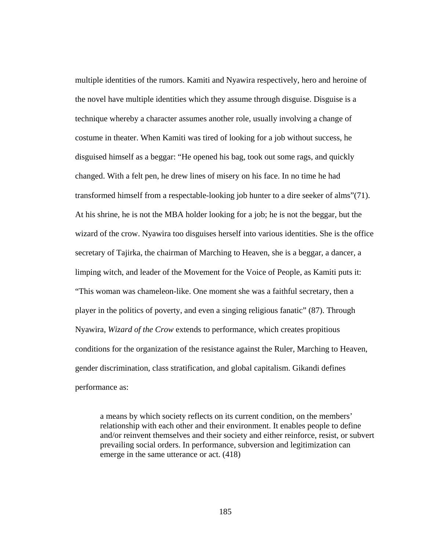multiple identities of the rumors. Kamiti and Nyawira respectively, hero and heroine of the novel have multiple identities which they assume through disguise. Disguise is a technique whereby a character assumes another role, usually involving a change of costume in theater. When Kamiti was tired of looking for a job without success, he disguised himself as a beggar: "He opened his bag, took out some rags, and quickly changed. With a felt pen, he drew lines of misery on his face. In no time he had transformed himself from a respectable-looking job hunter to a dire seeker of alms"(71). At his shrine, he is not the MBA holder looking for a job; he is not the beggar, but the wizard of the crow. Nyawira too disguises herself into various identities. She is the office secretary of Tajirka, the chairman of Marching to Heaven, she is a beggar, a dancer, a limping witch, and leader of the Movement for the Voice of People, as Kamiti puts it: "This woman was chameleon-like. One moment she was a faithful secretary, then a player in the politics of poverty, and even a singing religious fanatic" (87). Through Nyawira, *Wizard of the Crow* extends to performance, which creates propitious conditions for the organization of the resistance against the Ruler, Marching to Heaven, gender discrimination, class stratification, and global capitalism. Gikandi defines performance as:

a means by which society reflects on its current condition, on the members' relationship with each other and their environment. It enables people to define and/or reinvent themselves and their society and either reinforce, resist, or subvert prevailing social orders. In performance, subversion and legitimization can emerge in the same utterance or act. (418)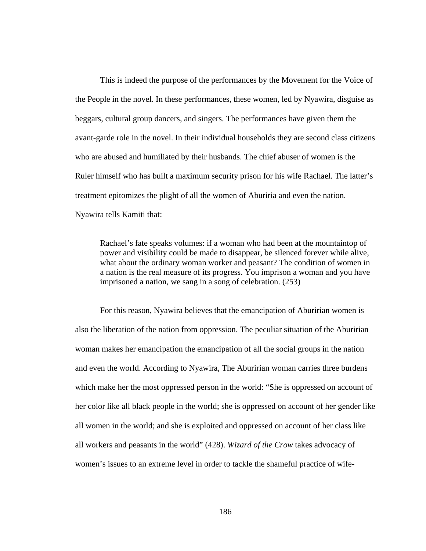This is indeed the purpose of the performances by the Movement for the Voice of the People in the novel. In these performances, these women, led by Nyawira, disguise as beggars, cultural group dancers, and singers. The performances have given them the avant-garde role in the novel. In their individual households they are second class citizens who are abused and humiliated by their husbands. The chief abuser of women is the Ruler himself who has built a maximum security prison for his wife Rachael. The latter's treatment epitomizes the plight of all the women of Aburiria and even the nation. Nyawira tells Kamiti that:

Rachael's fate speaks volumes: if a woman who had been at the mountaintop of power and visibility could be made to disappear, be silenced forever while alive, what about the ordinary woman worker and peasant? The condition of women in a nation is the real measure of its progress. You imprison a woman and you have imprisoned a nation, we sang in a song of celebration. (253)

For this reason, Nyawira believes that the emancipation of Aburirian women is also the liberation of the nation from oppression. The peculiar situation of the Aburirian woman makes her emancipation the emancipation of all the social groups in the nation and even the world. According to Nyawira, The Aburirian woman carries three burdens which make her the most oppressed person in the world: "She is oppressed on account of her color like all black people in the world; she is oppressed on account of her gender like all women in the world; and she is exploited and oppressed on account of her class like all workers and peasants in the world" (428). *Wizard of the Crow* takes advocacy of women's issues to an extreme level in order to tackle the shameful practice of wife-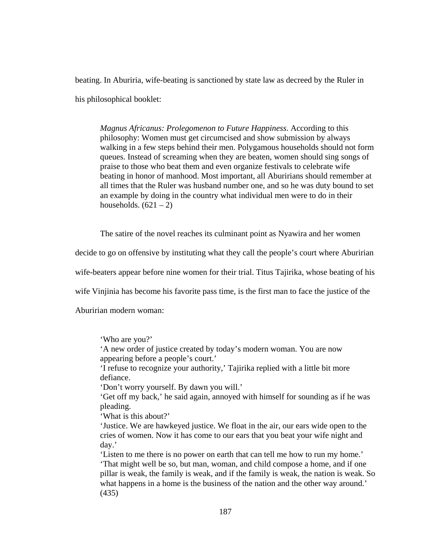beating. In Aburiria, wife-beating is sanctioned by state law as decreed by the Ruler in his philosophical booklet:

*Magnus Africanus: Prolegomenon to Future Happiness*. According to this philosophy: Women must get circumcised and show submission by always walking in a few steps behind their men. Polygamous households should not form queues. Instead of screaming when they are beaten, women should sing songs of praise to those who beat them and even organize festivals to celebrate wife beating in honor of manhood. Most important, all Aburirians should remember at all times that the Ruler was husband number one, and so he was duty bound to set an example by doing in the country what individual men were to do in their households.  $(621 – 2)$ 

The satire of the novel reaches its culminant point as Nyawira and her women

decide to go on offensive by instituting what they call the people's court where Aburirian

wife-beaters appear before nine women for their trial. Titus Tajirika, whose beating of his

wife Vinjinia has become his favorite pass time, is the first man to face the justice of the

Aburirian modern woman:

'Who are you?'

'A new order of justice created by today's modern woman. You are now appearing before a people's court.'

'I refuse to recognize your authority,' Tajirika replied with a little bit more defiance.

'Don't worry yourself. By dawn you will.'

'Get off my back,' he said again, annoyed with himself for sounding as if he was pleading.

'What is this about?'

'Justice. We are hawkeyed justice. We float in the air, our ears wide open to the cries of women. Now it has come to our ears that you beat your wife night and day.'

'Listen to me there is no power on earth that can tell me how to run my home.' 'That might well be so, but man, woman, and child compose a home, and if one pillar is weak, the family is weak, and if the family is weak, the nation is weak. So what happens in a home is the business of the nation and the other way around.' (435)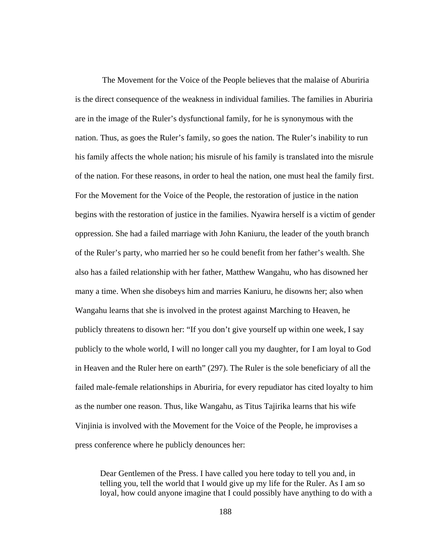The Movement for the Voice of the People believes that the malaise of Aburiria is the direct consequence of the weakness in individual families. The families in Aburiria are in the image of the Ruler's dysfunctional family, for he is synonymous with the nation. Thus, as goes the Ruler's family, so goes the nation. The Ruler's inability to run his family affects the whole nation; his misrule of his family is translated into the misrule of the nation. For these reasons, in order to heal the nation, one must heal the family first. For the Movement for the Voice of the People, the restoration of justice in the nation begins with the restoration of justice in the families. Nyawira herself is a victim of gender oppression. She had a failed marriage with John Kaniuru, the leader of the youth branch of the Ruler's party, who married her so he could benefit from her father's wealth. She also has a failed relationship with her father, Matthew Wangahu, who has disowned her many a time. When she disobeys him and marries Kaniuru, he disowns her; also when Wangahu learns that she is involved in the protest against Marching to Heaven, he publicly threatens to disown her: "If you don't give yourself up within one week, I say publicly to the whole world, I will no longer call you my daughter, for I am loyal to God in Heaven and the Ruler here on earth" (297). The Ruler is the sole beneficiary of all the failed male-female relationships in Aburiria, for every repudiator has cited loyalty to him as the number one reason. Thus, like Wangahu, as Titus Tajirika learns that his wife Vinjinia is involved with the Movement for the Voice of the People, he improvises a press conference where he publicly denounces her:

Dear Gentlemen of the Press. I have called you here today to tell you and, in telling you, tell the world that I would give up my life for the Ruler. As I am so loyal, how could anyone imagine that I could possibly have anything to do with a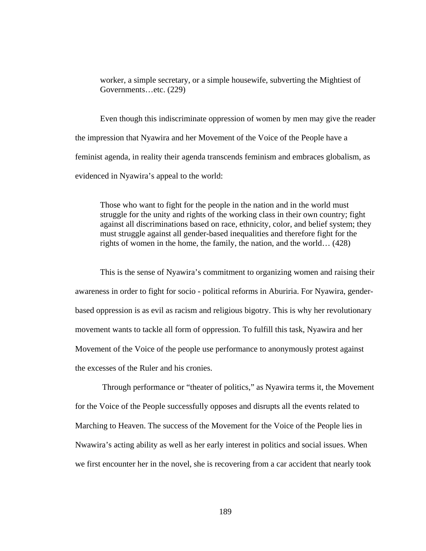worker, a simple secretary, or a simple housewife, subverting the Mightiest of Governments…etc. (229)

Even though this indiscriminate oppression of women by men may give the reader the impression that Nyawira and her Movement of the Voice of the People have a feminist agenda, in reality their agenda transcends feminism and embraces globalism, as evidenced in Nyawira's appeal to the world:

Those who want to fight for the people in the nation and in the world must struggle for the unity and rights of the working class in their own country; fight against all discriminations based on race, ethnicity, color, and belief system; they must struggle against all gender-based inequalities and therefore fight for the rights of women in the home, the family, the nation, and the world… (428)

This is the sense of Nyawira's commitment to organizing women and raising their awareness in order to fight for socio - political reforms in Aburiria. For Nyawira, genderbased oppression is as evil as racism and religious bigotry. This is why her revolutionary movement wants to tackle all form of oppression. To fulfill this task, Nyawira and her Movement of the Voice of the people use performance to anonymously protest against the excesses of the Ruler and his cronies.

Through performance or "theater of politics," as Nyawira terms it, the Movement for the Voice of the People successfully opposes and disrupts all the events related to Marching to Heaven. The success of the Movement for the Voice of the People lies in Nwawira's acting ability as well as her early interest in politics and social issues. When we first encounter her in the novel, she is recovering from a car accident that nearly took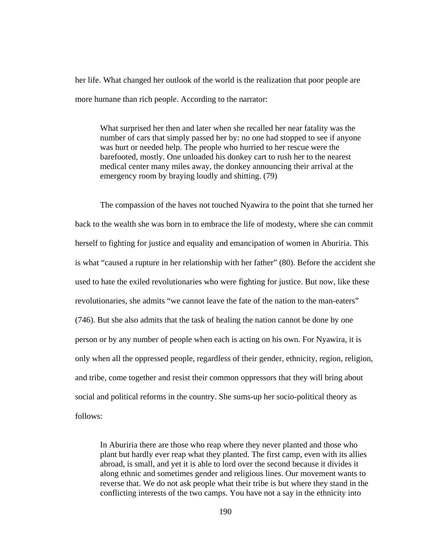her life. What changed her outlook of the world is the realization that poor people are more humane than rich people. According to the narrator:

What surprised her then and later when she recalled her near fatality was the number of cars that simply passed her by: no one had stopped to see if anyone was hurt or needed help. The people who hurried to her rescue were the barefooted, mostly. One unloaded his donkey cart to rush her to the nearest medical center many miles away, the donkey announcing their arrival at the emergency room by braying loudly and shitting. (79)

The compassion of the haves not touched Nyawira to the point that she turned her back to the wealth she was born in to embrace the life of modesty, where she can commit herself to fighting for justice and equality and emancipation of women in Aburiria. This is what "caused a rupture in her relationship with her father" (80). Before the accident she used to hate the exiled revolutionaries who were fighting for justice. But now, like these revolutionaries, she admits "we cannot leave the fate of the nation to the man-eaters" (746). But she also admits that the task of healing the nation cannot be done by one person or by any number of people when each is acting on his own. For Nyawira, it is only when all the oppressed people, regardless of their gender, ethnicity, region, religion, and tribe, come together and resist their common oppressors that they will bring about social and political reforms in the country. She sums-up her socio-political theory as follows:

In Aburiria there are those who reap where they never planted and those who plant but hardly ever reap what they planted. The first camp, even with its allies abroad, is small, and yet it is able to lord over the second because it divides it along ethnic and sometimes gender and religious lines. Our movement wants to reverse that. We do not ask people what their tribe is but where they stand in the conflicting interests of the two camps. You have not a say in the ethnicity into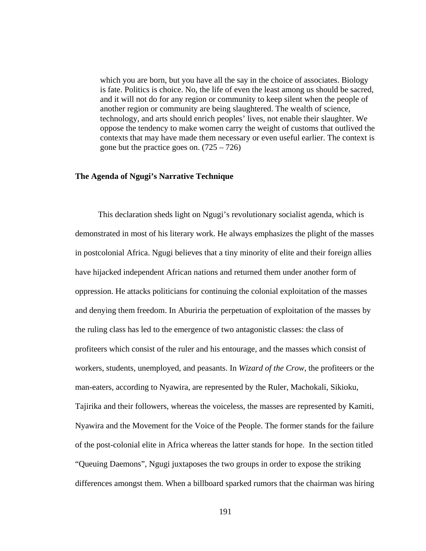which you are born, but you have all the say in the choice of associates. Biology is fate. Politics is choice. No, the life of even the least among us should be sacred, and it will not do for any region or community to keep silent when the people of another region or community are being slaughtered. The wealth of science, technology, and arts should enrich peoples' lives, not enable their slaughter. We oppose the tendency to make women carry the weight of customs that outlived the contexts that may have made them necessary or even useful earlier. The context is gone but the practice goes on.  $(725 - 726)$ 

## **The Agenda of Ngugi's Narrative Technique**

 This declaration sheds light on Ngugi's revolutionary socialist agenda, which is demonstrated in most of his literary work. He always emphasizes the plight of the masses in postcolonial Africa. Ngugi believes that a tiny minority of elite and their foreign allies have hijacked independent African nations and returned them under another form of oppression. He attacks politicians for continuing the colonial exploitation of the masses and denying them freedom. In Aburiria the perpetuation of exploitation of the masses by the ruling class has led to the emergence of two antagonistic classes: the class of profiteers which consist of the ruler and his entourage, and the masses which consist of workers, students, unemployed, and peasants. In *Wizard of the Crow*, the profiteers or the man-eaters, according to Nyawira, are represented by the Ruler, Machokali, Sikioku, Tajirika and their followers, whereas the voiceless, the masses are represented by Kamiti, Nyawira and the Movement for the Voice of the People. The former stands for the failure of the post-colonial elite in Africa whereas the latter stands for hope. In the section titled "Queuing Daemons", Ngugi juxtaposes the two groups in order to expose the striking differences amongst them. When a billboard sparked rumors that the chairman was hiring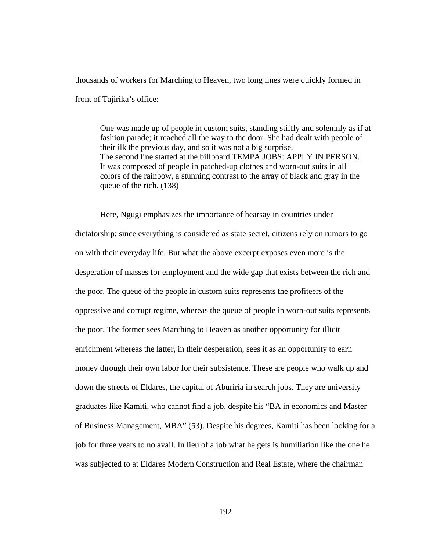thousands of workers for Marching to Heaven, two long lines were quickly formed in front of Tajirika's office:

One was made up of people in custom suits, standing stiffly and solemnly as if at fashion parade; it reached all the way to the door. She had dealt with people of their ilk the previous day, and so it was not a big surprise. The second line started at the billboard TEMPA JOBS: APPLY IN PERSON. It was composed of people in patched-up clothes and worn-out suits in all colors of the rainbow, a stunning contrast to the array of black and gray in the queue of the rich. (138)

Here, Ngugi emphasizes the importance of hearsay in countries under dictatorship; since everything is considered as state secret, citizens rely on rumors to go on with their everyday life. But what the above excerpt exposes even more is the desperation of masses for employment and the wide gap that exists between the rich and the poor. The queue of the people in custom suits represents the profiteers of the oppressive and corrupt regime, whereas the queue of people in worn-out suits represents the poor. The former sees Marching to Heaven as another opportunity for illicit enrichment whereas the latter, in their desperation, sees it as an opportunity to earn money through their own labor for their subsistence. These are people who walk up and down the streets of Eldares, the capital of Aburiria in search jobs. They are university graduates like Kamiti, who cannot find a job, despite his "BA in economics and Master of Business Management, MBA" (53). Despite his degrees, Kamiti has been looking for a job for three years to no avail. In lieu of a job what he gets is humiliation like the one he was subjected to at Eldares Modern Construction and Real Estate, where the chairman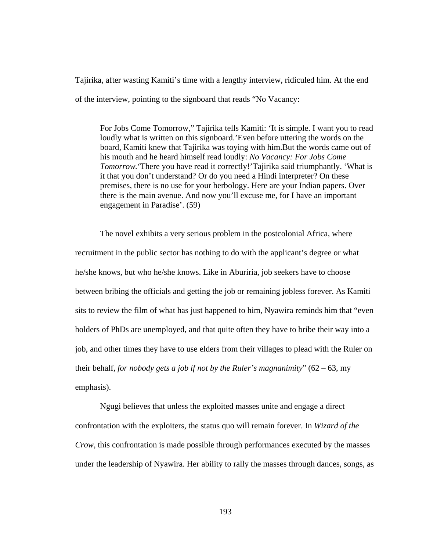Tajirika, after wasting Kamiti's time with a lengthy interview, ridiculed him. At the end of the interview, pointing to the signboard that reads "No Vacancy:

For Jobs Come Tomorrow," Tajirika tells Kamiti: 'It is simple. I want you to read loudly what is written on this signboard.'Even before uttering the words on the board, Kamiti knew that Tajirika was toying with him.But the words came out of his mouth and he heard himself read loudly: *No Vacancy: For Jobs Come Tomorrow.*'There you have read it correctly!'Tajirika said triumphantly. 'What is it that you don't understand? Or do you need a Hindi interpreter? On these premises, there is no use for your herbology. Here are your Indian papers. Over there is the main avenue. And now you'll excuse me, for I have an important engagement in Paradise'. (59)

The novel exhibits a very serious problem in the postcolonial Africa, where recruitment in the public sector has nothing to do with the applicant's degree or what he/she knows, but who he/she knows. Like in Aburiria, job seekers have to choose between bribing the officials and getting the job or remaining jobless forever. As Kamiti sits to review the film of what has just happened to him, Nyawira reminds him that "even holders of PhDs are unemployed, and that quite often they have to bribe their way into a job, and other times they have to use elders from their villages to plead with the Ruler on their behalf, *for nobody gets a job if not by the Ruler's magnanimity*" (62 – 63, my emphasis).

Ngugi believes that unless the exploited masses unite and engage a direct confrontation with the exploiters, the status quo will remain forever. In *Wizard of the Crow*, this confrontation is made possible through performances executed by the masses under the leadership of Nyawira. Her ability to rally the masses through dances, songs, as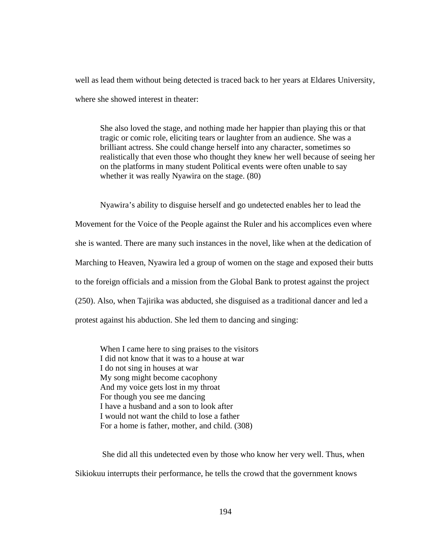well as lead them without being detected is traced back to her years at Eldares University, where she showed interest in theater:

She also loved the stage, and nothing made her happier than playing this or that tragic or comic role, eliciting tears or laughter from an audience. She was a brilliant actress. She could change herself into any character, sometimes so realistically that even those who thought they knew her well because of seeing her on the platforms in many student Political events were often unable to say whether it was really Nyawira on the stage. (80)

Nyawira's ability to disguise herself and go undetected enables her to lead the Movement for the Voice of the People against the Ruler and his accomplices even where she is wanted. There are many such instances in the novel, like when at the dedication of Marching to Heaven, Nyawira led a group of women on the stage and exposed their butts to the foreign officials and a mission from the Global Bank to protest against the project (250). Also, when Tajirika was abducted, she disguised as a traditional dancer and led a protest against his abduction. She led them to dancing and singing:

When I came here to sing praises to the visitors I did not know that it was to a house at war I do not sing in houses at war My song might become cacophony And my voice gets lost in my throat For though you see me dancing I have a husband and a son to look after I would not want the child to lose a father For a home is father, mother, and child. (308)

She did all this undetected even by those who know her very well. Thus, when Sikiokuu interrupts their performance, he tells the crowd that the government knows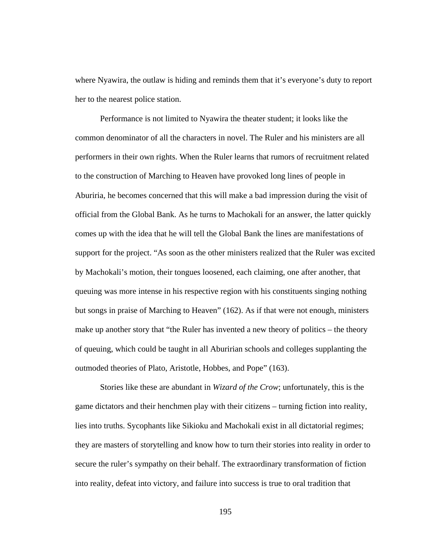where Nyawira, the outlaw is hiding and reminds them that it's everyone's duty to report her to the nearest police station.

Performance is not limited to Nyawira the theater student; it looks like the common denominator of all the characters in novel. The Ruler and his ministers are all performers in their own rights. When the Ruler learns that rumors of recruitment related to the construction of Marching to Heaven have provoked long lines of people in Aburiria, he becomes concerned that this will make a bad impression during the visit of official from the Global Bank. As he turns to Machokali for an answer, the latter quickly comes up with the idea that he will tell the Global Bank the lines are manifestations of support for the project. "As soon as the other ministers realized that the Ruler was excited by Machokali's motion, their tongues loosened, each claiming, one after another, that queuing was more intense in his respective region with his constituents singing nothing but songs in praise of Marching to Heaven" (162). As if that were not enough, ministers make up another story that "the Ruler has invented a new theory of politics – the theory of queuing, which could be taught in all Aburirian schools and colleges supplanting the outmoded theories of Plato, Aristotle, Hobbes, and Pope" (163).

Stories like these are abundant in *Wizard of the Crow*; unfortunately, this is the game dictators and their henchmen play with their citizens – turning fiction into reality, lies into truths. Sycophants like Sikioku and Machokali exist in all dictatorial regimes; they are masters of storytelling and know how to turn their stories into reality in order to secure the ruler's sympathy on their behalf. The extraordinary transformation of fiction into reality, defeat into victory, and failure into success is true to oral tradition that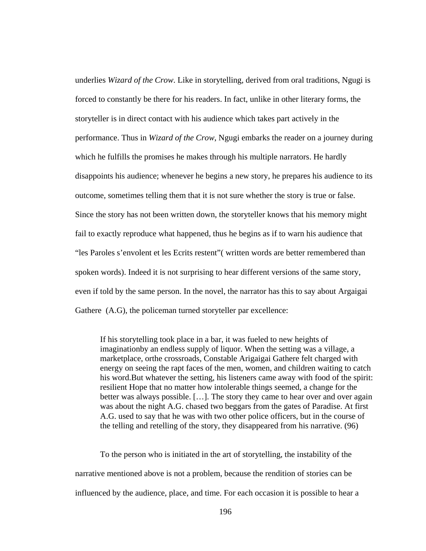underlies *Wizard of the Crow*. Like in storytelling, derived from oral traditions, Ngugi is forced to constantly be there for his readers. In fact, unlike in other literary forms, the storyteller is in direct contact with his audience which takes part actively in the performance. Thus in *Wizard of the Crow*, Ngugi embarks the reader on a journey during which he fulfills the promises he makes through his multiple narrators. He hardly disappoints his audience; whenever he begins a new story, he prepares his audience to its outcome, sometimes telling them that it is not sure whether the story is true or false. Since the story has not been written down, the storyteller knows that his memory might fail to exactly reproduce what happened, thus he begins as if to warn his audience that "les Paroles s'envolent et les Ecrits restent"( written words are better remembered than spoken words). Indeed it is not surprising to hear different versions of the same story, even if told by the same person. In the novel, the narrator has this to say about Argaigai Gathere (A.G), the policeman turned storyteller par excellence:

If his storytelling took place in a bar, it was fueled to new heights of imaginationby an endless supply of liquor. When the setting was a village, a marketplace, orthe crossroads, Constable Arigaigai Gathere felt charged with energy on seeing the rapt faces of the men, women, and children waiting to catch his word.But whatever the setting, his listeners came away with food of the spirit: resilient Hope that no matter how intolerable things seemed, a change for the better was always possible. […]. The story they came to hear over and over again was about the night A.G. chased two beggars from the gates of Paradise. At first A.G. used to say that he was with two other police officers, but in the course of the telling and retelling of the story, they disappeared from his narrative. (96)

To the person who is initiated in the art of storytelling, the instability of the narrative mentioned above is not a problem, because the rendition of stories can be influenced by the audience, place, and time. For each occasion it is possible to hear a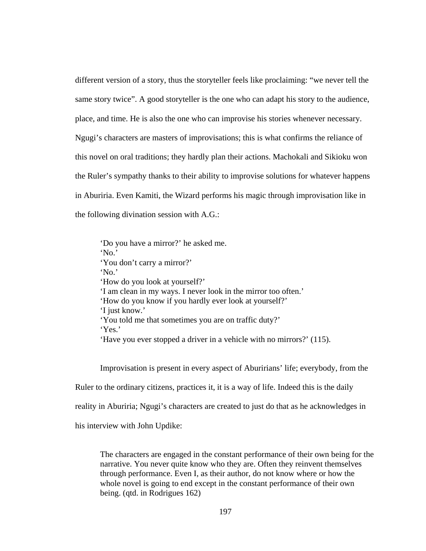different version of a story, thus the storyteller feels like proclaiming: "we never tell the same story twice". A good storyteller is the one who can adapt his story to the audience, place, and time. He is also the one who can improvise his stories whenever necessary. Ngugi's characters are masters of improvisations; this is what confirms the reliance of this novel on oral traditions; they hardly plan their actions. Machokali and Sikioku won the Ruler's sympathy thanks to their ability to improvise solutions for whatever happens in Aburiria. Even Kamiti, the Wizard performs his magic through improvisation like in the following divination session with A.G.:

'Do you have a mirror?' he asked me. 'No.' 'You don't carry a mirror?' 'No.' 'How do you look at yourself?' 'I am clean in my ways. I never look in the mirror too often.' 'How do you know if you hardly ever look at yourself?' 'I just know.' 'You told me that sometimes you are on traffic duty?' 'Yes.' 'Have you ever stopped a driver in a vehicle with no mirrors?' (115).

Improvisation is present in every aspect of Aburirians' life; everybody, from the

Ruler to the ordinary citizens, practices it, it is a way of life. Indeed this is the daily

reality in Aburiria; Ngugi's characters are created to just do that as he acknowledges in

his interview with John Updike:

The characters are engaged in the constant performance of their own being for the narrative. You never quite know who they are. Often they reinvent themselves through performance. Even I, as their author, do not know where or how the whole novel is going to end except in the constant performance of their own being. (qtd. in Rodrigues 162)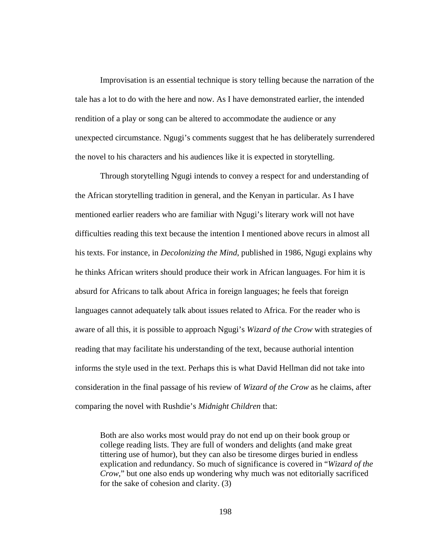Improvisation is an essential technique is story telling because the narration of the tale has a lot to do with the here and now. As I have demonstrated earlier, the intended rendition of a play or song can be altered to accommodate the audience or any unexpected circumstance. Ngugi's comments suggest that he has deliberately surrendered the novel to his characters and his audiences like it is expected in storytelling.

Through storytelling Ngugi intends to convey a respect for and understanding of the African storytelling tradition in general, and the Kenyan in particular. As I have mentioned earlier readers who are familiar with Ngugi's literary work will not have difficulties reading this text because the intention I mentioned above recurs in almost all his texts. For instance, in *Decolonizing the Mind*, published in 1986, Ngugi explains why he thinks African writers should produce their work in African languages. For him it is absurd for Africans to talk about Africa in foreign languages; he feels that foreign languages cannot adequately talk about issues related to Africa. For the reader who is aware of all this, it is possible to approach Ngugi's *Wizard of the Crow* with strategies of reading that may facilitate his understanding of the text, because authorial intention informs the style used in the text. Perhaps this is what David Hellman did not take into consideration in the final passage of his review of *Wizard of the Crow* as he claims, after comparing the novel with Rushdie's *Midnight Children* that:

Both are also works most would pray do not end up on their book group or college reading lists. They are full of wonders and delights (and make great tittering use of humor), but they can also be tiresome dirges buried in endless explication and redundancy. So much of significance is covered in "*Wizard of the Crow*," but one also ends up wondering why much was not editorially sacrificed for the sake of cohesion and clarity. (3)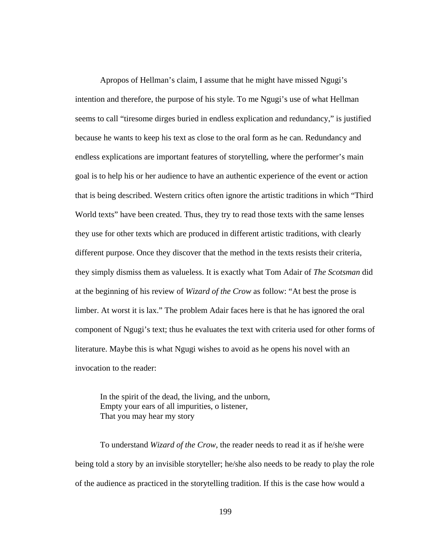Apropos of Hellman's claim, I assume that he might have missed Ngugi's intention and therefore, the purpose of his style. To me Ngugi's use of what Hellman seems to call "tiresome dirges buried in endless explication and redundancy," is justified because he wants to keep his text as close to the oral form as he can. Redundancy and endless explications are important features of storytelling, where the performer's main goal is to help his or her audience to have an authentic experience of the event or action that is being described. Western critics often ignore the artistic traditions in which "Third World texts" have been created. Thus, they try to read those texts with the same lenses they use for other texts which are produced in different artistic traditions, with clearly different purpose. Once they discover that the method in the texts resists their criteria, they simply dismiss them as valueless. It is exactly what Tom Adair of *The Scotsman* did at the beginning of his review of *Wizard of the Crow* as follow: "At best the prose is limber. At worst it is lax." The problem Adair faces here is that he has ignored the oral component of Ngugi's text; thus he evaluates the text with criteria used for other forms of literature. Maybe this is what Ngugi wishes to avoid as he opens his novel with an invocation to the reader:

In the spirit of the dead, the living, and the unborn, Empty your ears of all impurities, o listener, That you may hear my story

To understand *Wizard of the Crow*, the reader needs to read it as if he/she were being told a story by an invisible storyteller; he/she also needs to be ready to play the role of the audience as practiced in the storytelling tradition. If this is the case how would a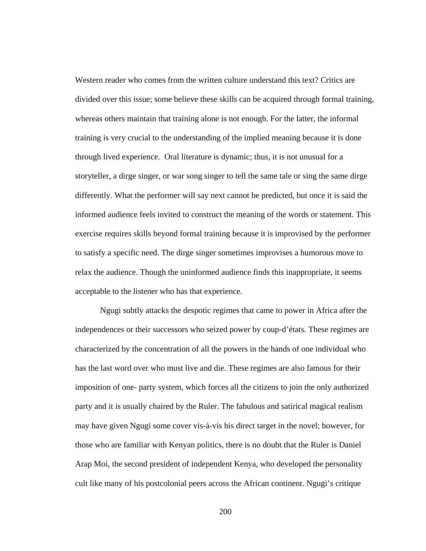Western reader who comes from the written culture understand this text? Critics are divided over this issue; some believe these skills can be acquired through formal training, whereas others maintain that training alone is not enough. For the latter, the informal training is very crucial to the understanding of the implied meaning because it is done through lived experience. Oral literature is dynamic; thus, it is not unusual for a storyteller, a dirge singer, or war song singer to tell the same tale or sing the same dirge differently. What the performer will say next cannot be predicted, but once it is said the informed audience feels invited to construct the meaning of the words or statement. This exercise requires skills beyond formal training because it is improvised by the performer to satisfy a specific need. The dirge singer sometimes improvises a humorous move to relax the audience. Though the uninformed audience finds this inappropriate, it seems acceptable to the listener who has that experience.

Ngugi subtly attacks the despotic regimes that came to power in Africa after the independences or their successors who seized power by coup-d'états. These regimes are characterized by the concentration of all the powers in the hands of one individual who has the last word over who must live and die. These regimes are also famous for their imposition of one- party system, which forces all the citizens to join the only authorized party and it is usually chaired by the Ruler. The fabulous and satirical magical realism may have given Ngugi some cover vis-à-vis his direct target in the novel; however, for those who are familiar with Kenyan politics, there is no doubt that the Ruler is Daniel Arap Moi, the second president of independent Kenya, who developed the personality cult like many of his postcolonial peers across the African continent. Ngugi's critique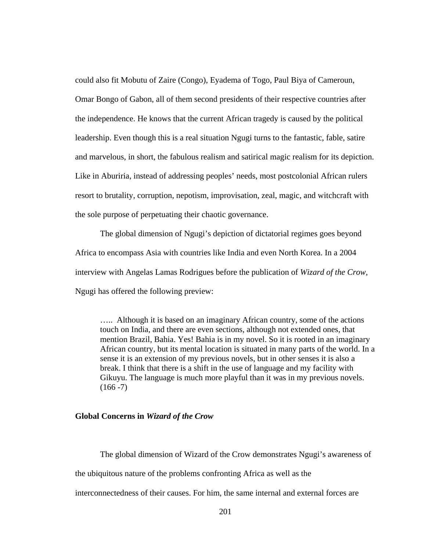could also fit Mobutu of Zaire (Congo), Eyadema of Togo, Paul Biya of Cameroun, Omar Bongo of Gabon, all of them second presidents of their respective countries after the independence. He knows that the current African tragedy is caused by the political leadership. Even though this is a real situation Ngugi turns to the fantastic, fable, satire and marvelous, in short, the fabulous realism and satirical magic realism for its depiction. Like in Aburiria, instead of addressing peoples' needs, most postcolonial African rulers resort to brutality, corruption, nepotism, improvisation, zeal, magic, and witchcraft with the sole purpose of perpetuating their chaotic governance.

The global dimension of Ngugi's depiction of dictatorial regimes goes beyond Africa to encompass Asia with countries like India and even North Korea. In a 2004 interview with Angelas Lamas Rodrigues before the publication of *Wizard of the Crow*, Ngugi has offered the following preview:

….. Although it is based on an imaginary African country, some of the actions touch on India, and there are even sections, although not extended ones, that mention Brazil, Bahia. Yes! Bahia is in my novel. So it is rooted in an imaginary African country, but its mental location is situated in many parts of the world. In a sense it is an extension of my previous novels, but in other senses it is also a break. I think that there is a shift in the use of language and my facility with Gikuyu. The language is much more playful than it was in my previous novels.  $(166 - 7)$ 

## **Global Concerns in** *Wizard of the Crow*

The global dimension of Wizard of the Crow demonstrates Ngugi's awareness of the ubiquitous nature of the problems confronting Africa as well as the interconnectedness of their causes. For him, the same internal and external forces are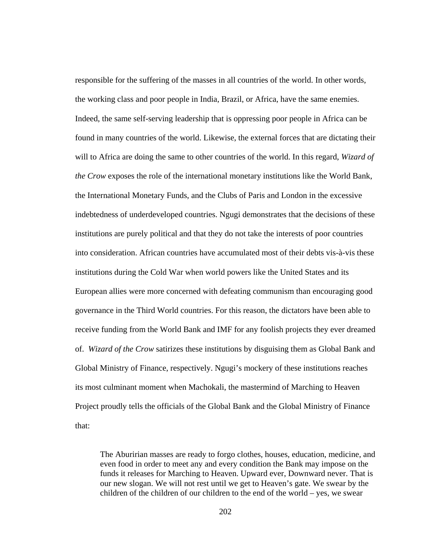responsible for the suffering of the masses in all countries of the world. In other words, the working class and poor people in India, Brazil, or Africa, have the same enemies. Indeed, the same self-serving leadership that is oppressing poor people in Africa can be found in many countries of the world. Likewise, the external forces that are dictating their will to Africa are doing the same to other countries of the world. In this regard, *Wizard of the Crow* exposes the role of the international monetary institutions like the World Bank, the International Monetary Funds, and the Clubs of Paris and London in the excessive indebtedness of underdeveloped countries. Ngugi demonstrates that the decisions of these institutions are purely political and that they do not take the interests of poor countries into consideration. African countries have accumulated most of their debts vis-à-vis these institutions during the Cold War when world powers like the United States and its European allies were more concerned with defeating communism than encouraging good governance in the Third World countries. For this reason, the dictators have been able to receive funding from the World Bank and IMF for any foolish projects they ever dreamed of. *Wizard of the Crow* satirizes these institutions by disguising them as Global Bank and Global Ministry of Finance, respectively. Ngugi's mockery of these institutions reaches its most culminant moment when Machokali, the mastermind of Marching to Heaven Project proudly tells the officials of the Global Bank and the Global Ministry of Finance that:

The Aburirian masses are ready to forgo clothes, houses, education, medicine, and even food in order to meet any and every condition the Bank may impose on the funds it releases for Marching to Heaven. Upward ever, Downward never. That is our new slogan. We will not rest until we get to Heaven's gate. We swear by the children of the children of our children to the end of the world – yes, we swear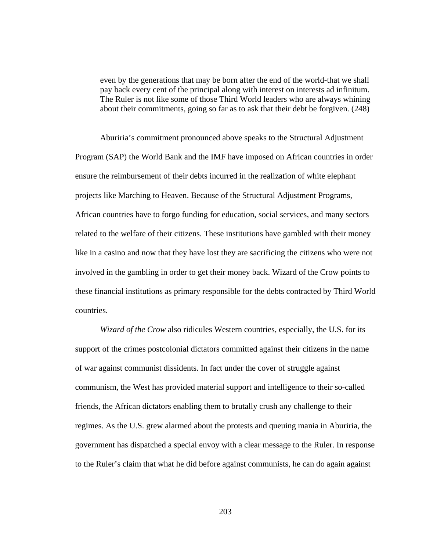even by the generations that may be born after the end of the world-that we shall pay back every cent of the principal along with interest on interests ad infinitum. The Ruler is not like some of those Third World leaders who are always whining about their commitments, going so far as to ask that their debt be forgiven. (248)

Aburiria's commitment pronounced above speaks to the Structural Adjustment Program (SAP) the World Bank and the IMF have imposed on African countries in order ensure the reimbursement of their debts incurred in the realization of white elephant projects like Marching to Heaven. Because of the Structural Adjustment Programs, African countries have to forgo funding for education, social services, and many sectors related to the welfare of their citizens. These institutions have gambled with their money like in a casino and now that they have lost they are sacrificing the citizens who were not involved in the gambling in order to get their money back. Wizard of the Crow points to these financial institutions as primary responsible for the debts contracted by Third World countries.

*Wizard of the Crow* also ridicules Western countries, especially, the U.S. for its support of the crimes postcolonial dictators committed against their citizens in the name of war against communist dissidents. In fact under the cover of struggle against communism, the West has provided material support and intelligence to their so-called friends, the African dictators enabling them to brutally crush any challenge to their regimes. As the U.S. grew alarmed about the protests and queuing mania in Aburiria, the government has dispatched a special envoy with a clear message to the Ruler. In response to the Ruler's claim that what he did before against communists, he can do again against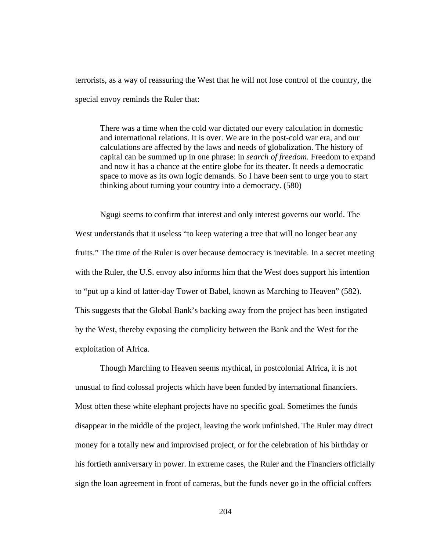terrorists, as a way of reassuring the West that he will not lose control of the country, the special envoy reminds the Ruler that:

There was a time when the cold war dictated our every calculation in domestic and international relations. It is over. We are in the post-cold war era, and our calculations are affected by the laws and needs of globalization. The history of capital can be summed up in one phrase: in *search of freedom*. Freedom to expand and now it has a chance at the entire globe for its theater. It needs a democratic space to move as its own logic demands. So I have been sent to urge you to start thinking about turning your country into a democracy. (580)

Ngugi seems to confirm that interest and only interest governs our world. The West understands that it useless "to keep watering a tree that will no longer bear any fruits." The time of the Ruler is over because democracy is inevitable. In a secret meeting with the Ruler, the U.S. envoy also informs him that the West does support his intention to "put up a kind of latter-day Tower of Babel, known as Marching to Heaven" (582). This suggests that the Global Bank's backing away from the project has been instigated by the West, thereby exposing the complicity between the Bank and the West for the exploitation of Africa.

Though Marching to Heaven seems mythical, in postcolonial Africa, it is not unusual to find colossal projects which have been funded by international financiers. Most often these white elephant projects have no specific goal. Sometimes the funds disappear in the middle of the project, leaving the work unfinished. The Ruler may direct money for a totally new and improvised project, or for the celebration of his birthday or his fortieth anniversary in power. In extreme cases, the Ruler and the Financiers officially sign the loan agreement in front of cameras, but the funds never go in the official coffers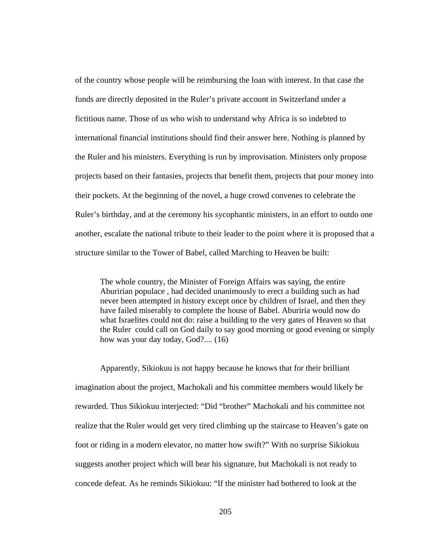of the country whose people will be reimbursing the loan with interest. In that case the funds are directly deposited in the Ruler's private account in Switzerland under a fictitious name. Those of us who wish to understand why Africa is so indebted to international financial institutions should find their answer here. Nothing is planned by the Ruler and his ministers. Everything is run by improvisation. Ministers only propose projects based on their fantasies, projects that benefit them, projects that pour money into their pockets. At the beginning of the novel, a huge crowd convenes to celebrate the Ruler's birthday, and at the ceremony his sycophantic ministers, in an effort to outdo one another, escalate the national tribute to their leader to the point where it is proposed that a structure similar to the Tower of Babel, called Marching to Heaven be built:

The whole country, the Minister of Foreign Affairs was saying, the entire Aburirian populace , had decided unanimously to erect a building such as had never been attempted in history except once by children of Israel, and then they have failed miserably to complete the house of Babel. Aburiria would now do what Israelites could not do: raise a building to the very gates of Heaven so that the Ruler could call on God daily to say good morning or good evening or simply how was your day today, God?.... (16)

Apparently, Sikiokuu is not happy because he knows that for their brilliant imagination about the project, Machokali and his committee members would likely be rewarded. Thus Sikiokuu interjected: "Did "brother" Machokali and his committee not realize that the Ruler would get very tired climbing up the staircase to Heaven's gate on foot or riding in a modern elevator, no matter how swift?" With no surprise Sikiokuu suggests another project which will bear his signature, but Machokali is not ready to concede defeat. As he reminds Sikiokuu: "If the minister had bothered to look at the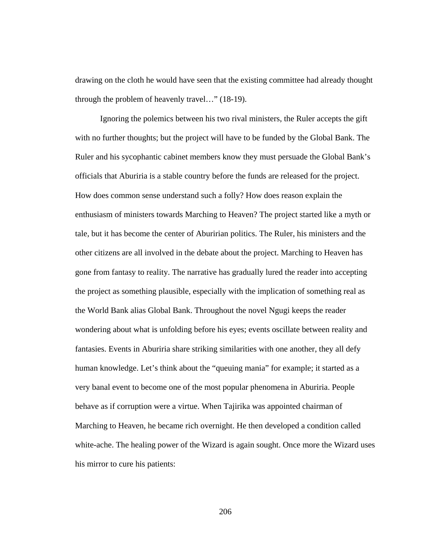drawing on the cloth he would have seen that the existing committee had already thought through the problem of heavenly travel…" (18-19).

Ignoring the polemics between his two rival ministers, the Ruler accepts the gift with no further thoughts; but the project will have to be funded by the Global Bank. The Ruler and his sycophantic cabinet members know they must persuade the Global Bank's officials that Aburiria is a stable country before the funds are released for the project. How does common sense understand such a folly? How does reason explain the enthusiasm of ministers towards Marching to Heaven? The project started like a myth or tale, but it has become the center of Aburirian politics. The Ruler, his ministers and the other citizens are all involved in the debate about the project. Marching to Heaven has gone from fantasy to reality. The narrative has gradually lured the reader into accepting the project as something plausible, especially with the implication of something real as the World Bank alias Global Bank. Throughout the novel Ngugi keeps the reader wondering about what is unfolding before his eyes; events oscillate between reality and fantasies. Events in Aburiria share striking similarities with one another, they all defy human knowledge. Let's think about the "queuing mania" for example; it started as a very banal event to become one of the most popular phenomena in Aburiria. People behave as if corruption were a virtue. When Tajirika was appointed chairman of Marching to Heaven, he became rich overnight. He then developed a condition called white-ache. The healing power of the Wizard is again sought. Once more the Wizard uses his mirror to cure his patients: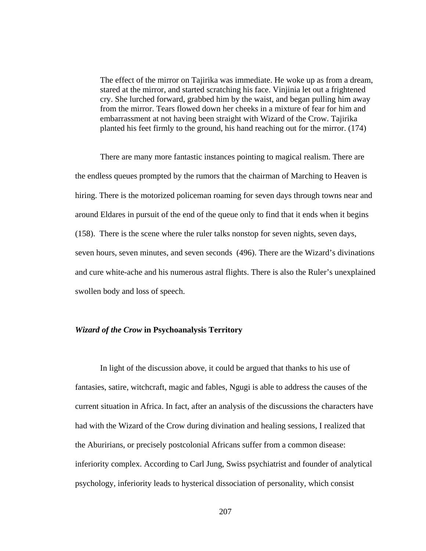The effect of the mirror on Tajirika was immediate. He woke up as from a dream, stared at the mirror, and started scratching his face. Vinjinia let out a frightened cry. She lurched forward, grabbed him by the waist, and began pulling him away from the mirror. Tears flowed down her cheeks in a mixture of fear for him and embarrassment at not having been straight with Wizard of the Crow. Tajirika planted his feet firmly to the ground, his hand reaching out for the mirror. (174)

There are many more fantastic instances pointing to magical realism. There are the endless queues prompted by the rumors that the chairman of Marching to Heaven is hiring. There is the motorized policeman roaming for seven days through towns near and around Eldares in pursuit of the end of the queue only to find that it ends when it begins (158). There is the scene where the ruler talks nonstop for seven nights, seven days, seven hours, seven minutes, and seven seconds (496). There are the Wizard's divinations and cure white-ache and his numerous astral flights. There is also the Ruler's unexplained swollen body and loss of speech.

## *Wizard of the Crow* **in Psychoanalysis Territory**

In light of the discussion above, it could be argued that thanks to his use of fantasies, satire, witchcraft, magic and fables, Ngugi is able to address the causes of the current situation in Africa. In fact, after an analysis of the discussions the characters have had with the Wizard of the Crow during divination and healing sessions, I realized that the Aburirians, or precisely postcolonial Africans suffer from a common disease: inferiority complex. According to Carl Jung, Swiss psychiatrist and founder of analytical psychology, inferiority leads to hysterical dissociation of personality, which consist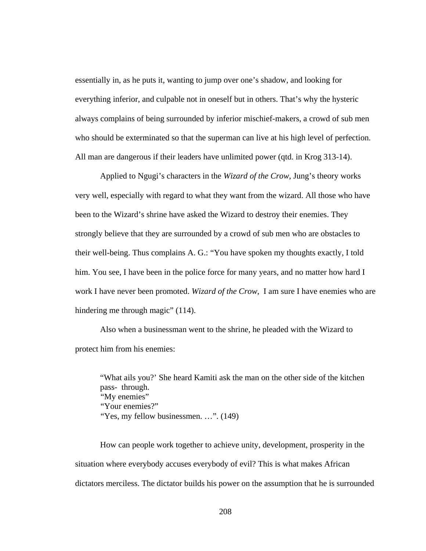essentially in, as he puts it, wanting to jump over one's shadow, and looking for everything inferior, and culpable not in oneself but in others. That's why the hysteric always complains of being surrounded by inferior mischief-makers, a crowd of sub men who should be exterminated so that the superman can live at his high level of perfection. All man are dangerous if their leaders have unlimited power (qtd. in Krog 313-14).

Applied to Ngugi's characters in the *Wizard of the Crow*, Jung's theory works very well, especially with regard to what they want from the wizard. All those who have been to the Wizard's shrine have asked the Wizard to destroy their enemies. They strongly believe that they are surrounded by a crowd of sub men who are obstacles to their well-being. Thus complains A. G.: "You have spoken my thoughts exactly, I told him. You see, I have been in the police force for many years, and no matter how hard I work I have never been promoted. *Wizard of the Crow*, I am sure I have enemies who are hindering me through magic" (114).

Also when a businessman went to the shrine, he pleaded with the Wizard to protect him from his enemies:

"What ails you?' She heard Kamiti ask the man on the other side of the kitchen pass- through. "My enemies" "Your enemies?" "Yes, my fellow businessmen. ...". (149)

How can people work together to achieve unity, development, prosperity in the situation where everybody accuses everybody of evil? This is what makes African dictators merciless. The dictator builds his power on the assumption that he is surrounded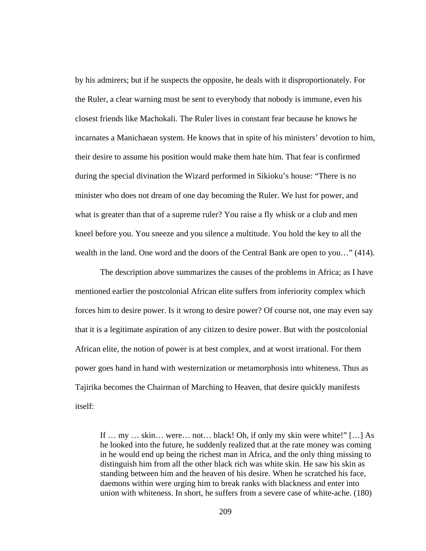by his admirers; but if he suspects the opposite, he deals with it disproportionately. For the Ruler, a clear warning must be sent to everybody that nobody is immune, even his closest friends like Machokali. The Ruler lives in constant fear because he knows he incarnates a Manichaean system. He knows that in spite of his ministers' devotion to him, their desire to assume his position would make them hate him. That fear is confirmed during the special divination the Wizard performed in Sikioku's house: "There is no minister who does not dream of one day becoming the Ruler. We lust for power, and what is greater than that of a supreme ruler? You raise a fly whisk or a club and men kneel before you. You sneeze and you silence a multitude. You hold the key to all the wealth in the land. One word and the doors of the Central Bank are open to you…" (414).

The description above summarizes the causes of the problems in Africa; as I have mentioned earlier the postcolonial African elite suffers from inferiority complex which forces him to desire power. Is it wrong to desire power? Of course not, one may even say that it is a legitimate aspiration of any citizen to desire power. But with the postcolonial African elite, the notion of power is at best complex, and at worst irrational. For them power goes hand in hand with westernization or metamorphosis into whiteness. Thus as Tajirika becomes the Chairman of Marching to Heaven, that desire quickly manifests itself:

If … my … skin… were… not… black! Oh, if only my skin were white!" […] As he looked into the future, he suddenly realized that at the rate money was coming in he would end up being the richest man in Africa, and the only thing missing to distinguish him from all the other black rich was white skin. He saw his skin as standing between him and the heaven of his desire. When he scratched his face, daemons within were urging him to break ranks with blackness and enter into union with whiteness. In short, he suffers from a severe case of white-ache. (180)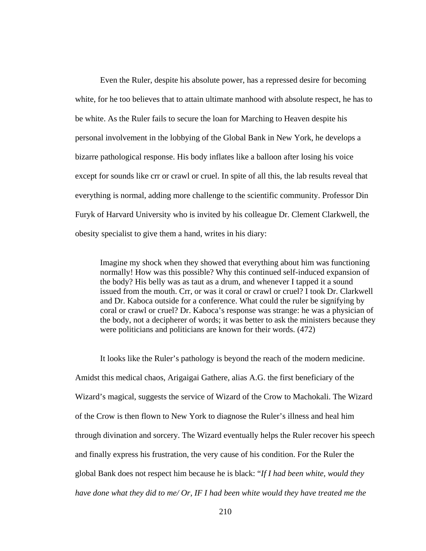Even the Ruler, despite his absolute power, has a repressed desire for becoming white, for he too believes that to attain ultimate manhood with absolute respect, he has to be white. As the Ruler fails to secure the loan for Marching to Heaven despite his personal involvement in the lobbying of the Global Bank in New York, he develops a bizarre pathological response. His body inflates like a balloon after losing his voice except for sounds like crr or crawl or cruel. In spite of all this, the lab results reveal that everything is normal, adding more challenge to the scientific community. Professor Din Furyk of Harvard University who is invited by his colleague Dr. Clement Clarkwell, the obesity specialist to give them a hand, writes in his diary:

Imagine my shock when they showed that everything about him was functioning normally! How was this possible? Why this continued self-induced expansion of the body? His belly was as taut as a drum, and whenever I tapped it a sound issued from the mouth. Crr, or was it coral or crawl or cruel? I took Dr. Clarkwell and Dr. Kaboca outside for a conference. What could the ruler be signifying by coral or crawl or cruel? Dr. Kaboca's response was strange: he was a physician of the body, not a decipherer of words; it was better to ask the ministers because they were politicians and politicians are known for their words. (472)

It looks like the Ruler's pathology is beyond the reach of the modern medicine. Amidst this medical chaos, Arigaigai Gathere, alias A.G. the first beneficiary of the Wizard's magical, suggests the service of Wizard of the Crow to Machokali. The Wizard of the Crow is then flown to New York to diagnose the Ruler's illness and heal him through divination and sorcery. The Wizard eventually helps the Ruler recover his speech and finally express his frustration, the very cause of his condition. For the Ruler the global Bank does not respect him because he is black: "*If I had been white, would they have done what they did to me/ Or, IF I had been white would they have treated me the*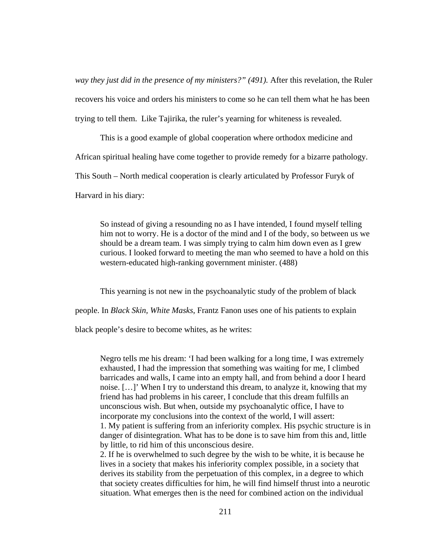*way they just did in the presence of my ministers?" (491).* After this revelation, the Ruler recovers his voice and orders his ministers to come so he can tell them what he has been trying to tell them. Like Tajirika, the ruler's yearning for whiteness is revealed.

This is a good example of global cooperation where orthodox medicine and African spiritual healing have come together to provide remedy for a bizarre pathology. This South – North medical cooperation is clearly articulated by Professor Furyk of

Harvard in his diary:

So instead of giving a resounding no as I have intended, I found myself telling him not to worry. He is a doctor of the mind and I of the body, so between us we should be a dream team. I was simply trying to calm him down even as I grew curious. I looked forward to meeting the man who seemed to have a hold on this western-educated high-ranking government minister. (488)

This yearning is not new in the psychoanalytic study of the problem of black

people. In *Black Skin, White Masks*, Frantz Fanon uses one of his patients to explain

black people's desire to become whites, as he writes:

Negro tells me his dream: 'I had been walking for a long time, I was extremely exhausted, I had the impression that something was waiting for me, I climbed barricades and walls, I came into an empty hall, and from behind a door I heard noise. […]' When I try to understand this dream, to analyze it, knowing that my friend has had problems in his career, I conclude that this dream fulfills an unconscious wish. But when, outside my psychoanalytic office, I have to incorporate my conclusions into the context of the world, I will assert: 1. My patient is suffering from an inferiority complex. His psychic structure is in danger of disintegration. What has to be done is to save him from this and, little by little, to rid him of this unconscious desire.

2. If he is overwhelmed to such degree by the wish to be white, it is because he lives in a society that makes his inferiority complex possible, in a society that derives its stability from the perpetuation of this complex, in a degree to which that society creates difficulties for him, he will find himself thrust into a neurotic situation. What emerges then is the need for combined action on the individual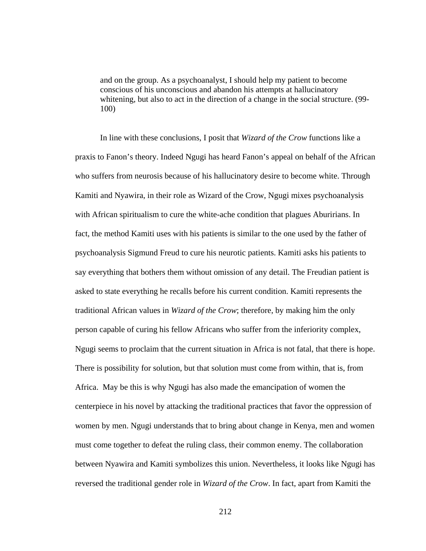and on the group. As a psychoanalyst, I should help my patient to become conscious of his unconscious and abandon his attempts at hallucinatory whitening, but also to act in the direction of a change in the social structure. (99- 100)

In line with these conclusions, I posit that *Wizard of the Crow* functions like a praxis to Fanon's theory. Indeed Ngugi has heard Fanon's appeal on behalf of the African who suffers from neurosis because of his hallucinatory desire to become white. Through Kamiti and Nyawira, in their role as Wizard of the Crow, Ngugi mixes psychoanalysis with African spiritualism to cure the white-ache condition that plagues Aburirians. In fact, the method Kamiti uses with his patients is similar to the one used by the father of psychoanalysis Sigmund Freud to cure his neurotic patients. Kamiti asks his patients to say everything that bothers them without omission of any detail. The Freudian patient is asked to state everything he recalls before his current condition. Kamiti represents the traditional African values in *Wizard of the Crow*; therefore, by making him the only person capable of curing his fellow Africans who suffer from the inferiority complex, Ngugi seems to proclaim that the current situation in Africa is not fatal, that there is hope. There is possibility for solution, but that solution must come from within, that is, from Africa. May be this is why Ngugi has also made the emancipation of women the centerpiece in his novel by attacking the traditional practices that favor the oppression of women by men. Ngugi understands that to bring about change in Kenya, men and women must come together to defeat the ruling class, their common enemy. The collaboration between Nyawira and Kamiti symbolizes this union. Nevertheless, it looks like Ngugi has reversed the traditional gender role in *Wizard of the Crow*. In fact, apart from Kamiti the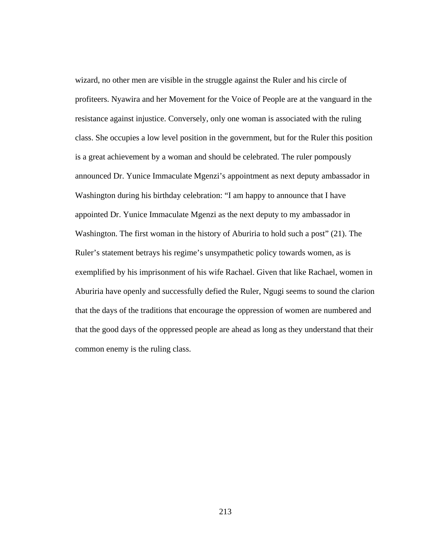wizard, no other men are visible in the struggle against the Ruler and his circle of profiteers. Nyawira and her Movement for the Voice of People are at the vanguard in the resistance against injustice. Conversely, only one woman is associated with the ruling class. She occupies a low level position in the government, but for the Ruler this position is a great achievement by a woman and should be celebrated. The ruler pompously announced Dr. Yunice Immaculate Mgenzi's appointment as next deputy ambassador in Washington during his birthday celebration: "I am happy to announce that I have appointed Dr. Yunice Immaculate Mgenzi as the next deputy to my ambassador in Washington. The first woman in the history of Aburiria to hold such a post" (21). The Ruler's statement betrays his regime's unsympathetic policy towards women, as is exemplified by his imprisonment of his wife Rachael. Given that like Rachael, women in Aburiria have openly and successfully defied the Ruler, Ngugi seems to sound the clarion that the days of the traditions that encourage the oppression of women are numbered and that the good days of the oppressed people are ahead as long as they understand that their common enemy is the ruling class.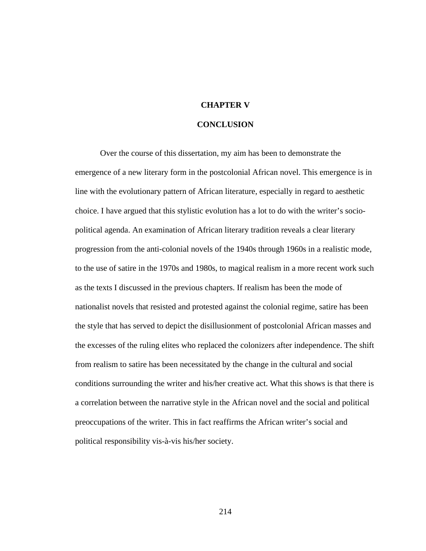## **CHAPTER V**

## **CONCLUSION**

Over the course of this dissertation, my aim has been to demonstrate the emergence of a new literary form in the postcolonial African novel. This emergence is in line with the evolutionary pattern of African literature, especially in regard to aesthetic choice. I have argued that this stylistic evolution has a lot to do with the writer's sociopolitical agenda. An examination of African literary tradition reveals a clear literary progression from the anti-colonial novels of the 1940s through 1960s in a realistic mode, to the use of satire in the 1970s and 1980s, to magical realism in a more recent work such as the texts I discussed in the previous chapters. If realism has been the mode of nationalist novels that resisted and protested against the colonial regime, satire has been the style that has served to depict the disillusionment of postcolonial African masses and the excesses of the ruling elites who replaced the colonizers after independence. The shift from realism to satire has been necessitated by the change in the cultural and social conditions surrounding the writer and his/her creative act. What this shows is that there is a correlation between the narrative style in the African novel and the social and political preoccupations of the writer. This in fact reaffirms the African writer's social and political responsibility vis-à-vis his/her society.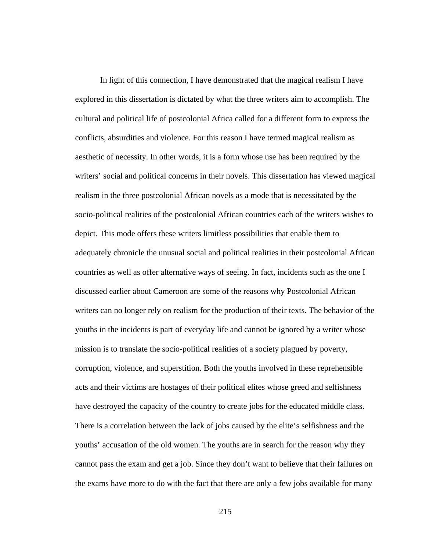In light of this connection, I have demonstrated that the magical realism I have explored in this dissertation is dictated by what the three writers aim to accomplish. The cultural and political life of postcolonial Africa called for a different form to express the conflicts, absurdities and violence. For this reason I have termed magical realism as aesthetic of necessity. In other words, it is a form whose use has been required by the writers' social and political concerns in their novels. This dissertation has viewed magical realism in the three postcolonial African novels as a mode that is necessitated by the socio-political realities of the postcolonial African countries each of the writers wishes to depict. This mode offers these writers limitless possibilities that enable them to adequately chronicle the unusual social and political realities in their postcolonial African countries as well as offer alternative ways of seeing. In fact, incidents such as the one I discussed earlier about Cameroon are some of the reasons why Postcolonial African writers can no longer rely on realism for the production of their texts. The behavior of the youths in the incidents is part of everyday life and cannot be ignored by a writer whose mission is to translate the socio-political realities of a society plagued by poverty, corruption, violence, and superstition. Both the youths involved in these reprehensible acts and their victims are hostages of their political elites whose greed and selfishness have destroyed the capacity of the country to create jobs for the educated middle class. There is a correlation between the lack of jobs caused by the elite's selfishness and the youths' accusation of the old women. The youths are in search for the reason why they cannot pass the exam and get a job. Since they don't want to believe that their failures on the exams have more to do with the fact that there are only a few jobs available for many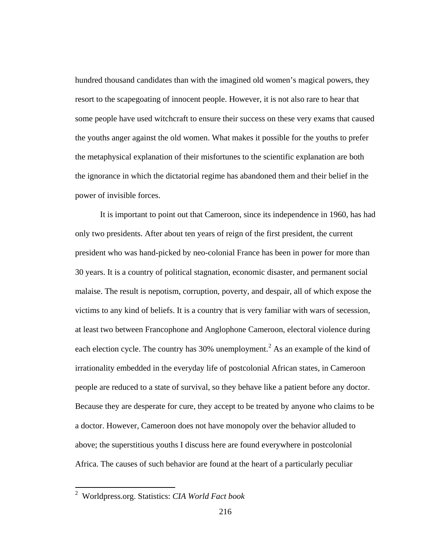hundred thousand candidates than with the imagined old women's magical powers, they resort to the scapegoating of innocent people. However, it is not also rare to hear that some people have used witchcraft to ensure their success on these very exams that caused the youths anger against the old women. What makes it possible for the youths to prefer the metaphysical explanation of their misfortunes to the scientific explanation are both the ignorance in which the dictatorial regime has abandoned them and their belief in the power of invisible forces.

It is important to point out that Cameroon, since its independence in 1960, has had only two presidents. After about ten years of reign of the first president, the current president who was hand-picked by neo-colonial France has been in power for more than 30 years. It is a country of political stagnation, economic disaster, and permanent social malaise. The result is nepotism, corruption, poverty, and despair, all of which expose the victims to any kind of beliefs. It is a country that is very familiar with wars of secession, at least two between Francophone and Anglophone Cameroon, electoral violence during each election cycle. The country has  $30\%$  unemployment.<sup>[2](#page-222-0)</sup> As an example of the kind of irrationality embedded in the everyday life of postcolonial African states, in Cameroon people are reduced to a state of survival, so they behave like a patient before any doctor. Because they are desperate for cure, they accept to be treated by anyone who claims to be a doctor. However, Cameroon does not have monopoly over the behavior alluded to above; the superstitious youths I discuss here are found everywhere in postcolonial Africa. The causes of such behavior are found at the heart of a particularly peculiar

<span id="page-222-0"></span> <sup>2</sup> Worldpress.org. Statistics: *CIA World Fact book*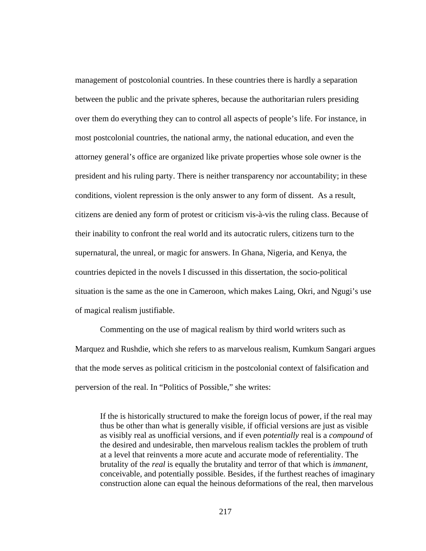management of postcolonial countries. In these countries there is hardly a separation between the public and the private spheres, because the authoritarian rulers presiding over them do everything they can to control all aspects of people's life. For instance, in most postcolonial countries, the national army, the national education, and even the attorney general's office are organized like private properties whose sole owner is the president and his ruling party. There is neither transparency nor accountability; in these conditions, violent repression is the only answer to any form of dissent. As a result, citizens are denied any form of protest or criticism vis-à-vis the ruling class. Because of their inability to confront the real world and its autocratic rulers, citizens turn to the supernatural, the unreal, or magic for answers. In Ghana, Nigeria, and Kenya, the countries depicted in the novels I discussed in this dissertation, the socio-political situation is the same as the one in Cameroon, which makes Laing, Okri, and Ngugi's use of magical realism justifiable.

Commenting on the use of magical realism by third world writers such as Marquez and Rushdie, which she refers to as marvelous realism, Kumkum Sangari argues that the mode serves as political criticism in the postcolonial context of falsification and perversion of the real. In "Politics of Possible," she writes:

If the is historically structured to make the foreign locus of power, if the real may thus be other than what is generally visible, if official versions are just as visible as visibly real as unofficial versions, and if even *potentially* real is a *compound* of the desired and undesirable, then marvelous realism tackles the problem of truth at a level that reinvents a more acute and accurate mode of referentiality. The brutality of the *real* is equally the brutality and terror of that which is *immanent*, conceivable, and potentially possible. Besides, if the furthest reaches of imaginary construction alone can equal the heinous deformations of the real, then marvelous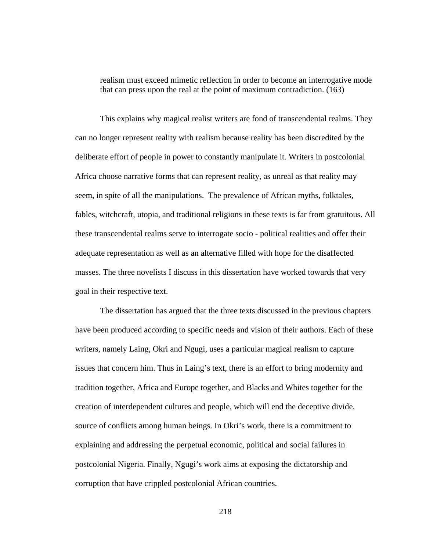realism must exceed mimetic reflection in order to become an interrogative mode that can press upon the real at the point of maximum contradiction. (163)

This explains why magical realist writers are fond of transcendental realms. They can no longer represent reality with realism because reality has been discredited by the deliberate effort of people in power to constantly manipulate it. Writers in postcolonial Africa choose narrative forms that can represent reality, as unreal as that reality may seem, in spite of all the manipulations. The prevalence of African myths, folktales, fables, witchcraft, utopia, and traditional religions in these texts is far from gratuitous. All these transcendental realms serve to interrogate socio - political realities and offer their adequate representation as well as an alternative filled with hope for the disaffected masses. The three novelists I discuss in this dissertation have worked towards that very goal in their respective text.

The dissertation has argued that the three texts discussed in the previous chapters have been produced according to specific needs and vision of their authors. Each of these writers, namely Laing, Okri and Ngugi, uses a particular magical realism to capture issues that concern him. Thus in Laing's text, there is an effort to bring modernity and tradition together, Africa and Europe together, and Blacks and Whites together for the creation of interdependent cultures and people, which will end the deceptive divide, source of conflicts among human beings. In Okri's work, there is a commitment to explaining and addressing the perpetual economic, political and social failures in postcolonial Nigeria. Finally, Ngugi's work aims at exposing the dictatorship and corruption that have crippled postcolonial African countries.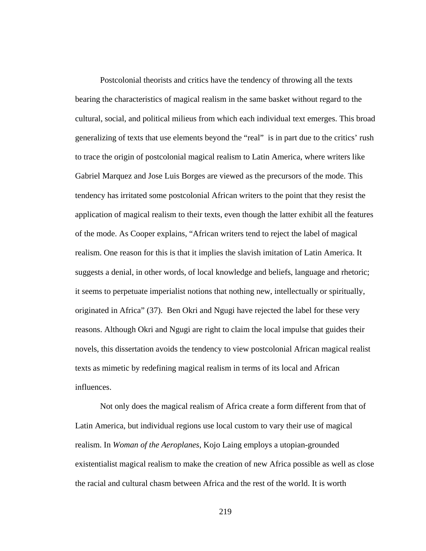Postcolonial theorists and critics have the tendency of throwing all the texts bearing the characteristics of magical realism in the same basket without regard to the cultural, social, and political milieus from which each individual text emerges. This broad generalizing of texts that use elements beyond the "real" is in part due to the critics' rush to trace the origin of postcolonial magical realism to Latin America, where writers like Gabriel Marquez and Jose Luis Borges are viewed as the precursors of the mode. This tendency has irritated some postcolonial African writers to the point that they resist the application of magical realism to their texts, even though the latter exhibit all the features of the mode. As Cooper explains, "African writers tend to reject the label of magical realism. One reason for this is that it implies the slavish imitation of Latin America. It suggests a denial, in other words, of local knowledge and beliefs, language and rhetoric; it seems to perpetuate imperialist notions that nothing new, intellectually or spiritually, originated in Africa" (37). Ben Okri and Ngugi have rejected the label for these very reasons. Although Okri and Ngugi are right to claim the local impulse that guides their novels, this dissertation avoids the tendency to view postcolonial African magical realist texts as mimetic by redefining magical realism in terms of its local and African influences.

Not only does the magical realism of Africa create a form different from that of Latin America, but individual regions use local custom to vary their use of magical realism. In *Woman of the Aeroplanes*, Kojo Laing employs a utopian-grounded existentialist magical realism to make the creation of new Africa possible as well as close the racial and cultural chasm between Africa and the rest of the world. It is worth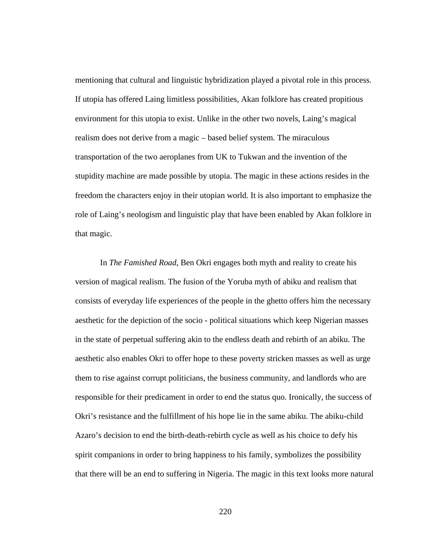mentioning that cultural and linguistic hybridization played a pivotal role in this process. If utopia has offered Laing limitless possibilities, Akan folklore has created propitious environment for this utopia to exist. Unlike in the other two novels, Laing's magical realism does not derive from a magic – based belief system. The miraculous transportation of the two aeroplanes from UK to Tukwan and the invention of the stupidity machine are made possible by utopia. The magic in these actions resides in the freedom the characters enjoy in their utopian world. It is also important to emphasize the role of Laing's neologism and linguistic play that have been enabled by Akan folklore in that magic.

In *The Famished Road*, Ben Okri engages both myth and reality to create his version of magical realism. The fusion of the Yoruba myth of abiku and realism that consists of everyday life experiences of the people in the ghetto offers him the necessary aesthetic for the depiction of the socio - political situations which keep Nigerian masses in the state of perpetual suffering akin to the endless death and rebirth of an abiku. The aesthetic also enables Okri to offer hope to these poverty stricken masses as well as urge them to rise against corrupt politicians, the business community, and landlords who are responsible for their predicament in order to end the status quo. Ironically, the success of Okri's resistance and the fulfillment of his hope lie in the same abiku. The abiku-child Azaro's decision to end the birth-death-rebirth cycle as well as his choice to defy his spirit companions in order to bring happiness to his family, symbolizes the possibility that there will be an end to suffering in Nigeria. The magic in this text looks more natural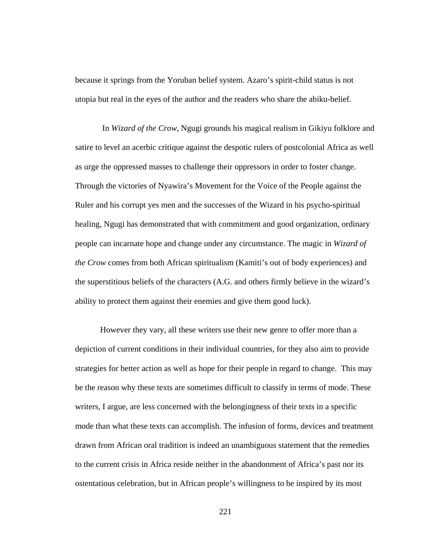because it springs from the Yoruban belief system. Azaro's spirit-child status is not utopia but real in the eyes of the author and the readers who share the abiku-belief.

In *Wizard of the Crow*, Ngugi grounds his magical realism in Gikiyu folklore and satire to level an acerbic critique against the despotic rulers of postcolonial Africa as well as urge the oppressed masses to challenge their oppressors in order to foster change. Through the victories of Nyawira's Movement for the Voice of the People against the Ruler and his corrupt yes men and the successes of the Wizard in his psycho-spiritual healing, Ngugi has demonstrated that with commitment and good organization, ordinary people can incarnate hope and change under any circumstance. The magic in *Wizard of the Crow* comes from both African spiritualism (Kamiti's out of body experiences) and the superstitious beliefs of the characters (A.G. and others firmly believe in the wizard's ability to protect them against their enemies and give them good luck).

However they vary, all these writers use their new genre to offer more than a depiction of current conditions in their individual countries, for they also aim to provide strategies for better action as well as hope for their people in regard to change. This may be the reason why these texts are sometimes difficult to classify in terms of mode. These writers, I argue, are less concerned with the belongingness of their texts in a specific mode than what these texts can accomplish. The infusion of forms, devices and treatment drawn from African oral tradition is indeed an unambiguous statement that the remedies to the current crisis in Africa reside neither in the abandonment of Africa's past nor its ostentatious celebration, but in African people's willingness to be inspired by its most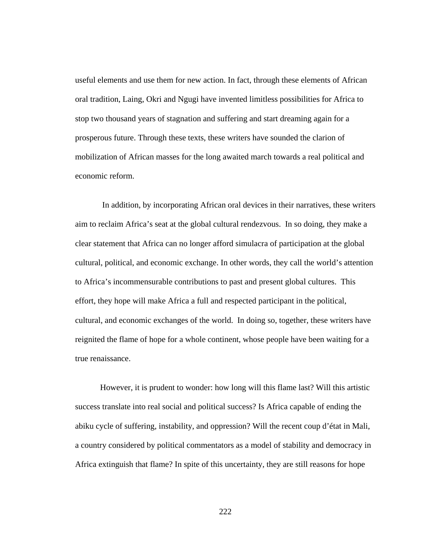useful elements and use them for new action. In fact, through these elements of African oral tradition, Laing, Okri and Ngugi have invented limitless possibilities for Africa to stop two thousand years of stagnation and suffering and start dreaming again for a prosperous future. Through these texts, these writers have sounded the clarion of mobilization of African masses for the long awaited march towards a real political and economic reform.

In addition, by incorporating African oral devices in their narratives, these writers aim to reclaim Africa's seat at the global cultural rendezvous. In so doing, they make a clear statement that Africa can no longer afford simulacra of participation at the global cultural, political, and economic exchange. In other words, they call the world's attention to Africa's incommensurable contributions to past and present global cultures. This effort, they hope will make Africa a full and respected participant in the political, cultural, and economic exchanges of the world. In doing so, together, these writers have reignited the flame of hope for a whole continent, whose people have been waiting for a true renaissance.

However, it is prudent to wonder: how long will this flame last? Will this artistic success translate into real social and political success? Is Africa capable of ending the abiku cycle of suffering, instability, and oppression? Will the recent coup d'état in Mali, a country considered by political commentators as a model of stability and democracy in Africa extinguish that flame? In spite of this uncertainty, they are still reasons for hope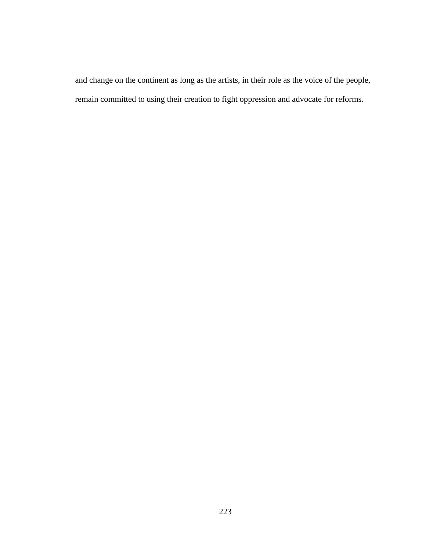and change on the continent as long as the artists, in their role as the voice of the people, remain committed to using their creation to fight oppression and advocate for reforms.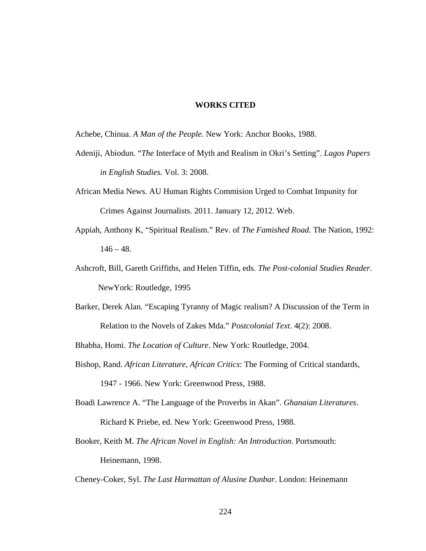## **WORKS CITED**

Achebe, Chinua. *A Man of the People*. New York: Anchor Books, 1988.

- Adeniji, Abiodun. "*The* Interface of Myth and Realism in Okri's Setting". *Lagos Papers in English Studies.* Vol. 3: 2008.
- African Media News. AU Human Rights Commision Urged to Combat Impunity for Crimes Against Journalists. 2011. January 12, 2012. Web.
- Appiah, Anthony K, "Spiritual Realism." Rev. of *The Famished Road*. The Nation, 1992:  $146 - 48.$
- Ashcroft, Bill, Gareth Griffiths, and Helen Tiffin, eds. *The Post-colonial Studies Reader*. NewYork: Routledge, 1995
- Barker, Derek Alan. "Escaping Tyranny of Magic realism? A Discussion of the Term in Relation to the Novels of Zakes Mda." *Postcolonial Text*. 4(2): 2008.

Bhabha, Homi. *The Location of Culture*. New York: Routledge, 2004.

Bishop, Rand. *African Literature, African Critics*: The Forming of Critical standards,

1947 - 1966. New York: Greenwood Press, 1988.

- Boadi Lawrence A. "The Language of the Proverbs in Akan". *Ghanaian Literatures*. Richard K Priebe, ed. New York: Greenwood Press, 1988.
- Booker, Keith M. *The African Novel in English: An Introduction*. Portsmouth: Heinemann, 1998.

Cheney-Coker, Syl. *The Last Harmattan of Alusine Dunbar*. London: Heinemann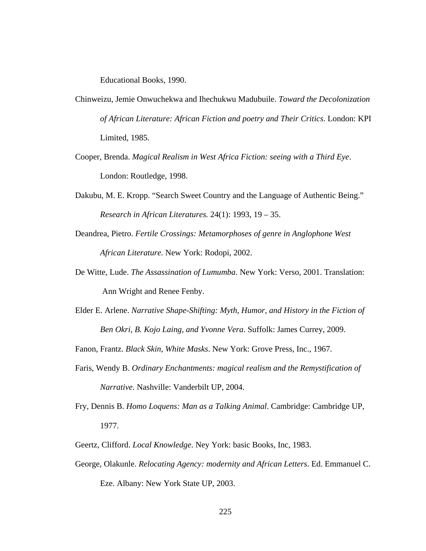Educational Books, 1990.

- Chinweizu, Jemie Onwuchekwa and Ihechukwu Madubuile. *Toward the Decolonization of African Literature: African Fiction and poetry and Their Critics*. London: KPI Limited, 1985.
- Cooper, Brenda. *Magical Realism in West Africa Fiction: seeing with a Third Eye*. London: Routledge, 1998.
- Dakubu, M. E. Kropp. "Search Sweet Country and the Language of Authentic Being." *Research in African Literatures.* 24(1): 1993, 19 – 35.
- Deandrea, Pietro. *Fertile Crossings: Metamorphoses of genre in Anglophone West African Literature.* New York: Rodopi, 2002.
- De Witte, Lude. *The Assassination of Lumumba*. New York: Verso, 2001. Translation: Ann Wright and Renee Fenby.
- Elder E. Arlene. *Narrative Shape-Shifting: Myth, Humor, and History in the Fiction of Ben Okri, B. Kojo Laing, and Yvonne Vera*. Suffolk: James Currey, 2009.

Fanon, Frantz. *Black Skin, White Masks*. New York: Grove Press, Inc., 1967.

- Faris, Wendy B. *Ordinary Enchantments: magical realism and the Remystification of Narrative.* Nashville: Vanderbilt UP, 2004.
- Fry, Dennis B. *Homo Loquens: Man as a Talking Animal*. Cambridge: Cambridge UP, 1977.
- Geertz, Clifford. *Local Knowledge*. Ney York: basic Books, Inc, 1983.
- George, Olakunle. *Relocating Agency: modernity and African Letters*. Ed. Emmanuel C. Eze. Albany: New York State UP, 2003.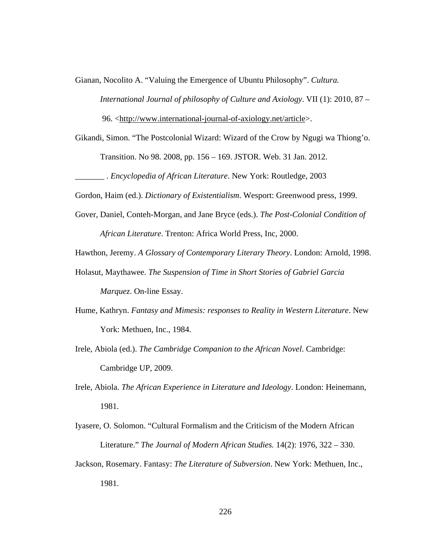Gianan, Nocolito A. "Valuing the Emergence of Ubuntu Philosophy". *Cultura.* 

*International Journal of philosophy of Culture and Axiology*. VII (1): 2010, 87 –

96. [<http://www.international-journal-of-axiology.net/article>](http://www.international-journal-of-axiology.net/article).

Gikandi, Simon. "The Postcolonial Wizard: Wizard of the Crow by Ngugi wa Thiong'o. Transition. No 98. 2008, pp. 156 – 169. JSTOR. Web. 31 Jan. 2012.

\_\_\_\_\_\_\_ . *Encyclopedia of African Literature*. New York: Routledge, 2003

Gordon, Haim (ed.). *Dictionary of Existentialism*. Wesport: Greenwood press, 1999.

Gover, Daniel, Conteh-Morgan, and Jane Bryce (eds.). *The Post-Colonial Condition of African Literature*. Trenton: Africa World Press, Inc, 2000.

Hawthon, Jeremy. *A Glossary of Contemporary Literary Theory*. London: Arnold, 1998.

- Holasut, Maythawee. *The Suspension of Time in Short Stories of Gabriel Garcia Marquez*. On-line Essay.
- Hume, Kathryn. *Fantasy and Mimesis: responses to Reality in Western Literature*. New York: Methuen, Inc., 1984.
- Irele, Abiola (ed.). *The Cambridge Companion to the African Novel*. Cambridge: Cambridge UP, 2009.
- Irele, Abiola. *The African Experience in Literature and Ideology*. London: Heinemann, 1981.
- Iyasere, O. Solomon. "Cultural Formalism and the Criticism of the Modern African Literature." *The Journal of Modern African Studies.* 14(2): 1976, 322 – 330.
- Jackson, Rosemary. Fantasy: *The Literature of Subversion*. New York: Methuen, Inc., 1981.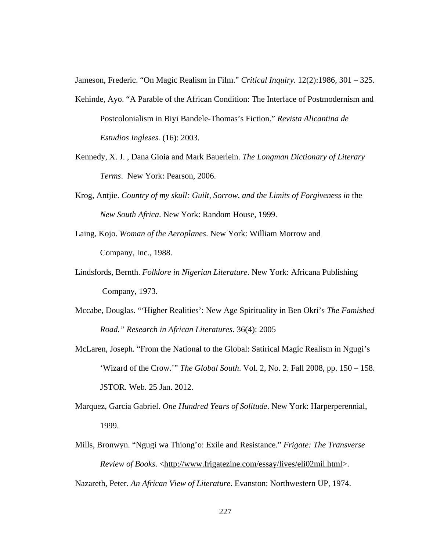Jameson, Frederic. "On Magic Realism in Film." *Critical Inquiry.* 12(2):1986, 301 – 325.

- Kehinde, Ayo. "A Parable of the African Condition: The Interface of Postmodernism and Postcolonialism in Biyi Bandele-Thomas's Fiction." *Revista Alicantina de Estudios Ingleses.* (16): 2003.
- Kennedy, X. J. , Dana Gioia and Mark Bauerlein. *The Longman Dictionary of Literary Terms*. New York: Pearson, 2006.
- Krog, Antjie. *Country of my skull: Guilt, Sorrow, and the Limits of Forgiveness in* the *New South Africa*. New York: Random House, 1999.
- Laing, Kojo. *Woman of the Aeroplanes*. New York: William Morrow and Company, Inc., 1988.
- Lindsfords, Bernth. *Folklore in Nigerian Literature*. New York: Africana Publishing Company, 1973.
- Mccabe, Douglas. "'Higher Realities': New Age Spirituality in Ben Okri's *The Famished Road." Research in African Literatures*. 36(4): 2005
- McLaren, Joseph. "From the National to the Global: Satirical Magic Realism in Ngugi's 'Wizard of the Crow.'" *The Global South*. Vol. 2, No. 2. Fall 2008, pp. 150 – 158. JSTOR. Web. 25 Jan. 2012.
- Marquez, Garcia Gabriel. *One Hundred Years of Solitude*. New York: Harperperennial, 1999.
- Mills, Bronwyn. "Ngugi wa Thiong'o: Exile and Resistance." *Frigate: The Transverse Review of Books*. [<http://www.frigatezine.com/essay/lives/eli02mil.html>](http://www.frigatezine.com/essay/lives/eli02mil.html).

Nazareth, Peter. *An African View of Literature*. Evanston: Northwestern UP, 1974.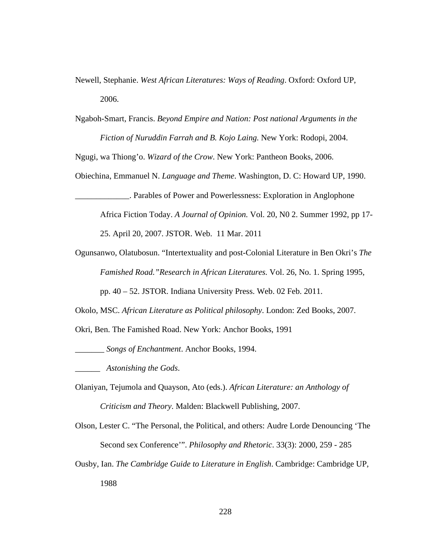- Newell, Stephanie. *West African Literatures: Ways of Reading*. Oxford: Oxford UP, 2006.
- Ngaboh-Smart, Francis. *Beyond Empire and Nation: Post national Arguments in the Fiction of Nuruddin Farrah and B. Kojo Laing.* New York: Rodopi, 2004.

Ngugi, wa Thiong'o. *Wizard of the Crow*. New York: Pantheon Books, 2006.

Obiechina, Emmanuel N. *Language and Theme*. Washington, D. C: Howard UP, 1990.

\_\_\_\_\_\_\_\_\_\_\_\_\_. Parables of Power and Powerlessness: Exploration in Anglophone

Africa Fiction Today. *A Journal of Opinion.* Vol. 20, N0 2. Summer 1992, pp 17-

25. April 20, 2007. JSTOR. Web. 11 Mar. 2011

Ogunsanwo, Olatubosun. "Intertextuality and post-Colonial Literature in Ben Okri's *The Famished Road."Research in African Literatures.* Vol. 26, No. 1. Spring 1995,

pp. 40 – 52. JSTOR. Indiana University Press. Web. 02 Feb. 2011.

Okolo, MSC. *African Literature as Political philosophy*. London: Zed Books, 2007.

Okri, Ben. The Famished Road. New York: Anchor Books, 1991

\_\_\_\_\_\_\_ *Songs of Enchantment*. Anchor Books, 1994.

\_\_\_\_\_\_ *Astonishing the Gods*.

- Olaniyan, Tejumola and Quayson, Ato (eds.). *African Literature: an Anthology of Criticism and Theory*. Malden: Blackwell Publishing, 2007.
- Olson, Lester C. "The Personal, the Political, and others: Audre Lorde Denouncing 'The Second sex Conference'". *Philosophy and Rhetoric*. 33(3): 2000, 259 - 285
- Ousby, Ian. *The Cambridge Guide to Literature in English*. Cambridge: Cambridge UP, 1988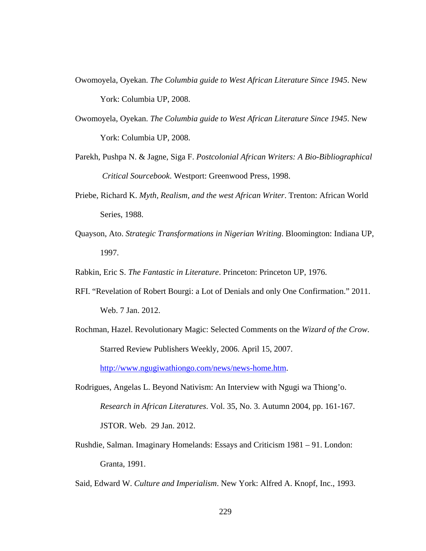- Owomoyela, Oyekan. *The Columbia guide to West African Literature Since 1945*. New York: Columbia UP, 2008.
- Owomoyela, Oyekan. *The Columbia guide to West African Literature Since 1945*. New York: Columbia UP, 2008.
- Parekh, Pushpa N. & Jagne, Siga F. *Postcolonial African Writers: A Bio-Bibliographical Critical Sourcebook*. Westport: Greenwood Press, 1998.
- Priebe, Richard K. *Myth, Realism, and the west African Writer*. Trenton: African World Series, 1988.
- Quayson, Ato. *Strategic Transformations in Nigerian Writing*. Bloomington: Indiana UP, 1997.
- Rabkin, Eric S. *The Fantastic in Literature*. Princeton: Princeton UP, 1976.
- RFI. "Revelation of Robert Bourgi: a Lot of Denials and only One Confirmation." 2011. Web. 7 Jan. 2012.
- Rochman, Hazel. Revolutionary Magic: Selected Comments on the *Wizard of the Crow*. Starred Review Publishers Weekly, 2006. April 15, 2007. [http://www.ngugiwathiongo.com/news/news-home.htm.](http://www.ngugiwathiongo.com/news/news-home.htm)
- Rodrigues, Angelas L. Beyond Nativism: An Interview with Ngugi wa Thiong'o. *Research in African Literatures*. Vol. 35, No. 3. Autumn 2004, pp. 161-167. JSTOR. Web. 29 Jan. 2012.
- Rushdie, Salman. Imaginary Homelands: Essays and Criticism 1981 91. London: Granta, 1991.
- Said, Edward W. *Culture and Imperialism*. New York: Alfred A. Knopf, Inc., 1993.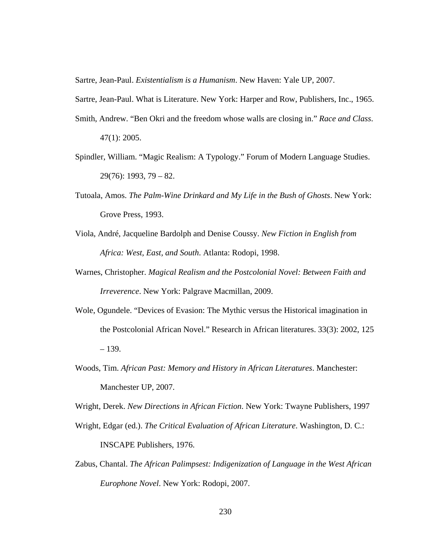Sartre, Jean-Paul. *Existentialism is a Humanism*. New Haven: Yale UP, 2007.

Sartre, Jean-Paul. What is Literature. New York: Harper and Row, Publishers, Inc., 1965.

- Smith, Andrew. "Ben Okri and the freedom whose walls are closing in." *Race and Class*. 47(1): 2005.
- Spindler, William. "Magic Realism: A Typology." Forum of Modern Language Studies. 29(76): 1993, 79 – 82.
- Tutoala, Amos. *The Palm-Wine Drinkard and My Life in the Bush of Ghosts*. New York: Grove Press, 1993.
- Viola, André, Jacqueline Bardolph and Denise Coussy. *New Fiction in English from Africa: West, East, and South*. Atlanta: Rodopi, 1998.
- Warnes, Christopher. *Magical Realism and the Postcolonial Novel: Between Faith and Irreverence*. New York: Palgrave Macmillan, 2009.
- Wole, Ogundele. "Devices of Evasion: The Mythic versus the Historical imagination in the Postcolonial African Novel." Research in African literatures. 33(3): 2002, 125 – 139.
- Woods, Tim. *African Past: Memory and History in African Literatures*. Manchester: Manchester UP, 2007.

Wright, Derek. *New Directions in African Fiction*. New York: Twayne Publishers, 1997

- Wright, Edgar (ed.). *The Critical Evaluation of African Literature*. Washington, D. C.: INSCAPE Publishers, 1976.
- Zabus, Chantal. *The African Palimpsest: Indigenization of Language in the West African Europhone Novel*. New York: Rodopi, 2007.